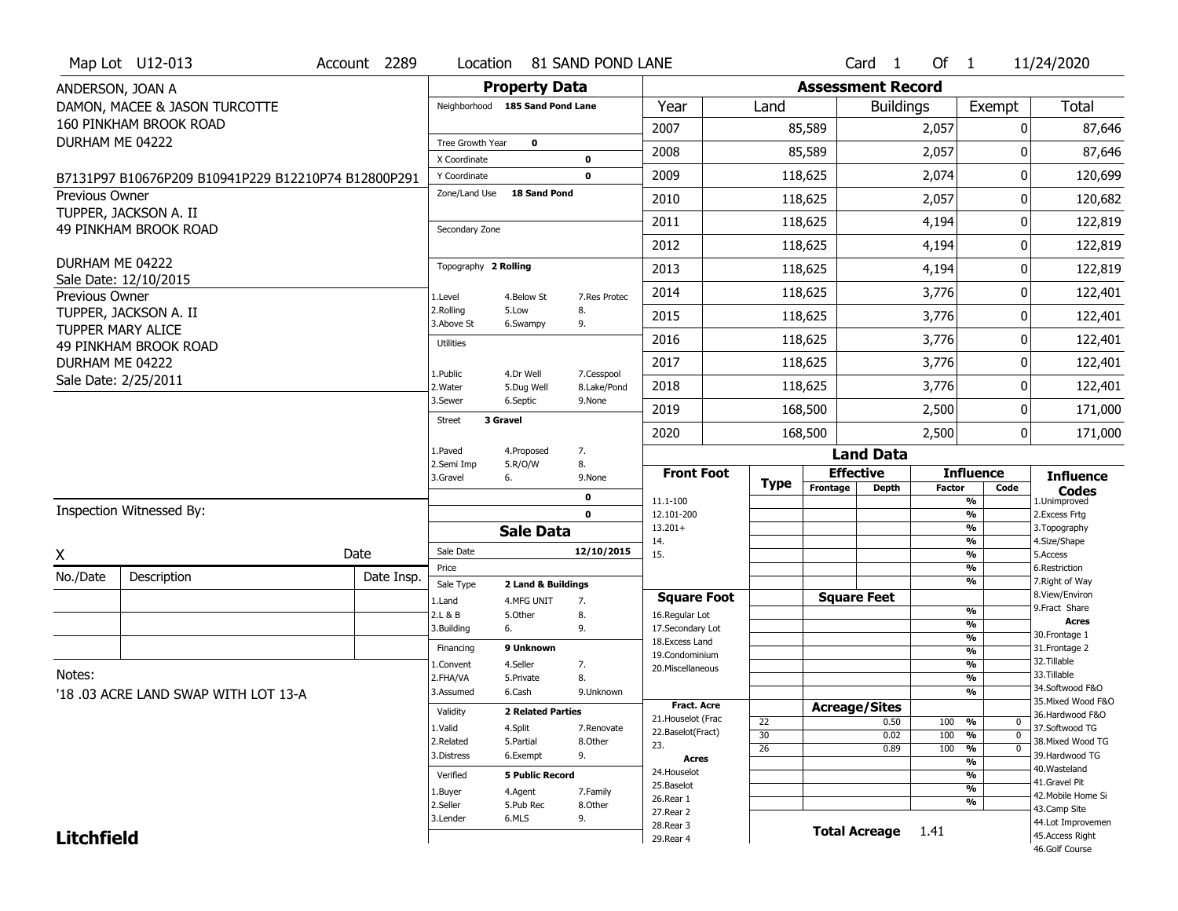|                       | Map Lot U12-013                                     | Account 2289 | Location                      |                                 | 81 SAND POND LANE         |                                          |                 |                          | Card <sub>1</sub>    | Of $1$        |                                           | 11/24/2020                            |
|-----------------------|-----------------------------------------------------|--------------|-------------------------------|---------------------------------|---------------------------|------------------------------------------|-----------------|--------------------------|----------------------|---------------|-------------------------------------------|---------------------------------------|
| ANDERSON, JOAN A      |                                                     |              |                               | <b>Property Data</b>            |                           |                                          |                 | <b>Assessment Record</b> |                      |               |                                           |                                       |
|                       | DAMON, MACEE & JASON TURCOTTE                       |              |                               | Neighborhood 185 Sand Pond Lane |                           | Year                                     | Land            |                          | <b>Buildings</b>     |               | Exempt                                    | Total                                 |
|                       | 160 PINKHAM BROOK ROAD                              |              |                               |                                 |                           | 2007                                     |                 | 85,589                   |                      | 2,057         | 0                                         | 87,646                                |
| DURHAM ME 04222       |                                                     |              | Tree Growth Year              | $\mathbf 0$                     |                           | 2008                                     |                 | 85,589                   |                      | 2,057         | O                                         | 87,646                                |
|                       |                                                     |              | X Coordinate                  |                                 | 0                         |                                          |                 |                          |                      |               |                                           |                                       |
|                       | B7131P97 B10676P209 B10941P229 B12210P74 B12800P291 |              | Y Coordinate<br>Zone/Land Use | <b>18 Sand Pond</b>             | $\mathbf 0$               | 2009                                     |                 | 118,625                  |                      | 2,074         | 0                                         | 120,699                               |
| <b>Previous Owner</b> | TUPPER, JACKSON A. II                               |              |                               |                                 |                           | 2010                                     |                 | 118,625                  |                      | 2,057         | 0                                         | 120,682                               |
|                       | <b>49 PINKHAM BROOK ROAD</b>                        |              | Secondary Zone                |                                 |                           | 2011                                     |                 | 118,625                  |                      | 4,194         | 0                                         | 122,819                               |
|                       |                                                     |              |                               |                                 |                           | 2012                                     |                 | 118,625                  |                      | 4,194         | 0                                         | 122,819                               |
| DURHAM ME 04222       |                                                     |              | Topography 2 Rolling          |                                 |                           | 2013                                     |                 | 118,625                  |                      | 4,194         | 0                                         | 122,819                               |
| Previous Owner        | Sale Date: 12/10/2015                               |              | 1.Level                       | 4.Below St                      | 7.Res Protec              | 2014                                     |                 | 118,625                  |                      | 3,776         | 0                                         | 122,401                               |
|                       | TUPPER, JACKSON A. II                               |              | 2.Rolling<br>3.Above St       | 5.Low<br>6.Swampy               | 8.<br>9.                  | 2015                                     |                 | 118,625                  |                      | 3,776         | 0                                         | 122,401                               |
|                       | <b>TUPPER MARY ALICE</b><br>49 PINKHAM BROOK ROAD   |              | <b>Utilities</b>              |                                 |                           | 2016                                     |                 | 118,625                  |                      | 3,776         | 0                                         | 122,401                               |
| DURHAM ME 04222       |                                                     |              |                               |                                 |                           | 2017                                     |                 | 118,625                  |                      | 3,776         | 0                                         | 122,401                               |
|                       | Sale Date: 2/25/2011                                |              | 1.Public<br>2. Water          | 4.Dr Well<br>5.Dug Well         | 7.Cesspool<br>8.Lake/Pond | 2018                                     |                 | 118,625                  |                      | 3,776         | 0                                         | 122,401                               |
|                       |                                                     |              | 3.Sewer                       | 6.Septic                        | 9.None                    | 2019                                     |                 | 168,500                  |                      | 2,500         | 0                                         | 171,000                               |
|                       |                                                     |              | <b>Street</b>                 | 3 Gravel                        |                           | 2020                                     |                 | 168,500                  |                      | 2,500         | 0                                         | 171,000                               |
|                       |                                                     |              | 1.Paved                       | 4.Proposed                      | 7.                        |                                          |                 |                          | <b>Land Data</b>     |               |                                           |                                       |
|                       |                                                     |              | 2.Semi Imp                    | 5.R/O/W                         | 8.                        |                                          |                 |                          | <b>Effective</b>     |               | <b>Influence</b>                          |                                       |
|                       |                                                     |              | 3.Gravel                      | 6.                              | 9.None                    | <b>Front Foot</b>                        |                 |                          |                      |               |                                           | <b>Influence</b>                      |
|                       |                                                     |              |                               |                                 | 0                         |                                          | <b>Type</b>     | Frontage                 | <b>Depth</b>         | <b>Factor</b> | Code                                      | <b>Codes</b>                          |
|                       | Inspection Witnessed By:                            |              |                               |                                 | $\mathbf 0$               | 11.1-100<br>12.101-200                   |                 |                          |                      |               | $\overline{\frac{9}{6}}$<br>$\frac{9}{6}$ | 1.Unimproved<br>2.Excess Frtg         |
|                       |                                                     |              |                               | <b>Sale Data</b>                |                           | $13.201+$                                |                 |                          |                      |               | $\frac{9}{6}$                             | 3. Topography                         |
| Χ                     |                                                     | Date         | Sale Date                     |                                 | 12/10/2015                | 14.<br>15.                               |                 |                          |                      |               | $\frac{9}{6}$<br>$\frac{9}{6}$            | 4.Size/Shape<br>5.Access              |
|                       | Description                                         | Date Insp.   | Price                         |                                 |                           |                                          |                 |                          |                      |               | $\frac{9}{6}$                             | 6.Restriction                         |
| No./Date              |                                                     |              | Sale Type                     | 2 Land & Buildings              |                           |                                          |                 |                          |                      |               | $\overline{\frac{9}{6}}$                  | 7. Right of Way<br>8.View/Environ     |
|                       |                                                     |              | 1.Land<br>2.L & B             | 4.MFG UNIT<br>5.Other           | 7.<br>8.                  | <b>Square Foot</b><br>16.Regular Lot     |                 |                          | <b>Square Feet</b>   |               | %                                         | 9. Fract Share                        |
|                       |                                                     |              | 3.Building                    | 6.                              | 9.                        | 17.Secondary Lot                         |                 |                          |                      |               | %                                         | <b>Acres</b><br>30. Frontage 1        |
|                       |                                                     |              | Financing                     | 9 Unknown                       |                           | 18. Excess Land<br>19.Condominium        |                 |                          |                      |               | %<br>%                                    | 31. Frontage 2                        |
|                       |                                                     |              | 1.Convent                     | 4.Seller                        | 7.                        | 20.Miscellaneous                         |                 |                          |                      |               | $\frac{9}{6}$                             | 32.Tillable                           |
| Notes:                |                                                     |              | 2.FHA/VA                      | 5.Private                       | 8.                        |                                          |                 |                          |                      |               | %                                         | 33.Tillable                           |
|                       | '18.03 ACRE LAND SWAP WITH LOT 13-A                 |              | 3.Assumed                     | 6.Cash                          | 9.Unknown                 |                                          |                 |                          |                      |               | %                                         | 34.Softwood F&O<br>35. Mixed Wood F&O |
|                       |                                                     |              | Validity                      | <b>2 Related Parties</b>        |                           | <b>Fract. Acre</b><br>21. Houselot (Frac |                 |                          | <b>Acreage/Sites</b> |               |                                           | 36.Hardwood F&O                       |
|                       |                                                     |              | 1.Valid                       | 4.Split                         | 7.Renovate                | 22.Baselot(Fract)                        | 22<br>30        |                          | 0.50<br>0.02         | 100<br>100    | %<br>0<br>$\overline{0}$<br>%             | 37.Softwood TG                        |
|                       |                                                     |              | 2.Related                     | 5.Partial                       | 8.Other                   | 23.                                      | $\overline{26}$ |                          | 0.89                 | 100           | $\frac{9}{6}$<br>$\overline{0}$           | 38. Mixed Wood TG                     |
|                       |                                                     |              | 3.Distress                    | 6.Exempt                        | 9.                        | Acres                                    |                 |                          |                      |               | %                                         | 39.Hardwood TG<br>40. Wasteland       |
|                       |                                                     |              | Verified                      | <b>5 Public Record</b>          |                           | 24. Houselot<br>25.Baselot               |                 |                          |                      |               | %                                         | 41.Gravel Pit                         |
|                       |                                                     |              | 1.Buyer                       | 4.Agent                         | 7.Family                  | 26.Rear 1                                |                 |                          |                      |               | $\overline{\frac{9}{6}}$                  | 42. Mobile Home Si                    |
|                       |                                                     |              | 2.Seller                      | 5.Pub Rec                       | 8.Other                   | 27.Rear 2                                |                 |                          |                      |               | %                                         | 43.Camp Site                          |
| <b>Litchfield</b>     |                                                     |              | 3.Lender                      | 6.MLS                           | 9.                        | 28. Rear 3<br>29. Rear 4                 |                 |                          | <b>Total Acreage</b> | 1.41          |                                           | 44.Lot Improvemen<br>45.Access Right  |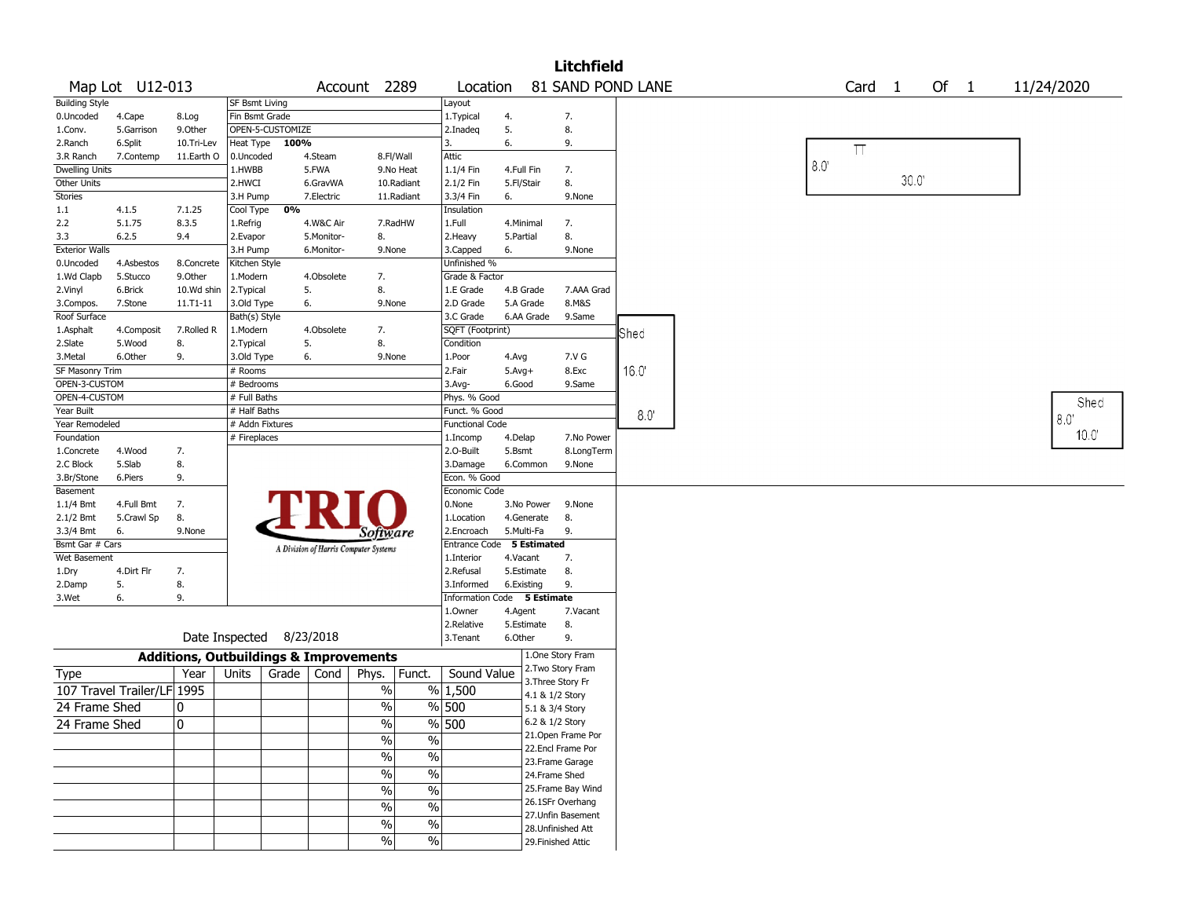|                        |                            |                                                   |                 |                          |            |                                       |                           |            |                                    | <b>Litchfield</b>  |      |  |             |                    |      |        |  |            |
|------------------------|----------------------------|---------------------------------------------------|-----------------|--------------------------|------------|---------------------------------------|---------------------------|------------|------------------------------------|--------------------|------|--|-------------|--------------------|------|--------|--|------------|
|                        | Map Lot U12-013            |                                                   |                 |                          |            | Account 2289                          | Location                  |            |                                    | 81 SAND POND LANE  |      |  |             | Card 1             |      | Of $1$ |  | 11/24/2020 |
| <b>Building Style</b>  |                            |                                                   | SF Bsmt Living  |                          |            |                                       | Layout                    |            |                                    |                    |      |  |             |                    |      |        |  |            |
| 0.Uncoded              | 4.Cape                     | 8.Log                                             | Fin Bsmt Grade  |                          |            |                                       | 1. Typical                | 4.         |                                    | 7.                 |      |  |             |                    |      |        |  |            |
| 1.Conv.                | 5.Garrison                 | 9.0ther                                           |                 | OPEN-5-CUSTOMIZE         |            |                                       | 2.Inadeq                  | 5.         |                                    | 8.                 |      |  |             |                    |      |        |  |            |
| 2.Ranch                | 6.Split                    | 10.Tri-Lev                                        | Heat Type       | 100%                     |            |                                       | 3.                        | 6.         |                                    | 9.                 |      |  |             | $\boldsymbol{\Pi}$ |      |        |  |            |
| 3.R Ranch              | 7.Contemp                  | 11.Earth O                                        | 0.Uncoded       |                          | 4.Steam    | 8.Fl/Wall                             | Attic                     |            |                                    |                    |      |  |             |                    |      |        |  |            |
| <b>Dwelling Units</b>  |                            |                                                   | 1.HWBB          |                          | 5.FWA      | 9.No Heat                             | 1.1/4 Fin                 | 4.Full Fin |                                    | 7.                 |      |  | $8.0^\circ$ |                    |      |        |  |            |
| Other Units            |                            |                                                   | 2.HWCI          |                          | 6.GravWA   | 10.Radiant                            | 2.1/2 Fin                 | 5.Fl/Stair |                                    | 8.                 |      |  |             |                    | 30.0 |        |  |            |
| <b>Stories</b>         |                            |                                                   | 3.H Pump        |                          | 7.Electric | 11.Radiant                            | 3.3/4 Fin                 | 6.         |                                    | 9.None             |      |  |             |                    |      |        |  |            |
| 1.1                    | 4.1.5                      | 7.1.25                                            | Cool Type       | 0%                       |            |                                       | Insulation                |            |                                    |                    |      |  |             |                    |      |        |  |            |
| 2.2                    | 5.1.75                     | 8.3.5                                             | 1.Refrig        |                          | 4.W&C Air  | 7.RadHW                               | 1.Full                    |            | 4.Minimal                          | 7.                 |      |  |             |                    |      |        |  |            |
| 3.3                    | 6.2.5                      | 9.4                                               | 2.Evapor        |                          | 5.Monitor- | 8.                                    | 2.Heavy                   | 5.Partial  |                                    | 8.                 |      |  |             |                    |      |        |  |            |
| <b>Exterior Walls</b>  |                            |                                                   | 3.H Pump        |                          | 6.Monitor- | 9.None                                | 3.Capped                  | 6.         |                                    | 9.None             |      |  |             |                    |      |        |  |            |
| 0.Uncoded              | 4.Asbestos                 | 8.Concrete                                        | Kitchen Style   |                          |            |                                       | Unfinished %              |            |                                    |                    |      |  |             |                    |      |        |  |            |
| 1.Wd Clapb             | 5.Stucco                   | 9.0ther                                           | 1.Modern        |                          | 4.Obsolete | 7.                                    | Grade & Factor            |            |                                    |                    |      |  |             |                    |      |        |  |            |
| 2.Vinyl                | 6.Brick                    | 10.Wd shin                                        | 2.Typical       | 5.                       |            | 8.                                    | 1.E Grade                 |            | 4.B Grade                          | 7.AAA Grad         |      |  |             |                    |      |        |  |            |
| 3.Compos.              | 7.Stone                    | 11.T1-11                                          | 3.Old Type      | 6.                       |            | 9.None                                | 2.D Grade                 |            | 5.A Grade                          | 8.M&S              |      |  |             |                    |      |        |  |            |
| Roof Surface           |                            |                                                   | Bath(s) Style   |                          |            |                                       | 3.C Grade                 |            | 6.AA Grade                         | 9.Same             |      |  |             |                    |      |        |  |            |
| 1.Asphalt              | 4.Composit                 | 7.Rolled R                                        | 1.Modern        |                          | 4.Obsolete | 7.                                    | SQFT (Footprint)          |            |                                    |                    | Shed |  |             |                    |      |        |  |            |
| 2.Slate                | 5.Wood                     | 8.                                                | 2.Typical       | 5.                       |            | 8.                                    | Condition                 |            |                                    |                    |      |  |             |                    |      |        |  |            |
| 3.Metal                | 6.Other                    | 9.                                                | 3.Old Type      | 6.                       |            | 9.None                                | 1.Poor                    | 4.Avg      |                                    | 7.V G              |      |  |             |                    |      |        |  |            |
| SF Masonry Trim        |                            |                                                   | # Rooms         |                          |            |                                       | 2.Fair                    | $5.Avg+$   |                                    | 8.Exc              | 16.0 |  |             |                    |      |        |  |            |
| OPEN-3-CUSTOM          |                            |                                                   | # Bedrooms      |                          |            |                                       | 3.Avg-                    | 6.Good     |                                    | 9.Same             |      |  |             |                    |      |        |  |            |
| OPEN-4-CUSTOM          |                            |                                                   | # Full Baths    |                          |            |                                       | Phys. % Good              |            |                                    |                    |      |  |             |                    |      |        |  | Shed       |
| Year Built             |                            |                                                   | # Half Baths    |                          |            |                                       | Funct. % Good             |            |                                    |                    | 8.0' |  |             |                    |      |        |  | 8.0        |
| Year Remodeled         |                            |                                                   | # Addn Fixtures |                          |            |                                       | Functional Code           |            |                                    |                    |      |  |             |                    |      |        |  | 10.0       |
| Foundation             |                            |                                                   | # Fireplaces    |                          |            |                                       | 1.Incomp                  | 4.Delap    |                                    | 7.No Power         |      |  |             |                    |      |        |  |            |
| 1.Concrete             | 4.Wood                     | 7.                                                |                 |                          |            |                                       | 2.0-Built                 | 5.Bsmt     |                                    | 8.LongTerm         |      |  |             |                    |      |        |  |            |
| 2.C Block              | 5.Slab                     | 8.                                                |                 |                          |            |                                       | 3.Damage                  |            | 6.Common                           | 9.None             |      |  |             |                    |      |        |  |            |
| 3.Br/Stone             | 6.Piers                    | 9.                                                |                 |                          |            |                                       | Econ. % Good              |            |                                    |                    |      |  |             |                    |      |        |  |            |
| Basement               |                            |                                                   |                 |                          |            |                                       | Economic Code             |            |                                    |                    |      |  |             |                    |      |        |  |            |
| 1.1/4 Bmt              | 4.Full Bmt                 | 7.                                                |                 |                          |            |                                       | 0.None                    |            | 3.No Power                         | 9.None             |      |  |             |                    |      |        |  |            |
| 2.1/2 Bmt<br>3.3/4 Bmt | 5.Crawl Sp<br>6.           | 8.<br>9.None                                      |                 |                          |            |                                       | 1.Location<br>2.Encroach  |            | 4.Generate<br>5.Multi-Fa           | 8.<br>9.           |      |  |             |                    |      |        |  |            |
| Bsmt Gar # Cars        |                            |                                                   |                 |                          |            | <i>Software</i>                       | Entrance Code 5 Estimated |            |                                    |                    |      |  |             |                    |      |        |  |            |
| Wet Basement           |                            |                                                   |                 |                          |            | A Division of Harris Computer Systems | 1.Interior                | 4.Vacant   |                                    | 7.                 |      |  |             |                    |      |        |  |            |
| 1.Dry                  | 4.Dirt Flr                 | 7.                                                |                 |                          |            |                                       | 2.Refusal                 |            | 5.Estimate                         | 8.                 |      |  |             |                    |      |        |  |            |
| 2.Damp                 | 5.                         | 8.                                                |                 |                          |            |                                       | 3.Informed                |            | 6.Existing                         | 9.                 |      |  |             |                    |      |        |  |            |
| 3.Wet                  | 6.                         | 9.                                                |                 |                          |            |                                       | Information               |            | Code 5 Estimate                    |                    |      |  |             |                    |      |        |  |            |
|                        |                            |                                                   |                 |                          |            |                                       | 1.Owner                   | 4.Agent    |                                    | 7.Vacant           |      |  |             |                    |      |        |  |            |
|                        |                            |                                                   |                 |                          |            |                                       | 2.Relative                |            | 5.Estimate                         | 8.                 |      |  |             |                    |      |        |  |            |
|                        |                            |                                                   |                 | Date Inspected 8/23/2018 |            |                                       | 3.Tenant                  | 6.Other    |                                    | 9.                 |      |  |             |                    |      |        |  |            |
|                        |                            | <b>Additions, Outbuildings &amp; Improvements</b> |                 |                          |            |                                       |                           |            |                                    | 1.One Story Fram   |      |  |             |                    |      |        |  |            |
| Type                   |                            | Year                                              | Units           | Grade                    | Cond       | Phys.<br>Funct.                       | Sound Value               |            |                                    | 2. Two Story Fram  |      |  |             |                    |      |        |  |            |
|                        | 107 Travel Trailer/LF 1995 |                                                   |                 |                          |            | $\%$                                  | % 1,500                   |            |                                    | 3. Three Story Fr  |      |  |             |                    |      |        |  |            |
| 24 Frame Shed          |                            | 0                                                 |                 |                          |            | $\%$                                  | % 500                     |            | 4.1 & 1/2 Story<br>5.1 & 3/4 Story |                    |      |  |             |                    |      |        |  |            |
|                        |                            |                                                   |                 |                          |            |                                       |                           |            | 6.2 & 1/2 Story                    |                    |      |  |             |                    |      |        |  |            |
| 24 Frame Shed          |                            | 10                                                |                 |                          |            | %                                     | % 500                     |            |                                    | 21.Open Frame Por  |      |  |             |                    |      |        |  |            |
|                        |                            |                                                   |                 |                          |            | $\%$<br>$\%$                          |                           |            |                                    | 22.Encl Frame Por  |      |  |             |                    |      |        |  |            |
|                        |                            |                                                   |                 |                          |            | $\frac{1}{2}$<br>$\frac{9}{6}$        |                           |            |                                    | 23. Frame Garage   |      |  |             |                    |      |        |  |            |
|                        |                            |                                                   |                 |                          |            | $\frac{0}{6}$<br>$\%$                 |                           |            | 24.Frame Shed                      |                    |      |  |             |                    |      |        |  |            |
|                        |                            |                                                   |                 |                          |            | $\sqrt{20}$<br>$\frac{1}{2}$          |                           |            |                                    | 25. Frame Bay Wind |      |  |             |                    |      |        |  |            |
|                        |                            |                                                   |                 |                          |            | $\frac{9}{6}$<br>$\%$                 |                           |            |                                    | 26.1SFr Overhang   |      |  |             |                    |      |        |  |            |
|                        |                            |                                                   |                 |                          |            | $\frac{0}{6}$<br>$\%$                 |                           |            |                                    | 27.Unfin Basement  |      |  |             |                    |      |        |  |            |
|                        |                            |                                                   |                 |                          |            | $\sqrt{6}$<br>$\sqrt{6}$              |                           |            |                                    | 28. Unfinished Att |      |  |             |                    |      |        |  |            |
|                        |                            |                                                   |                 |                          |            |                                       |                           |            |                                    | 29. Finished Attic |      |  |             |                    |      |        |  |            |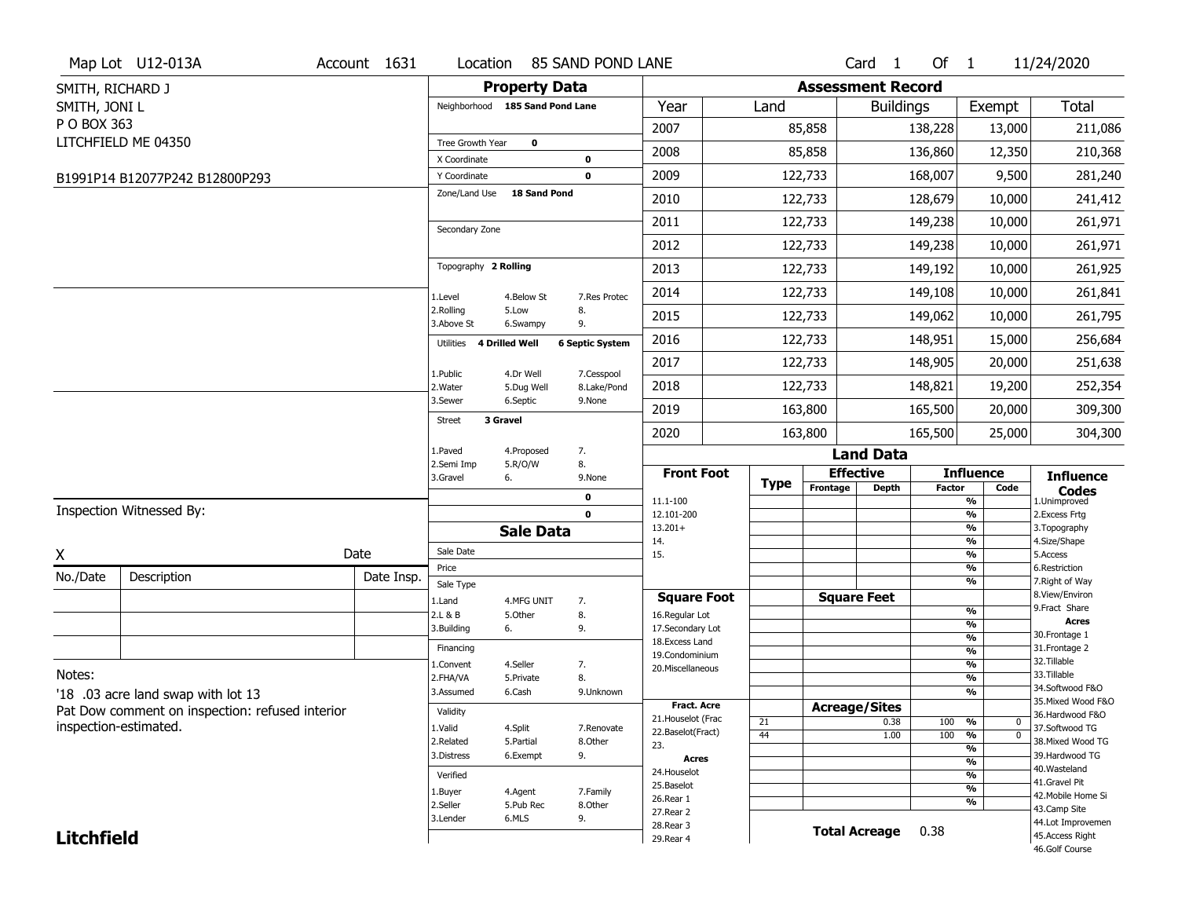|                   | Map Lot U12-013A                                | Account 1631 | Location                        |                         | 85 SAND POND LANE         |                                          |             |                          | Card <sub>1</sub>    | Of $1$     |                                           | 11/24/2020                            |
|-------------------|-------------------------------------------------|--------------|---------------------------------|-------------------------|---------------------------|------------------------------------------|-------------|--------------------------|----------------------|------------|-------------------------------------------|---------------------------------------|
| SMITH, RICHARD J  |                                                 |              |                                 | <b>Property Data</b>    |                           |                                          |             | <b>Assessment Record</b> |                      |            |                                           |                                       |
| SMITH, JONI L     |                                                 |              | Neighborhood 185 Sand Pond Lane |                         |                           | Year                                     | Land        |                          | <b>Buildings</b>     |            | Exempt                                    | <b>Total</b>                          |
| P O BOX 363       |                                                 |              |                                 |                         |                           | 2007                                     |             | 85,858                   |                      | 138,228    | 13,000                                    | 211,086                               |
|                   | LITCHFIELD ME 04350                             |              | Tree Growth Year                | 0                       |                           | 2008                                     |             | 85,858                   |                      | 136,860    | 12,350                                    | 210,368                               |
|                   |                                                 |              | X Coordinate                    |                         | 0                         |                                          |             |                          |                      |            |                                           |                                       |
|                   | B1991P14 B12077P242 B12800P293                  |              | Y Coordinate                    |                         | $\mathbf 0$               | 2009                                     |             | 122,733                  |                      | 168,007    | 9,500                                     | 281,240                               |
|                   |                                                 |              | Zone/Land Use                   | <b>18 Sand Pond</b>     |                           | 2010                                     |             | 122,733                  |                      | 128,679    | 10,000                                    | 241,412                               |
|                   |                                                 |              | Secondary Zone                  |                         |                           | 2011                                     |             | 122,733                  |                      | 149,238    | 10,000                                    | 261,971                               |
|                   |                                                 |              |                                 |                         |                           | 2012                                     |             | 122,733                  |                      | 149,238    | 10,000                                    | 261,971                               |
|                   |                                                 |              | Topography 2 Rolling            |                         |                           | 2013                                     |             | 122,733                  |                      | 149,192    | 10,000                                    | 261,925                               |
|                   |                                                 |              | 1.Level                         | 4.Below St              | 7.Res Protec              | 2014                                     |             | 122,733                  |                      | 149,108    | 10,000                                    | 261,841                               |
|                   |                                                 |              | 2.Rolling<br>3.Above St         | 5.Low<br>6.Swampy       | 8.<br>9.                  | 2015                                     |             | 122,733                  |                      | 149,062    | 10,000                                    | 261,795                               |
|                   |                                                 |              | 4 Drilled Well<br>Utilities     |                         | <b>6 Septic System</b>    | 2016                                     |             | 122,733                  |                      | 148,951    | 15,000                                    | 256,684                               |
|                   |                                                 |              |                                 |                         |                           | 2017                                     |             | 122,733                  |                      | 148,905    | 20,000                                    | 251,638                               |
|                   |                                                 |              | 1.Public<br>2. Water            | 4.Dr Well<br>5.Dug Well | 7.Cesspool<br>8.Lake/Pond | 2018                                     |             | 122,733                  |                      | 148,821    | 19,200                                    | 252,354                               |
|                   |                                                 |              | 3.Sewer                         | 6.Septic                | 9.None                    | 2019                                     |             | 163,800                  |                      | 165,500    | 20,000                                    | 309,300                               |
|                   |                                                 |              | 3 Gravel<br><b>Street</b>       |                         |                           | 2020                                     |             | 163,800                  |                      | 165,500    | 25,000                                    | 304,300                               |
|                   |                                                 |              | 1.Paved                         | 4.Proposed              | 7.                        |                                          |             |                          | <b>Land Data</b>     |            |                                           |                                       |
|                   |                                                 |              | 2.Semi Imp<br>3.Gravel          | 5.R/O/W<br>6.           | 8.<br>9.None              | <b>Front Foot</b>                        |             |                          | <b>Effective</b>     |            | <b>Influence</b>                          | <b>Influence</b>                      |
|                   |                                                 |              |                                 |                         | 0                         | 11.1-100                                 | <b>Type</b> | Frontage                 | <b>Depth</b>         | Factor     | Code<br>%                                 | <b>Codes</b><br>1.Unimproved          |
|                   | Inspection Witnessed By:                        |              |                                 |                         | $\mathbf 0$               | 12.101-200                               |             |                          |                      |            | %                                         | 2.Excess Frtg                         |
|                   |                                                 |              |                                 | <b>Sale Data</b>        |                           | $13.201+$<br>14.                         |             |                          |                      |            | %<br>%                                    | 3. Topography<br>4.Size/Shape         |
| Χ                 |                                                 | Date         | Sale Date                       |                         |                           | 15.                                      |             |                          |                      |            | %                                         | 5.Access                              |
| No./Date          | Description                                     | Date Insp.   | Price                           |                         |                           |                                          |             |                          |                      |            | %<br>%                                    | 6.Restriction<br>7. Right of Way      |
|                   |                                                 |              | Sale Type                       |                         |                           | <b>Square Foot</b>                       |             |                          | <b>Square Feet</b>   |            |                                           | 8.View/Environ                        |
|                   |                                                 |              | 1.Land<br>2.L & B               | 4.MFG UNIT<br>5.Other   | 7.<br>8.                  | 16.Regular Lot                           |             |                          |                      |            | %                                         | 9.Fract Share                         |
|                   |                                                 |              | 3.Building                      | 6.                      | 9.                        | 17.Secondary Lot                         |             |                          |                      |            | %                                         | <b>Acres</b><br>30. Frontage 1        |
|                   |                                                 |              | Financing                       |                         |                           | 18.Excess Land                           |             |                          |                      |            | $\frac{9}{6}$<br>$\overline{\frac{9}{6}}$ | 31. Frontage 2                        |
|                   |                                                 |              | 1.Convent                       | 4.Seller                | 7.                        | 19.Condominium<br>20. Miscellaneous      |             |                          |                      |            | $\overline{\frac{9}{6}}$                  | 32.Tillable                           |
| Notes:            |                                                 |              | 2.FHA/VA                        | 5.Private               | 8.                        |                                          |             |                          |                      |            | $\overline{\frac{9}{6}}$                  | 33.Tillable                           |
|                   | '18 .03 acre land swap with lot 13              |              | 3.Assumed                       | 6.Cash                  | 9.Unknown                 |                                          |             |                          |                      |            | $\frac{9}{6}$                             | 34.Softwood F&O<br>35. Mixed Wood F&O |
|                   | Pat Dow comment on inspection: refused interior |              | Validity                        |                         |                           | <b>Fract. Acre</b><br>21. Houselot (Frac |             |                          | <b>Acreage/Sites</b> |            |                                           | 36.Hardwood F&O                       |
|                   | inspection-estimated.                           |              | 1.Valid                         | 4.Split                 | 7.Renovate                | 22.Baselot(Fract)                        | 21<br>44    |                          | 0.38<br>1.00         | 100<br>100 | %<br>$\mathbf 0$<br>$\overline{0}$<br>%   | 37.Softwood TG                        |
|                   |                                                 |              | 2.Related                       | 5.Partial               | 8.Other                   | 23.                                      |             |                          |                      |            | %                                         | 38. Mixed Wood TG                     |
|                   |                                                 |              | 3.Distress                      | 6.Exempt                | 9.                        | <b>Acres</b>                             |             |                          |                      |            | %                                         | 39.Hardwood TG                        |
|                   |                                                 |              | Verified                        |                         |                           | 24. Houselot                             |             |                          |                      |            | %                                         | 40. Wasteland<br>41.Gravel Pit        |
|                   |                                                 |              |                                 |                         |                           |                                          |             |                          |                      |            |                                           |                                       |
|                   |                                                 |              | 1.Buyer                         | 4.Agent                 | 7.Family                  | 25.Baselot                               |             |                          |                      |            | %                                         | 42. Mobile Home Si                    |
|                   |                                                 |              | 2.Seller                        | 5.Pub Rec               | 8.Other                   | 26.Rear 1                                |             |                          |                      |            | %                                         | 43.Camp Site                          |
| <b>Litchfield</b> |                                                 |              | 3.Lender                        | 6.MLS                   | 9.                        | 27.Rear 2<br>28. Rear 3                  |             |                          | <b>Total Acreage</b> | 0.38       |                                           | 44.Lot Improvemen<br>45.Access Right  |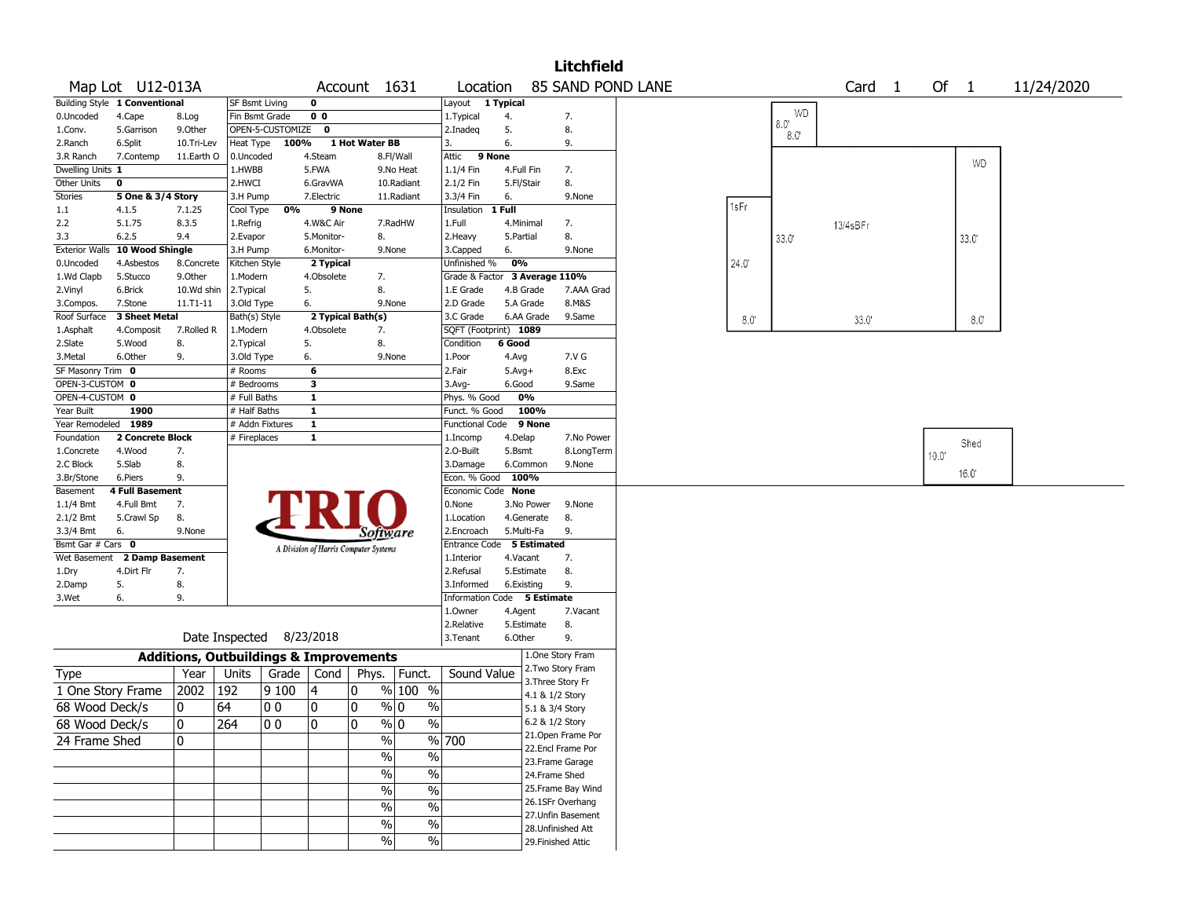|                          |                                |                                                   |                          |                    |                                       |                   |                                |                               |                          |                 | <b>Litchfield</b>  |                   |      |               |          |        |              |            |
|--------------------------|--------------------------------|---------------------------------------------------|--------------------------|--------------------|---------------------------------------|-------------------|--------------------------------|-------------------------------|--------------------------|-----------------|--------------------|-------------------|------|---------------|----------|--------|--------------|------------|
|                          | Map Lot U12-013A               |                                                   |                          |                    |                                       | Account 1631      |                                | Location                      |                          |                 |                    | 85 SAND POND LANE |      |               | Card 1   | Of $1$ |              | 11/24/2020 |
|                          | Building Style 1 Conventional  |                                                   | SF Bsmt Living           |                    | 0                                     |                   |                                | Layout                        | 1 Typical                |                 |                    |                   |      |               |          |        |              |            |
| 0.Uncoded                | 4.Cape                         | 8.Log                                             | Fin Bsmt Grade           |                    | 0 <sub>0</sub>                        |                   |                                | 1.Typical                     | 4.                       |                 | 7.                 |                   |      | WD<br>0.8     |          |        |              |            |
| 1.Conv.                  | 5.Garrison                     | 9.Other                                           |                          | OPEN-5-CUSTOMIZE 0 |                                       |                   |                                | 2.Inadeq                      | 5.                       |                 | 8.                 |                   |      | $8.0^{\circ}$ |          |        |              |            |
| 2.Ranch                  | 6.Split                        | 10.Tri-Lev                                        | Heat Type                | 100%               |                                       | 1 Hot Water BB    |                                | 3.                            | 6.                       |                 | 9.                 |                   |      |               |          |        |              |            |
| 3.R Ranch                | 7.Contemp                      | 11.Earth O                                        | 0.Uncoded                |                    | 4.Steam                               |                   | 8.Fl/Wall                      | 9 None<br>Attic               |                          |                 |                    |                   |      |               |          |        | <b>WD</b>    |            |
| Dwelling Units 1         |                                |                                                   | 1.HWBB                   |                    | 5.FWA                                 |                   | 9.No Heat                      | 1.1/4 Fin                     | 4.Full Fin               |                 | 7.                 |                   |      |               |          |        |              |            |
| Other Units              | 0                              |                                                   | 2.HWCI                   |                    | 6.GravWA                              |                   | 10.Radiant                     | 2.1/2 Fin                     | 5.Fl/Stair               |                 | 8.                 |                   |      |               |          |        |              |            |
| <b>Stories</b>           | 5 One & 3/4 Story              |                                                   | 3.H Pump                 |                    | 7.Electric                            |                   | 11.Radiant                     | 3.3/4 Fin                     | 6.                       |                 | 9.None             |                   | 1sFr |               |          |        |              |            |
| 1.1                      | 4.1.5<br>5.1.75                | 7.1.25<br>8.3.5                                   | Cool Type                | 0%                 |                                       | 9 None            | 7.RadHW                        | Insulation<br>1.Full          | 1 Full                   |                 |                    |                   |      |               |          |        |              |            |
| 2.2<br>3.3               | 6.2.5                          | 9.4                                               | 1.Refrig<br>2.Evapor     |                    | 4.W&C Air<br>5.Monitor-               | 8.                |                                |                               | 4.Minimal<br>5.Partial   |                 | 7.<br>8.           |                   |      |               | 13/4sBFr |        |              |            |
|                          | Exterior Walls 10 Wood Shingle |                                                   | 3.H Pump                 |                    | 6.Monitor-                            |                   | 9.None                         | 2. Heavy<br>3.Capped          | 6.                       |                 | 9.None             |                   |      | 33.0          |          |        | 33.0'        |            |
| 0.Uncoded                | 4.Asbestos                     | 8.Concrete                                        | Kitchen Style            |                    | 2 Typical                             |                   |                                | Unfinished %                  | 0%                       |                 |                    |                   | 24.0 |               |          |        |              |            |
| 1.Wd Clapb               | 5.Stucco                       | 9.0ther                                           | 1.Modern                 |                    | 4.Obsolete                            | 7.                |                                | Grade & Factor 3 Average 110% |                          |                 |                    |                   |      |               |          |        |              |            |
| 2.Vinyl                  | 6.Brick                        | 10.Wd shin                                        | 2.Typical                |                    | 5.                                    | 8.                |                                | 1.E Grade                     | 4.B Grade                |                 | 7.AAA Grad         |                   |      |               |          |        |              |            |
| 3.Compos.                | 7.Stone                        | 11.T1-11                                          | 3.Old Type               |                    | 6.                                    |                   | 9.None                         | 2.D Grade                     | 5.A Grade                |                 | 8.M&S              |                   |      |               |          |        |              |            |
| Roof Surface             | 3 Sheet Metal                  |                                                   | Bath(s) Style            |                    |                                       | 2 Typical Bath(s) |                                | 3.C Grade                     |                          | 6.AA Grade      | 9.Same             |                   | 8.0  |               | 33.0'    |        | $8.0^\circ$  |            |
| 1.Asphalt                | 4.Composit                     | 7.Rolled R                                        | 1.Modern                 |                    | 4.Obsolete                            | 7.                |                                | SQFT (Footprint) 1089         |                          |                 |                    |                   |      |               |          |        |              |            |
| 2.Slate                  | 5.Wood                         | 8.                                                | 2. Typical               |                    | 5.                                    | 8.                |                                | Condition                     | 6 Good                   |                 |                    |                   |      |               |          |        |              |            |
| 3.Metal                  | 6.Other                        | 9.                                                | 3.Old Type               |                    | 6.                                    |                   | 9.None                         | 1.Poor                        | 4.Avg                    |                 | 7.V G              |                   |      |               |          |        |              |            |
| SF Masonry Trim 0        |                                |                                                   | # Rooms                  |                    | 6                                     |                   |                                | 2.Fair                        | $5.Avg+$                 |                 | 8.Exc              |                   |      |               |          |        |              |            |
| OPEN-3-CUSTOM 0          |                                |                                                   | # Bedrooms               |                    | з                                     |                   |                                | 3.Avg-                        | 6.Good                   |                 | 9.Same             |                   |      |               |          |        |              |            |
| OPEN-4-CUSTOM 0          |                                |                                                   | # Full Baths             |                    | $\mathbf{1}$                          |                   |                                | Phys. % Good                  | 0%                       |                 |                    |                   |      |               |          |        |              |            |
| Year Built               | 1900                           |                                                   | # Half Baths             |                    | $\mathbf{1}$                          |                   |                                | Funct. % Good                 |                          | 100%            |                    |                   |      |               |          |        |              |            |
| Year Remodeled 1989      |                                |                                                   | # Addn Fixtures          |                    | $\mathbf{1}$                          |                   |                                | <b>Functional Code</b>        |                          | 9 None          |                    |                   |      |               |          |        |              |            |
| Foundation               | 2 Concrete Block               |                                                   | # Fireplaces             |                    | 1                                     |                   |                                | 1.Incomp                      | 4.Delap                  |                 | 7.No Power         |                   |      |               |          |        | Shed         |            |
| 1.Concrete               | 4.Wood                         | 7.                                                |                          |                    |                                       |                   |                                | 2.O-Built                     | 5.Bsmt                   |                 | 8.LongTerm         |                   |      |               |          | 10.0   |              |            |
| 2.C Block                | 5.Slab                         | 8.                                                |                          |                    |                                       |                   |                                | 3.Damage                      | 6.Common                 |                 | 9.None             |                   |      |               |          |        | $16.0^\circ$ |            |
| 3.Br/Stone               | 6.Piers                        | 9.                                                |                          |                    |                                       |                   |                                | Econ. % Good                  | 100%                     |                 |                    |                   |      |               |          |        |              |            |
| Basement                 | <b>4 Full Basement</b>         |                                                   |                          |                    |                                       |                   |                                | Economic Code None            |                          |                 |                    |                   |      |               |          |        |              |            |
| 1.1/4 Bmt                | 4.Full Bmt                     | 7.                                                |                          |                    |                                       |                   |                                | 0.None                        |                          | 3.No Power      | 9.None             |                   |      |               |          |        |              |            |
| $2.1/2$ Bmt<br>3.3/4 Bmt | 5.Crawl Sp<br>6.               | 8.<br>9.None                                      |                          |                    |                                       |                   |                                | 1.Location<br>2.Encroach      | 4.Generate<br>5.Multi-Fa |                 | 8.<br>9.           |                   |      |               |          |        |              |            |
| Bsmt Gar # Cars 0        |                                |                                                   |                          |                    |                                       |                   | Software                       | Entrance Code 5 Estimated     |                          |                 |                    |                   |      |               |          |        |              |            |
| Wet Basement             | 2 Damp Basement                |                                                   |                          |                    | A Division of Harris Computer Systems |                   |                                | 1.Interior                    | 4.Vacant                 |                 | 7.                 |                   |      |               |          |        |              |            |
| 1.Dry                    | 4.Dirt Flr                     | 7.                                                |                          |                    |                                       |                   |                                | 2.Refusal                     | 5.Estimate               |                 | 8.                 |                   |      |               |          |        |              |            |
| 2.Damp                   | 5.                             | 8.                                                |                          |                    |                                       |                   |                                | 3.Informed                    | 6.Existing               |                 | 9.                 |                   |      |               |          |        |              |            |
| 3.Wet                    | 6.                             | 9.                                                |                          |                    |                                       |                   |                                | Information Code 5 Estimate   |                          |                 |                    |                   |      |               |          |        |              |            |
|                          |                                |                                                   |                          |                    |                                       |                   |                                | 1.Owner                       | 4.Agent                  |                 | 7.Vacant           |                   |      |               |          |        |              |            |
|                          |                                |                                                   |                          |                    |                                       |                   |                                | 2.Relative                    | 5.Estimate               |                 | 8.                 |                   |      |               |          |        |              |            |
|                          |                                |                                                   | Date Inspected 8/23/2018 |                    |                                       |                   |                                | 3.Tenant                      | 6.Other                  |                 | 9.                 |                   |      |               |          |        |              |            |
|                          |                                | <b>Additions, Outbuildings &amp; Improvements</b> |                          |                    |                                       |                   |                                |                               |                          |                 | 1.One Story Fram   |                   |      |               |          |        |              |            |
| Type                     |                                | Year                                              | Units                    | Grade              | Cond                                  |                   | Phys.   Funct.                 | Sound Value                   |                          |                 | 2.Two Story Fram   |                   |      |               |          |        |              |            |
| 1 One Story Frame        |                                | 2002                                              | 192                      | 9 100              | 4                                     | 0                 | % 100 %                        |                               |                          | 4.1 & 1/2 Story | 3. Three Story Fr  |                   |      |               |          |        |              |            |
| 68 Wood Deck/s           |                                | 10                                                | 64                       | 00                 | 0                                     | 10                | % 0<br>$\%$                    |                               |                          | 5.1 & 3/4 Story |                    |                   |      |               |          |        |              |            |
| 68 Wood Deck/s           |                                | 0                                                 | $ 264\rangle$            | $ 00\rangle$       | 0                                     | 0                 | $\sqrt{96}$ 0<br>$\sqrt{6}$    |                               |                          | 6.2 & 1/2 Story |                    |                   |      |               |          |        |              |            |
|                          |                                | 10                                                |                          |                    |                                       |                   | $\frac{0}{0}$                  | % 700                         |                          |                 | 21.Open Frame Por  |                   |      |               |          |        |              |            |
| 24 Frame Shed            |                                |                                                   |                          |                    |                                       |                   |                                |                               |                          |                 | 22.Encl Frame Por  |                   |      |               |          |        |              |            |
|                          |                                |                                                   |                          |                    |                                       |                   | $\frac{1}{2}$<br>%             |                               |                          |                 | 23. Frame Garage   |                   |      |               |          |        |              |            |
|                          |                                |                                                   |                          |                    |                                       |                   | $\frac{1}{2}$<br>$\%$          |                               |                          | 24.Frame Shed   |                    |                   |      |               |          |        |              |            |
|                          |                                |                                                   |                          |                    |                                       |                   | $\frac{0}{6}$<br>$\frac{0}{0}$ |                               |                          |                 | 25.Frame Bay Wind  |                   |      |               |          |        |              |            |
|                          |                                |                                                   |                          |                    |                                       |                   | $\frac{0}{6}$<br>%             |                               |                          |                 | 26.1SFr Overhang   |                   |      |               |          |        |              |            |
|                          |                                |                                                   |                          |                    |                                       |                   | $\frac{0}{6}$<br>$\frac{1}{2}$ |                               |                          |                 | 27.Unfin Basement  |                   |      |               |          |        |              |            |
|                          |                                |                                                   |                          |                    |                                       |                   |                                |                               |                          |                 | 28. Unfinished Att |                   |      |               |          |        |              |            |
|                          |                                |                                                   |                          |                    |                                       |                   | $\frac{1}{2}$<br>$\frac{0}{0}$ |                               |                          |                 | 29. Finished Attic |                   |      |               |          |        |              |            |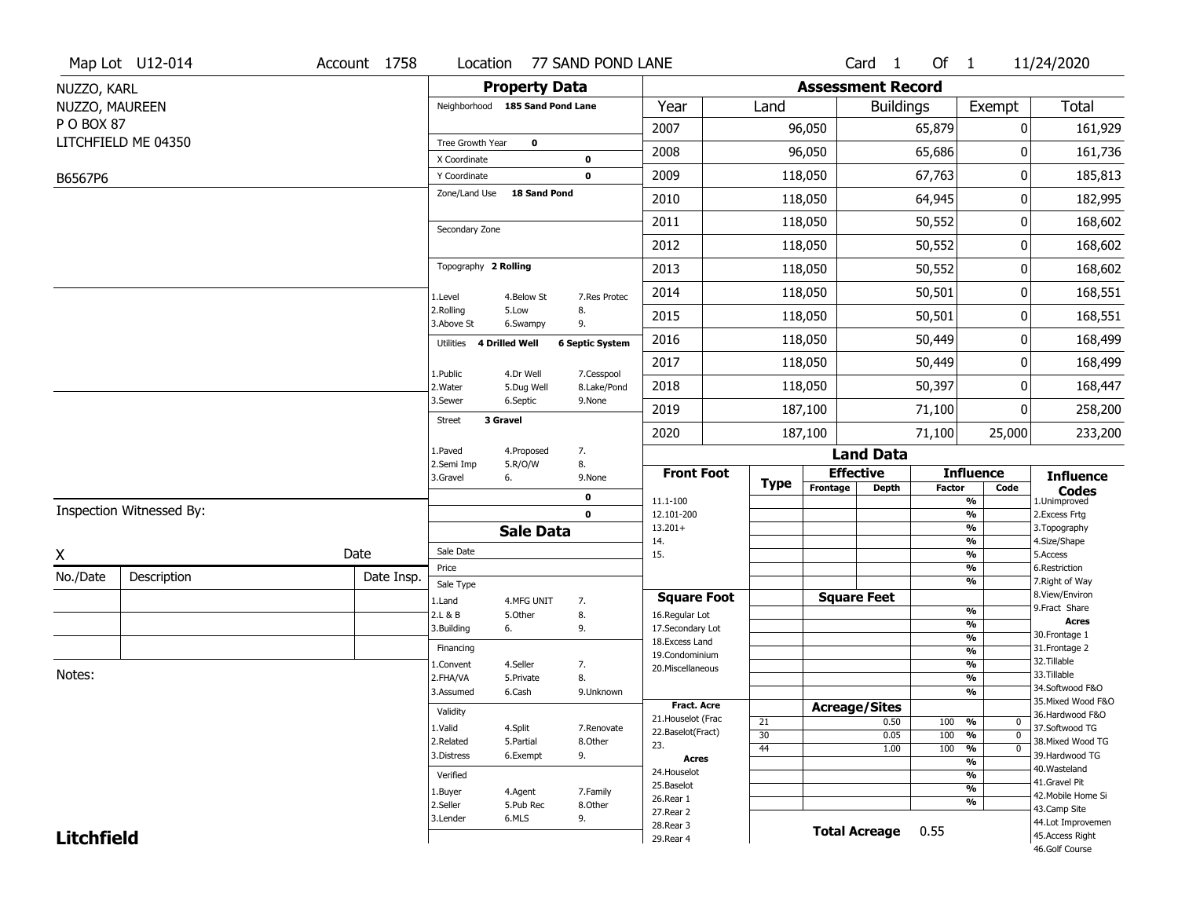|                   | Map Lot U12-014          | Account 1758 |                                 |                       | Location 77 SAND POND LANE |                                  |             |          | Card 1                       | Of $1$        |                                | 11/24/2020                           |
|-------------------|--------------------------|--------------|---------------------------------|-----------------------|----------------------------|----------------------------------|-------------|----------|------------------------------|---------------|--------------------------------|--------------------------------------|
| NUZZO, KARL       |                          |              |                                 | <b>Property Data</b>  |                            |                                  |             |          | <b>Assessment Record</b>     |               |                                |                                      |
| NUZZO, MAUREEN    |                          |              | Neighborhood 185 Sand Pond Lane |                       |                            | Year                             | Land        |          | <b>Buildings</b>             |               | Exempt                         | <b>Total</b>                         |
| P O BOX 87        |                          |              |                                 |                       |                            | 2007                             |             | 96,050   |                              | 65,879        | 0                              | 161,929                              |
|                   | LITCHFIELD ME 04350      |              | Tree Growth Year                | $\bf{0}$              |                            | 2008                             |             | 96,050   |                              | 65,686        | $\Omega$                       | 161,736                              |
|                   |                          |              | X Coordinate<br>Y Coordinate    |                       | 0<br>$\mathbf 0$           | 2009                             |             | 118,050  |                              | 67,763        | 0                              | 185,813                              |
| B6567P6           |                          |              | Zone/Land Use                   | 18 Sand Pond          |                            |                                  |             |          |                              |               |                                |                                      |
|                   |                          |              |                                 |                       |                            | 2010                             |             | 118,050  |                              | 64,945        | 0                              | 182,995                              |
|                   |                          |              | Secondary Zone                  |                       |                            | 2011                             |             | 118,050  |                              | 50,552        | 0                              | 168,602                              |
|                   |                          |              |                                 |                       |                            | 2012                             |             | 118,050  |                              | 50,552        | 0                              | 168,602                              |
|                   |                          |              | Topography 2 Rolling            |                       |                            | 2013                             |             | 118,050  |                              | 50,552        | 0                              | 168,602                              |
|                   |                          |              | 1.Level                         | 4.Below St            | 7.Res Protec               | 2014                             |             | 118,050  |                              | 50,501        | 0                              | 168,551                              |
|                   |                          |              | 2.Rolling<br>3.Above St         | 5.Low<br>6.Swampy     | 8.<br>9.                   | 2015                             |             | 118,050  |                              | 50,501        | 0                              | 168,551                              |
|                   |                          |              | Utilities                       | <b>4 Drilled Well</b> | <b>6 Septic System</b>     | 2016                             |             | 118,050  |                              | 50,449        | 0                              | 168,499                              |
|                   |                          |              | 1.Public                        | 4.Dr Well             | 7.Cesspool                 | 2017                             |             | 118,050  |                              | 50,449        | 0                              | 168,499                              |
|                   |                          |              | 2.Water                         | 5.Dug Well            | 8.Lake/Pond                | 2018                             |             | 118,050  |                              | 50,397        | 0                              | 168,447                              |
|                   |                          |              | 3.Sewer                         | 6.Septic              | 9.None                     | 2019                             |             | 187,100  |                              | 71,100        | 0                              | 258,200                              |
|                   |                          |              | 3 Gravel<br><b>Street</b>       |                       |                            | 2020                             |             | 187,100  |                              | 71,100        | 25,000                         | 233,200                              |
|                   |                          |              | 1.Paved                         | 4.Proposed            | 7.                         |                                  |             |          | <b>Land Data</b>             |               |                                |                                      |
|                   |                          |              | 2.Semi Imp<br>3.Gravel          | 5.R/O/W<br>6.         | 8.<br>9.None               | <b>Front Foot</b>                | <b>Type</b> |          | <b>Effective</b>             |               | <b>Influence</b>               | <b>Influence</b>                     |
|                   |                          |              |                                 |                       | 0                          | 11.1-100                         |             | Frontage | <b>Depth</b>                 | <b>Factor</b> | Code<br>$\frac{9}{6}$          | <b>Codes</b><br>1.Unimproved         |
|                   | Inspection Witnessed By: |              |                                 |                       | $\mathbf 0$                | 12.101-200                       |             |          |                              |               | $\frac{9}{6}$                  | 2. Excess Frtg                       |
|                   |                          |              |                                 | <b>Sale Data</b>      |                            | $13.201+$<br>14.                 |             |          |                              |               | $\frac{9}{6}$<br>$\frac{9}{6}$ | 3. Topography<br>4.Size/Shape        |
| X                 |                          | Date         | Sale Date                       |                       |                            | 15.                              |             |          |                              |               | $\frac{9}{6}$                  | 5.Access                             |
| No./Date          | Description              | Date Insp.   | Price<br>Sale Type              |                       |                            |                                  |             |          |                              |               | %<br>%                         | 6.Restriction<br>7. Right of Way     |
|                   |                          |              | 1.Land                          | 4.MFG UNIT            | 7.                         | <b>Square Foot</b>               |             |          | <b>Square Feet</b>           |               |                                | 8.View/Environ                       |
|                   |                          |              | 2.L & B                         | 5.Other               | 8.                         | 16.Regular Lot                   |             |          |                              |               | %                              | 9.Fract Share<br>Acres               |
|                   |                          |              | 3.Building                      | 6.                    | 9.                         | 17.Secondary Lot                 |             |          |                              |               | %<br>$\frac{9}{6}$             | 30. Frontage 1                       |
|                   |                          |              | Financing                       |                       |                            | 18.Excess Land<br>19.Condominium |             |          |                              |               | $\frac{9}{6}$                  | 31. Frontage 2                       |
|                   |                          |              | 1.Convent                       | 4.Seller              | 7.                         | 20. Miscellaneous                |             |          |                              |               | $\frac{9}{6}$                  | 32.Tillable                          |
| Notes:            |                          |              | 2.FHA/VA                        | 5.Private             | 8.                         |                                  |             |          |                              |               | %                              | 33.Tillable<br>34.Softwood F&O       |
|                   |                          |              | 3.Assumed                       | 6.Cash                | 9.Unknown                  | Fract. Acre                      |             |          |                              |               | $\frac{9}{6}$                  | 35. Mixed Wood F&O                   |
|                   |                          |              | Validity                        |                       |                            | 21. Houselot (Frac               | 21          |          | <b>Acreage/Sites</b><br>0.50 | 100           | %<br>0                         | 36.Hardwood F&O                      |
|                   |                          |              | 1.Valid                         | 4.Split               | 7.Renovate                 | 22.Baselot(Fract)                | 30          |          | 0.05                         | 100           | $\overline{0}$<br>%            | 37.Softwood TG                       |
|                   |                          |              | 2.Related                       | 5.Partial             | 8.Other                    | 23.                              | 44          |          | 1.00                         | 100           | $\frac{9}{6}$<br>$\mathbf 0$   | 38. Mixed Wood TG                    |
|                   |                          |              | 3.Distress                      | 6.Exempt              | 9.                         | <b>Acres</b>                     |             |          |                              |               | $\frac{9}{6}$                  | 39.Hardwood TG<br>40. Wasteland      |
|                   |                          |              | Verified                        |                       |                            | 24. Houselot<br>25.Baselot       |             |          |                              |               | $\frac{9}{6}$                  | 41.Gravel Pit                        |
|                   |                          |              | 1.Buyer                         | 4.Agent               | 7.Family                   | 26.Rear 1                        |             |          |                              |               | $\frac{9}{6}$                  | 42. Mobile Home Si                   |
|                   |                          |              | 2.Seller                        | 5.Pub Rec             | 8.Other                    | 27.Rear 2                        |             |          |                              |               | %                              | 43.Camp Site                         |
|                   |                          |              | 3.Lender                        | 6.MLS                 | 9.                         |                                  |             |          |                              |               |                                |                                      |
| <b>Litchfield</b> |                          |              |                                 |                       |                            | 28. Rear 3<br>29. Rear 4         |             |          | <b>Total Acreage</b>         | 0.55          |                                | 44.Lot Improvemen<br>45.Access Right |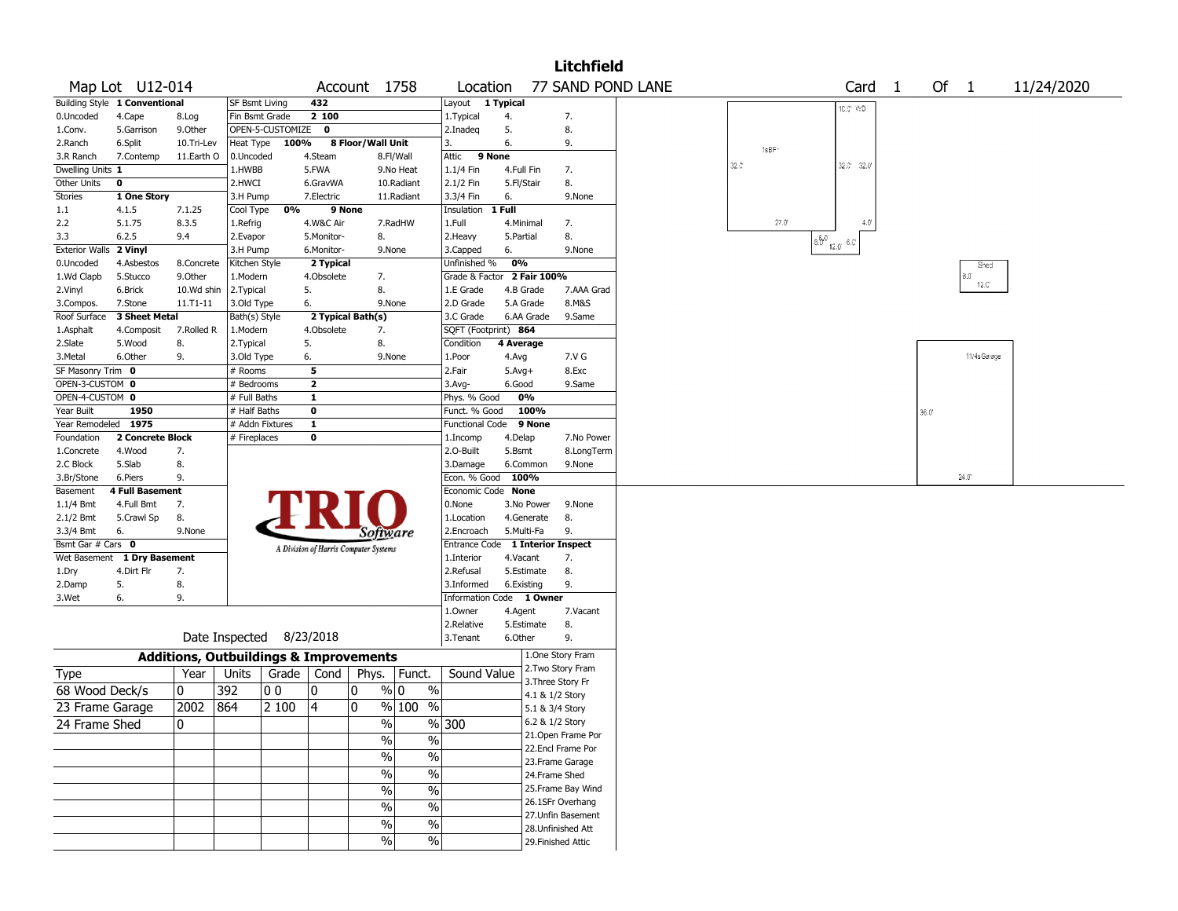|                                |                               |                                                   |                          |                    |                                       |                   |                          |                                  |            |                 | <b>Litchfield</b>  |                   |                   |                                                                                                                                                        |        |                       |            |
|--------------------------------|-------------------------------|---------------------------------------------------|--------------------------|--------------------|---------------------------------------|-------------------|--------------------------|----------------------------------|------------|-----------------|--------------------|-------------------|-------------------|--------------------------------------------------------------------------------------------------------------------------------------------------------|--------|-----------------------|------------|
|                                | Map Lot U12-014               |                                                   |                          |                    |                                       | Account 1758      |                          | Location                         |            |                 |                    | 77 SAND POND LANE |                   | Card <sub>1</sub>                                                                                                                                      | Of $1$ |                       | 11/24/2020 |
|                                | Building Style 1 Conventional |                                                   | <b>SF Bsmt Living</b>    |                    | 432                                   |                   |                          | Layout                           | 1 Typical  |                 |                    |                   |                   | 10.0° WD                                                                                                                                               |        |                       |            |
| 0.Uncoded                      | 4.Cape                        | 8.Log                                             | Fin Bsmt Grade           |                    | 2 100                                 |                   |                          | 1. Typical                       | 4.         |                 | 7.                 |                   |                   |                                                                                                                                                        |        |                       |            |
| 1.Conv.                        | 5.Garrison                    | 9.0ther                                           |                          | OPEN-5-CUSTOMIZE 0 |                                       |                   |                          | 2.Inadeq                         | 5.         |                 | 8.                 |                   |                   |                                                                                                                                                        |        |                       |            |
| 2.Ranch                        | 6.Split                       | 10.Tri-Lev                                        | Heat Type                | 100%               |                                       | 8 Floor/Wall Unit |                          | $\mathbf{3}$                     | 6.         |                 | 9.                 |                   | 1sBF <sup>-</sup> |                                                                                                                                                        |        |                       |            |
| 3.R Ranch                      | 7.Contemp                     | 11.Earth O                                        | 0.Uncoded                |                    | 4.Steam                               |                   | 8.Fl/Wall                | Attic                            | 9 None     |                 |                    |                   |                   |                                                                                                                                                        |        |                       |            |
| Dwelling Units 1               |                               |                                                   | 1.HWBB                   |                    | 5.FWA                                 |                   | 9.No Heat                | 1.1/4 Fin                        | 4.Full Fin |                 | 7.                 |                   | $32.0^{\circ}$    | 32.0" 32.0"                                                                                                                                            |        |                       |            |
| Other Units                    | $\mathbf 0$                   |                                                   | 2.HWCI                   |                    | 6.GravWA                              |                   | 10.Radiant               | 2.1/2 Fin                        | 5.Fl/Stair |                 | 8.                 |                   |                   |                                                                                                                                                        |        |                       |            |
| <b>Stories</b>                 | 1 One Story                   |                                                   | 3.H Pump                 |                    | 7.Electric                            |                   | 11.Radiant               | 3.3/4 Fin                        | 6.         |                 | 9.None             |                   |                   |                                                                                                                                                        |        |                       |            |
| 1.1                            | 4.1.5                         | 7.1.25                                            | Cool Type                | 0%                 | 9 None                                |                   |                          | Insulation                       | 1 Full     |                 |                    |                   |                   |                                                                                                                                                        |        |                       |            |
| 2.2                            | 5.1.75                        | 8.3.5                                             | 1.Refrig                 |                    | 4.W&C Air                             |                   | 7.RadHW                  | 1.Full                           | 4.Minimal  |                 | 7.                 |                   | $27.0^{\circ}$    | $4.0^{\circ}$                                                                                                                                          |        |                       |            |
| 3.3                            | 6.2.5                         | 9.4                                               | 2.Evapor                 |                    | 5.Monitor-                            | 8.                |                          | 2. Heavy                         | 5.Partial  |                 | 8.                 |                   |                   | $\boxed{\overset{\frown}{\mathfrak{d}}\overset{\frown}{\mathfrak{b}}^0}_{12.0}\overset{\frown}{\underbrace{\quad \mathfrak{d}}\, \mathcal{C}}^{\, 1}}$ |        |                       |            |
| Exterior Walls 2 Vinyl         |                               |                                                   | 3.H Pump                 |                    | 6.Monitor-                            |                   | 9.None                   | 3.Capped                         | 6.         |                 | 9.None             |                   |                   |                                                                                                                                                        |        |                       |            |
| 0.Uncoded                      | 4.Asbestos                    | 8.Concrete                                        | Kitchen Style            |                    | 2 Typical                             |                   |                          | Unfinished %                     | 0%         |                 |                    |                   |                   |                                                                                                                                                        |        | Shed                  |            |
| 1.Wd Clapb                     | 5.Stucco                      | 9.0ther                                           | 1.Modern                 |                    | 4.Obsolete                            | 7.                |                          | Grade & Factor 2 Fair 100%       |            |                 |                    |                   |                   |                                                                                                                                                        |        | 8.0<br>$12.0^{\circ}$ |            |
| 2.Vinyl                        | 6.Brick                       | 10.Wd shin                                        | 2.Typical                |                    | 5.                                    | 8.                |                          | 1.E Grade                        | 4.B Grade  |                 | 7.AAA Grad         |                   |                   |                                                                                                                                                        |        |                       |            |
| 3.Compos.                      | 7.Stone                       | 11.T1-11                                          | 3.Old Type               |                    | 6.                                    |                   | 9.None                   | 2.D Grade                        | 5.A Grade  |                 | 8.M&S              |                   |                   |                                                                                                                                                        |        |                       |            |
| Roof Surface                   | 3 Sheet Metal                 |                                                   | Bath(s) Style            |                    |                                       | 2 Typical Bath(s) |                          | 3.C Grade                        |            | 6.AA Grade      | 9.Same             |                   |                   |                                                                                                                                                        |        |                       |            |
| 1.Asphalt                      | 4.Composit                    | 7.Rolled R                                        | 1.Modern                 |                    | 4.Obsolete                            | 7.                |                          | SQFT (Footprint) 864             |            |                 |                    |                   |                   |                                                                                                                                                        |        |                       |            |
| 2.Slate                        | 5.Wood                        | 8.                                                | 2. Typical               |                    | 5.                                    | 8.                |                          | Condition                        | 4 Average  |                 |                    |                   |                   |                                                                                                                                                        |        |                       |            |
| 3.Metal                        | 6.Other                       | 9.                                                | 3.Old Type               |                    | 6.                                    |                   | 9.None                   | 1.Poor                           | 4.Avg      |                 | 7.V G              |                   |                   |                                                                                                                                                        |        | 11/4sGarage           |            |
| SF Masonry Trim 0              |                               |                                                   | # Rooms                  |                    | 5                                     |                   |                          | 2.Fair                           | $5.Avg+$   |                 | 8.Exc              |                   |                   |                                                                                                                                                        |        |                       |            |
| OPEN-3-CUSTOM 0                |                               |                                                   | # Bedrooms               |                    | $\mathbf{2}$                          |                   |                          | 3.Avg-                           | 6.Good     |                 | 9.Same             |                   |                   |                                                                                                                                                        |        |                       |            |
| OPEN-4-CUSTOM 0                |                               |                                                   | # Full Baths             |                    | 1                                     |                   |                          | Phys. % Good                     | 0%         |                 |                    |                   |                   |                                                                                                                                                        |        |                       |            |
| Year Built                     | 1950                          |                                                   | # Half Baths             |                    | 0                                     |                   |                          | Funct. % Good                    |            | 100%            |                    |                   |                   |                                                                                                                                                        | 36.0"  |                       |            |
| Year Remodeled 1975            |                               |                                                   | # Addn Fixtures          |                    | $\mathbf{1}$                          |                   |                          | Functional Code 9 None           |            |                 |                    |                   |                   |                                                                                                                                                        |        |                       |            |
| Foundation                     | 2 Concrete Block              |                                                   | # Fireplaces             |                    | 0                                     |                   |                          | 1.Incomp                         | 4.Delap    |                 | 7.No Power         |                   |                   |                                                                                                                                                        |        |                       |            |
| 1.Concrete                     | 4.Wood                        | 7.                                                |                          |                    |                                       |                   |                          | 2.O-Built                        | 5.Bsmt     |                 | 8.LongTerm         |                   |                   |                                                                                                                                                        |        |                       |            |
| 2.C Block                      | 5.Slab                        | 8.                                                |                          |                    |                                       |                   |                          | 3.Damage                         | 6.Common   |                 | 9.None             |                   |                   |                                                                                                                                                        |        |                       |            |
| 3.Br/Stone                     | 6.Piers                       | 9.                                                |                          |                    |                                       |                   |                          | Econ. % Good                     | 100%       |                 |                    |                   |                   |                                                                                                                                                        |        | $24.0^{\circ}$        |            |
| Basement                       | 4 Full Basement               |                                                   |                          |                    |                                       |                   |                          | Economic Code None               |            |                 |                    |                   |                   |                                                                                                                                                        |        |                       |            |
| 1.1/4 Bmt                      | 4.Full Bmt                    | 7.                                                |                          |                    |                                       |                   |                          | 0.None                           |            | 3.No Power      | 9.None             |                   |                   |                                                                                                                                                        |        |                       |            |
| 2.1/2 Bmt                      | 5.Crawl Sp<br>6.              | 8.<br>9.None                                      |                          |                    |                                       |                   |                          | 1.Location<br>2.Encroach         | 5.Multi-Fa | 4.Generate      | 8.<br>9.           |                   |                   |                                                                                                                                                        |        |                       |            |
| 3.3/4 Bmt<br>Bsmt Gar # Cars 0 |                               |                                                   |                          |                    |                                       | Software          |                          | Entrance Code 1 Interior Inspect |            |                 |                    |                   |                   |                                                                                                                                                        |        |                       |            |
| Wet Basement                   | 1 Dry Basement                |                                                   |                          |                    | A Division of Harris Computer Systems |                   |                          | 1.Interior                       | 4.Vacant   |                 | 7.                 |                   |                   |                                                                                                                                                        |        |                       |            |
|                                | 4.Dirt Flr                    | 7.                                                |                          |                    |                                       |                   |                          | 2.Refusal                        | 5.Estimate |                 | 8.                 |                   |                   |                                                                                                                                                        |        |                       |            |
| 1.Dry<br>2.Damp                | 5.                            | 8.                                                |                          |                    |                                       |                   |                          | 3.Informed                       | 6.Existing |                 | 9.                 |                   |                   |                                                                                                                                                        |        |                       |            |
| 3.Wet                          | 6.                            | 9.                                                |                          |                    |                                       |                   |                          | Information Code 1 Owner         |            |                 |                    |                   |                   |                                                                                                                                                        |        |                       |            |
|                                |                               |                                                   |                          |                    |                                       |                   |                          | 1.Owner                          | 4.Agent    |                 | 7.Vacant           |                   |                   |                                                                                                                                                        |        |                       |            |
|                                |                               |                                                   |                          |                    |                                       |                   |                          | 2.Relative                       | 5.Estimate |                 | 8.                 |                   |                   |                                                                                                                                                        |        |                       |            |
|                                |                               |                                                   | Date Inspected 8/23/2018 |                    |                                       |                   |                          | 3.Tenant                         | 6.Other    |                 | 9.                 |                   |                   |                                                                                                                                                        |        |                       |            |
|                                |                               | <b>Additions, Outbuildings &amp; Improvements</b> |                          |                    |                                       |                   |                          |                                  |            |                 | 1.One Story Fram   |                   |                   |                                                                                                                                                        |        |                       |            |
| Type                           |                               | Year                                              | Units                    | Grade $ $          | Cond                                  |                   | Phys. Funct.             | Sound Value                      |            |                 | 2. Two Story Fram  |                   |                   |                                                                                                                                                        |        |                       |            |
| 68 Wood Deck/s                 |                               | 0                                                 | 392                      | 00                 | 0                                     | 10                | $\%$<br>% 0              |                                  |            | 4.1 & 1/2 Story | 3. Three Story Fr  |                   |                   |                                                                                                                                                        |        |                       |            |
| 23 Frame Garage                |                               | 2002 864                                          |                          | 2 100              | 4                                     | ۱0                | $%100$ %                 |                                  |            | 5.1 & 3/4 Story |                    |                   |                   |                                                                                                                                                        |        |                       |            |
|                                |                               |                                                   |                          |                    |                                       |                   |                          |                                  |            | 6.2 & 1/2 Story |                    |                   |                   |                                                                                                                                                        |        |                       |            |
| 24 Frame Shed                  |                               | 0                                                 |                          |                    |                                       | $\%$              |                          | % 300                            |            |                 | 21.Open Frame Por  |                   |                   |                                                                                                                                                        |        |                       |            |
|                                |                               |                                                   |                          |                    |                                       | %                 | $\%$                     |                                  |            |                 | 22.Encl Frame Por  |                   |                   |                                                                                                                                                        |        |                       |            |
|                                |                               |                                                   |                          |                    |                                       | $\%$              | $\frac{1}{2}$            |                                  |            |                 | 23.Frame Garage    |                   |                   |                                                                                                                                                        |        |                       |            |
|                                |                               |                                                   |                          |                    |                                       | %                 | $\overline{\frac{0}{6}}$ |                                  |            | 24.Frame Shed   |                    |                   |                   |                                                                                                                                                        |        |                       |            |
|                                |                               |                                                   |                          |                    |                                       |                   | $\frac{1}{2}$            |                                  |            |                 | 25.Frame Bay Wind  |                   |                   |                                                                                                                                                        |        |                       |            |
|                                |                               |                                                   |                          |                    |                                       | $\%$              |                          |                                  |            |                 | 26.1SFr Overhang   |                   |                   |                                                                                                                                                        |        |                       |            |
|                                |                               |                                                   |                          |                    |                                       | $\%$              | $\overline{\frac{0}{6}}$ |                                  |            |                 | 27.Unfin Basement  |                   |                   |                                                                                                                                                        |        |                       |            |
|                                |                               |                                                   |                          |                    |                                       | $\%$              | $\frac{1}{2}$            |                                  |            |                 | 28. Unfinished Att |                   |                   |                                                                                                                                                        |        |                       |            |
|                                |                               |                                                   |                          |                    |                                       | $\%$              | $\sqrt{6}$               |                                  |            |                 | 29. Finished Attic |                   |                   |                                                                                                                                                        |        |                       |            |
|                                |                               |                                                   |                          |                    |                                       |                   |                          |                                  |            |                 |                    |                   |                   |                                                                                                                                                        |        |                       |            |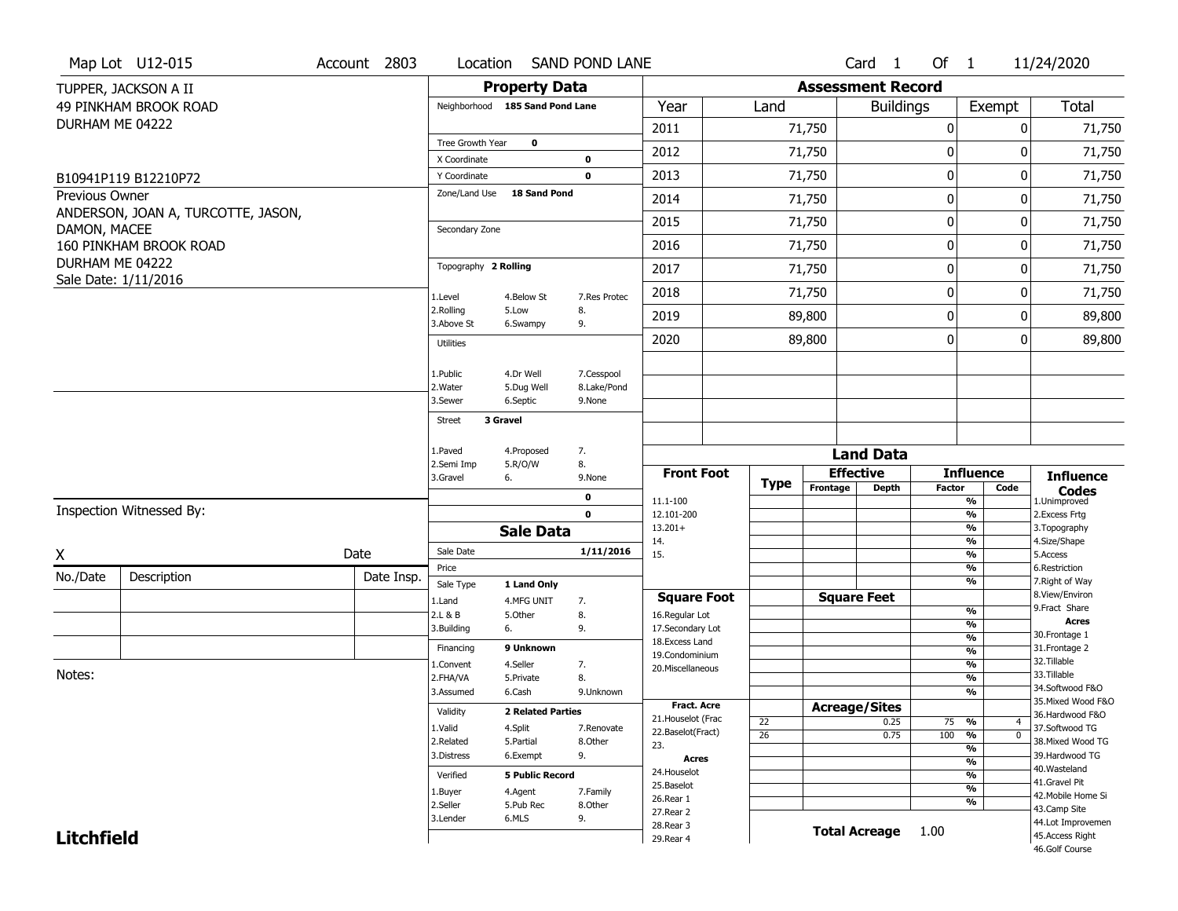|                   | Map Lot U12-015                    | Account 2803 |            | Location                      |                                 | <b>SAND POND LANE</b>    |                                    |             |                          | Card 1               | Of $1$        |                                | 11/24/2020                            |
|-------------------|------------------------------------|--------------|------------|-------------------------------|---------------------------------|--------------------------|------------------------------------|-------------|--------------------------|----------------------|---------------|--------------------------------|---------------------------------------|
|                   | TUPPER, JACKSON A II               |              |            |                               | <b>Property Data</b>            |                          |                                    |             | <b>Assessment Record</b> |                      |               |                                |                                       |
|                   | 49 PINKHAM BROOK ROAD              |              |            |                               | Neighborhood 185 Sand Pond Lane |                          | Year                               | Land        |                          | <b>Buildings</b>     |               | Exempt                         | Total                                 |
| DURHAM ME 04222   |                                    |              |            |                               |                                 |                          | 2011                               |             | 71,750                   |                      | $\pmb{0}$     | 0                              | 71,750                                |
|                   |                                    |              |            | Tree Growth Year              | $\mathbf 0$                     |                          | 2012                               |             | 71,750                   |                      | 0             | 0                              | 71,750                                |
|                   |                                    |              |            | X Coordinate                  |                                 | $\pmb{0}$<br>$\mathbf 0$ | 2013                               |             | 71,750                   |                      | 0             | 0                              |                                       |
|                   | B10941P119 B12210P72               |              |            | Y Coordinate<br>Zone/Land Use | <b>18 Sand Pond</b>             |                          |                                    |             |                          |                      |               |                                | 71,750                                |
| Previous Owner    | ANDERSON, JOAN A, TURCOTTE, JASON, |              |            |                               |                                 |                          | 2014                               |             | 71,750                   |                      | 0             | 0                              | 71,750                                |
| DAMON, MACEE      |                                    |              |            | Secondary Zone                |                                 |                          | 2015                               |             | 71,750                   |                      | $\mathbf 0$   | 0                              | 71,750                                |
|                   | 160 PINKHAM BROOK ROAD             |              |            |                               |                                 |                          | 2016                               |             | 71,750                   |                      | $\pmb{0}$     | 0                              | 71,750                                |
| DURHAM ME 04222   | Sale Date: 1/11/2016               |              |            | Topography 2 Rolling          |                                 |                          | 2017                               |             | 71,750                   |                      | 0             | 0                              | 71,750                                |
|                   |                                    |              |            | 1.Level                       | 4.Below St                      | 7.Res Protec             | 2018                               |             | 71,750                   |                      | 0             | 0                              | 71,750                                |
|                   |                                    |              |            | 2.Rolling<br>3.Above St       | 5.Low<br>6.Swampy               | 8.<br>9.                 | 2019                               |             | 89,800                   |                      | 0             | 0                              | 89,800                                |
|                   |                                    |              |            | <b>Utilities</b>              |                                 |                          | 2020                               |             | 89,800                   |                      | $\mathbf 0$   | 0                              | 89,800                                |
|                   |                                    |              |            | 1.Public                      | 4.Dr Well                       | 7.Cesspool               |                                    |             |                          |                      |               |                                |                                       |
|                   |                                    |              |            | 2. Water                      | 5.Dug Well                      | 8.Lake/Pond              |                                    |             |                          |                      |               |                                |                                       |
|                   |                                    |              |            | 3.Sewer                       | 6.Septic                        | 9.None                   |                                    |             |                          |                      |               |                                |                                       |
|                   |                                    |              |            | <b>Street</b>                 | 3 Gravel                        |                          |                                    |             |                          |                      |               |                                |                                       |
|                   |                                    |              |            | 1.Paved                       | 4.Proposed                      | 7.                       |                                    |             |                          | <b>Land Data</b>     |               |                                |                                       |
|                   |                                    |              |            | 2.Semi Imp<br>3.Gravel        | 5.R/O/W<br>6.                   | 8.<br>9.None             | <b>Front Foot</b>                  |             |                          | <b>Effective</b>     |               | <b>Influence</b>               | <b>Influence</b>                      |
|                   |                                    |              |            |                               |                                 | $\pmb{0}$                |                                    | <b>Type</b> | Frontage                 | <b>Depth</b>         | <b>Factor</b> | Code                           | <b>Codes</b>                          |
|                   | Inspection Witnessed By:           |              |            |                               |                                 | $\mathbf 0$              | 11.1-100<br>12.101-200             |             |                          |                      |               | %<br>%                         | 1.Unimproved<br>2.Excess Frtg         |
|                   |                                    |              |            |                               | <b>Sale Data</b>                |                          | $13.201+$                          |             |                          |                      |               | %                              | 3. Topography                         |
| χ                 |                                    | Date         |            | Sale Date                     |                                 | 1/11/2016                | 14.<br>15.                         |             |                          |                      |               | %<br>%                         | 4.Size/Shape<br>5.Access              |
|                   |                                    |              |            | Price                         |                                 |                          |                                    |             |                          |                      |               | %                              | 6.Restriction                         |
| No./Date          | Description                        |              | Date Insp. | Sale Type                     | 1 Land Only                     |                          |                                    |             |                          |                      |               | %                              | 7. Right of Way                       |
|                   |                                    |              |            | 1.Land                        | 4.MFG UNIT                      | 7.                       | <b>Square Foot</b>                 |             |                          | <b>Square Feet</b>   |               | %                              | 8.View/Environ<br>9. Fract Share      |
|                   |                                    |              |            | 2.L & B<br>3.Building         | 5.Other<br>6.                   | 8.<br>9.                 | 16.Regular Lot<br>17.Secondary Lot |             |                          |                      |               | %                              | <b>Acres</b>                          |
|                   |                                    |              |            | Financing                     | 9 Unknown                       |                          | 18.Excess Land                     |             |                          |                      |               | $\frac{9}{6}$                  | 30.Frontage 1<br>31. Frontage 2       |
|                   |                                    |              |            | 1.Convent                     | 4.Seller                        | 7.                       | 19.Condominium                     |             |                          |                      |               | $\frac{9}{6}$<br>$\frac{9}{6}$ | 32.Tillable                           |
| Notes:            |                                    |              |            | 2.FHA/VA                      | 5.Private                       | 8.                       | 20.Miscellaneous                   |             |                          |                      |               | $\frac{9}{6}$                  | 33.Tillable                           |
|                   |                                    |              |            | 3.Assumed                     | 6.Cash                          | 9.Unknown                |                                    |             |                          |                      |               | $\overline{\frac{9}{6}}$       | 34.Softwood F&O                       |
|                   |                                    |              |            | Validity                      | <b>2 Related Parties</b>        |                          | <b>Fract. Acre</b>                 |             |                          | <b>Acreage/Sites</b> |               |                                | 35. Mixed Wood F&O<br>36.Hardwood F&O |
|                   |                                    |              |            | 1.Valid                       | 4.Split                         | 7.Renovate               | 21. Houselot (Frac                 | 22          |                          | 0.25                 | 75 %          | 4                              | 37.Softwood TG                        |
|                   |                                    |              |            | 2.Related                     | 5.Partial                       | 8.Other                  | 22.Baselot(Fract)<br>23.           | 26          |                          | 0.75                 | 100           | $\frac{9}{6}$<br>$\mathbf 0$   | 38. Mixed Wood TG                     |
|                   |                                    |              |            | 3.Distress                    | 6.Exempt                        | 9.                       | <b>Acres</b>                       |             |                          |                      |               | $\frac{9}{6}$<br>$\frac{9}{6}$ | 39.Hardwood TG                        |
|                   |                                    |              |            | Verified                      | <b>5 Public Record</b>          |                          | 24. Houselot                       |             |                          |                      |               | %                              | 40. Wasteland                         |
|                   |                                    |              |            | 1.Buyer                       | 4.Agent                         | 7.Family                 | 25.Baselot                         |             |                          |                      |               | $\frac{9}{6}$                  | 41.Gravel Pit<br>42. Mobile Home Si   |
|                   |                                    |              |            | 2.Seller                      | 5.Pub Rec                       | 8.Other                  | 26.Rear 1                          |             |                          |                      |               | %                              | 43.Camp Site                          |
|                   |                                    |              |            | 3.Lender                      | 6.MLS                           | 9.                       | 27.Rear 2                          |             |                          |                      |               |                                | 44.Lot Improvemen                     |
|                   |                                    |              |            |                               |                                 |                          |                                    |             |                          |                      |               |                                |                                       |
| <b>Litchfield</b> |                                    |              |            |                               |                                 |                          | 28. Rear 3<br>29. Rear 4           |             |                          | <b>Total Acreage</b> | 1.00          |                                | 45.Access Right<br>46.Golf Course     |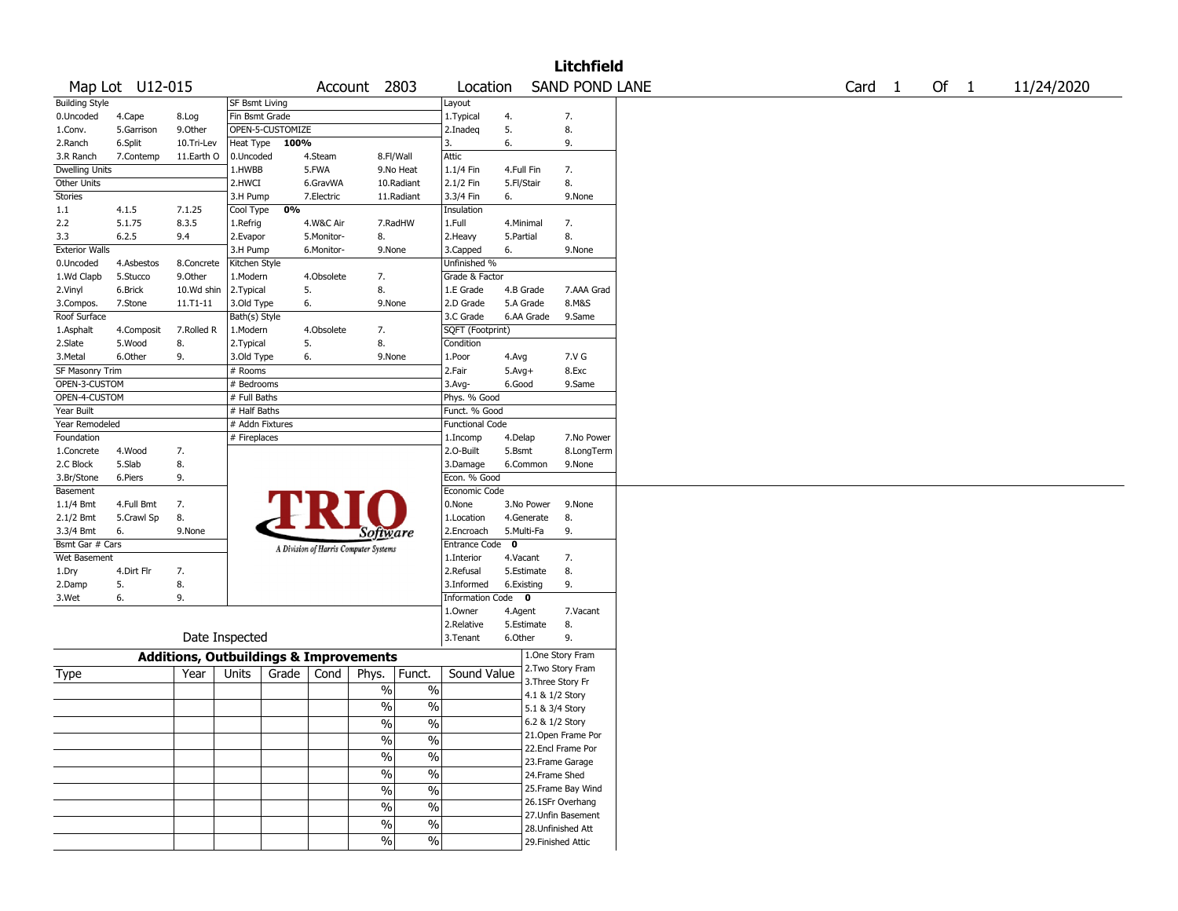|                       |                 |                                                   |                 |                  |            |                                       |                          |                               |             |                 | <b>Litchfield</b>     |  |                   |  |        |            |
|-----------------------|-----------------|---------------------------------------------------|-----------------|------------------|------------|---------------------------------------|--------------------------|-------------------------------|-------------|-----------------|-----------------------|--|-------------------|--|--------|------------|
|                       | Map Lot U12-015 |                                                   |                 |                  |            | Account 2803                          |                          | Location                      |             |                 | <b>SAND POND LANE</b> |  | Card <sub>1</sub> |  | Of $1$ | 11/24/2020 |
| <b>Building Style</b> |                 |                                                   | SF Bsmt Living  |                  |            |                                       |                          | Layout                        |             |                 |                       |  |                   |  |        |            |
| 0.Uncoded             | 4.Cape          | 8.Log                                             | Fin Bsmt Grade  |                  |            |                                       |                          | 1. Typical                    | 4.          |                 | 7.                    |  |                   |  |        |            |
| 1.Conv.               | 5.Garrison      | 9.0ther                                           |                 | OPEN-5-CUSTOMIZE |            |                                       |                          | 2.Inadeq                      | 5.          |                 | 8.                    |  |                   |  |        |            |
| 2.Ranch               | 6.Split         | 10.Tri-Lev                                        | Heat Type       | 100%             |            |                                       |                          | 3.                            | 6.          |                 | 9.                    |  |                   |  |        |            |
| 3.R Ranch             | 7.Contemp       | 11.Earth O                                        | 0.Uncoded       |                  | 4.Steam    |                                       | 8.Fl/Wall                | Attic                         |             |                 |                       |  |                   |  |        |            |
| <b>Dwelling Units</b> |                 |                                                   | 1.HWBB          |                  | 5.FWA      |                                       | 9.No Heat                | 1.1/4 Fin                     | 4.Full Fin  |                 | 7.                    |  |                   |  |        |            |
| Other Units           |                 |                                                   | 2.HWCI          |                  | 6.GravWA   |                                       | 10.Radiant               | 2.1/2 Fin                     | 5.Fl/Stair  |                 | 8.                    |  |                   |  |        |            |
| Stories               |                 |                                                   | 3.H Pump        |                  | 7.Electric |                                       | 11.Radiant               | 3.3/4 Fin                     | 6.          |                 | 9.None                |  |                   |  |        |            |
| 1.1                   | 4.1.5           | 7.1.25                                            | Cool Type       | 0%               |            |                                       |                          | Insulation                    |             |                 |                       |  |                   |  |        |            |
| 2.2                   | 5.1.75          | 8.3.5                                             | 1.Refrig        |                  | 4.W&C Air  |                                       | 7.RadHW                  | 1.Full                        | 4.Minimal   |                 | 7.                    |  |                   |  |        |            |
| 3.3                   | 6.2.5           | 9.4                                               | 2.Evapor        |                  | 5.Monitor- | 8.                                    |                          | 2. Heavy                      | 5.Partial   |                 | 8.                    |  |                   |  |        |            |
| <b>Exterior Walls</b> |                 |                                                   | 3.H Pump        |                  | 6.Monitor- | 9.None                                |                          | 3.Capped                      | 6.          |                 | 9.None                |  |                   |  |        |            |
| 0.Uncoded             | 4.Asbestos      | 8.Concrete                                        | Kitchen Style   |                  |            |                                       |                          | Unfinished %                  |             |                 |                       |  |                   |  |        |            |
| 1.Wd Clapb            | 5.Stucco        | 9.0ther                                           | 1.Modern        |                  | 4.Obsolete | 7.                                    |                          | Grade & Factor                |             |                 |                       |  |                   |  |        |            |
| 2.Vinyl               | 6.Brick         | 10.Wd shin                                        | 2.Typical       |                  | 5.         | 8.                                    |                          | 1.E Grade                     | 4.B Grade   |                 | 7.AAA Grad            |  |                   |  |        |            |
| 3.Compos.             | 7.Stone         | 11.T1-11                                          | 3.Old Type      |                  | 6.         | 9.None                                |                          | 2.D Grade                     |             | 5.A Grade       | 8.M&S                 |  |                   |  |        |            |
| Roof Surface          |                 |                                                   | Bath(s) Style   |                  |            |                                       |                          | 3.C Grade                     |             | 6.AA Grade      | 9.Same                |  |                   |  |        |            |
| 1.Asphalt             | 4.Composit      | 7.Rolled R                                        | 1.Modern        |                  | 4.Obsolete | 7.                                    |                          | SQFT (Footprint)              |             |                 |                       |  |                   |  |        |            |
| 2.Slate               | 5.Wood          | 8.                                                | 2.Typical       |                  | 5.         | 8.                                    |                          | Condition                     |             |                 |                       |  |                   |  |        |            |
| 3. Metal              | 6.Other         | 9.                                                | 3.Old Type      |                  | 6.         | 9.None                                |                          | 1.Poor                        | 4.Avg       |                 | 7.V G                 |  |                   |  |        |            |
| SF Masonry Trim       |                 |                                                   | # Rooms         |                  |            |                                       |                          | 2.Fair                        | $5.Avg+$    |                 | 8.Exc                 |  |                   |  |        |            |
| OPEN-3-CUSTOM         |                 |                                                   | # Bedrooms      |                  |            |                                       |                          | $3.$ Avg-                     | 6.Good      |                 | 9.Same                |  |                   |  |        |            |
| OPEN-4-CUSTOM         |                 |                                                   | # Full Baths    |                  |            |                                       |                          |                               |             |                 |                       |  |                   |  |        |            |
| Year Built            |                 |                                                   | # Half Baths    |                  |            |                                       |                          | Phys. % Good<br>Funct. % Good |             |                 |                       |  |                   |  |        |            |
|                       |                 |                                                   |                 |                  |            |                                       |                          | <b>Functional Code</b>        |             |                 |                       |  |                   |  |        |            |
| Year Remodeled        |                 |                                                   | # Addn Fixtures |                  |            |                                       |                          |                               |             |                 |                       |  |                   |  |        |            |
| Foundation            |                 |                                                   | # Fireplaces    |                  |            |                                       |                          | 1.Incomp                      | 4.Delap     |                 | 7.No Power            |  |                   |  |        |            |
| 1.Concrete            | 4.Wood          | 7.                                                |                 |                  |            |                                       |                          | 2.O-Built                     | 5.Bsmt      |                 | 8.LongTerm            |  |                   |  |        |            |
| 2.C Block             | 5.Slab          | 8.                                                |                 |                  |            |                                       |                          | 3.Damage                      |             | 6.Common        | 9.None                |  |                   |  |        |            |
| 3.Br/Stone            | 6.Piers         | 9.                                                |                 |                  |            |                                       |                          | Econ. % Good                  |             |                 |                       |  |                   |  |        |            |
| Basement              |                 |                                                   |                 |                  |            |                                       |                          | Economic Code                 |             |                 |                       |  |                   |  |        |            |
| $1.1/4$ Bmt           | 4.Full Bmt      | 7.                                                |                 |                  |            |                                       |                          | 0.None                        |             | 3.No Power      | 9.None                |  |                   |  |        |            |
| 2.1/2 Bmt             | 5.Crawl Sp      | 8.                                                |                 |                  |            |                                       |                          | 1.Location                    |             | 4.Generate      | 8.                    |  |                   |  |        |            |
| 3.3/4 Bmt             | 6.              | 9.None                                            |                 |                  |            | <i>Software</i>                       |                          | 2.Encroach                    | 5.Multi-Fa  |                 | 9.                    |  |                   |  |        |            |
| Bsmt Gar # Cars       |                 |                                                   |                 |                  |            | A Division of Harris Computer Systems |                          | Entrance Code                 | $\mathbf 0$ |                 |                       |  |                   |  |        |            |
| Wet Basement          |                 |                                                   |                 |                  |            |                                       |                          | 1.Interior                    | 4.Vacant    |                 | 7.                    |  |                   |  |        |            |
| 1.Dry                 | 4.Dirt Flr      | 7.                                                |                 |                  |            |                                       |                          | 2.Refusal                     |             | 5.Estimate      | 8.                    |  |                   |  |        |            |
| 2.Damp                | 5.              | 8.                                                |                 |                  |            |                                       |                          | 3.Informed                    | 6.Existing  |                 | 9.                    |  |                   |  |        |            |
| 3.Wet                 | 6.              | 9.                                                |                 |                  |            |                                       |                          | <b>Information Code</b>       |             | $\bf{0}$        |                       |  |                   |  |        |            |
|                       |                 |                                                   |                 |                  |            |                                       |                          | 1.Owner                       | 4.Agent     |                 | 7.Vacant              |  |                   |  |        |            |
|                       |                 |                                                   |                 |                  |            |                                       |                          | 2.Relative                    |             | 5.Estimate      | 8.                    |  |                   |  |        |            |
|                       |                 | Date Inspected                                    |                 |                  |            |                                       |                          | 3.Tenant                      | 6.Other     |                 | 9.                    |  |                   |  |        |            |
|                       |                 | <b>Additions, Outbuildings &amp; Improvements</b> |                 |                  |            |                                       |                          |                               |             |                 | 1.One Story Fram      |  |                   |  |        |            |
|                       |                 |                                                   |                 |                  |            |                                       |                          |                               |             |                 | 2. Two Story Fram     |  |                   |  |        |            |
| Type                  |                 | Year                                              | Units           | Grade            | Cond       | Phys.                                 | Funct.                   | Sound Value                   |             |                 | 3. Three Story Fr     |  |                   |  |        |            |
|                       |                 |                                                   |                 |                  |            | $\%$                                  | $\%$                     |                               |             | 4.1 & 1/2 Story |                       |  |                   |  |        |            |
|                       |                 |                                                   |                 |                  |            | %                                     | $\%$                     |                               |             | 5.1 & 3/4 Story |                       |  |                   |  |        |            |
|                       |                 |                                                   |                 |                  |            |                                       |                          |                               |             |                 | 6.2 & 1/2 Story       |  |                   |  |        |            |
|                       |                 |                                                   |                 |                  |            | $\sqrt{6}$                            | $\sqrt{20}$              |                               |             |                 | 21. Open Frame Por    |  |                   |  |        |            |
|                       |                 |                                                   |                 |                  |            | $\frac{1}{2}$                         | $\frac{0}{0}$            |                               |             |                 | 22.Encl Frame Por     |  |                   |  |        |            |
|                       |                 |                                                   |                 |                  |            | $\sqrt{9/6}$                          | $\overline{\frac{0}{6}}$ |                               |             |                 |                       |  |                   |  |        |            |
|                       |                 |                                                   |                 |                  |            | $\frac{0}{6}$                         | $\%$                     |                               |             |                 | 23. Frame Garage      |  |                   |  |        |            |
|                       |                 |                                                   |                 |                  |            |                                       |                          |                               |             | 24.Frame Shed   |                       |  |                   |  |        |            |
|                       |                 |                                                   |                 |                  |            | $\frac{1}{2}$                         | $\frac{0}{0}$            |                               |             |                 | 25. Frame Bay Wind    |  |                   |  |        |            |
|                       |                 |                                                   |                 |                  |            | $\%$                                  | $\%$                     |                               |             |                 | 26.1SFr Overhang      |  |                   |  |        |            |
|                       |                 |                                                   |                 |                  |            | $\frac{1}{2}$                         | $\frac{1}{2}$            |                               |             |                 | 27.Unfin Basement     |  |                   |  |        |            |
|                       |                 |                                                   |                 |                  |            |                                       |                          |                               |             |                 | 28. Unfinished Att    |  |                   |  |        |            |
|                       |                 |                                                   |                 |                  |            | $\frac{1}{2}$                         | $\frac{1}{2}$            |                               |             |                 | 29. Finished Attic    |  |                   |  |        |            |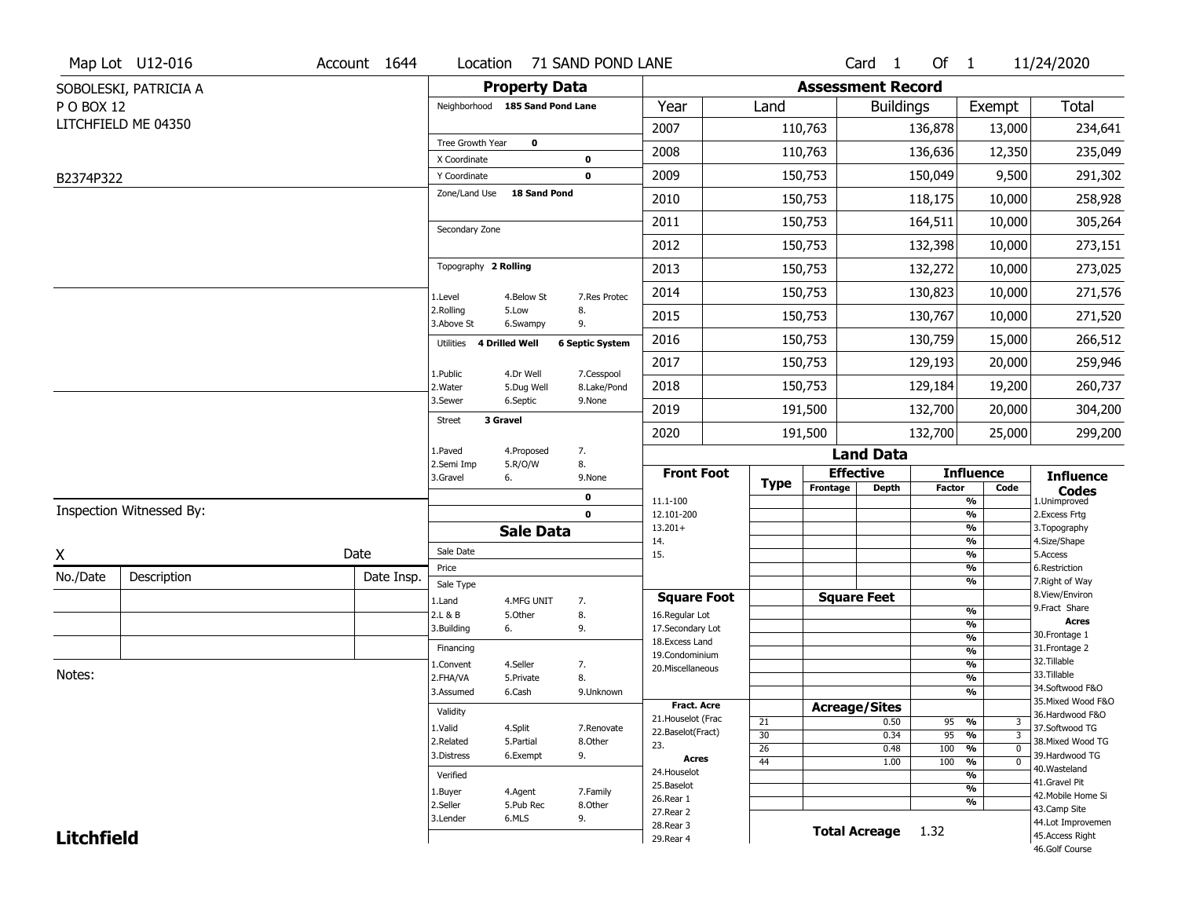|                   | Map Lot U12-016          | Account 1644 | Location                        |                         | 71 SAND POND LANE         |                                    |                 |                          | Card <sub>1</sub>    | Of $1$        |                                          | 11/24/2020                           |
|-------------------|--------------------------|--------------|---------------------------------|-------------------------|---------------------------|------------------------------------|-----------------|--------------------------|----------------------|---------------|------------------------------------------|--------------------------------------|
|                   | SOBOLESKI, PATRICIA A    |              |                                 | <b>Property Data</b>    |                           |                                    |                 | <b>Assessment Record</b> |                      |               |                                          |                                      |
| P O BOX 12        |                          |              | Neighborhood 185 Sand Pond Lane |                         |                           | Year                               | Land            |                          | <b>Buildings</b>     |               | Exempt                                   | <b>Total</b>                         |
|                   | LITCHFIELD ME 04350      |              |                                 |                         |                           | 2007                               |                 | 110,763                  |                      | 136,878       | 13,000                                   | 234,641                              |
|                   |                          |              | Tree Growth Year                | $\mathbf 0$             |                           | 2008                               |                 | 110,763                  |                      | 136,636       | 12,350                                   | 235,049                              |
|                   |                          |              | X Coordinate                    |                         | 0                         |                                    |                 |                          |                      |               |                                          |                                      |
| B2374P322         |                          |              | Y Coordinate<br>Zone/Land Use   | <b>18 Sand Pond</b>     | 0                         | 2009                               |                 | 150,753                  |                      | 150,049       | 9,500                                    | 291,302                              |
|                   |                          |              |                                 |                         |                           | 2010                               |                 | 150,753                  |                      | 118,175       | 10,000                                   | 258,928                              |
|                   |                          |              | Secondary Zone                  |                         |                           | 2011                               |                 | 150,753                  |                      | 164,511       | 10,000                                   | 305,264                              |
|                   |                          |              |                                 |                         |                           | 2012                               |                 | 150,753                  |                      | 132,398       | 10,000                                   | 273,151                              |
|                   |                          |              | Topography 2 Rolling            |                         |                           | 2013                               |                 | 150,753                  |                      | 132,272       | 10,000                                   | 273,025                              |
|                   |                          |              | 1.Level                         | 4.Below St              | 7.Res Protec              | 2014                               |                 | 150,753                  |                      | 130,823       | 10,000                                   | 271,576                              |
|                   |                          |              | 2.Rolling<br>3.Above St         | 5.Low<br>6.Swampy       | 8.<br>9.                  | 2015                               |                 | 150,753                  |                      | 130,767       | 10,000                                   | 271,520                              |
|                   |                          |              | Utilities                       | 4 Drilled Well          | <b>6 Septic System</b>    | 2016                               |                 | 150,753                  |                      | 130,759       | 15,000                                   | 266,512                              |
|                   |                          |              |                                 |                         |                           | 2017                               |                 | 150,753                  |                      | 129,193       | 20,000                                   | 259,946                              |
|                   |                          |              | 1.Public<br>2. Water            | 4.Dr Well<br>5.Dug Well | 7.Cesspool<br>8.Lake/Pond | 2018                               |                 | 150,753                  |                      | 129,184       | 19,200                                   | 260,737                              |
|                   |                          |              | 3.Sewer                         | 6.Septic                | 9.None                    | 2019                               |                 | 191,500                  |                      | 132,700       | 20,000                                   | 304,200                              |
|                   |                          |              | 3 Gravel<br>Street              |                         |                           | 2020                               |                 | 191,500                  |                      | 132,700       | 25,000                                   | 299,200                              |
|                   |                          |              | 1.Paved                         | 4.Proposed              | 7.                        |                                    |                 |                          | <b>Land Data</b>     |               |                                          |                                      |
|                   |                          |              | 2.Semi Imp<br>3.Gravel          | 5.R/O/W<br>6.           | 8.<br>9.None              | <b>Front Foot</b>                  |                 | <b>Effective</b>         |                      |               | <b>Influence</b>                         | <b>Influence</b>                     |
|                   |                          |              |                                 |                         | 0                         | 11.1-100                           | <b>Type</b>     | Frontage                 | <b>Depth</b>         | <b>Factor</b> | Code<br>%                                | <b>Codes</b><br>1.Unimproved         |
|                   | Inspection Witnessed By: |              |                                 |                         | $\mathbf 0$               | 12.101-200                         |                 |                          |                      |               | $\frac{9}{6}$                            | 2. Excess Frtg                       |
|                   |                          |              |                                 | <b>Sale Data</b>        |                           | $13.201+$<br>14.                   |                 |                          |                      |               | %<br>%                                   | 3. Topography<br>4.Size/Shape        |
| X                 |                          | Date         | Sale Date                       |                         |                           | 15.                                |                 |                          |                      |               | $\frac{9}{6}$                            | 5.Access                             |
| No./Date          | Description              | Date Insp.   | Price                           |                         |                           |                                    |                 |                          |                      |               | %<br>%                                   | 6.Restriction<br>7. Right of Way     |
|                   |                          |              | Sale Type<br>1.Land             | 4.MFG UNIT              | 7.                        | <b>Square Foot</b>                 |                 |                          | <b>Square Feet</b>   |               |                                          | 8.View/Environ                       |
|                   |                          |              | 2.L & B                         | 5.Other                 | 8.                        | 16.Regular Lot                     |                 |                          |                      |               | $\frac{9}{6}$                            | 9.Fract Share<br><b>Acres</b>        |
|                   |                          |              | 3.Building                      | 6.                      | 9.                        | 17.Secondary Lot<br>18.Excess Land |                 |                          |                      |               | $\frac{9}{6}$<br>$\frac{9}{6}$           | 30. Frontage 1                       |
|                   |                          |              | Financing                       |                         |                           | 19.Condominium                     |                 |                          |                      |               | $\frac{9}{6}$                            | 31. Frontage 2                       |
| Notes:            |                          |              | 1.Convent                       | 4.Seller                | 7.                        | 20.Miscellaneous                   |                 |                          |                      |               | $\frac{9}{6}$                            | 32. Tillable<br>33.Tillable          |
|                   |                          |              | 2.FHA/VA<br>3.Assumed           | 5.Private<br>6.Cash     | 8.<br>9.Unknown           |                                    |                 |                          |                      |               | $\frac{9}{6}$<br>$\frac{9}{6}$           | 34.Softwood F&O                      |
|                   |                          |              |                                 |                         |                           | <b>Fract. Acre</b>                 |                 | <b>Acreage/Sites</b>     |                      |               |                                          | 35. Mixed Wood F&O                   |
|                   |                          |              | Validity                        |                         |                           | 21. Houselot (Frac                 | 21              |                          | 0.50                 | 95            | %<br>3                                   | 36.Hardwood F&O                      |
|                   |                          |              | 1.Valid                         | 4.Split                 | 7.Renovate                | 22.Baselot(Fract)                  | 30              |                          | 0.34                 | 95            | $\overline{\mathbf{3}}$<br>$\frac{9}{6}$ | 37.Softwood TG                       |
|                   |                          |              | 2.Related<br>3.Distress         | 5.Partial<br>6.Exempt   | 8.Other<br>9.             | 23.                                | 26              |                          | 0.48                 | 100           | $\frac{9}{6}$<br>$\overline{0}$          | 38. Mixed Wood TG<br>39.Hardwood TG  |
|                   |                          |              |                                 |                         |                           | <b>Acres</b><br>24. Houselot       | $\overline{44}$ |                          | 1.00                 | 100           | $\frac{9}{6}$<br>$\overline{0}$          | 40. Wasteland                        |
|                   |                          |              | Verified                        |                         |                           | 25.Baselot                         |                 |                          |                      |               | $\frac{9}{6}$<br>$\frac{9}{6}$           | 41.Gravel Pit                        |
|                   |                          |              | 1.Buyer<br>2.Seller             | 4.Agent<br>5.Pub Rec    | 7.Family<br>8.Other       | 26.Rear 1                          |                 |                          |                      |               | %                                        | 42. Mobile Home Si                   |
|                   |                          |              | 3.Lender                        | 6.MLS                   | 9.                        | 27.Rear 2                          |                 |                          |                      |               |                                          | 43.Camp Site                         |
|                   |                          |              |                                 |                         |                           |                                    |                 |                          |                      |               |                                          |                                      |
| <b>Litchfield</b> |                          |              |                                 |                         |                           | 28. Rear 3<br>29. Rear 4           |                 |                          | <b>Total Acreage</b> | 1.32          |                                          | 44.Lot Improvemen<br>45.Access Right |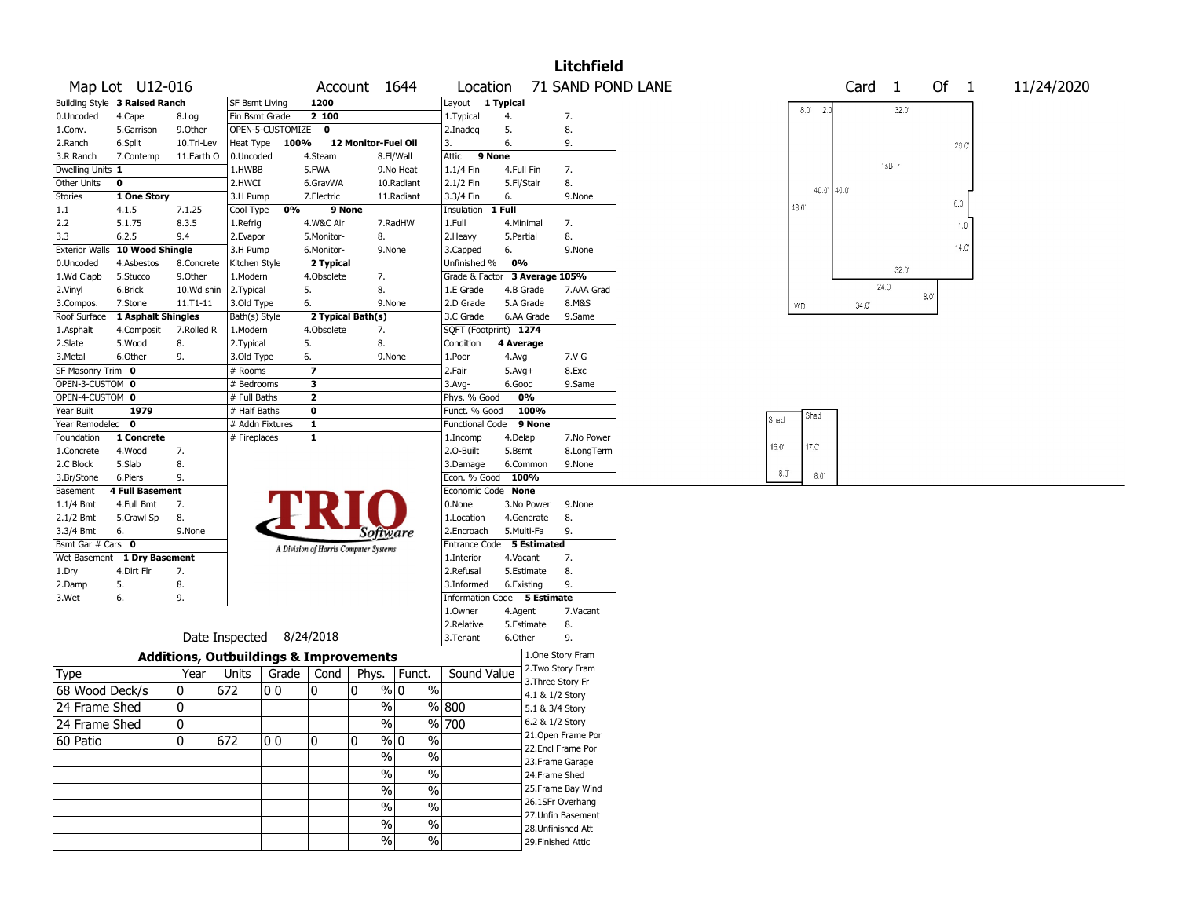|                           |                                |                        |                         |                                                   |                         |                                       |               |                               |            |                        | <b>Litchfield</b>                      |  |      |                                         |      |                   |     |                |            |  |
|---------------------------|--------------------------------|------------------------|-------------------------|---------------------------------------------------|-------------------------|---------------------------------------|---------------|-------------------------------|------------|------------------------|----------------------------------------|--|------|-----------------------------------------|------|-------------------|-----|----------------|------------|--|
|                           | Map Lot U12-016                |                        |                         |                                                   |                         | Account 1644                          |               | Location                      |            |                        | 71 SAND POND LANE                      |  |      |                                         |      | Card <sub>1</sub> |     | Of 1           | 11/24/2020 |  |
|                           | Building Style 3 Raised Ranch  |                        | <b>SF Bsmt Living</b>   |                                                   | 1200                    |                                       |               | Layout 1 Typical              |            |                        |                                        |  |      | $8.0^{\circ}$ 2.0                       |      | 32.0              |     |                |            |  |
| 0.Uncoded                 | 4.Cape                         | 8.Log                  | Fin Bsmt Grade          |                                                   | 2 100                   |                                       |               | 1. Typical                    | 4.         |                        | 7.                                     |  |      |                                         |      |                   |     |                |            |  |
| 1.Conv.                   | 5.Garrison                     | 9.Other                |                         | OPEN-5-CUSTOMIZE                                  | $\mathbf 0$             |                                       |               | 2.Inadeg                      | 5.         |                        | 8.                                     |  |      |                                         |      |                   |     |                |            |  |
| 2.Ranch                   | 6.Split                        | 10.Tri-Lev             | Heat Type               | 100%                                              |                         | 12 Monitor-Fuel Oil                   |               | 3.                            | 6.         |                        | 9.                                     |  |      |                                         |      |                   |     | $20.0^\circ$   |            |  |
| 3.R Ranch                 | 7.Contemp                      | 11.Earth O             | 0.Uncoded               |                                                   | 4.Steam                 |                                       | 8.Fl/Wall     | 9 None<br>Attic               |            |                        |                                        |  |      |                                         |      | 1sBFr             |     |                |            |  |
| Dwelling Units 1          |                                |                        | 1.HWBB                  |                                                   | 5.FWA                   |                                       | 9.No Heat     | 1.1/4 Fin                     | 4.Full Fin |                        | 7.                                     |  |      |                                         |      |                   |     |                |            |  |
| Other Units               | 0                              |                        | 2.HWCI                  |                                                   | 6.GravWA                |                                       | 10.Radiant    | 2.1/2 Fin                     | 5.Fl/Stair |                        | 8.                                     |  |      | $40.0$ <sup>'</sup> $40.0$ <sup>'</sup> |      |                   |     |                |            |  |
| <b>Stories</b>            | 1 One Story                    |                        | 3.H Pump                |                                                   | 7.Electric              |                                       | 11.Radiant    | 3.3/4 Fin                     | 6.         |                        | 9.None                                 |  |      |                                         |      |                   |     | 6.0'           |            |  |
| $1.1\,$                   | 4.1.5                          | 7.1.25                 | Cool Type               | 0%                                                | 9 None                  |                                       |               | Insulation                    | 1 Full     |                        |                                        |  | 48.0 |                                         |      |                   |     |                |            |  |
| 2.2                       | 5.1.75                         | 8.3.5                  | 1.Refrig                |                                                   | 4.W&C Air               |                                       | 7.RadHW       | 1.Full                        | 4.Minimal  |                        | 7.                                     |  |      |                                         |      |                   |     | $1.0^\circ$    |            |  |
| 3.3                       | 6.2.5                          | 9.4                    | 2.Evapor                |                                                   | 5.Monitor-              | 8.                                    |               | 2. Heavy                      | 5.Partial  |                        | 8.                                     |  |      |                                         |      |                   |     | $14.0^{\circ}$ |            |  |
|                           | Exterior Walls 10 Wood Shingle |                        | 3.H Pump                |                                                   | 6.Monitor-              | 9.None                                |               | 3.Capped                      | 6.         |                        | 9.None                                 |  |      |                                         |      |                   |     |                |            |  |
| 0.Uncoded                 | 4.Asbestos                     | 8.Concrete             | Kitchen Style           |                                                   | 2 Typical               |                                       |               | Unfinished %                  | 0%         |                        |                                        |  |      |                                         |      | $32.0^{\circ}$    |     |                |            |  |
| 1.Wd Clapb                | 5.Stucco                       | 9.0ther                | 1.Modern                |                                                   | 4.Obsolete              | 7.                                    |               | Grade & Factor 3 Average 105% |            |                        |                                        |  |      |                                         |      | $24.0^{\circ}$    |     |                |            |  |
| 2.Vinyl                   | 6.Brick<br>7.Stone             | 10.Wd shin<br>11.T1-11 | 2.Typical<br>3.Old Type |                                                   | 5.<br>6.                | 8.<br>9.None                          |               | 1.E Grade<br>2.D Grade        |            | 4.B Grade<br>5.A Grade | 7.AAA Grad<br>8.M&S                    |  |      |                                         |      |                   | 8.0 |                |            |  |
| 3.Compos.<br>Roof Surface | 1 Asphalt Shingles             |                        | Bath(s) Style           |                                                   |                         | 2 Typical Bath(s)                     |               | 3.C Grade                     |            | 6.AA Grade             | 9.Same                                 |  | WD   |                                         | 34.C |                   |     |                |            |  |
| 1.Asphalt                 | 4.Composit                     | 7.Rolled R             | 1.Modern                |                                                   | 4.Obsolete              | 7.                                    |               | SQFT (Footprint) 1274         |            |                        |                                        |  |      |                                         |      |                   |     |                |            |  |
| 2.Slate                   | 5.Wood                         | 8.                     | 2. Typical              |                                                   | 5.                      | 8.                                    |               | Condition                     | 4 Average  |                        |                                        |  |      |                                         |      |                   |     |                |            |  |
| 3.Metal                   | 6.Other                        | 9.                     | 3.Old Type              |                                                   | 6.                      | 9.None                                |               | 1.Poor                        | 4.Avg      |                        | 7.V G                                  |  |      |                                         |      |                   |     |                |            |  |
| SF Masonry Trim 0         |                                |                        | # Rooms                 |                                                   | $\overline{\mathbf{z}}$ |                                       |               | 2.Fair                        | $5.Avg+$   |                        | 8.Exc                                  |  |      |                                         |      |                   |     |                |            |  |
| OPEN-3-CUSTOM 0           |                                |                        | # Bedrooms              |                                                   | 3                       |                                       |               | 3.Avg-                        | 6.Good     |                        | 9.Same                                 |  |      |                                         |      |                   |     |                |            |  |
| OPEN-4-CUSTOM 0           |                                |                        | # Full Baths            |                                                   | $\overline{\mathbf{2}}$ |                                       |               | Phys. % Good                  |            | 0%                     |                                        |  |      |                                         |      |                   |     |                |            |  |
| Year Built                | 1979                           |                        | # Half Baths            |                                                   | 0                       |                                       |               | Funct. % Good                 |            | 100%                   |                                        |  |      | Shed                                    |      |                   |     |                |            |  |
| Year Remodeled 0          |                                |                        |                         | # Addn Fixtures                                   | 1                       |                                       |               | <b>Functional Code</b>        |            | 9 None                 |                                        |  | Shed |                                         |      |                   |     |                |            |  |
| Foundation                | 1 Concrete                     |                        | # Fireplaces            |                                                   | 1                       |                                       |               | 1.Incomp                      | 4.Delap    |                        | 7.No Power                             |  |      | 17.0                                    |      |                   |     |                |            |  |
| 1.Concrete                | 4.Wood                         | 7.                     |                         |                                                   |                         |                                       |               | 2.O-Built                     | 5.Bsmt     |                        | 8.LongTerm                             |  | 16.0 |                                         |      |                   |     |                |            |  |
| 2.C Block                 | 5.Slab                         | 8.                     |                         |                                                   |                         |                                       |               | 3.Damage                      |            | 6.Common               | 9.None                                 |  | 8.0  |                                         |      |                   |     |                |            |  |
| 3.Br/Stone                | 6.Piers                        | 9.                     |                         |                                                   |                         |                                       |               | Econ. % Good                  | 100%       |                        |                                        |  |      | $8.0^\circ$                             |      |                   |     |                |            |  |
| Basement                  | <b>4 Full Basement</b>         |                        |                         |                                                   |                         |                                       |               | Economic Code None            |            |                        |                                        |  |      |                                         |      |                   |     |                |            |  |
| $1.1/4$ Bmt               | 4.Full Bmt                     | 7.                     |                         |                                                   |                         |                                       |               | 0.None                        |            | 3.No Power             | 9.None                                 |  |      |                                         |      |                   |     |                |            |  |
| $2.1/2$ Bmt<br>3.3/4 Bmt  | 5.Crawl Sp<br>6.               | 8.<br>9.None           |                         |                                                   |                         |                                       |               | 1.Location<br>2.Encroach      | 5.Multi-Fa | 4.Generate             | 8.<br>9.                               |  |      |                                         |      |                   |     |                |            |  |
| Bsmt Gar # Cars 0         |                                |                        |                         |                                                   |                         | Software                              |               | Entrance Code 5 Estimated     |            |                        |                                        |  |      |                                         |      |                   |     |                |            |  |
| Wet Basement              | 1 Dry Basement                 |                        |                         |                                                   |                         | A Division of Harris Computer Systems |               | 1.Interior                    | 4.Vacant   |                        | 7.                                     |  |      |                                         |      |                   |     |                |            |  |
| 1.Dry                     | 4.Dirt Flr                     | 7.                     |                         |                                                   |                         |                                       |               | 2.Refusal                     |            | 5.Estimate             | 8.                                     |  |      |                                         |      |                   |     |                |            |  |
| 2.Damp                    | 5.                             | 8.                     |                         |                                                   |                         |                                       |               | 3.Informed                    | 6.Existing |                        | 9.                                     |  |      |                                         |      |                   |     |                |            |  |
| 3.Wet                     | 6.                             | 9.                     |                         |                                                   |                         |                                       |               | Information Code 5 Estimate   |            |                        |                                        |  |      |                                         |      |                   |     |                |            |  |
|                           |                                |                        |                         |                                                   |                         |                                       |               | 1.0wner                       | 4.Agent    |                        | 7.Vacant                               |  |      |                                         |      |                   |     |                |            |  |
|                           |                                |                        |                         |                                                   |                         |                                       |               | 2.Relative                    |            | 5.Estimate             | 8.                                     |  |      |                                         |      |                   |     |                |            |  |
|                           |                                |                        |                         | Date Inspected 8/24/2018                          |                         |                                       |               | 3.Tenant                      | 6.Other    |                        | 9.                                     |  |      |                                         |      |                   |     |                |            |  |
|                           |                                |                        |                         | <b>Additions, Outbuildings &amp; Improvements</b> |                         |                                       |               |                               |            |                        | 1.One Story Fram                       |  |      |                                         |      |                   |     |                |            |  |
| Type                      |                                | Year                   | Units                   | Grade   Cond                                      |                         | Phys.   Funct.                        |               | Sound Value                   |            |                        | 2. Two Story Fram<br>3. Three Story Fr |  |      |                                         |      |                   |     |                |            |  |
| 68 Wood Deck/s            |                                | 0                      | 672                     | 00                                                | 10                      | % 0<br>0                              | $\%$          |                               |            |                        | 4.1 & 1/2 Story                        |  |      |                                         |      |                   |     |                |            |  |
| 24 Frame Shed             |                                | 0                      |                         |                                                   |                         | %                                     |               | % 800                         |            |                        | 5.1 & 3/4 Story                        |  |      |                                         |      |                   |     |                |            |  |
|                           |                                | $\overline{0}$         |                         |                                                   |                         | $\frac{1}{2}$                         |               | $\sqrt{8}$ 700                |            |                        | 6.2 & 1/2 Story                        |  |      |                                         |      |                   |     |                |            |  |
| 24 Frame Shed             |                                |                        |                         |                                                   |                         |                                       |               |                               |            |                        | 21. Open Frame Por                     |  |      |                                         |      |                   |     |                |            |  |
| 60 Patio                  |                                | 0                      | 672                     | O O                                               | 10                      | $\mathbf{0}$                          | $\%$<br>% 0   |                               |            |                        | 22.Encl Frame Por                      |  |      |                                         |      |                   |     |                |            |  |
|                           |                                |                        |                         |                                                   |                         | %                                     | $\frac{0}{0}$ |                               |            |                        | 23. Frame Garage                       |  |      |                                         |      |                   |     |                |            |  |
|                           |                                |                        |                         |                                                   |                         | $\frac{0}{0}$                         | $\frac{0}{0}$ |                               |            |                        | 24.Frame Shed                          |  |      |                                         |      |                   |     |                |            |  |
|                           |                                |                        |                         |                                                   |                         | $\frac{0}{0}$                         | $\frac{1}{2}$ |                               |            |                        | 25. Frame Bay Wind                     |  |      |                                         |      |                   |     |                |            |  |
|                           |                                |                        |                         |                                                   |                         | $\frac{0}{0}$                         | $\%$          |                               |            |                        | 26.1SFr Overhang                       |  |      |                                         |      |                   |     |                |            |  |
|                           |                                |                        |                         |                                                   |                         | $\frac{0}{0}$                         | $\frac{1}{2}$ |                               |            |                        | 27.Unfin Basement                      |  |      |                                         |      |                   |     |                |            |  |
|                           |                                |                        |                         |                                                   |                         |                                       |               |                               |            |                        | 28. Unfinished Att                     |  |      |                                         |      |                   |     |                |            |  |
|                           |                                |                        |                         |                                                   |                         | $\%$                                  | $\%$          |                               |            |                        | 29. Finished Attic                     |  |      |                                         |      |                   |     |                |            |  |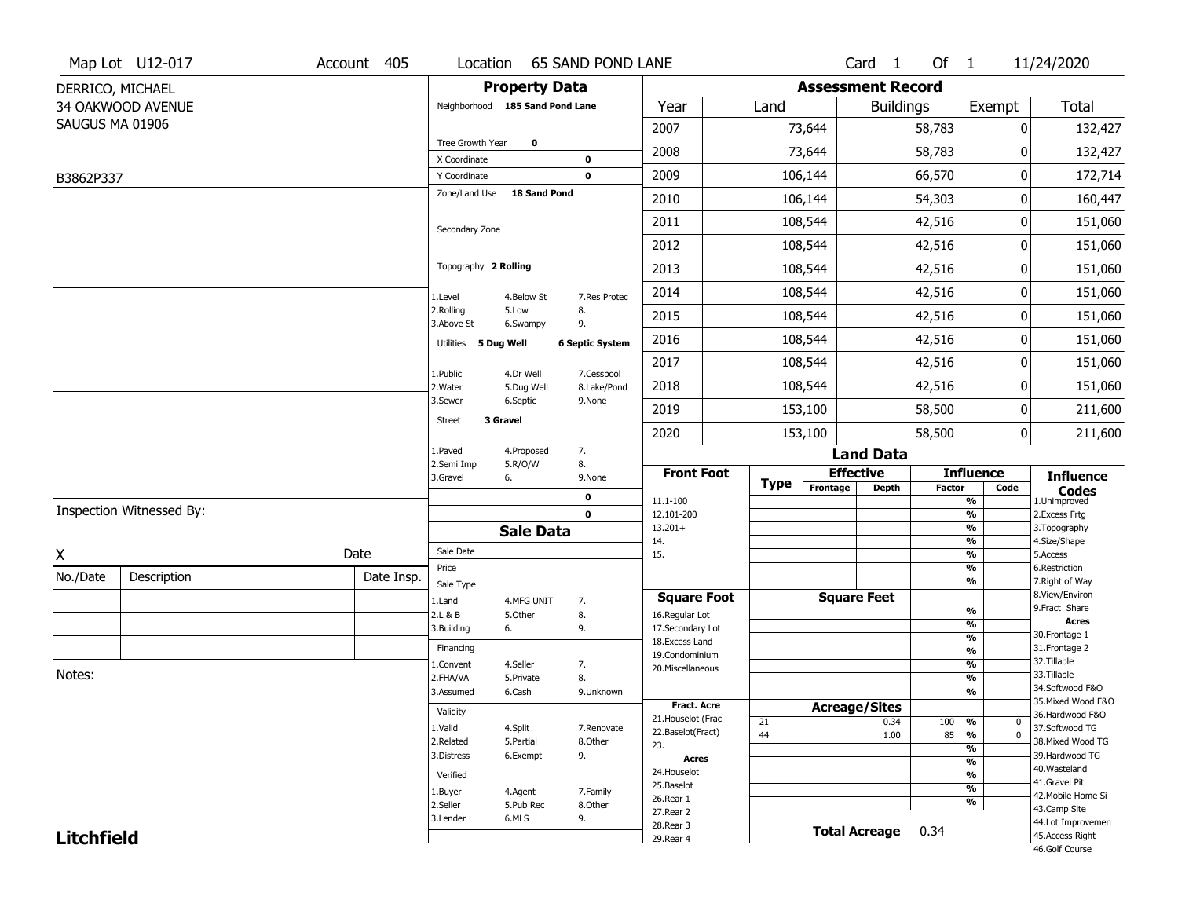|                   | Map Lot U12-017          | Account 405 | Location                        |                         | <b>65 SAND POND LANE</b>   |                                         |                 |                          | Card 1               | Of $1$        |                                      | 11/24/2020                            |
|-------------------|--------------------------|-------------|---------------------------------|-------------------------|----------------------------|-----------------------------------------|-----------------|--------------------------|----------------------|---------------|--------------------------------------|---------------------------------------|
|                   | DERRICO, MICHAEL         |             |                                 | <b>Property Data</b>    |                            |                                         |                 | <b>Assessment Record</b> |                      |               |                                      |                                       |
|                   | 34 OAKWOOD AVENUE        |             | Neighborhood 185 Sand Pond Lane |                         |                            | Year                                    | Land            |                          | <b>Buildings</b>     |               | Exempt                               | <b>Total</b>                          |
| SAUGUS MA 01906   |                          |             |                                 |                         |                            | 2007                                    |                 | 73,644                   |                      | 58,783        | 0                                    | 132,427                               |
|                   |                          |             | Tree Growth Year                | $\mathbf 0$             |                            | 2008                                    |                 | 73,644                   |                      | 58,783        | 0                                    | 132,427                               |
| B3862P337         |                          |             | X Coordinate<br>Y Coordinate    |                         | $\mathbf 0$<br>$\mathbf 0$ | 2009                                    |                 | 106,144                  |                      | 66,570        | $\pmb{0}$                            | 172,714                               |
|                   |                          |             | Zone/Land Use                   | 18 Sand Pond            |                            | 2010                                    |                 | 106,144                  |                      | 54,303        | 0                                    | 160,447                               |
|                   |                          |             |                                 |                         |                            |                                         |                 |                          |                      |               |                                      |                                       |
|                   |                          |             | Secondary Zone                  |                         |                            | 2011                                    |                 | 108,544                  |                      | 42,516        | 0                                    | 151,060                               |
|                   |                          |             |                                 |                         |                            | 2012                                    |                 | 108,544                  |                      | 42,516        | 0                                    | 151,060                               |
|                   |                          |             | Topography 2 Rolling            |                         |                            | 2013                                    |                 | 108,544                  |                      | 42,516        | 0                                    | 151,060                               |
|                   |                          |             | 1.Level                         | 4.Below St              | 7.Res Protec               | 2014                                    |                 | 108,544                  |                      | 42,516        | 0                                    | 151,060                               |
|                   |                          |             | 2.Rolling<br>3.Above St         | 5.Low<br>6.Swampy       | 8.<br>9.                   | 2015                                    |                 | 108,544                  |                      | 42,516        | 0                                    | 151,060                               |
|                   |                          |             | 5 Dug Well<br><b>Utilities</b>  |                         | <b>6 Septic System</b>     | 2016                                    |                 | 108,544                  |                      | 42,516        | 0                                    | 151,060                               |
|                   |                          |             |                                 |                         |                            | 2017                                    |                 | 108,544                  |                      | 42,516        | 0                                    | 151,060                               |
|                   |                          |             | 1.Public<br>2. Water            | 4.Dr Well<br>5.Dug Well | 7.Cesspool<br>8.Lake/Pond  | 2018                                    |                 | 108,544                  |                      | 42,516        | 0                                    | 151,060                               |
|                   |                          |             | 3.Sewer                         | 6.Septic                | 9.None                     | 2019                                    |                 | 153,100                  |                      | 58,500        | 0                                    | 211,600                               |
|                   |                          |             | 3 Gravel<br><b>Street</b>       |                         |                            | 2020                                    |                 | 153,100                  |                      | 58,500        | 0                                    | 211,600                               |
|                   |                          |             | 1.Paved                         | 4.Proposed              | 7.                         |                                         |                 |                          | <b>Land Data</b>     |               |                                      |                                       |
|                   |                          |             | 2.Semi Imp<br>3.Gravel          | 5.R/O/W<br>6.           | 8.<br>9.None               | <b>Front Foot</b>                       |                 | <b>Effective</b>         |                      |               | <b>Influence</b>                     | <b>Influence</b>                      |
|                   |                          |             |                                 |                         | 0                          | 11.1-100                                | <b>Type</b>     | Frontage                 | Depth                | <b>Factor</b> | Code<br>$\frac{9}{6}$                | <b>Codes</b><br>1.Unimproved          |
|                   | Inspection Witnessed By: |             |                                 |                         | $\mathbf 0$                | 12.101-200                              |                 |                          |                      |               | $\frac{9}{6}$                        | 2.Excess Frtg                         |
|                   |                          |             |                                 | <b>Sale Data</b>        |                            | $13.201+$                               |                 |                          |                      |               | $\frac{9}{6}$                        | 3. Topography                         |
| X                 |                          | Date        | Sale Date                       |                         |                            | 14.<br>15.                              |                 |                          |                      |               | $\frac{9}{6}$<br>$\frac{9}{6}$       | 4.Size/Shape<br>5.Access              |
| No./Date          | Description              | Date Insp.  | Price                           |                         |                            |                                         |                 |                          |                      |               | %                                    | 6.Restriction                         |
|                   |                          |             | Sale Type                       |                         |                            | <b>Square Foot</b>                      |                 | <b>Square Feet</b>       |                      |               | %                                    | 7. Right of Way<br>8.View/Environ     |
|                   |                          |             | 1.Land<br>2.L & B               | 4.MFG UNIT<br>5.0ther   | 7.<br>8.                   | 16.Regular Lot                          |                 |                          |                      |               | $\frac{9}{6}$                        | 9.Fract Share                         |
|                   |                          |             | 3.Building                      | 6.                      | 9.                         | 17.Secondary Lot                        |                 |                          |                      |               | %                                    | Acres<br>30. Frontage 1               |
|                   |                          |             | Financing                       |                         |                            | 18.Excess Land                          |                 |                          |                      |               | $\frac{9}{6}$<br>$\frac{9}{6}$       | 31. Frontage 2                        |
|                   |                          |             | 1.Convent                       | 4.Seller                | 7.                         | 19.Condominium<br>20.Miscellaneous      |                 |                          |                      |               | $\frac{9}{6}$                        | 32.Tillable                           |
| Notes:            |                          |             | 2.FHA/VA                        | 5.Private               | 8.                         |                                         |                 |                          |                      |               | $\frac{9}{6}$                        | 33.Tillable                           |
|                   |                          |             | 3.Assumed                       | 6.Cash                  | 9.Unknown                  |                                         |                 |                          |                      |               | $\frac{9}{6}$                        | 34.Softwood F&O<br>35. Mixed Wood F&O |
|                   |                          |             | Validity                        |                         |                            | <b>Fract. Acre</b>                      |                 | <b>Acreage/Sites</b>     |                      |               |                                      | 36.Hardwood F&O                       |
|                   |                          |             | 1.Valid                         | 4.Split                 | 7.Renovate                 | 21. Houselot (Frac<br>22.Baselot(Fract) | 21              |                          | 0.34                 | 100           | %<br>0                               | 37.Softwood TG                        |
|                   |                          |             | 2.Related                       | 5.Partial               | 8.Other                    | 23.                                     | $\overline{44}$ |                          | 1.00                 | 85            | $\overline{0}$<br>%<br>$\frac{9}{6}$ | 38. Mixed Wood TG                     |
|                   |                          |             | 3.Distress                      | 6.Exempt                | 9.                         | Acres                                   |                 |                          |                      |               | $\frac{9}{6}$                        | 39.Hardwood TG                        |
|                   |                          |             | Verified                        |                         |                            | 24. Houselot                            |                 |                          |                      |               | $\frac{9}{6}$                        | 40. Wasteland                         |
|                   |                          |             | 1.Buyer                         | 4.Agent                 | 7.Family                   | 25.Baselot                              |                 |                          |                      |               | $\frac{9}{6}$                        | 41.Gravel Pit                         |
|                   |                          |             | 2.Seller                        | 5.Pub Rec               | 8.Other                    | 26.Rear 1                               |                 |                          |                      |               | $\frac{9}{6}$                        | 42. Mobile Home Si<br>43.Camp Site    |
|                   |                          |             | 3.Lender                        | 6.MLS                   | 9.                         | 27. Rear 2<br>28. Rear 3                |                 |                          |                      |               |                                      | 44.Lot Improvemen                     |
| <b>Litchfield</b> |                          |             |                                 |                         |                            | 29. Rear 4                              |                 |                          | <b>Total Acreage</b> | 0.34          |                                      | 45.Access Right                       |
|                   |                          |             |                                 |                         |                            |                                         |                 |                          |                      |               |                                      | 46.Golf Course                        |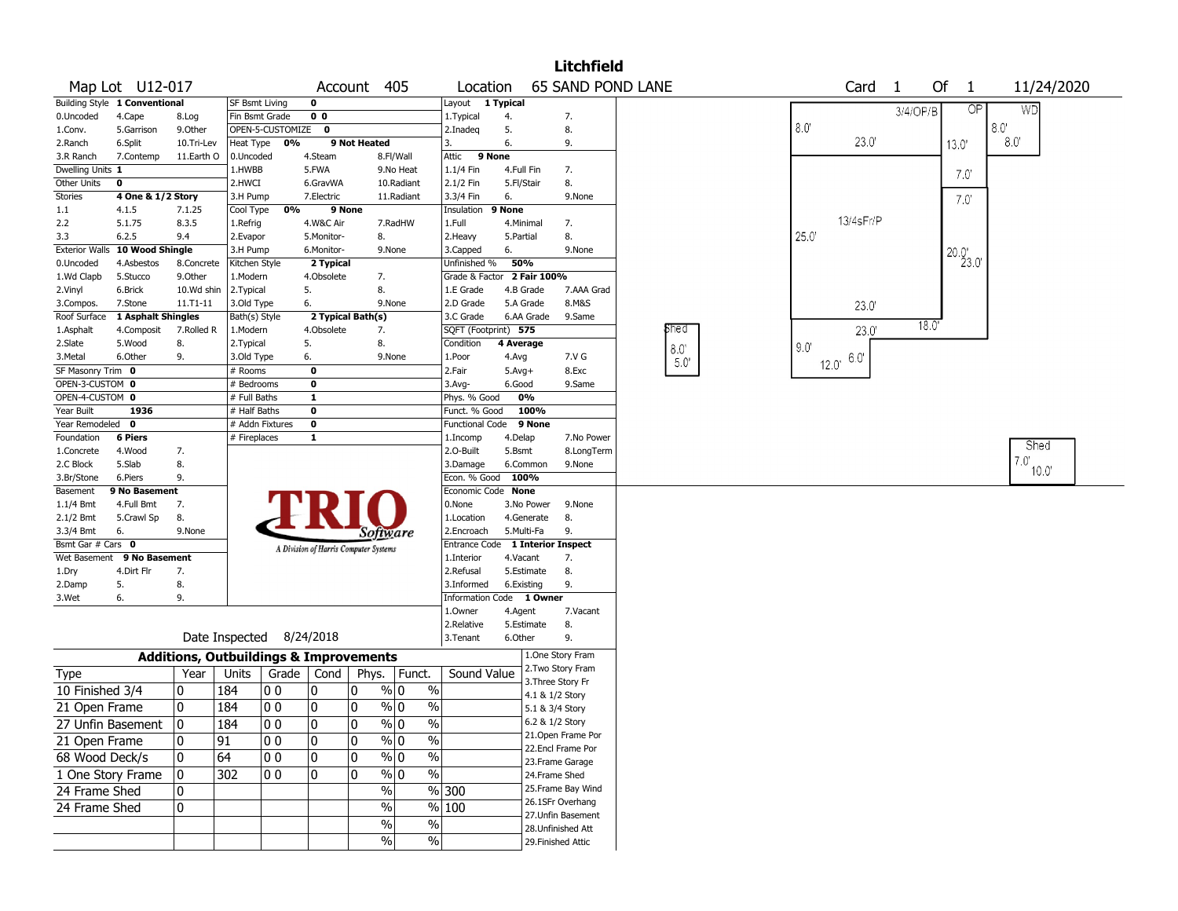| 65 SAND POND LANE<br>Of<br>11/24/2020<br>Map Lot U12-017<br>Account 405<br>Card<br>1<br>$\mathbf{1}$<br>Location<br>Building Style 1 Conventional<br>0<br>Layout 1 Typical<br><b>SF Bsmt Living</b><br>$\overline{OP}$<br><b>WD</b><br>3/4/OP/B<br>0 <sub>0</sub><br>0.Uncoded<br>4.Cape<br>Fin Bsmt Grade<br>1.Typical<br>4.<br>7.<br>8.Log<br>$8.0^\circ$<br>8.0'<br>9.Other<br>OPEN-5-CUSTOMIZE<br>5.Garrison<br>$\mathbf 0$<br>2.Inadeq<br>5.<br>8.<br>1.Conv.<br>23.0<br>8.0<br>Heat Type 0%<br>9 Not Heated<br>6.<br>2.Ranch<br>6.Split<br>10.Tri-Lev<br>9.<br>13.0'<br>3.<br>4.Steam<br>9 None<br>3.R Ranch<br>7.Contemp<br>11.Earth O<br>0.Uncoded<br>8.Fl/Wall<br>Attic<br>Dwelling Units 1<br>1.HWBB<br>5.FWA<br>9.No Heat<br>1.1/4 Fin<br>4.Full Fin<br>7.<br>$7.0^{\circ}$<br>2.1/2 Fin<br>8.<br>Other Units<br>0<br>2.HWCI<br>6.GravWA<br>10.Radiant<br>5.Fl/Stair<br>3.3/4 Fin<br>Stories<br>4 One & 1/2 Story<br>3.H Pump<br>7. Electric<br>11.Radiant<br>6.<br>9.None<br>7.0<br>0%<br>7.1.25<br>Cool Type<br>9 None<br>Insulation<br>9 None<br>1.1<br>4.1.5<br>13/4sFr/P<br>5.1.75<br>2.2<br>8.3.5<br>1.Refrig<br>4.W&C Air<br>7.RadHW<br>1.Full<br>4.Minimal<br>7.<br>25.0'<br>6.2.5<br>8.<br>8.<br>3.3<br>9.4<br>2.Evapor<br>5.Monitor-<br>2. Heavy<br>5.Partial<br><b>Exterior Walls</b><br>10 Wood Shingle<br>6.<br>3.H Pump<br>6.Monitor-<br>9.None<br>3.Capped<br>9.None<br>$^{20.0'}_{23.0'}$<br>50%<br>0.Uncoded<br>4.Asbestos<br>8.Concrete<br>Kitchen Style<br>2 Typical<br>Unfinished %<br>1.Wd Clapb<br>9.Other<br>Grade & Factor 2 Fair 100%<br>5.Stucco<br>1.Modern<br>4.Obsolete<br>7.<br>8.<br>5.<br>2.Vinyl<br>6.Brick<br>10.Wd shin<br>2. Typical<br>1.E Grade<br>4.B Grade<br>7.AAA Grad<br>2.D Grade<br>8.M&S<br>7.Stone<br>$11.71 - 11$<br>3.Old Type<br>6.<br>9.None<br>5.A Grade<br>3.Compos.<br>23.0<br>1 Asphalt Shingles<br>2 Typical Bath(s)<br>Roof Surface<br>Bath(s) Style<br>3.C Grade<br>6.AA Grade<br>9.Same<br>18.0'<br>phed<br>23.0<br>SQFT (Footprint) 575<br>1.Asphalt<br>4.Composit<br>7.Rolled R<br>1.Modern<br>4.Obsolete<br>7.<br>5.<br>8.<br>2.Slate<br>5.Wood<br>8.<br>Condition<br>4 Average<br>2. Typical<br>9.0<br> 8.0<br>6.0"<br>3. Metal<br>6.Other<br>9.<br>3.Old Type<br>6.<br>9.None<br>1.Poor<br>7.V G<br>4.Avg<br>5.0'<br>$12.0^{\circ}$<br>SF Masonry Trim 0<br>8.Exc<br># Rooms<br>0<br>2.Fair<br>$5.Avg+$<br>OPEN-3-CUSTOM 0<br>0<br># Bedrooms<br>3.Avg-<br>6.Good<br>9.Same<br>OPEN-4-CUSTOM 0<br>0%<br># Full Baths<br>1<br>Phys. % Good<br>Year Built<br>100%<br>1936<br># Half Baths<br>0<br>Funct. % Good<br>Year Remodeled 0<br>9 None<br># Addn Fixtures<br>0<br><b>Functional Code</b><br>Foundation<br><b>6 Piers</b><br># Fireplaces<br>1<br>4.Delap<br>7.No Power<br>1.Incomp<br>Shed<br>1.Concrete<br>4.Wood<br>7.<br>2.O-Built<br>5.Bsmt<br>8.LongTerm<br>7.0'<br>5.Slab<br>8.<br>2.C Block<br>3.Damage<br>6.Common<br>9.None<br>10.0<br>9.<br>Econ. % Good<br>100%<br>3.Br/Stone<br>6.Piers<br>Economic Code None<br>9 No Basement<br>Basement<br>$1.1/4$ Bmt<br>4.Full Bmt<br>7.<br>0.None<br>3.No Power<br>9.None<br>$2.1/2$ Bmt<br>5.Crawl Sp<br>8.<br>1.Location<br>4.Generate<br>8.<br>5.Multi-Fa<br>9.<br>3.3/4 Bmt<br>6.<br>9.None<br>2.Encroach<br>Software<br>Bsmt Gar # Cars 0<br>Entrance Code 1 Interior Inspect<br>A Division of Harris Computer Systems<br>Wet Basement 9 No Basement<br>1.Interior<br>4.Vacant<br>7.<br>4.Dirt Flr<br>7.<br>2.Refusal<br>5.Estimate<br>8.<br>1.Dry<br>2.Damp<br>5.<br>8.<br>3.Informed<br>6.Existing<br>9.<br>Information Code 1 Owner<br>3.Wet<br>6.<br>9.<br>1.Owner<br>7.Vacant<br>4.Agent<br>2.Relative<br>5.Estimate<br>8.<br>Date Inspected 8/24/2018<br>3.Tenant<br>6.Other<br>9.<br>1.One Story Fram<br><b>Additions, Outbuildings &amp; Improvements</b><br>2. Two Story Fram<br>Units<br>Grade<br>Cond<br>Phys.<br>Funct.<br>Sound Value<br>Year<br>Type<br>3. Three Story Fr<br>10 Finished $3/4$<br>0<br>184<br>00<br>10<br>$\frac{9}{0}$ 0<br>$\%$<br>10<br>4.1 & 1/2 Story<br>$\%$<br>00<br>10<br>10<br>$\frac{9}{0}$ 0<br>10<br>184<br>21 Open Frame<br>5.1 & 3/4 Story<br> 0 <br>0<br> 184 <br>$ 00\rangle$<br>0<br>$\%$ 0<br>$\%$<br>6.2 & 1/2 Story<br>27 Unfin Basement<br>21.Open Frame Por<br>$\%$<br>10<br>10<br>0<br>91<br>00<br>% 0<br>21 Open Frame<br>22.Encl Frame Por<br>68 Wood Deck/s<br>$\frac{9}{0}$ 0<br>$\%$<br>0<br>64<br>00<br>10<br>10<br>23. Frame Garage<br>$\sqrt{6}$<br>0<br>$\frac{9}{0}$ 0<br>1 One Story Frame<br>302<br>00<br>10<br>10<br>24.Frame Shed<br>25.Frame Bay Wind<br>$\sqrt{8}$ 300<br>$\%$<br>24 Frame Shed<br>0<br>26.1SFr Overhang<br>% 100<br>0<br>$\%$<br>24 Frame Shed<br>27.Unfin Basement<br>$\frac{1}{2}$<br>$\sqrt{6}$<br>28.Unfinished Att<br>$\frac{9}{6}$<br>$\%$<br>29. Finished Attic |  |  |  |  | <b>Litchfield</b> |  |  |  |  |
|-----------------------------------------------------------------------------------------------------------------------------------------------------------------------------------------------------------------------------------------------------------------------------------------------------------------------------------------------------------------------------------------------------------------------------------------------------------------------------------------------------------------------------------------------------------------------------------------------------------------------------------------------------------------------------------------------------------------------------------------------------------------------------------------------------------------------------------------------------------------------------------------------------------------------------------------------------------------------------------------------------------------------------------------------------------------------------------------------------------------------------------------------------------------------------------------------------------------------------------------------------------------------------------------------------------------------------------------------------------------------------------------------------------------------------------------------------------------------------------------------------------------------------------------------------------------------------------------------------------------------------------------------------------------------------------------------------------------------------------------------------------------------------------------------------------------------------------------------------------------------------------------------------------------------------------------------------------------------------------------------------------------------------------------------------------------------------------------------------------------------------------------------------------------------------------------------------------------------------------------------------------------------------------------------------------------------------------------------------------------------------------------------------------------------------------------------------------------------------------------------------------------------------------------------------------------------------------------------------------------------------------------------------------------------------------------------------------------------------------------------------------------------------------------------------------------------------------------------------------------------------------------------------------------------------------------------------------------------------------------------------------------------------------------------------------------------------------------------------------------------------------------------------------------------------------------------------------------------------------------------------------------------------------------------------------------------------------------------------------------------------------------------------------------------------------------------------------------------------------------------------------------------------------------------------------------------------------------------------------------------------------------------------------------------------------------------------------------------------------------------------------------------------------------------------------------------------------------------------------------------------------------------------------------------------------------------------------------------------------------------------------------------------------------------------------------------------------------------------------------------------------------------------------------------------------------------------------------------------------------------------------------------------------------------------------------------------------------------------------------------------------------------------------------------------------------------------------------------------------------------------------------------------------------------------------------------------------------------------------------------------------------------------------------------------------------------------------------------------------------------------------------------------------------------------|--|--|--|--|-------------------|--|--|--|--|
|                                                                                                                                                                                                                                                                                                                                                                                                                                                                                                                                                                                                                                                                                                                                                                                                                                                                                                                                                                                                                                                                                                                                                                                                                                                                                                                                                                                                                                                                                                                                                                                                                                                                                                                                                                                                                                                                                                                                                                                                                                                                                                                                                                                                                                                                                                                                                                                                                                                                                                                                                                                                                                                                                                                                                                                                                                                                                                                                                                                                                                                                                                                                                                                                                                                                                                                                                                                                                                                                                                                                                                                                                                                                                                                                                                                                                                                                                                                                                                                                                                                                                                                                                                                                                                                                                                                                                                                                                                                                                                                                                                                                                                                                                                                                                                                                     |  |  |  |  |                   |  |  |  |  |
|                                                                                                                                                                                                                                                                                                                                                                                                                                                                                                                                                                                                                                                                                                                                                                                                                                                                                                                                                                                                                                                                                                                                                                                                                                                                                                                                                                                                                                                                                                                                                                                                                                                                                                                                                                                                                                                                                                                                                                                                                                                                                                                                                                                                                                                                                                                                                                                                                                                                                                                                                                                                                                                                                                                                                                                                                                                                                                                                                                                                                                                                                                                                                                                                                                                                                                                                                                                                                                                                                                                                                                                                                                                                                                                                                                                                                                                                                                                                                                                                                                                                                                                                                                                                                                                                                                                                                                                                                                                                                                                                                                                                                                                                                                                                                                                                     |  |  |  |  |                   |  |  |  |  |
|                                                                                                                                                                                                                                                                                                                                                                                                                                                                                                                                                                                                                                                                                                                                                                                                                                                                                                                                                                                                                                                                                                                                                                                                                                                                                                                                                                                                                                                                                                                                                                                                                                                                                                                                                                                                                                                                                                                                                                                                                                                                                                                                                                                                                                                                                                                                                                                                                                                                                                                                                                                                                                                                                                                                                                                                                                                                                                                                                                                                                                                                                                                                                                                                                                                                                                                                                                                                                                                                                                                                                                                                                                                                                                                                                                                                                                                                                                                                                                                                                                                                                                                                                                                                                                                                                                                                                                                                                                                                                                                                                                                                                                                                                                                                                                                                     |  |  |  |  |                   |  |  |  |  |
|                                                                                                                                                                                                                                                                                                                                                                                                                                                                                                                                                                                                                                                                                                                                                                                                                                                                                                                                                                                                                                                                                                                                                                                                                                                                                                                                                                                                                                                                                                                                                                                                                                                                                                                                                                                                                                                                                                                                                                                                                                                                                                                                                                                                                                                                                                                                                                                                                                                                                                                                                                                                                                                                                                                                                                                                                                                                                                                                                                                                                                                                                                                                                                                                                                                                                                                                                                                                                                                                                                                                                                                                                                                                                                                                                                                                                                                                                                                                                                                                                                                                                                                                                                                                                                                                                                                                                                                                                                                                                                                                                                                                                                                                                                                                                                                                     |  |  |  |  |                   |  |  |  |  |
|                                                                                                                                                                                                                                                                                                                                                                                                                                                                                                                                                                                                                                                                                                                                                                                                                                                                                                                                                                                                                                                                                                                                                                                                                                                                                                                                                                                                                                                                                                                                                                                                                                                                                                                                                                                                                                                                                                                                                                                                                                                                                                                                                                                                                                                                                                                                                                                                                                                                                                                                                                                                                                                                                                                                                                                                                                                                                                                                                                                                                                                                                                                                                                                                                                                                                                                                                                                                                                                                                                                                                                                                                                                                                                                                                                                                                                                                                                                                                                                                                                                                                                                                                                                                                                                                                                                                                                                                                                                                                                                                                                                                                                                                                                                                                                                                     |  |  |  |  |                   |  |  |  |  |
|                                                                                                                                                                                                                                                                                                                                                                                                                                                                                                                                                                                                                                                                                                                                                                                                                                                                                                                                                                                                                                                                                                                                                                                                                                                                                                                                                                                                                                                                                                                                                                                                                                                                                                                                                                                                                                                                                                                                                                                                                                                                                                                                                                                                                                                                                                                                                                                                                                                                                                                                                                                                                                                                                                                                                                                                                                                                                                                                                                                                                                                                                                                                                                                                                                                                                                                                                                                                                                                                                                                                                                                                                                                                                                                                                                                                                                                                                                                                                                                                                                                                                                                                                                                                                                                                                                                                                                                                                                                                                                                                                                                                                                                                                                                                                                                                     |  |  |  |  |                   |  |  |  |  |
|                                                                                                                                                                                                                                                                                                                                                                                                                                                                                                                                                                                                                                                                                                                                                                                                                                                                                                                                                                                                                                                                                                                                                                                                                                                                                                                                                                                                                                                                                                                                                                                                                                                                                                                                                                                                                                                                                                                                                                                                                                                                                                                                                                                                                                                                                                                                                                                                                                                                                                                                                                                                                                                                                                                                                                                                                                                                                                                                                                                                                                                                                                                                                                                                                                                                                                                                                                                                                                                                                                                                                                                                                                                                                                                                                                                                                                                                                                                                                                                                                                                                                                                                                                                                                                                                                                                                                                                                                                                                                                                                                                                                                                                                                                                                                                                                     |  |  |  |  |                   |  |  |  |  |
|                                                                                                                                                                                                                                                                                                                                                                                                                                                                                                                                                                                                                                                                                                                                                                                                                                                                                                                                                                                                                                                                                                                                                                                                                                                                                                                                                                                                                                                                                                                                                                                                                                                                                                                                                                                                                                                                                                                                                                                                                                                                                                                                                                                                                                                                                                                                                                                                                                                                                                                                                                                                                                                                                                                                                                                                                                                                                                                                                                                                                                                                                                                                                                                                                                                                                                                                                                                                                                                                                                                                                                                                                                                                                                                                                                                                                                                                                                                                                                                                                                                                                                                                                                                                                                                                                                                                                                                                                                                                                                                                                                                                                                                                                                                                                                                                     |  |  |  |  |                   |  |  |  |  |
|                                                                                                                                                                                                                                                                                                                                                                                                                                                                                                                                                                                                                                                                                                                                                                                                                                                                                                                                                                                                                                                                                                                                                                                                                                                                                                                                                                                                                                                                                                                                                                                                                                                                                                                                                                                                                                                                                                                                                                                                                                                                                                                                                                                                                                                                                                                                                                                                                                                                                                                                                                                                                                                                                                                                                                                                                                                                                                                                                                                                                                                                                                                                                                                                                                                                                                                                                                                                                                                                                                                                                                                                                                                                                                                                                                                                                                                                                                                                                                                                                                                                                                                                                                                                                                                                                                                                                                                                                                                                                                                                                                                                                                                                                                                                                                                                     |  |  |  |  |                   |  |  |  |  |
|                                                                                                                                                                                                                                                                                                                                                                                                                                                                                                                                                                                                                                                                                                                                                                                                                                                                                                                                                                                                                                                                                                                                                                                                                                                                                                                                                                                                                                                                                                                                                                                                                                                                                                                                                                                                                                                                                                                                                                                                                                                                                                                                                                                                                                                                                                                                                                                                                                                                                                                                                                                                                                                                                                                                                                                                                                                                                                                                                                                                                                                                                                                                                                                                                                                                                                                                                                                                                                                                                                                                                                                                                                                                                                                                                                                                                                                                                                                                                                                                                                                                                                                                                                                                                                                                                                                                                                                                                                                                                                                                                                                                                                                                                                                                                                                                     |  |  |  |  |                   |  |  |  |  |
|                                                                                                                                                                                                                                                                                                                                                                                                                                                                                                                                                                                                                                                                                                                                                                                                                                                                                                                                                                                                                                                                                                                                                                                                                                                                                                                                                                                                                                                                                                                                                                                                                                                                                                                                                                                                                                                                                                                                                                                                                                                                                                                                                                                                                                                                                                                                                                                                                                                                                                                                                                                                                                                                                                                                                                                                                                                                                                                                                                                                                                                                                                                                                                                                                                                                                                                                                                                                                                                                                                                                                                                                                                                                                                                                                                                                                                                                                                                                                                                                                                                                                                                                                                                                                                                                                                                                                                                                                                                                                                                                                                                                                                                                                                                                                                                                     |  |  |  |  |                   |  |  |  |  |
|                                                                                                                                                                                                                                                                                                                                                                                                                                                                                                                                                                                                                                                                                                                                                                                                                                                                                                                                                                                                                                                                                                                                                                                                                                                                                                                                                                                                                                                                                                                                                                                                                                                                                                                                                                                                                                                                                                                                                                                                                                                                                                                                                                                                                                                                                                                                                                                                                                                                                                                                                                                                                                                                                                                                                                                                                                                                                                                                                                                                                                                                                                                                                                                                                                                                                                                                                                                                                                                                                                                                                                                                                                                                                                                                                                                                                                                                                                                                                                                                                                                                                                                                                                                                                                                                                                                                                                                                                                                                                                                                                                                                                                                                                                                                                                                                     |  |  |  |  |                   |  |  |  |  |
|                                                                                                                                                                                                                                                                                                                                                                                                                                                                                                                                                                                                                                                                                                                                                                                                                                                                                                                                                                                                                                                                                                                                                                                                                                                                                                                                                                                                                                                                                                                                                                                                                                                                                                                                                                                                                                                                                                                                                                                                                                                                                                                                                                                                                                                                                                                                                                                                                                                                                                                                                                                                                                                                                                                                                                                                                                                                                                                                                                                                                                                                                                                                                                                                                                                                                                                                                                                                                                                                                                                                                                                                                                                                                                                                                                                                                                                                                                                                                                                                                                                                                                                                                                                                                                                                                                                                                                                                                                                                                                                                                                                                                                                                                                                                                                                                     |  |  |  |  |                   |  |  |  |  |
|                                                                                                                                                                                                                                                                                                                                                                                                                                                                                                                                                                                                                                                                                                                                                                                                                                                                                                                                                                                                                                                                                                                                                                                                                                                                                                                                                                                                                                                                                                                                                                                                                                                                                                                                                                                                                                                                                                                                                                                                                                                                                                                                                                                                                                                                                                                                                                                                                                                                                                                                                                                                                                                                                                                                                                                                                                                                                                                                                                                                                                                                                                                                                                                                                                                                                                                                                                                                                                                                                                                                                                                                                                                                                                                                                                                                                                                                                                                                                                                                                                                                                                                                                                                                                                                                                                                                                                                                                                                                                                                                                                                                                                                                                                                                                                                                     |  |  |  |  |                   |  |  |  |  |
|                                                                                                                                                                                                                                                                                                                                                                                                                                                                                                                                                                                                                                                                                                                                                                                                                                                                                                                                                                                                                                                                                                                                                                                                                                                                                                                                                                                                                                                                                                                                                                                                                                                                                                                                                                                                                                                                                                                                                                                                                                                                                                                                                                                                                                                                                                                                                                                                                                                                                                                                                                                                                                                                                                                                                                                                                                                                                                                                                                                                                                                                                                                                                                                                                                                                                                                                                                                                                                                                                                                                                                                                                                                                                                                                                                                                                                                                                                                                                                                                                                                                                                                                                                                                                                                                                                                                                                                                                                                                                                                                                                                                                                                                                                                                                                                                     |  |  |  |  |                   |  |  |  |  |
|                                                                                                                                                                                                                                                                                                                                                                                                                                                                                                                                                                                                                                                                                                                                                                                                                                                                                                                                                                                                                                                                                                                                                                                                                                                                                                                                                                                                                                                                                                                                                                                                                                                                                                                                                                                                                                                                                                                                                                                                                                                                                                                                                                                                                                                                                                                                                                                                                                                                                                                                                                                                                                                                                                                                                                                                                                                                                                                                                                                                                                                                                                                                                                                                                                                                                                                                                                                                                                                                                                                                                                                                                                                                                                                                                                                                                                                                                                                                                                                                                                                                                                                                                                                                                                                                                                                                                                                                                                                                                                                                                                                                                                                                                                                                                                                                     |  |  |  |  |                   |  |  |  |  |
|                                                                                                                                                                                                                                                                                                                                                                                                                                                                                                                                                                                                                                                                                                                                                                                                                                                                                                                                                                                                                                                                                                                                                                                                                                                                                                                                                                                                                                                                                                                                                                                                                                                                                                                                                                                                                                                                                                                                                                                                                                                                                                                                                                                                                                                                                                                                                                                                                                                                                                                                                                                                                                                                                                                                                                                                                                                                                                                                                                                                                                                                                                                                                                                                                                                                                                                                                                                                                                                                                                                                                                                                                                                                                                                                                                                                                                                                                                                                                                                                                                                                                                                                                                                                                                                                                                                                                                                                                                                                                                                                                                                                                                                                                                                                                                                                     |  |  |  |  |                   |  |  |  |  |
|                                                                                                                                                                                                                                                                                                                                                                                                                                                                                                                                                                                                                                                                                                                                                                                                                                                                                                                                                                                                                                                                                                                                                                                                                                                                                                                                                                                                                                                                                                                                                                                                                                                                                                                                                                                                                                                                                                                                                                                                                                                                                                                                                                                                                                                                                                                                                                                                                                                                                                                                                                                                                                                                                                                                                                                                                                                                                                                                                                                                                                                                                                                                                                                                                                                                                                                                                                                                                                                                                                                                                                                                                                                                                                                                                                                                                                                                                                                                                                                                                                                                                                                                                                                                                                                                                                                                                                                                                                                                                                                                                                                                                                                                                                                                                                                                     |  |  |  |  |                   |  |  |  |  |
|                                                                                                                                                                                                                                                                                                                                                                                                                                                                                                                                                                                                                                                                                                                                                                                                                                                                                                                                                                                                                                                                                                                                                                                                                                                                                                                                                                                                                                                                                                                                                                                                                                                                                                                                                                                                                                                                                                                                                                                                                                                                                                                                                                                                                                                                                                                                                                                                                                                                                                                                                                                                                                                                                                                                                                                                                                                                                                                                                                                                                                                                                                                                                                                                                                                                                                                                                                                                                                                                                                                                                                                                                                                                                                                                                                                                                                                                                                                                                                                                                                                                                                                                                                                                                                                                                                                                                                                                                                                                                                                                                                                                                                                                                                                                                                                                     |  |  |  |  |                   |  |  |  |  |
|                                                                                                                                                                                                                                                                                                                                                                                                                                                                                                                                                                                                                                                                                                                                                                                                                                                                                                                                                                                                                                                                                                                                                                                                                                                                                                                                                                                                                                                                                                                                                                                                                                                                                                                                                                                                                                                                                                                                                                                                                                                                                                                                                                                                                                                                                                                                                                                                                                                                                                                                                                                                                                                                                                                                                                                                                                                                                                                                                                                                                                                                                                                                                                                                                                                                                                                                                                                                                                                                                                                                                                                                                                                                                                                                                                                                                                                                                                                                                                                                                                                                                                                                                                                                                                                                                                                                                                                                                                                                                                                                                                                                                                                                                                                                                                                                     |  |  |  |  |                   |  |  |  |  |
|                                                                                                                                                                                                                                                                                                                                                                                                                                                                                                                                                                                                                                                                                                                                                                                                                                                                                                                                                                                                                                                                                                                                                                                                                                                                                                                                                                                                                                                                                                                                                                                                                                                                                                                                                                                                                                                                                                                                                                                                                                                                                                                                                                                                                                                                                                                                                                                                                                                                                                                                                                                                                                                                                                                                                                                                                                                                                                                                                                                                                                                                                                                                                                                                                                                                                                                                                                                                                                                                                                                                                                                                                                                                                                                                                                                                                                                                                                                                                                                                                                                                                                                                                                                                                                                                                                                                                                                                                                                                                                                                                                                                                                                                                                                                                                                                     |  |  |  |  |                   |  |  |  |  |
|                                                                                                                                                                                                                                                                                                                                                                                                                                                                                                                                                                                                                                                                                                                                                                                                                                                                                                                                                                                                                                                                                                                                                                                                                                                                                                                                                                                                                                                                                                                                                                                                                                                                                                                                                                                                                                                                                                                                                                                                                                                                                                                                                                                                                                                                                                                                                                                                                                                                                                                                                                                                                                                                                                                                                                                                                                                                                                                                                                                                                                                                                                                                                                                                                                                                                                                                                                                                                                                                                                                                                                                                                                                                                                                                                                                                                                                                                                                                                                                                                                                                                                                                                                                                                                                                                                                                                                                                                                                                                                                                                                                                                                                                                                                                                                                                     |  |  |  |  |                   |  |  |  |  |
|                                                                                                                                                                                                                                                                                                                                                                                                                                                                                                                                                                                                                                                                                                                                                                                                                                                                                                                                                                                                                                                                                                                                                                                                                                                                                                                                                                                                                                                                                                                                                                                                                                                                                                                                                                                                                                                                                                                                                                                                                                                                                                                                                                                                                                                                                                                                                                                                                                                                                                                                                                                                                                                                                                                                                                                                                                                                                                                                                                                                                                                                                                                                                                                                                                                                                                                                                                                                                                                                                                                                                                                                                                                                                                                                                                                                                                                                                                                                                                                                                                                                                                                                                                                                                                                                                                                                                                                                                                                                                                                                                                                                                                                                                                                                                                                                     |  |  |  |  |                   |  |  |  |  |
|                                                                                                                                                                                                                                                                                                                                                                                                                                                                                                                                                                                                                                                                                                                                                                                                                                                                                                                                                                                                                                                                                                                                                                                                                                                                                                                                                                                                                                                                                                                                                                                                                                                                                                                                                                                                                                                                                                                                                                                                                                                                                                                                                                                                                                                                                                                                                                                                                                                                                                                                                                                                                                                                                                                                                                                                                                                                                                                                                                                                                                                                                                                                                                                                                                                                                                                                                                                                                                                                                                                                                                                                                                                                                                                                                                                                                                                                                                                                                                                                                                                                                                                                                                                                                                                                                                                                                                                                                                                                                                                                                                                                                                                                                                                                                                                                     |  |  |  |  |                   |  |  |  |  |
|                                                                                                                                                                                                                                                                                                                                                                                                                                                                                                                                                                                                                                                                                                                                                                                                                                                                                                                                                                                                                                                                                                                                                                                                                                                                                                                                                                                                                                                                                                                                                                                                                                                                                                                                                                                                                                                                                                                                                                                                                                                                                                                                                                                                                                                                                                                                                                                                                                                                                                                                                                                                                                                                                                                                                                                                                                                                                                                                                                                                                                                                                                                                                                                                                                                                                                                                                                                                                                                                                                                                                                                                                                                                                                                                                                                                                                                                                                                                                                                                                                                                                                                                                                                                                                                                                                                                                                                                                                                                                                                                                                                                                                                                                                                                                                                                     |  |  |  |  |                   |  |  |  |  |
|                                                                                                                                                                                                                                                                                                                                                                                                                                                                                                                                                                                                                                                                                                                                                                                                                                                                                                                                                                                                                                                                                                                                                                                                                                                                                                                                                                                                                                                                                                                                                                                                                                                                                                                                                                                                                                                                                                                                                                                                                                                                                                                                                                                                                                                                                                                                                                                                                                                                                                                                                                                                                                                                                                                                                                                                                                                                                                                                                                                                                                                                                                                                                                                                                                                                                                                                                                                                                                                                                                                                                                                                                                                                                                                                                                                                                                                                                                                                                                                                                                                                                                                                                                                                                                                                                                                                                                                                                                                                                                                                                                                                                                                                                                                                                                                                     |  |  |  |  |                   |  |  |  |  |
|                                                                                                                                                                                                                                                                                                                                                                                                                                                                                                                                                                                                                                                                                                                                                                                                                                                                                                                                                                                                                                                                                                                                                                                                                                                                                                                                                                                                                                                                                                                                                                                                                                                                                                                                                                                                                                                                                                                                                                                                                                                                                                                                                                                                                                                                                                                                                                                                                                                                                                                                                                                                                                                                                                                                                                                                                                                                                                                                                                                                                                                                                                                                                                                                                                                                                                                                                                                                                                                                                                                                                                                                                                                                                                                                                                                                                                                                                                                                                                                                                                                                                                                                                                                                                                                                                                                                                                                                                                                                                                                                                                                                                                                                                                                                                                                                     |  |  |  |  |                   |  |  |  |  |
|                                                                                                                                                                                                                                                                                                                                                                                                                                                                                                                                                                                                                                                                                                                                                                                                                                                                                                                                                                                                                                                                                                                                                                                                                                                                                                                                                                                                                                                                                                                                                                                                                                                                                                                                                                                                                                                                                                                                                                                                                                                                                                                                                                                                                                                                                                                                                                                                                                                                                                                                                                                                                                                                                                                                                                                                                                                                                                                                                                                                                                                                                                                                                                                                                                                                                                                                                                                                                                                                                                                                                                                                                                                                                                                                                                                                                                                                                                                                                                                                                                                                                                                                                                                                                                                                                                                                                                                                                                                                                                                                                                                                                                                                                                                                                                                                     |  |  |  |  |                   |  |  |  |  |
|                                                                                                                                                                                                                                                                                                                                                                                                                                                                                                                                                                                                                                                                                                                                                                                                                                                                                                                                                                                                                                                                                                                                                                                                                                                                                                                                                                                                                                                                                                                                                                                                                                                                                                                                                                                                                                                                                                                                                                                                                                                                                                                                                                                                                                                                                                                                                                                                                                                                                                                                                                                                                                                                                                                                                                                                                                                                                                                                                                                                                                                                                                                                                                                                                                                                                                                                                                                                                                                                                                                                                                                                                                                                                                                                                                                                                                                                                                                                                                                                                                                                                                                                                                                                                                                                                                                                                                                                                                                                                                                                                                                                                                                                                                                                                                                                     |  |  |  |  |                   |  |  |  |  |
|                                                                                                                                                                                                                                                                                                                                                                                                                                                                                                                                                                                                                                                                                                                                                                                                                                                                                                                                                                                                                                                                                                                                                                                                                                                                                                                                                                                                                                                                                                                                                                                                                                                                                                                                                                                                                                                                                                                                                                                                                                                                                                                                                                                                                                                                                                                                                                                                                                                                                                                                                                                                                                                                                                                                                                                                                                                                                                                                                                                                                                                                                                                                                                                                                                                                                                                                                                                                                                                                                                                                                                                                                                                                                                                                                                                                                                                                                                                                                                                                                                                                                                                                                                                                                                                                                                                                                                                                                                                                                                                                                                                                                                                                                                                                                                                                     |  |  |  |  |                   |  |  |  |  |
|                                                                                                                                                                                                                                                                                                                                                                                                                                                                                                                                                                                                                                                                                                                                                                                                                                                                                                                                                                                                                                                                                                                                                                                                                                                                                                                                                                                                                                                                                                                                                                                                                                                                                                                                                                                                                                                                                                                                                                                                                                                                                                                                                                                                                                                                                                                                                                                                                                                                                                                                                                                                                                                                                                                                                                                                                                                                                                                                                                                                                                                                                                                                                                                                                                                                                                                                                                                                                                                                                                                                                                                                                                                                                                                                                                                                                                                                                                                                                                                                                                                                                                                                                                                                                                                                                                                                                                                                                                                                                                                                                                                                                                                                                                                                                                                                     |  |  |  |  |                   |  |  |  |  |
|                                                                                                                                                                                                                                                                                                                                                                                                                                                                                                                                                                                                                                                                                                                                                                                                                                                                                                                                                                                                                                                                                                                                                                                                                                                                                                                                                                                                                                                                                                                                                                                                                                                                                                                                                                                                                                                                                                                                                                                                                                                                                                                                                                                                                                                                                                                                                                                                                                                                                                                                                                                                                                                                                                                                                                                                                                                                                                                                                                                                                                                                                                                                                                                                                                                                                                                                                                                                                                                                                                                                                                                                                                                                                                                                                                                                                                                                                                                                                                                                                                                                                                                                                                                                                                                                                                                                                                                                                                                                                                                                                                                                                                                                                                                                                                                                     |  |  |  |  |                   |  |  |  |  |
|                                                                                                                                                                                                                                                                                                                                                                                                                                                                                                                                                                                                                                                                                                                                                                                                                                                                                                                                                                                                                                                                                                                                                                                                                                                                                                                                                                                                                                                                                                                                                                                                                                                                                                                                                                                                                                                                                                                                                                                                                                                                                                                                                                                                                                                                                                                                                                                                                                                                                                                                                                                                                                                                                                                                                                                                                                                                                                                                                                                                                                                                                                                                                                                                                                                                                                                                                                                                                                                                                                                                                                                                                                                                                                                                                                                                                                                                                                                                                                                                                                                                                                                                                                                                                                                                                                                                                                                                                                                                                                                                                                                                                                                                                                                                                                                                     |  |  |  |  |                   |  |  |  |  |
|                                                                                                                                                                                                                                                                                                                                                                                                                                                                                                                                                                                                                                                                                                                                                                                                                                                                                                                                                                                                                                                                                                                                                                                                                                                                                                                                                                                                                                                                                                                                                                                                                                                                                                                                                                                                                                                                                                                                                                                                                                                                                                                                                                                                                                                                                                                                                                                                                                                                                                                                                                                                                                                                                                                                                                                                                                                                                                                                                                                                                                                                                                                                                                                                                                                                                                                                                                                                                                                                                                                                                                                                                                                                                                                                                                                                                                                                                                                                                                                                                                                                                                                                                                                                                                                                                                                                                                                                                                                                                                                                                                                                                                                                                                                                                                                                     |  |  |  |  |                   |  |  |  |  |
|                                                                                                                                                                                                                                                                                                                                                                                                                                                                                                                                                                                                                                                                                                                                                                                                                                                                                                                                                                                                                                                                                                                                                                                                                                                                                                                                                                                                                                                                                                                                                                                                                                                                                                                                                                                                                                                                                                                                                                                                                                                                                                                                                                                                                                                                                                                                                                                                                                                                                                                                                                                                                                                                                                                                                                                                                                                                                                                                                                                                                                                                                                                                                                                                                                                                                                                                                                                                                                                                                                                                                                                                                                                                                                                                                                                                                                                                                                                                                                                                                                                                                                                                                                                                                                                                                                                                                                                                                                                                                                                                                                                                                                                                                                                                                                                                     |  |  |  |  |                   |  |  |  |  |
|                                                                                                                                                                                                                                                                                                                                                                                                                                                                                                                                                                                                                                                                                                                                                                                                                                                                                                                                                                                                                                                                                                                                                                                                                                                                                                                                                                                                                                                                                                                                                                                                                                                                                                                                                                                                                                                                                                                                                                                                                                                                                                                                                                                                                                                                                                                                                                                                                                                                                                                                                                                                                                                                                                                                                                                                                                                                                                                                                                                                                                                                                                                                                                                                                                                                                                                                                                                                                                                                                                                                                                                                                                                                                                                                                                                                                                                                                                                                                                                                                                                                                                                                                                                                                                                                                                                                                                                                                                                                                                                                                                                                                                                                                                                                                                                                     |  |  |  |  |                   |  |  |  |  |
|                                                                                                                                                                                                                                                                                                                                                                                                                                                                                                                                                                                                                                                                                                                                                                                                                                                                                                                                                                                                                                                                                                                                                                                                                                                                                                                                                                                                                                                                                                                                                                                                                                                                                                                                                                                                                                                                                                                                                                                                                                                                                                                                                                                                                                                                                                                                                                                                                                                                                                                                                                                                                                                                                                                                                                                                                                                                                                                                                                                                                                                                                                                                                                                                                                                                                                                                                                                                                                                                                                                                                                                                                                                                                                                                                                                                                                                                                                                                                                                                                                                                                                                                                                                                                                                                                                                                                                                                                                                                                                                                                                                                                                                                                                                                                                                                     |  |  |  |  |                   |  |  |  |  |
|                                                                                                                                                                                                                                                                                                                                                                                                                                                                                                                                                                                                                                                                                                                                                                                                                                                                                                                                                                                                                                                                                                                                                                                                                                                                                                                                                                                                                                                                                                                                                                                                                                                                                                                                                                                                                                                                                                                                                                                                                                                                                                                                                                                                                                                                                                                                                                                                                                                                                                                                                                                                                                                                                                                                                                                                                                                                                                                                                                                                                                                                                                                                                                                                                                                                                                                                                                                                                                                                                                                                                                                                                                                                                                                                                                                                                                                                                                                                                                                                                                                                                                                                                                                                                                                                                                                                                                                                                                                                                                                                                                                                                                                                                                                                                                                                     |  |  |  |  |                   |  |  |  |  |
|                                                                                                                                                                                                                                                                                                                                                                                                                                                                                                                                                                                                                                                                                                                                                                                                                                                                                                                                                                                                                                                                                                                                                                                                                                                                                                                                                                                                                                                                                                                                                                                                                                                                                                                                                                                                                                                                                                                                                                                                                                                                                                                                                                                                                                                                                                                                                                                                                                                                                                                                                                                                                                                                                                                                                                                                                                                                                                                                                                                                                                                                                                                                                                                                                                                                                                                                                                                                                                                                                                                                                                                                                                                                                                                                                                                                                                                                                                                                                                                                                                                                                                                                                                                                                                                                                                                                                                                                                                                                                                                                                                                                                                                                                                                                                                                                     |  |  |  |  |                   |  |  |  |  |
|                                                                                                                                                                                                                                                                                                                                                                                                                                                                                                                                                                                                                                                                                                                                                                                                                                                                                                                                                                                                                                                                                                                                                                                                                                                                                                                                                                                                                                                                                                                                                                                                                                                                                                                                                                                                                                                                                                                                                                                                                                                                                                                                                                                                                                                                                                                                                                                                                                                                                                                                                                                                                                                                                                                                                                                                                                                                                                                                                                                                                                                                                                                                                                                                                                                                                                                                                                                                                                                                                                                                                                                                                                                                                                                                                                                                                                                                                                                                                                                                                                                                                                                                                                                                                                                                                                                                                                                                                                                                                                                                                                                                                                                                                                                                                                                                     |  |  |  |  |                   |  |  |  |  |
|                                                                                                                                                                                                                                                                                                                                                                                                                                                                                                                                                                                                                                                                                                                                                                                                                                                                                                                                                                                                                                                                                                                                                                                                                                                                                                                                                                                                                                                                                                                                                                                                                                                                                                                                                                                                                                                                                                                                                                                                                                                                                                                                                                                                                                                                                                                                                                                                                                                                                                                                                                                                                                                                                                                                                                                                                                                                                                                                                                                                                                                                                                                                                                                                                                                                                                                                                                                                                                                                                                                                                                                                                                                                                                                                                                                                                                                                                                                                                                                                                                                                                                                                                                                                                                                                                                                                                                                                                                                                                                                                                                                                                                                                                                                                                                                                     |  |  |  |  |                   |  |  |  |  |
|                                                                                                                                                                                                                                                                                                                                                                                                                                                                                                                                                                                                                                                                                                                                                                                                                                                                                                                                                                                                                                                                                                                                                                                                                                                                                                                                                                                                                                                                                                                                                                                                                                                                                                                                                                                                                                                                                                                                                                                                                                                                                                                                                                                                                                                                                                                                                                                                                                                                                                                                                                                                                                                                                                                                                                                                                                                                                                                                                                                                                                                                                                                                                                                                                                                                                                                                                                                                                                                                                                                                                                                                                                                                                                                                                                                                                                                                                                                                                                                                                                                                                                                                                                                                                                                                                                                                                                                                                                                                                                                                                                                                                                                                                                                                                                                                     |  |  |  |  |                   |  |  |  |  |
|                                                                                                                                                                                                                                                                                                                                                                                                                                                                                                                                                                                                                                                                                                                                                                                                                                                                                                                                                                                                                                                                                                                                                                                                                                                                                                                                                                                                                                                                                                                                                                                                                                                                                                                                                                                                                                                                                                                                                                                                                                                                                                                                                                                                                                                                                                                                                                                                                                                                                                                                                                                                                                                                                                                                                                                                                                                                                                                                                                                                                                                                                                                                                                                                                                                                                                                                                                                                                                                                                                                                                                                                                                                                                                                                                                                                                                                                                                                                                                                                                                                                                                                                                                                                                                                                                                                                                                                                                                                                                                                                                                                                                                                                                                                                                                                                     |  |  |  |  |                   |  |  |  |  |
|                                                                                                                                                                                                                                                                                                                                                                                                                                                                                                                                                                                                                                                                                                                                                                                                                                                                                                                                                                                                                                                                                                                                                                                                                                                                                                                                                                                                                                                                                                                                                                                                                                                                                                                                                                                                                                                                                                                                                                                                                                                                                                                                                                                                                                                                                                                                                                                                                                                                                                                                                                                                                                                                                                                                                                                                                                                                                                                                                                                                                                                                                                                                                                                                                                                                                                                                                                                                                                                                                                                                                                                                                                                                                                                                                                                                                                                                                                                                                                                                                                                                                                                                                                                                                                                                                                                                                                                                                                                                                                                                                                                                                                                                                                                                                                                                     |  |  |  |  |                   |  |  |  |  |
|                                                                                                                                                                                                                                                                                                                                                                                                                                                                                                                                                                                                                                                                                                                                                                                                                                                                                                                                                                                                                                                                                                                                                                                                                                                                                                                                                                                                                                                                                                                                                                                                                                                                                                                                                                                                                                                                                                                                                                                                                                                                                                                                                                                                                                                                                                                                                                                                                                                                                                                                                                                                                                                                                                                                                                                                                                                                                                                                                                                                                                                                                                                                                                                                                                                                                                                                                                                                                                                                                                                                                                                                                                                                                                                                                                                                                                                                                                                                                                                                                                                                                                                                                                                                                                                                                                                                                                                                                                                                                                                                                                                                                                                                                                                                                                                                     |  |  |  |  |                   |  |  |  |  |
|                                                                                                                                                                                                                                                                                                                                                                                                                                                                                                                                                                                                                                                                                                                                                                                                                                                                                                                                                                                                                                                                                                                                                                                                                                                                                                                                                                                                                                                                                                                                                                                                                                                                                                                                                                                                                                                                                                                                                                                                                                                                                                                                                                                                                                                                                                                                                                                                                                                                                                                                                                                                                                                                                                                                                                                                                                                                                                                                                                                                                                                                                                                                                                                                                                                                                                                                                                                                                                                                                                                                                                                                                                                                                                                                                                                                                                                                                                                                                                                                                                                                                                                                                                                                                                                                                                                                                                                                                                                                                                                                                                                                                                                                                                                                                                                                     |  |  |  |  |                   |  |  |  |  |
|                                                                                                                                                                                                                                                                                                                                                                                                                                                                                                                                                                                                                                                                                                                                                                                                                                                                                                                                                                                                                                                                                                                                                                                                                                                                                                                                                                                                                                                                                                                                                                                                                                                                                                                                                                                                                                                                                                                                                                                                                                                                                                                                                                                                                                                                                                                                                                                                                                                                                                                                                                                                                                                                                                                                                                                                                                                                                                                                                                                                                                                                                                                                                                                                                                                                                                                                                                                                                                                                                                                                                                                                                                                                                                                                                                                                                                                                                                                                                                                                                                                                                                                                                                                                                                                                                                                                                                                                                                                                                                                                                                                                                                                                                                                                                                                                     |  |  |  |  |                   |  |  |  |  |
|                                                                                                                                                                                                                                                                                                                                                                                                                                                                                                                                                                                                                                                                                                                                                                                                                                                                                                                                                                                                                                                                                                                                                                                                                                                                                                                                                                                                                                                                                                                                                                                                                                                                                                                                                                                                                                                                                                                                                                                                                                                                                                                                                                                                                                                                                                                                                                                                                                                                                                                                                                                                                                                                                                                                                                                                                                                                                                                                                                                                                                                                                                                                                                                                                                                                                                                                                                                                                                                                                                                                                                                                                                                                                                                                                                                                                                                                                                                                                                                                                                                                                                                                                                                                                                                                                                                                                                                                                                                                                                                                                                                                                                                                                                                                                                                                     |  |  |  |  |                   |  |  |  |  |
|                                                                                                                                                                                                                                                                                                                                                                                                                                                                                                                                                                                                                                                                                                                                                                                                                                                                                                                                                                                                                                                                                                                                                                                                                                                                                                                                                                                                                                                                                                                                                                                                                                                                                                                                                                                                                                                                                                                                                                                                                                                                                                                                                                                                                                                                                                                                                                                                                                                                                                                                                                                                                                                                                                                                                                                                                                                                                                                                                                                                                                                                                                                                                                                                                                                                                                                                                                                                                                                                                                                                                                                                                                                                                                                                                                                                                                                                                                                                                                                                                                                                                                                                                                                                                                                                                                                                                                                                                                                                                                                                                                                                                                                                                                                                                                                                     |  |  |  |  |                   |  |  |  |  |
|                                                                                                                                                                                                                                                                                                                                                                                                                                                                                                                                                                                                                                                                                                                                                                                                                                                                                                                                                                                                                                                                                                                                                                                                                                                                                                                                                                                                                                                                                                                                                                                                                                                                                                                                                                                                                                                                                                                                                                                                                                                                                                                                                                                                                                                                                                                                                                                                                                                                                                                                                                                                                                                                                                                                                                                                                                                                                                                                                                                                                                                                                                                                                                                                                                                                                                                                                                                                                                                                                                                                                                                                                                                                                                                                                                                                                                                                                                                                                                                                                                                                                                                                                                                                                                                                                                                                                                                                                                                                                                                                                                                                                                                                                                                                                                                                     |  |  |  |  |                   |  |  |  |  |
|                                                                                                                                                                                                                                                                                                                                                                                                                                                                                                                                                                                                                                                                                                                                                                                                                                                                                                                                                                                                                                                                                                                                                                                                                                                                                                                                                                                                                                                                                                                                                                                                                                                                                                                                                                                                                                                                                                                                                                                                                                                                                                                                                                                                                                                                                                                                                                                                                                                                                                                                                                                                                                                                                                                                                                                                                                                                                                                                                                                                                                                                                                                                                                                                                                                                                                                                                                                                                                                                                                                                                                                                                                                                                                                                                                                                                                                                                                                                                                                                                                                                                                                                                                                                                                                                                                                                                                                                                                                                                                                                                                                                                                                                                                                                                                                                     |  |  |  |  |                   |  |  |  |  |
|                                                                                                                                                                                                                                                                                                                                                                                                                                                                                                                                                                                                                                                                                                                                                                                                                                                                                                                                                                                                                                                                                                                                                                                                                                                                                                                                                                                                                                                                                                                                                                                                                                                                                                                                                                                                                                                                                                                                                                                                                                                                                                                                                                                                                                                                                                                                                                                                                                                                                                                                                                                                                                                                                                                                                                                                                                                                                                                                                                                                                                                                                                                                                                                                                                                                                                                                                                                                                                                                                                                                                                                                                                                                                                                                                                                                                                                                                                                                                                                                                                                                                                                                                                                                                                                                                                                                                                                                                                                                                                                                                                                                                                                                                                                                                                                                     |  |  |  |  |                   |  |  |  |  |
|                                                                                                                                                                                                                                                                                                                                                                                                                                                                                                                                                                                                                                                                                                                                                                                                                                                                                                                                                                                                                                                                                                                                                                                                                                                                                                                                                                                                                                                                                                                                                                                                                                                                                                                                                                                                                                                                                                                                                                                                                                                                                                                                                                                                                                                                                                                                                                                                                                                                                                                                                                                                                                                                                                                                                                                                                                                                                                                                                                                                                                                                                                                                                                                                                                                                                                                                                                                                                                                                                                                                                                                                                                                                                                                                                                                                                                                                                                                                                                                                                                                                                                                                                                                                                                                                                                                                                                                                                                                                                                                                                                                                                                                                                                                                                                                                     |  |  |  |  |                   |  |  |  |  |
|                                                                                                                                                                                                                                                                                                                                                                                                                                                                                                                                                                                                                                                                                                                                                                                                                                                                                                                                                                                                                                                                                                                                                                                                                                                                                                                                                                                                                                                                                                                                                                                                                                                                                                                                                                                                                                                                                                                                                                                                                                                                                                                                                                                                                                                                                                                                                                                                                                                                                                                                                                                                                                                                                                                                                                                                                                                                                                                                                                                                                                                                                                                                                                                                                                                                                                                                                                                                                                                                                                                                                                                                                                                                                                                                                                                                                                                                                                                                                                                                                                                                                                                                                                                                                                                                                                                                                                                                                                                                                                                                                                                                                                                                                                                                                                                                     |  |  |  |  |                   |  |  |  |  |
|                                                                                                                                                                                                                                                                                                                                                                                                                                                                                                                                                                                                                                                                                                                                                                                                                                                                                                                                                                                                                                                                                                                                                                                                                                                                                                                                                                                                                                                                                                                                                                                                                                                                                                                                                                                                                                                                                                                                                                                                                                                                                                                                                                                                                                                                                                                                                                                                                                                                                                                                                                                                                                                                                                                                                                                                                                                                                                                                                                                                                                                                                                                                                                                                                                                                                                                                                                                                                                                                                                                                                                                                                                                                                                                                                                                                                                                                                                                                                                                                                                                                                                                                                                                                                                                                                                                                                                                                                                                                                                                                                                                                                                                                                                                                                                                                     |  |  |  |  |                   |  |  |  |  |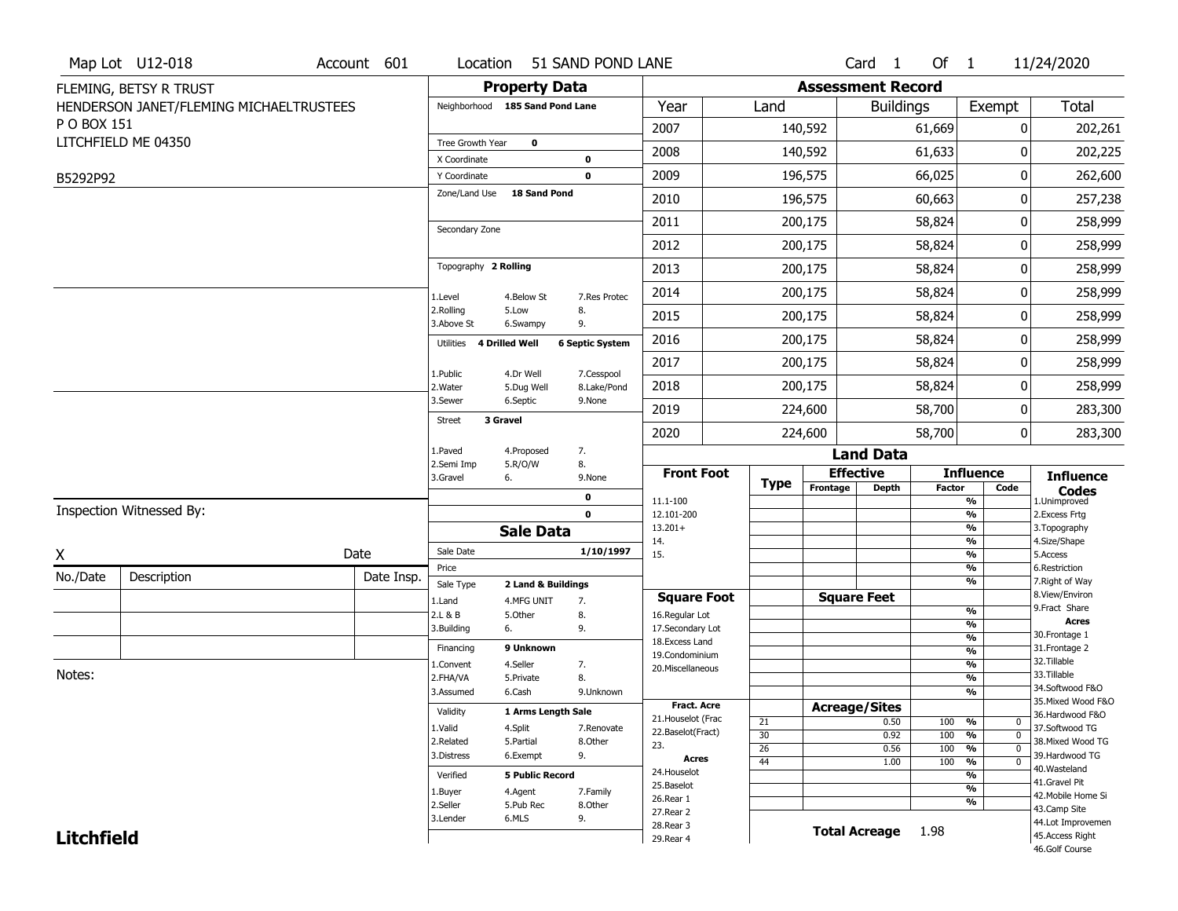|                   | Map Lot U12-018                         | Account 601 | Location                        |                        | 51 SAND POND LANE      |                                    |                 |                          | Card 1               | Of $1$        |                                | 11/24/2020                        |
|-------------------|-----------------------------------------|-------------|---------------------------------|------------------------|------------------------|------------------------------------|-----------------|--------------------------|----------------------|---------------|--------------------------------|-----------------------------------|
|                   | FLEMING, BETSY R TRUST                  |             |                                 | <b>Property Data</b>   |                        |                                    |                 | <b>Assessment Record</b> |                      |               |                                |                                   |
|                   | HENDERSON JANET/FLEMING MICHAELTRUSTEES |             | Neighborhood 185 Sand Pond Lane |                        |                        | Year                               | Land            |                          | <b>Buildings</b>     |               | Exempt                         | <b>Total</b>                      |
| P O BOX 151       |                                         |             |                                 |                        |                        | 2007                               |                 | 140,592                  |                      | 61,669        | 0                              | 202,261                           |
|                   | LITCHFIELD ME 04350                     |             | Tree Growth Year                | 0                      |                        | 2008                               |                 | 140,592                  |                      | 61,633        | 0                              | 202,225                           |
|                   |                                         |             | X Coordinate<br>Y Coordinate    |                        | 0<br>0                 | 2009                               |                 | 196,575                  |                      | 66,025        | 0                              | 262,600                           |
| B5292P92          |                                         |             | Zone/Land Use                   | <b>18 Sand Pond</b>    |                        |                                    |                 |                          |                      |               |                                |                                   |
|                   |                                         |             |                                 |                        |                        | 2010                               |                 | 196,575                  |                      | 60,663        | 0                              | 257,238                           |
|                   |                                         |             | Secondary Zone                  |                        |                        | 2011                               |                 | 200,175                  |                      | 58,824        | 0                              | 258,999                           |
|                   |                                         |             |                                 |                        |                        | 2012                               |                 | 200,175                  |                      | 58,824        | 0                              | 258,999                           |
|                   |                                         |             | Topography 2 Rolling            |                        |                        | 2013                               |                 | 200,175                  |                      | 58,824        | 0                              | 258,999                           |
|                   |                                         |             | 1.Level                         | 4.Below St             | 7.Res Protec           | 2014                               |                 | 200,175                  |                      | 58,824        | 0                              | 258,999                           |
|                   |                                         |             | 2.Rolling<br>3.Above St         | 5.Low<br>6.Swampy      | 8.<br>9.               | 2015                               |                 | 200,175                  |                      | 58,824        | 0                              | 258,999                           |
|                   |                                         |             | Utilities                       | <b>4 Drilled Well</b>  | <b>6 Septic System</b> | 2016                               |                 | 200,175                  |                      | 58,824        | 0                              | 258,999                           |
|                   |                                         |             | 1.Public                        | 4.Dr Well              | 7.Cesspool             | 2017                               |                 | 200,175                  |                      | 58,824        | 0                              | 258,999                           |
|                   |                                         |             | 2. Water                        | 5.Dug Well             | 8.Lake/Pond            | 2018                               |                 | 200,175                  |                      | 58,824        | 0                              | 258,999                           |
|                   |                                         |             | 3.Sewer                         | 6.Septic               | 9.None                 | 2019                               |                 | 224,600                  |                      | 58,700        | 0                              | 283,300                           |
|                   |                                         |             | 3 Gravel<br><b>Street</b>       |                        |                        | 2020                               |                 | 224,600                  |                      | 58,700        | 0                              | 283,300                           |
|                   |                                         |             | 1.Paved                         | 4.Proposed             | 7.                     |                                    |                 |                          | <b>Land Data</b>     |               |                                |                                   |
|                   |                                         |             | 2.Semi Imp<br>3.Gravel          | 5.R/O/W<br>6.          | 8.<br>9.None           | <b>Front Foot</b>                  |                 |                          | <b>Effective</b>     |               | <b>Influence</b>               | <b>Influence</b>                  |
|                   |                                         |             |                                 |                        | 0                      | 11.1-100                           | Type            | Frontage                 | <b>Depth</b>         | <b>Factor</b> | Code<br>$\frac{9}{6}$          | <b>Codes</b><br>1.Unimproved      |
|                   | Inspection Witnessed By:                |             |                                 |                        | $\mathbf 0$            | 12.101-200                         |                 |                          |                      |               | $\frac{9}{6}$                  | 2.Excess Frtg                     |
|                   |                                         |             |                                 | <b>Sale Data</b>       |                        | $13.201+$<br>14.                   |                 |                          |                      |               | $\frac{9}{6}$<br>$\frac{9}{6}$ | 3. Topography<br>4.Size/Shape     |
| X                 |                                         | Date        | Sale Date                       |                        | 1/10/1997              | 15.                                |                 |                          |                      |               | $\frac{9}{6}$                  | 5.Access                          |
| No./Date          | Description                             | Date Insp.  | Price<br>Sale Type              | 2 Land & Buildings     |                        |                                    |                 |                          |                      |               | $\frac{9}{6}$<br>%             | 6.Restriction<br>7. Right of Way  |
|                   |                                         |             | 1.Land                          | 4.MFG UNIT             | 7.                     | <b>Square Foot</b>                 |                 |                          | <b>Square Feet</b>   |               |                                | 8.View/Environ                    |
|                   |                                         |             | 2.L & B                         | 5.Other                | 8.                     | 16.Regular Lot                     |                 |                          |                      |               | $\frac{9}{6}$<br>$\frac{9}{6}$ | 9.Fract Share<br><b>Acres</b>     |
|                   |                                         |             | 3.Building                      | 6.                     | 9.                     | 17.Secondary Lot<br>18.Excess Land |                 |                          |                      |               | $\frac{9}{6}$                  | 30. Frontage 1                    |
|                   |                                         |             | Financing                       | 9 Unknown              |                        | 19.Condominium                     |                 |                          |                      |               | $\frac{9}{6}$                  | 31. Frontage 2                    |
| Notes:            |                                         |             | 1.Convent                       | 4.Seller               | 7.                     | 20. Miscellaneous                  |                 |                          |                      |               | $\frac{9}{6}$                  | 32. Tillable<br>33.Tillable       |
|                   |                                         |             | 2.FHA/VA                        | 5.Private              | 8.                     |                                    |                 |                          |                      |               | $\frac{9}{6}$<br>$\frac{1}{2}$ | 34.Softwood F&O                   |
|                   |                                         |             | 3.Assumed                       | 6.Cash                 | 9.Unknown              | <b>Fract. Acre</b>                 |                 |                          |                      |               |                                | 35. Mixed Wood F&O                |
|                   |                                         |             | Validity                        | 1 Arms Length Sale     |                        | 21. Houselot (Frac                 |                 |                          | <b>Acreage/Sites</b> | 100           | %<br>$\mathbf{0}$              | 36.Hardwood F&O                   |
|                   |                                         |             | 1.Valid                         | 4.Split                | 7.Renovate             | 22.Baselot(Fract)                  | 21<br>30        |                          | 0.50<br>0.92         | 100           | $\mathbf 0$<br>%               | 37.Softwood TG                    |
|                   |                                         |             | 2.Related                       | 5.Partial              | 8.Other                | 23.                                | $\overline{26}$ |                          | 0.56                 | 100           | $\overline{0}$<br>%            | 38. Mixed Wood TG                 |
|                   |                                         |             | 3.Distress                      | 6.Exempt               | 9.                     | Acres                              | 44              |                          | 1.00                 | 100           | $\overline{0}$<br>%            | 39.Hardwood TG                    |
|                   |                                         |             | Verified                        | <b>5 Public Record</b> |                        | 24. Houselot                       |                 |                          |                      |               | %                              | 40.Wasteland<br>41.Gravel Pit     |
|                   |                                         |             | 1.Buyer                         | 4.Agent                | 7.Family               | 25.Baselot                         |                 |                          |                      |               | $\frac{9}{6}$                  | 42. Mobile Home Si                |
|                   |                                         |             | 2.Seller                        | 5.Pub Rec              | 8.Other                | 26.Rear 1<br>27. Rear 2            |                 |                          |                      |               | %                              | 43.Camp Site                      |
|                   |                                         |             | 3.Lender                        | 6.MLS                  | 9.                     | 28. Rear 3                         |                 |                          |                      |               |                                | 44.Lot Improvemen                 |
| <b>Litchfield</b> |                                         |             |                                 |                        |                        | 29. Rear 4                         |                 |                          | <b>Total Acreage</b> | 1.98          |                                | 45.Access Right<br>46.Golf Course |
|                   |                                         |             |                                 |                        |                        |                                    |                 |                          |                      |               |                                |                                   |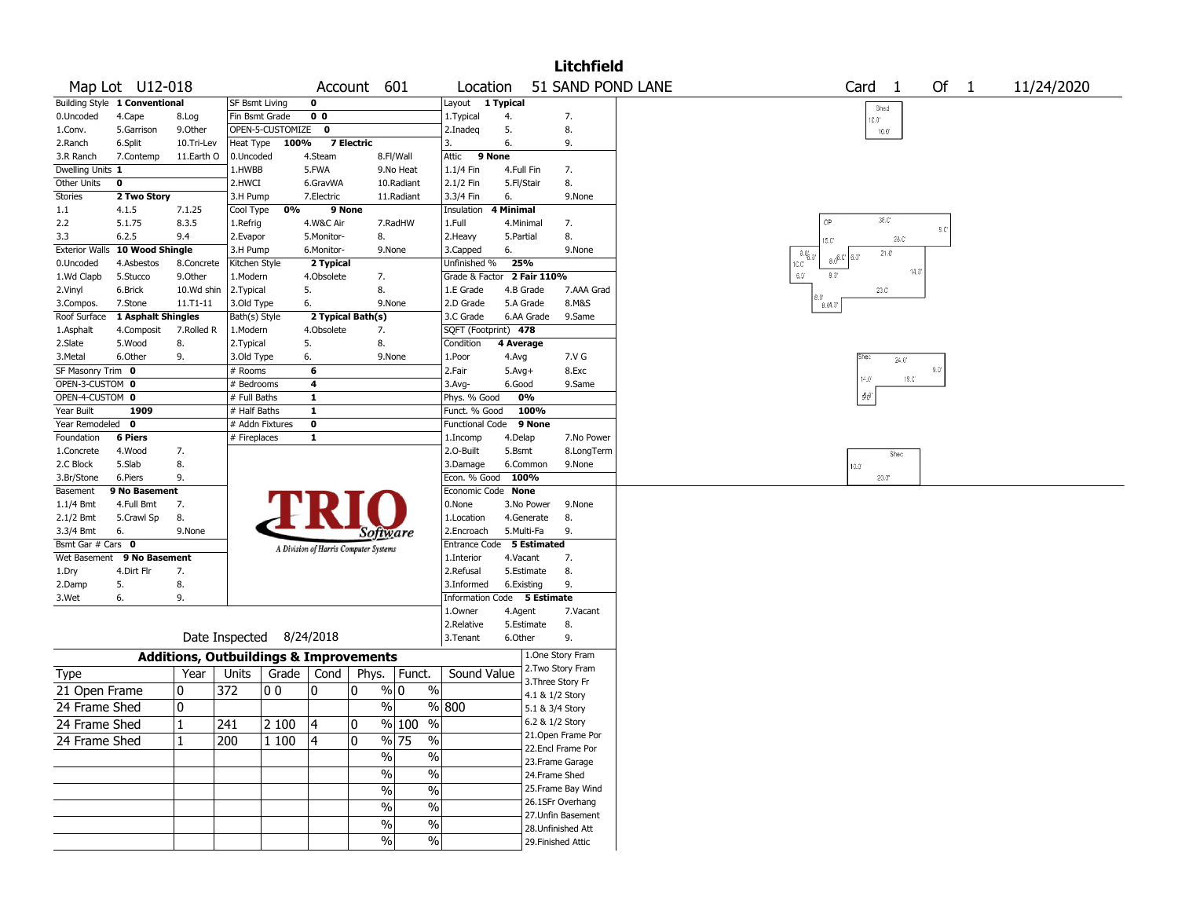|                       |                               |              |                       |                                                   |                |                                       |                                   |                             |                    |                    | <b>Litchfield</b>                     |                                     |                      |                |               |                         |            |  |
|-----------------------|-------------------------------|--------------|-----------------------|---------------------------------------------------|----------------|---------------------------------------|-----------------------------------|-----------------------------|--------------------|--------------------|---------------------------------------|-------------------------------------|----------------------|----------------|---------------|-------------------------|------------|--|
|                       | Map Lot U12-018               |              |                       |                                                   |                | Account 601                           |                                   | Location                    |                    |                    | 51 SAND POND LANE                     |                                     | Card 1               |                |               | Of $1$                  | 11/24/2020 |  |
|                       | Building Style 1 Conventional |              | SF Bsmt Living        |                                                   | 0              |                                       |                                   | Layout 1 Typical            |                    |                    |                                       |                                     | Shed                 |                |               |                         |            |  |
| 0.Uncoded             | 4.Cape                        | 8.Log        | Fin Bsmt Grade        |                                                   | 0 <sub>0</sub> |                                       |                                   | 1. Typical                  | 4.                 |                    | 7.                                    |                                     | 10.0°                |                |               |                         |            |  |
| 1.Conv.               | 5.Garrison                    | 9.0ther      |                       | OPEN-5-CUSTOMIZE                                  | $\mathbf{o}$   |                                       |                                   | 2.Inadeg                    | 5.                 |                    | 8.                                    |                                     | $10.0^{\circ}$       |                |               |                         |            |  |
| 2.Ranch               | 6.Split                       | 10.Tri-Lev   | Heat Type             | 100%                                              |                | 7 Electric                            |                                   | 3.                          | 6.                 |                    | 9.                                    |                                     |                      |                |               |                         |            |  |
| 3.R Ranch             | 7.Contemp                     | 11.Earth O   | 0.Uncoded             |                                                   | 4.Steam        |                                       | 8.Fl/Wall                         | 9 None<br>Attic             |                    |                    |                                       |                                     |                      |                |               |                         |            |  |
| Dwelling Units 1      |                               |              | 1.HWBB                |                                                   | 5.FWA          |                                       | 9.No Heat                         | 1.1/4 Fin                   | 4.Full Fin         |                    | 7.                                    |                                     |                      |                |               |                         |            |  |
| Other Units           | 0                             |              | 2.HWCI                |                                                   | 6.GravWA       |                                       | 10.Radiant                        | 2.1/2 Fin                   | 5.Fl/Stair         |                    | 8.                                    |                                     |                      |                |               |                         |            |  |
| Stories               | 2 Two Story                   |              | 3.H Pump              |                                                   | 7. Electric    |                                       | 11.Radiant                        | 3.3/4 Fin                   | 6.                 |                    | 9.None                                |                                     |                      |                |               |                         |            |  |
| 1.1                   | 4.1.5                         | 7.1.25       | Cool Type             | 0%                                                | 9 None         |                                       |                                   | Insulation                  | 4 Minimal          |                    |                                       |                                     | 36.C                 |                |               |                         |            |  |
| 2.2                   | 5.1.75                        | 8.3.5        | 1.Refrig              |                                                   | 4.W&C Air      |                                       | 7.RadHW                           | 1.Full                      | 4.Minimal          |                    | 7.                                    | OP                                  |                      |                |               | $\mathbb{S}.\mathbb{C}$ |            |  |
| 3.3                   | 6.2.5                         | 9.4          | 2.Evapor              |                                                   | 5.Monitor-     | 8.                                    |                                   | 2.Heavy                     | 5.Partial          |                    | 8.                                    | 15.C'                               |                      | 28.C           |               |                         |            |  |
| <b>Exterior Walls</b> | 10 Wood Shingle               |              | 3.H Pump              |                                                   | 6.Monitor-     | 9.None                                |                                   | 3.Capped                    | 6.                 |                    | 9.None                                | $-8.0^{o}_{6.0^{o}}$<br>$8.0^{6.0}$ | $21.0^{\circ}$<br>١M |                |               |                         |            |  |
| 0.Uncoded             | 4.Asbestos                    | 8.Concrete   | Kitchen Style         |                                                   | 2 Typical      |                                       |                                   | Unfinished %                | 25%                |                    |                                       | IC.C'<br>80                         |                      | $14.0^{\circ}$ |               |                         |            |  |
| 1.Wd Clapb            | 5.Stucco                      | 9.0ther      | 1.Modern              |                                                   | 4.Obsolete     | 7.                                    |                                   | Grade & Factor              |                    | 2 Fair 110%        |                                       | $6.0^\circ$                         |                      |                |               |                         |            |  |
| 2.Vinyl               | 6.Brick                       | 10.Wd shin   | 2. Typical            |                                                   | 5.             | 8.                                    |                                   | 1.E Grade                   |                    | 4.B Grade          | 7.AAA Grad                            | 0.8                                 | $23.0^\circ$         |                |               |                         |            |  |
| 3.Compos.             | 7.Stone                       | $11.71 - 11$ | 3.Old Type            |                                                   | 6.             | 9.None                                |                                   | 2.D Grade                   |                    | 5.A Grade          | 8.M&S                                 | 8.04.0                              |                      |                |               |                         |            |  |
| Roof Surface          | 1 Asphalt Shingles            |              | Bath(s) Style         |                                                   |                | 2 Typical Bath(s)                     |                                   | 3.C Grade                   |                    | 6.AA Grade         | 9.Same                                |                                     |                      |                |               |                         |            |  |
| 1.Asphalt             | 4.Composit                    | 7.Rolled R   | 1.Modern              |                                                   | 4.Obsolete     | 7.                                    |                                   | SQFT (Footprint) 478        |                    |                    |                                       |                                     |                      |                |               |                         |            |  |
| 2.Slate<br>3.Metal    | 5.Wood<br>6.Other             | 8.<br>9.     | 2.Typical             |                                                   | 5.<br>6.       | 8.<br>9.None                          |                                   | Condition<br>1.Poor         | 4 Average<br>4.Avg |                    | 7.V G                                 |                                     | Shec                 |                |               |                         |            |  |
| SF Masonry Trim 0     |                               |              | 3.Old Type<br># Rooms |                                                   | 6              |                                       |                                   | 2.Fair                      | $5.Avg+$           |                    | 8.Exc                                 |                                     |                      | $24.0^{\circ}$ | $9.0^{\circ}$ |                         |            |  |
| OPEN-3-CUSTOM 0       |                               |              | # Bedrooms            |                                                   | 4              |                                       |                                   | 3.Avg-                      | 6.Good             |                    | 9.Same                                |                                     | $14.0\,$             | $19.0^\circ$   |               |                         |            |  |
| OPEN-4-CUSTOM 0       |                               |              | # Full Baths          |                                                   | $\mathbf{1}$   |                                       |                                   | Phys. % Good                |                    | 0%                 |                                       |                                     | $\partial \theta$    |                |               |                         |            |  |
| Year Built            | 1909                          |              | # Half Baths          |                                                   | $\mathbf{1}$   |                                       |                                   | Funct. % Good               |                    | 100%               |                                       |                                     |                      |                |               |                         |            |  |
| Year Remodeled 0      |                               |              |                       | # Addn Fixtures                                   | $\mathbf 0$    |                                       |                                   | <b>Functional Code</b>      |                    | 9 None             |                                       |                                     |                      |                |               |                         |            |  |
| Foundation            | <b>6 Piers</b>                |              | # Fireplaces          |                                                   | 1              |                                       |                                   | 1.Incomp                    | 4.Delap            |                    | 7.No Power                            |                                     |                      |                |               |                         |            |  |
| 1.Concrete            | 4.Wood                        | 7.           |                       |                                                   |                |                                       |                                   | 2.O-Built                   | 5.Bsmt             |                    | 8.LongTerm                            |                                     |                      |                |               |                         |            |  |
| 2.C Block             | 5.Slab                        | 8.           |                       |                                                   |                |                                       |                                   | 3.Damage                    |                    | 6.Common           | 9.None                                |                                     | Shec<br>10.0         |                |               |                         |            |  |
| 3.Br/Stone            | 6.Piers                       | 9.           |                       |                                                   |                |                                       |                                   | Econ. % Good                | 100%               |                    |                                       |                                     | 20.0                 |                |               |                         |            |  |
| Basement              | 9 No Basement                 |              |                       |                                                   |                |                                       |                                   | Economic Code None          |                    |                    |                                       |                                     |                      |                |               |                         |            |  |
| $1.1/4$ Bmt           | 4.Full Bmt                    | 7.           |                       |                                                   |                |                                       |                                   | 0.None                      |                    | 3.No Power         | 9.None                                |                                     |                      |                |               |                         |            |  |
| 2.1/2 Bmt             | 5.Crawl Sp                    | 8.           |                       |                                                   |                |                                       |                                   | 1.Location                  |                    | 4.Generate         | 8.                                    |                                     |                      |                |               |                         |            |  |
| 3.3/4 Bmt             | 6.                            | 9.None       |                       |                                                   |                | Software                              |                                   | 2.Encroach                  |                    | 5.Multi-Fa         | 9.                                    |                                     |                      |                |               |                         |            |  |
| Bsmt Gar # Cars 0     |                               |              |                       |                                                   |                | A Division of Harris Computer Systems |                                   | Entrance Code               |                    | <b>5 Estimated</b> |                                       |                                     |                      |                |               |                         |            |  |
| Wet Basement          | 9 No Basement                 |              |                       |                                                   |                |                                       |                                   | 1.Interior                  | 4.Vacant           |                    | 7.                                    |                                     |                      |                |               |                         |            |  |
| 1.Dry                 | 4.Dirt Flr                    | 7.           |                       |                                                   |                |                                       |                                   | 2.Refusal                   |                    | 5.Estimate         | 8.                                    |                                     |                      |                |               |                         |            |  |
| 2.Damp                | 5.                            | 8.           |                       |                                                   |                |                                       |                                   | 3.Informed                  | 6.Existing         |                    | 9.                                    |                                     |                      |                |               |                         |            |  |
| 3.Wet                 | 6.                            | 9.           |                       |                                                   |                |                                       |                                   | Information Code 5 Estimate |                    |                    |                                       |                                     |                      |                |               |                         |            |  |
|                       |                               |              |                       |                                                   |                |                                       |                                   | 1.0wner                     | 4.Agent            |                    | 7.Vacant                              |                                     |                      |                |               |                         |            |  |
|                       |                               |              |                       |                                                   |                |                                       |                                   | 2.Relative                  |                    | 5.Estimate         | 8.                                    |                                     |                      |                |               |                         |            |  |
|                       |                               |              |                       | Date Inspected 8/24/2018                          |                |                                       |                                   | 3.Tenant                    | 6.Other            |                    | 9.                                    |                                     |                      |                |               |                         |            |  |
|                       |                               |              |                       | <b>Additions, Outbuildings &amp; Improvements</b> |                |                                       |                                   |                             |                    |                    | 1.One Story Fram<br>2. Two Story Fram |                                     |                      |                |               |                         |            |  |
| Type                  |                               | Year         | Units                 | Grade   Cond                                      |                | Phys.                                 | Funct.                            | Sound Value                 |                    |                    | 3. Three Story Fr                     |                                     |                      |                |               |                         |            |  |
| 21 Open Frame         |                               | 10           | 372                   | 00                                                | 10             | 0<br>% 0                              | $\%$                              |                             |                    |                    | 4.1 & 1/2 Story                       |                                     |                      |                |               |                         |            |  |
| 24 Frame Shed         |                               | 10           |                       |                                                   |                | $\frac{0}{0}$                         |                                   | $\sqrt{96}$  800            |                    |                    | 5.1 & 3/4 Story                       |                                     |                      |                |               |                         |            |  |
|                       |                               | $\mathbf 1$  |                       |                                                   |                |                                       | % 100 %                           |                             |                    |                    | 6.2 & 1/2 Story                       |                                     |                      |                |               |                         |            |  |
| 24 Frame Shed         |                               |              | 241                   | 2 100  4                                          |                | 0                                     |                                   |                             |                    |                    | 21. Open Frame Por                    |                                     |                      |                |               |                         |            |  |
| 24 Frame Shed         |                               | 11           | 200                   | $ 1\,100$                                         | 4              | 0                                     | $\frac{9}{6}$ 75<br>$\frac{0}{0}$ |                             |                    |                    | 22.Encl Frame Por                     |                                     |                      |                |               |                         |            |  |
|                       |                               |              |                       |                                                   |                | $\%$                                  | %                                 |                             |                    |                    | 23. Frame Garage                      |                                     |                      |                |               |                         |            |  |
|                       |                               |              |                       |                                                   |                | $\%$                                  | $\%$                              |                             |                    |                    | 24.Frame Shed                         |                                     |                      |                |               |                         |            |  |
|                       |                               |              |                       |                                                   |                | $\%$                                  | $\overline{\frac{0}{0}}$          |                             |                    |                    | 25. Frame Bay Wind                    |                                     |                      |                |               |                         |            |  |
|                       |                               |              |                       |                                                   |                |                                       |                                   |                             |                    |                    | 26.1SFr Overhang                      |                                     |                      |                |               |                         |            |  |
|                       |                               |              |                       |                                                   |                | %                                     | $\overline{\frac{0}{0}}$          |                             |                    |                    | 27.Unfin Basement                     |                                     |                      |                |               |                         |            |  |
|                       |                               |              |                       |                                                   |                | $\%$                                  | $\overline{\frac{0}{0}}$          |                             |                    |                    | 28. Unfinished Att                    |                                     |                      |                |               |                         |            |  |
|                       |                               |              |                       |                                                   |                | %                                     | $\%$                              |                             |                    |                    | 29. Finished Attic                    |                                     |                      |                |               |                         |            |  |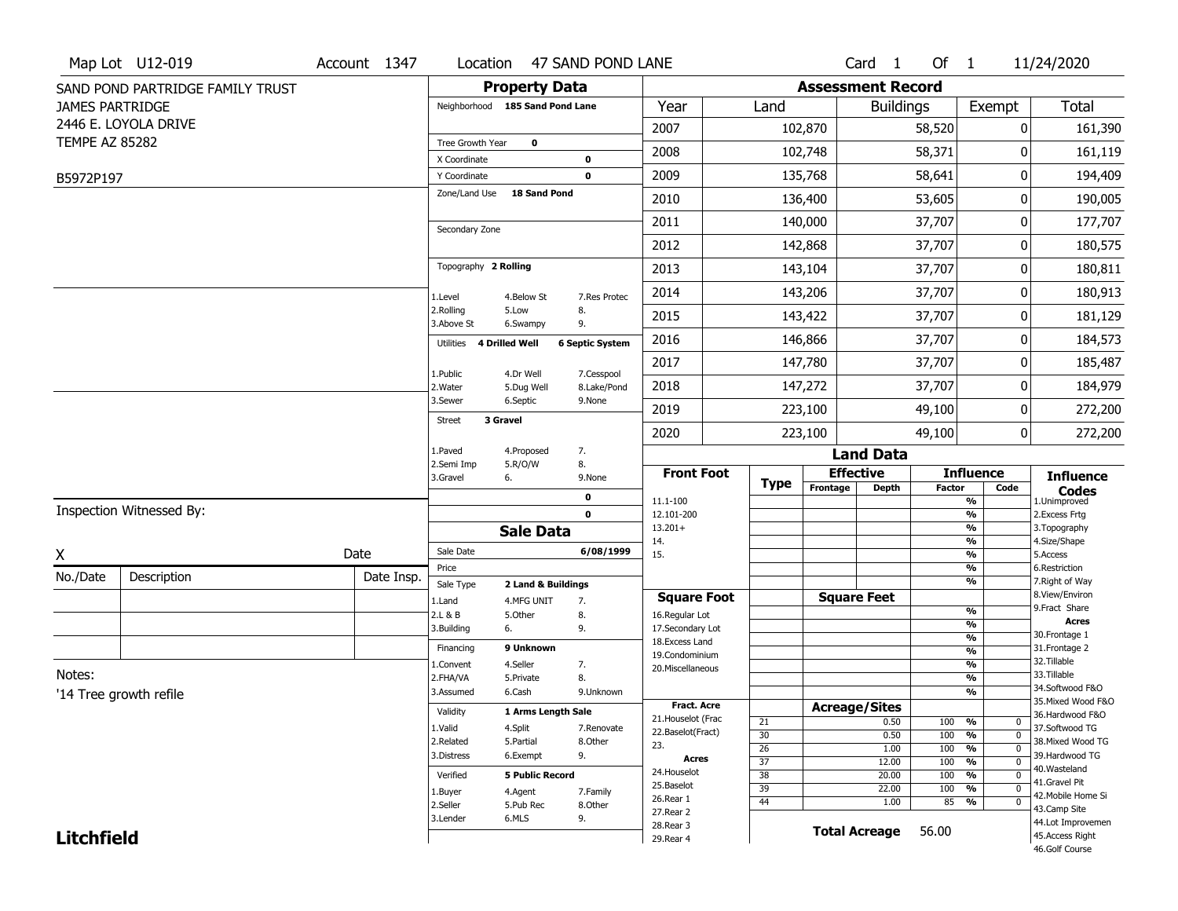|                        | Map Lot U12-019                  | Account 1347 |                                 |                                  | Location 47 SAND POND LANE |                                    |                 |                          | Card <sub>1</sub>    | Of $1$        |                                         | 11/24/2020                            |
|------------------------|----------------------------------|--------------|---------------------------------|----------------------------------|----------------------------|------------------------------------|-----------------|--------------------------|----------------------|---------------|-----------------------------------------|---------------------------------------|
|                        | SAND POND PARTRIDGE FAMILY TRUST |              |                                 | <b>Property Data</b>             |                            |                                    |                 | <b>Assessment Record</b> |                      |               |                                         |                                       |
| <b>JAMES PARTRIDGE</b> |                                  |              | Neighborhood 185 Sand Pond Lane |                                  |                            | Year                               | Land            |                          | <b>Buildings</b>     |               | Exempt                                  | Total                                 |
|                        | 2446 E. LOYOLA DRIVE             |              |                                 |                                  |                            | 2007                               |                 | 102,870                  |                      | 58,520        | 0                                       | 161,390                               |
| <b>TEMPE AZ 85282</b>  |                                  |              | Tree Growth Year                | 0                                |                            | 2008                               |                 | 102,748                  |                      | 58,371        |                                         | 161,119                               |
| B5972P197              |                                  |              | X Coordinate<br>Y Coordinate    |                                  | 0<br>$\mathbf 0$           | 2009                               |                 | 135,768                  |                      | 58,641        | 0                                       | 194,409                               |
|                        |                                  |              | Zone/Land Use                   | 18 Sand Pond                     |                            | 2010                               |                 | 136,400                  |                      | 53,605        | 0                                       | 190,005                               |
|                        |                                  |              |                                 |                                  |                            |                                    |                 |                          |                      |               |                                         |                                       |
|                        |                                  |              | Secondary Zone                  |                                  |                            | 2011                               |                 | 140,000                  |                      | 37,707        | 0                                       | 177,707                               |
|                        |                                  |              |                                 |                                  |                            | 2012                               |                 | 142,868                  |                      | 37,707        | 0                                       | 180,575                               |
|                        |                                  |              | Topography 2 Rolling            |                                  |                            | 2013                               |                 | 143,104                  |                      | 37,707        | 0                                       | 180,811                               |
|                        |                                  |              | 1.Level                         | 4.Below St                       | 7.Res Protec               | 2014                               |                 | 143,206                  |                      | 37,707        | 0                                       | 180,913                               |
|                        |                                  |              | 2.Rolling<br>3.Above St         | 5.Low<br>6.Swampy                | 8.<br>9.                   | 2015                               |                 | 143,422                  |                      | 37,707        | 0                                       | 181,129                               |
|                        |                                  |              | Utilities<br>4 Drilled Well     |                                  | <b>6 Septic System</b>     | 2016                               |                 | 146,866                  |                      | 37,707        | 0                                       | 184,573                               |
|                        |                                  |              |                                 |                                  | 7.Cesspool                 | 2017                               |                 | 147,780                  |                      | 37,707        | 0                                       | 185,487                               |
|                        |                                  |              | 1.Public<br>2. Water            | 4.Dr Well<br>5.Dug Well          | 8.Lake/Pond                | 2018                               |                 | 147,272                  |                      | 37,707        | 0                                       | 184,979                               |
|                        |                                  |              | 3.Sewer                         | 6.Septic                         | 9.None                     | 2019                               |                 | 223,100                  |                      | 49,100        | 0                                       | 272,200                               |
|                        |                                  |              | 3 Gravel<br>Street              |                                  |                            | 2020                               |                 | 223,100                  |                      | 49,100        | 0                                       | 272,200                               |
|                        |                                  |              | 1.Paved                         | 4.Proposed                       | 7.                         |                                    |                 |                          | <b>Land Data</b>     |               |                                         |                                       |
|                        |                                  |              | 2.Semi Imp<br>3.Gravel          | 5.R/O/W<br>6.                    | 8.<br>9.None               | <b>Front Foot</b>                  |                 |                          | <b>Effective</b>     |               | <b>Influence</b>                        | <b>Influence</b>                      |
|                        |                                  |              |                                 |                                  | 0                          | 11.1-100                           | <b>Type</b>     | Frontage                 | <b>Depth</b>         | <b>Factor</b> | Code<br>%                               | <b>Codes</b><br>1.Unimproved          |
|                        | Inspection Witnessed By:         |              |                                 |                                  | $\mathbf 0$                | 12.101-200                         |                 |                          |                      |               | $\frac{9}{6}$                           | 2. Excess Frtg                        |
|                        |                                  |              |                                 | <b>Sale Data</b>                 |                            | $13.201+$<br>14.                   |                 |                          |                      |               | $\frac{9}{6}$<br>%                      | 3. Topography<br>4.Size/Shape         |
| X                      |                                  | Date         | Sale Date                       |                                  | 6/08/1999                  | 15.                                |                 |                          |                      |               | $\overline{\frac{9}{6}}$                | 5.Access                              |
| No./Date               | Description                      | Date Insp.   | Price                           |                                  |                            |                                    |                 |                          |                      |               | $\frac{9}{6}$<br>%                      | 6.Restriction<br>7. Right of Way      |
|                        |                                  |              | Sale Type<br>1.Land             | 2 Land & Buildings<br>4.MFG UNIT | 7.                         | <b>Square Foot</b>                 |                 |                          | <b>Square Feet</b>   |               |                                         | 8.View/Environ                        |
|                        |                                  |              | 2.L & B                         | 5.0ther                          | 8.                         | 16.Regular Lot                     |                 |                          |                      |               | $\frac{9}{6}$                           | 9.Fract Share                         |
|                        |                                  |              | 3.Building                      | 6.                               | 9.                         | 17.Secondary Lot                   |                 |                          |                      |               | $\frac{9}{6}$                           | <b>Acres</b><br>30. Frontage 1        |
|                        |                                  |              | Financing                       | 9 Unknown                        |                            | 18. Excess Land                    |                 |                          |                      |               | $\frac{9}{6}$<br>$\frac{9}{6}$          | 31. Frontage 2                        |
|                        |                                  |              | 1.Convent                       | 4.Seller                         | 7.                         | 19.Condominium<br>20.Miscellaneous |                 |                          |                      |               | $\frac{9}{6}$                           | 32. Tillable                          |
| Notes:                 |                                  |              | 2.FHA/VA                        | 5.Private                        | 8.                         |                                    |                 |                          |                      |               | $\frac{9}{6}$                           | 33.Tillable                           |
|                        | '14 Tree growth refile           |              | 3.Assumed                       | 6.Cash                           | 9.Unknown                  |                                    |                 |                          |                      |               | $\overline{\frac{9}{6}}$                | 34.Softwood F&O                       |
|                        |                                  |              | Validity                        | 1 Arms Length Sale               |                            | <b>Fract. Acre</b>                 |                 |                          | <b>Acreage/Sites</b> |               |                                         | 35. Mixed Wood F&O<br>36.Hardwood F&O |
|                        |                                  |              | 1.Valid                         | 4.Split                          | 7.Renovate                 | 21. Houselot (Frac                 | 21              |                          | 0.50                 | 100           | %<br>$\bf{0}$                           | 37.Softwood TG                        |
|                        |                                  |              | 2.Related                       | 5.Partial                        | 8.Other                    | 22.Baselot(Fract)<br>23.           | 30              |                          | 0.50                 | 100           | %<br>$\mathbf 0$                        | 38. Mixed Wood TG                     |
|                        |                                  |              | 3.Distress                      | 6.Exempt                         | 9.                         | Acres                              | 26              |                          | 1.00                 | 100           | $\overline{0}$<br>%                     | 39.Hardwood TG                        |
|                        |                                  |              |                                 |                                  |                            |                                    | $\overline{37}$ |                          | 12.00<br>20.00       | 100<br>100    | $\overline{0}$<br>%<br>%<br>$\mathbf 0$ | 40. Wasteland                         |
|                        |                                  |              |                                 |                                  |                            |                                    |                 |                          |                      |               |                                         |                                       |
|                        |                                  |              | Verified                        | <b>5 Public Record</b>           |                            | 24. Houselot<br>25.Baselot         | 38              |                          |                      |               |                                         | 41.Gravel Pit                         |
|                        |                                  |              | 1.Buyer                         | 4.Agent                          | 7.Family                   | 26.Rear 1                          | 39              |                          | 22.00                | 100           | %<br>$\mathbf 0$<br>$\mathbf 0$         | 42. Mobile Home Si                    |
|                        |                                  |              | 2.Seller                        | 5.Pub Rec                        | 8.Other                    | 27. Rear 2                         | 44              |                          | 1.00                 | 85            | %                                       | 43.Camp Site                          |
| <b>Litchfield</b>      |                                  |              | 3.Lender                        | 6.MLS                            | 9.                         | 28. Rear 3<br>29. Rear 4           |                 |                          | <b>Total Acreage</b> | 56.00         |                                         | 44.Lot Improvemen<br>45.Access Right  |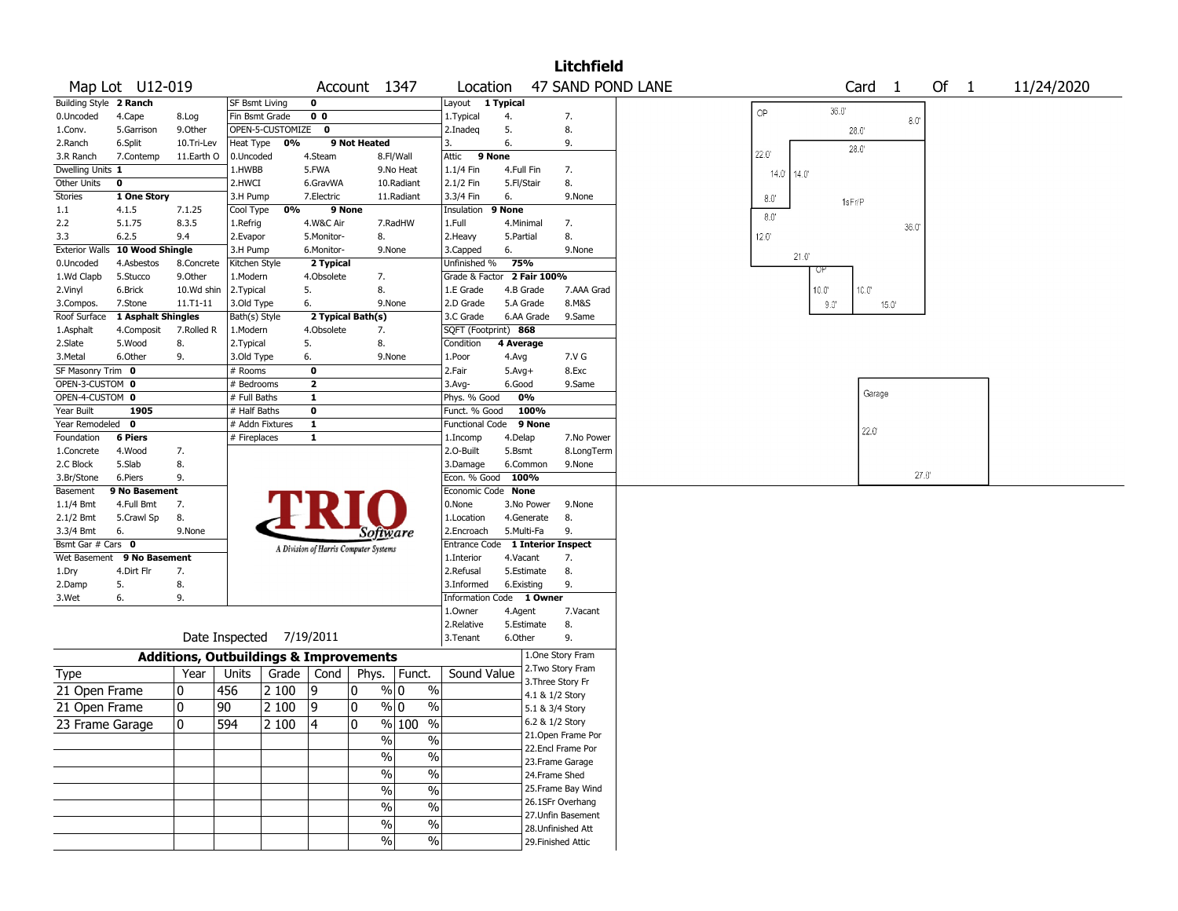|                        |                    |                                                   |                       |                          |                         |                                       |                          |                                  |            |                 | <b>Litchfield</b>  |                |              |                |                   |                |        |  |            |  |
|------------------------|--------------------|---------------------------------------------------|-----------------------|--------------------------|-------------------------|---------------------------------------|--------------------------|----------------------------------|------------|-----------------|--------------------|----------------|--------------|----------------|-------------------|----------------|--------|--|------------|--|
|                        | Map Lot U12-019    |                                                   |                       |                          |                         | Account 1347                          |                          | Location                         |            |                 | 47 SAND POND LANE  |                |              |                | Card <sub>1</sub> |                | Of $1$ |  | 11/24/2020 |  |
| Building Style 2 Ranch |                    |                                                   | <b>SF Bsmt Living</b> |                          | 0                       |                                       |                          | Layout                           | 1 Typical  |                 |                    |                |              |                |                   |                |        |  |            |  |
| 0.Uncoded              | 4.Cape             | 8.Log                                             | Fin Bsmt Grade        |                          | 0 <sub>0</sub>          |                                       |                          | 1.Typical                        | 4.         |                 | 7.                 | OP             | 36.0         |                |                   | $8.0^\circ$    |        |  |            |  |
| 1.Conv.                | 5.Garrison         | 9.Other                                           |                       | OPEN-5-CUSTOMIZE 0       |                         |                                       |                          | 2.Inadeq                         | 5.         |                 | 8.                 |                |              | 28.0           |                   |                |        |  |            |  |
| 2.Ranch                | 6.Split            | 10.Tri-Lev                                        | Heat Type             | 0%                       |                         | 9 Not Heated                          |                          | 3.                               | 6.         |                 | 9.                 |                |              | 28.0           |                   |                |        |  |            |  |
| 3.R Ranch              | 7.Contemp          | 11.Earth O                                        | 0.Uncoded             |                          | 4.Steam                 |                                       | 8.Fl/Wall                | Attic<br>9 None                  |            |                 |                    | $22.0^\circ$   |              |                |                   |                |        |  |            |  |
| Dwelling Units 1       |                    |                                                   | 1.HWBB                |                          | 5.FWA                   |                                       | 9.No Heat                | 1.1/4 Fin                        | 4.Full Fin |                 | 7.                 | $14.0^{\circ}$ | 14.0         |                |                   |                |        |  |            |  |
| Other Units            | 0                  |                                                   | 2.HWCI                |                          | 6.GravWA                |                                       | 10.Radiant               | 2.1/2 Fin                        | 5.Fl/Stair |                 | 8.                 |                |              |                |                   |                |        |  |            |  |
| Stories                | 1 One Story        |                                                   | 3.H Pump              |                          | 7.Electric              |                                       | 11.Radiant               | 3.3/4 Fin                        | 6.         |                 | 9.None             | $8.0^\circ$    |              | 1sFr/P         |                   |                |        |  |            |  |
| 1.1                    | 4.1.5              | 7.1.25                                            | Cool Type             | 0%                       | 9 None                  |                                       |                          | Insulation                       | 9 None     |                 |                    | $8.0^\circ$    |              |                |                   |                |        |  |            |  |
| 2.2                    | 5.1.75             | 8.3.5                                             | 1.Refrig              |                          | 4.W&C Air               |                                       | 7.RadHW                  | 1.Full                           | 4.Minimal  |                 | 7.                 |                |              |                |                   | 36.0           |        |  |            |  |
| 3.3                    | 6.2.5              | 9.4                                               | 2.Evapor              |                          | 5.Monitor-              | 8.                                    |                          | 2.Heavy                          | 5.Partial  |                 | 8.                 | $12.0^{\circ}$ |              |                |                   |                |        |  |            |  |
| <b>Exterior Walls</b>  | 10 Wood Shingle    |                                                   | 3.H Pump              |                          | 6.Monitor-              | 9.None                                |                          | 3.Capped                         | 6.         |                 | 9.None             |                |              |                |                   |                |        |  |            |  |
| 0.Uncoded              | 4.Asbestos         | 8.Concrete                                        | Kitchen Style         |                          | 2 Typical               |                                       |                          | Unfinished %                     | 75%        |                 |                    |                | 21.0"        |                |                   |                |        |  |            |  |
| 1.Wd Clapb             | 5.Stucco           | 9.0ther                                           | 1.Modern              |                          | 4.Obsolete              | 7.                                    |                          | Grade & Factor 2 Fair 100%       |            |                 |                    |                | Uł           |                |                   |                |        |  |            |  |
| 2.Vinyl                | 6.Brick            | 10.Wd shin                                        | 2.Typical             |                          | 5.                      | 8.                                    |                          | 1.E Grade                        | 4.B Grade  |                 | 7.AAA Grad         |                | $10.0^\circ$ | 10.0"          |                   |                |        |  |            |  |
| 3.Compos.              | 7.Stone            | $11. T1 - 11$                                     | 3.Old Type            |                          | 6.                      | 9.None                                |                          | 2.D Grade                        | 5.A Grade  |                 | 8.M&S              |                | 9.0"         |                | 15.0 <sup>°</sup> |                |        |  |            |  |
| Roof Surface           | 1 Asphalt Shingles |                                                   | Bath(s) Style         |                          |                         | 2 Typical Bath(s)                     |                          | 3.C Grade                        |            | 6.AA Grade      | 9.Same             |                |              |                |                   |                |        |  |            |  |
| 1.Asphalt              | 4.Composit         | 7.Rolled R                                        | 1.Modern              |                          | 4.Obsolete              | 7.                                    |                          | SQFT (Footprint) 868             |            |                 |                    |                |              |                |                   |                |        |  |            |  |
| 2.Slate                | 5.Wood             | 8.                                                | 2. Typical            |                          | 5.                      | 8.                                    |                          | Condition                        | 4 Average  |                 |                    |                |              |                |                   |                |        |  |            |  |
| 3.Metal                | 6.Other            | 9.                                                | 3.Old Type            |                          | 6.                      | 9.None                                |                          | 1.Poor                           | 4.Avg      |                 | 7.V G              |                |              |                |                   |                |        |  |            |  |
| SF Masonry Trim 0      |                    |                                                   | # Rooms               |                          | $\mathbf 0$             |                                       |                          | 2.Fair                           | $5.Avg+$   |                 | 8.Exc              |                |              |                |                   |                |        |  |            |  |
| OPEN-3-CUSTOM 0        |                    |                                                   | # Bedrooms            |                          | $\overline{2}$          |                                       |                          | 3.Avg-                           | 6.Good     |                 | 9.Same             |                |              |                |                   |                |        |  |            |  |
| OPEN-4-CUSTOM 0        |                    |                                                   | # Full Baths          |                          | $\mathbf{1}$            |                                       |                          | Phys. % Good                     |            | 0%              |                    |                |              |                | Garage            |                |        |  |            |  |
| Year Built             | 1905               |                                                   | # Half Baths          |                          | $\overline{\mathbf{0}}$ |                                       |                          | Funct. % Good                    |            | 100%            |                    |                |              |                |                   |                |        |  |            |  |
| Year Remodeled         | $\mathbf{0}$       |                                                   | # Addn Fixtures       |                          | $\mathbf{1}$            |                                       |                          | Functional Code                  |            | 9 None          |                    |                |              |                |                   |                |        |  |            |  |
| Foundation             | <b>6 Piers</b>     |                                                   | # Fireplaces          |                          | $\mathbf{1}$            |                                       |                          | 1.Incomp                         | 4.Delap    |                 | 7.No Power         |                |              | $22.0^{\circ}$ |                   |                |        |  |            |  |
| 1.Concrete             | 4.Wood             | 7.                                                |                       |                          |                         |                                       |                          | 2.O-Built                        | 5.Bsmt     |                 | 8.LongTerm         |                |              |                |                   |                |        |  |            |  |
| 2.C Block              | 5.Slab             | 8.                                                |                       |                          |                         |                                       |                          | 3.Damage                         |            | 6.Common        | 9.None             |                |              |                |                   |                |        |  |            |  |
| 3.Br/Stone             | 6.Piers            | 9.                                                |                       |                          |                         |                                       |                          | Econ. % Good                     | 100%       |                 |                    |                |              |                |                   | $27.0^{\circ}$ |        |  |            |  |
| Basement               | 9 No Basement      |                                                   |                       |                          |                         |                                       |                          | Economic Code None               |            |                 |                    |                |              |                |                   |                |        |  |            |  |
| 1.1/4 Bmt              | 4.Full Bmt         | 7.                                                |                       |                          |                         |                                       |                          | 0.None                           |            | 3.No Power      | 9.None             |                |              |                |                   |                |        |  |            |  |
| 2.1/2 Bmt              | 5.Crawl Sp         | 8.                                                |                       |                          |                         |                                       |                          | 1.Location                       |            | 4.Generate      | 8.                 |                |              |                |                   |                |        |  |            |  |
| 3.3/4 Bmt              | 6.                 | 9.None                                            |                       |                          |                         | <i>Software</i>                       |                          | 2.Encroach                       | 5.Multi-Fa |                 | 9.                 |                |              |                |                   |                |        |  |            |  |
| Bsmt Gar # Cars 0      |                    |                                                   |                       |                          |                         |                                       |                          | Entrance Code 1 Interior Inspect |            |                 |                    |                |              |                |                   |                |        |  |            |  |
| Wet Basement           | 9 No Basement      |                                                   |                       |                          |                         | A Division of Harris Computer Systems |                          | 1.Interior                       | 4.Vacant   |                 | 7.                 |                |              |                |                   |                |        |  |            |  |
| 1.Dry                  | 4.Dirt Flr         | 7.                                                |                       |                          |                         |                                       |                          | 2.Refusal                        |            | 5.Estimate      | 8.                 |                |              |                |                   |                |        |  |            |  |
| 2.Damp                 | 5.                 | 8.                                                |                       |                          |                         |                                       |                          | 3.Informed                       | 6.Existing |                 | 9.                 |                |              |                |                   |                |        |  |            |  |
| 3.Wet                  | 6.                 | 9.                                                |                       |                          |                         |                                       |                          | Information Code                 |            | 1 Owner         |                    |                |              |                |                   |                |        |  |            |  |
|                        |                    |                                                   |                       |                          |                         |                                       |                          | 1.Owner                          | 4.Agent    |                 | 7.Vacant           |                |              |                |                   |                |        |  |            |  |
|                        |                    |                                                   |                       |                          |                         |                                       |                          | 2.Relative                       |            | 5.Estimate      | 8.                 |                |              |                |                   |                |        |  |            |  |
|                        |                    |                                                   |                       | Date Inspected 7/19/2011 |                         |                                       |                          | 3.Tenant                         | 6.Other    |                 | 9.                 |                |              |                |                   |                |        |  |            |  |
|                        |                    | <b>Additions, Outbuildings &amp; Improvements</b> |                       |                          |                         |                                       |                          |                                  |            |                 | 1.One Story Fram   |                |              |                |                   |                |        |  |            |  |
| Type                   |                    | Year                                              | Units                 | Grade                    | Cond                    | Phys.                                 | Funct.                   | Sound Value                      |            |                 | 2. Two Story Fram  |                |              |                |                   |                |        |  |            |  |
| 21 Open Frame          |                    | 0                                                 | 456                   | 2 100                    | 9                       | $\frac{9}{0}$ 0<br>0                  | $\%$                     |                                  |            |                 | 3. Three Story Fr  |                |              |                |                   |                |        |  |            |  |
| 21 Open Frame          |                    | 0                                                 | 90                    | 2 100                    | 9                       | 0<br>% 0                              | $\frac{0}{0}$            |                                  |            | 4.1 & 1/2 Story |                    |                |              |                |                   |                |        |  |            |  |
|                        |                    |                                                   |                       |                          |                         |                                       |                          |                                  |            | 5.1 & 3/4 Story |                    |                |              |                |                   |                |        |  |            |  |
| 23 Frame Garage        |                    | $\overline{\mathbf{0}}$                           | 594                   | 2100                     | $\sqrt{4}$              | $\overline{\mathbf{0}}$               | $\frac{9}{6}$ 100 %      |                                  |            | 6.2 & 1/2 Story |                    |                |              |                |                   |                |        |  |            |  |
|                        |                    |                                                   |                       |                          |                         | $\frac{0}{0}$                         | $\frac{0}{0}$            |                                  |            |                 | 21.Open Frame Por  |                |              |                |                   |                |        |  |            |  |
|                        |                    |                                                   |                       |                          |                         | $\%$                                  | $\%$                     |                                  |            |                 | 22.Encl Frame Por  |                |              |                |                   |                |        |  |            |  |
|                        |                    |                                                   |                       |                          |                         |                                       |                          |                                  |            |                 | 23. Frame Garage   |                |              |                |                   |                |        |  |            |  |
|                        |                    |                                                   |                       |                          |                         | $\frac{0}{0}$                         | $\%$                     |                                  |            | 24.Frame Shed   |                    |                |              |                |                   |                |        |  |            |  |
|                        |                    |                                                   |                       |                          |                         | $\sqrt{6}$                            | $\overline{\frac{0}{0}}$ |                                  |            |                 | 25. Frame Bay Wind |                |              |                |                   |                |        |  |            |  |
|                        |                    |                                                   |                       |                          |                         | $\sqrt{6}$                            | $\overline{\frac{0}{0}}$ |                                  |            |                 | 26.1SFr Overhang   |                |              |                |                   |                |        |  |            |  |
|                        |                    |                                                   |                       |                          |                         | $\sqrt{6}$                            | $\overline{\frac{0}{6}}$ |                                  |            |                 | 27.Unfin Basement  |                |              |                |                   |                |        |  |            |  |
|                        |                    |                                                   |                       |                          |                         | $\frac{1}{2}$                         |                          |                                  |            |                 | 28. Unfinished Att |                |              |                |                   |                |        |  |            |  |
|                        |                    |                                                   |                       |                          |                         |                                       | $\%$                     |                                  |            |                 | 29. Finished Attic |                |              |                |                   |                |        |  |            |  |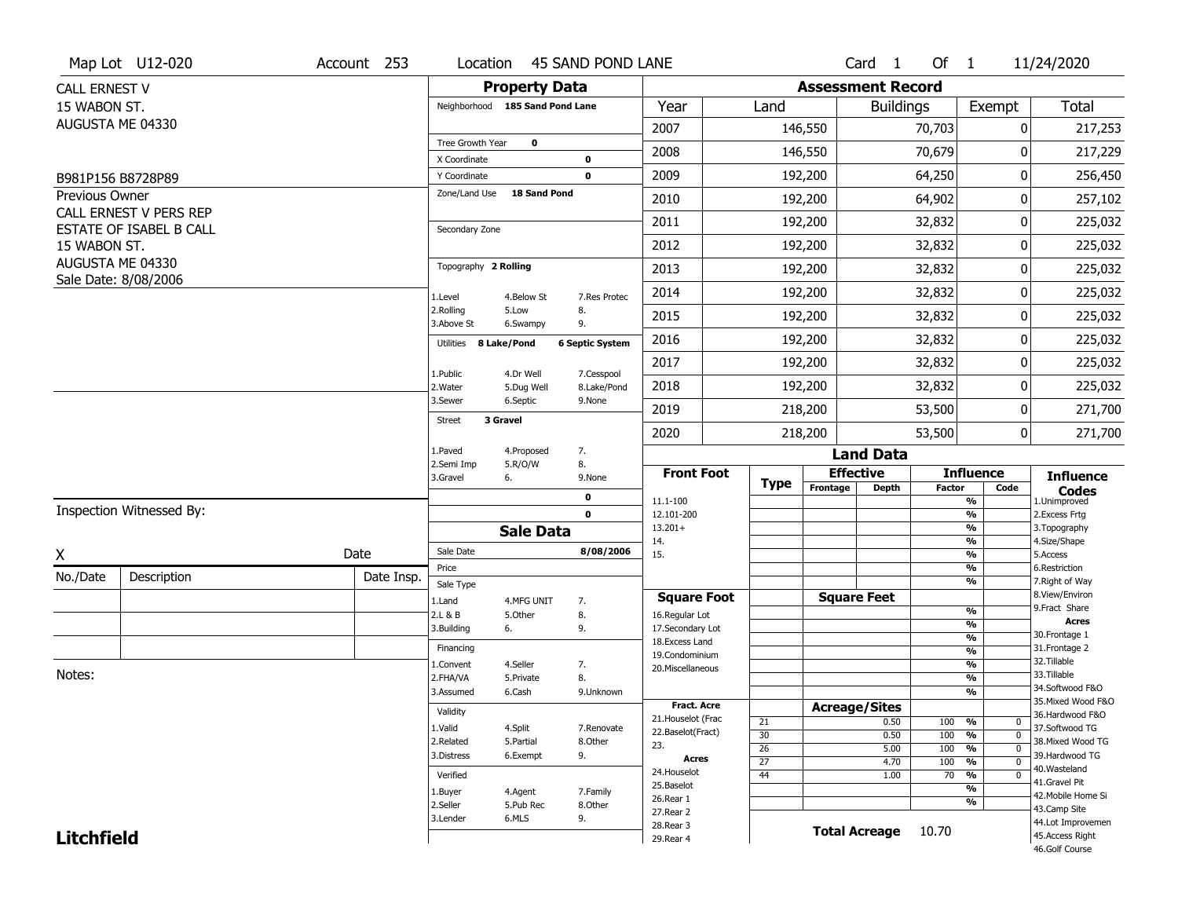|                   | Map Lot U12-020          | Account 253 | Location                        |                      | 45 SAND POND LANE      |                                     |                 |                          | Card <sub>1</sub>            | Of $1$        |                                       | 11/24/2020                        |
|-------------------|--------------------------|-------------|---------------------------------|----------------------|------------------------|-------------------------------------|-----------------|--------------------------|------------------------------|---------------|---------------------------------------|-----------------------------------|
| CALL ERNEST V     |                          |             |                                 | <b>Property Data</b> |                        |                                     |                 | <b>Assessment Record</b> |                              |               |                                       |                                   |
| 15 WABON ST.      |                          |             | Neighborhood 185 Sand Pond Lane |                      |                        | Year                                | Land            |                          | <b>Buildings</b>             |               | Exempt                                | Total                             |
|                   | AUGUSTA ME 04330         |             |                                 |                      |                        | 2007                                |                 | 146,550                  |                              | 70,703        | 0                                     | 217,253                           |
|                   |                          |             | Tree Growth Year                | $\mathbf 0$          |                        | 2008                                |                 | 146,550                  |                              | 70,679        | 0                                     | 217,229                           |
|                   | B981P156 B8728P89        |             | X Coordinate<br>Y Coordinate    |                      | 0<br>$\mathbf 0$       | 2009                                |                 | 192,200                  |                              | 64,250        | 0                                     | 256,450                           |
| Previous Owner    |                          |             | Zone/Land Use                   | <b>18 Sand Pond</b>  |                        | 2010                                |                 | 192,200                  |                              | 64,902        | 0                                     | 257,102                           |
|                   | CALL ERNEST V PERS REP   |             |                                 |                      |                        | 2011                                |                 | 192,200                  |                              | 32,832        | 0                                     |                                   |
|                   | ESTATE OF ISABEL B CALL  |             | Secondary Zone                  |                      |                        |                                     |                 |                          |                              |               |                                       | 225,032                           |
| 15 WABON ST.      | AUGUSTA ME 04330         |             |                                 |                      |                        | 2012                                |                 | 192,200                  |                              | 32,832        | 0                                     | 225,032                           |
|                   | Sale Date: 8/08/2006     |             | Topography 2 Rolling            |                      |                        | 2013                                |                 | 192,200                  |                              | 32,832        | 0                                     | 225,032                           |
|                   |                          |             | 1.Level                         | 4.Below St           | 7.Res Protec           | 2014                                |                 | 192,200                  |                              | 32,832        | 0                                     | 225,032                           |
|                   |                          |             | 2.Rolling<br>3.Above St         | 5.Low<br>6.Swampy    | 8.<br>9.               | 2015                                |                 | 192,200                  |                              | 32,832        | 0                                     | 225,032                           |
|                   |                          |             | Utilities 8 Lake/Pond           |                      | <b>6 Septic System</b> | 2016                                |                 | 192,200                  |                              | 32,832        | 0                                     | 225,032                           |
|                   |                          |             | 1.Public                        | 4.Dr Well            | 7.Cesspool             | 2017                                |                 | 192,200                  |                              | 32,832        | 0                                     | 225,032                           |
|                   |                          |             | 2. Water                        | 5.Dug Well           | 8.Lake/Pond            | 2018                                |                 | 192,200                  |                              | 32,832        | 0                                     | 225,032                           |
|                   |                          |             | 3.Sewer                         | 6.Septic             | 9.None                 | 2019                                |                 | 218,200                  |                              | 53,500        | 0                                     | 271,700                           |
|                   |                          |             | 3 Gravel<br><b>Street</b>       |                      |                        | 2020                                |                 | 218,200                  |                              | 53,500        | $\overline{0}$                        | 271,700                           |
|                   |                          |             | 1.Paved                         | 4.Proposed           | 7.                     |                                     |                 |                          | <b>Land Data</b>             |               |                                       |                                   |
|                   |                          |             | 2.Semi Imp<br>3.Gravel          | 5.R/O/W<br>6.        | 8.<br>9.None           | <b>Front Foot</b>                   |                 |                          | <b>Effective</b>             |               | <b>Influence</b>                      | <b>Influence</b>                  |
|                   |                          |             |                                 |                      | 0                      | 11.1-100                            | <b>Type</b>     | Frontage                 | <b>Depth</b>                 | <b>Factor</b> | Code<br>%                             | <b>Codes</b><br>1.Unimproved      |
|                   | Inspection Witnessed By: |             |                                 |                      | $\mathbf 0$            | 12.101-200                          |                 |                          |                              |               | $\frac{9}{6}$                         | 2. Excess Frtg                    |
|                   |                          |             |                                 | <b>Sale Data</b>     |                        | $13.201+$<br>14.                    |                 |                          |                              |               | %<br>%                                | 3. Topography<br>4.Size/Shape     |
| X                 |                          | Date        | Sale Date                       |                      | 8/08/2006              | 15.                                 |                 |                          |                              |               | %                                     | 5.Access                          |
| No./Date          | Description              | Date Insp.  | Price<br>Sale Type              |                      |                        |                                     |                 |                          |                              |               | %<br>%                                | 6.Restriction<br>7. Right of Way  |
|                   |                          |             | 1.Land                          | 4.MFG UNIT           | 7.                     | <b>Square Foot</b>                  |                 |                          | <b>Square Feet</b>           |               |                                       | 8.View/Environ                    |
|                   |                          |             | 2.L & B                         | 5.Other              | 8.                     | 16.Regular Lot                      |                 |                          |                              |               | %<br>$\overline{\frac{9}{6}}$         | 9.Fract Share<br><b>Acres</b>     |
|                   |                          |             | 3.Building                      | 6.                   | 9.                     | 17.Secondary Lot<br>18. Excess Land |                 |                          |                              |               | $\frac{9}{6}$                         | 30.Frontage 1                     |
|                   |                          |             | Financing                       |                      |                        | 19.Condominium                      |                 |                          |                              |               | $\frac{9}{6}$                         | 31. Frontage 2                    |
| Notes:            |                          |             | 1.Convent                       | 4.Seller             | 7.                     | 20.Miscellaneous                    |                 |                          |                              |               | $\frac{9}{6}$                         | 32.Tillable<br>33.Tillable        |
|                   |                          |             | 2.FHA/VA                        | 5.Private            | 8.                     |                                     |                 |                          |                              |               | $\overline{\frac{9}{6}}$              | 34.Softwood F&O                   |
|                   |                          |             | 3.Assumed                       | 6.Cash               | 9.Unknown              | <b>Fract. Acre</b>                  |                 |                          |                              |               | $\overline{\frac{9}{6}}$              | 35. Mixed Wood F&O                |
|                   |                          |             | Validity                        |                      |                        | 21. Houselot (Frac                  | 21              |                          | <b>Acreage/Sites</b><br>0.50 |               | $\mathbf 0$                           | 36.Hardwood F&O                   |
|                   |                          |             | 1.Valid                         | 4.Split              | 7.Renovate             | 22.Baselot(Fract)                   | 30              |                          | 0.50                         | 100<br>100    | %<br>%<br>$\mathbf 0$                 | 37.Softwood TG                    |
|                   |                          |             | 2.Related                       | 5.Partial            | 8.Other                | 23.                                 | $\overline{26}$ |                          | 5.00                         | 100           | $\frac{9}{6}$<br>$\mathbf 0$          | 38. Mixed Wood TG                 |
|                   |                          |             | 3.Distress                      | 6.Exempt             | 9.                     | <b>Acres</b>                        | $\overline{27}$ |                          | 4.70                         | 100           | $\frac{9}{6}$<br>0                    | 39.Hardwood TG                    |
|                   |                          |             | Verified                        |                      |                        | 24. Houselot                        | 44              |                          | 1.00                         | 70            | %<br>$\boldsymbol{0}$                 | 40. Wasteland<br>41.Gravel Pit    |
|                   |                          |             | 1.Buyer                         | 4.Agent              | 7.Family               | 25.Baselot<br>26.Rear 1             |                 |                          |                              |               | $\overline{\mathcal{C}_{\mathbf{0}}}$ | 42. Mobile Home Si                |
|                   |                          |             | 2.Seller                        | 5.Pub Rec            | 8.Other                | 27.Rear 2                           |                 |                          |                              |               | %                                     | 43.Camp Site                      |
|                   |                          |             | 3.Lender                        | 6.MLS                | 9.                     | 28. Rear 3                          |                 |                          | <b>Total Acreage</b>         | 10.70         |                                       | 44.Lot Improvemen                 |
| <b>Litchfield</b> |                          |             |                                 |                      |                        | 29. Rear 4                          |                 |                          |                              |               |                                       | 45.Access Right<br>46.Golf Course |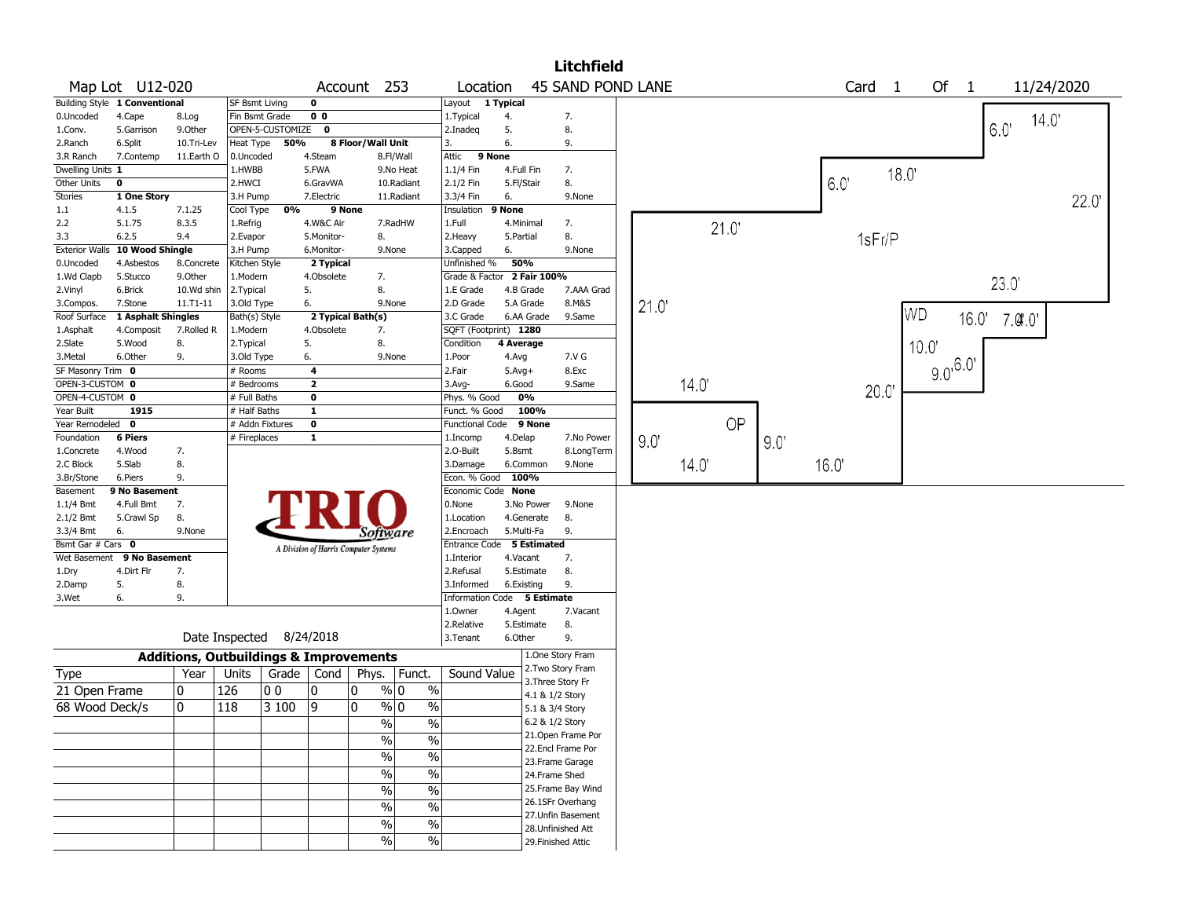|                          |                               |                                                   |                          |                  |                         |                                       |               |                               |            |                 | <b>Litchfield</b>  |      |      |           |     |      |                   |            |                    |       |            |      |  |
|--------------------------|-------------------------------|---------------------------------------------------|--------------------------|------------------|-------------------------|---------------------------------------|---------------|-------------------------------|------------|-----------------|--------------------|------|------|-----------|-----|------|-------------------|------------|--------------------|-------|------------|------|--|
|                          | Map Lot U12-020               |                                                   |                          |                  | Account                 |                                       | 253           | Location                      |            |                 | 45 SAND POND LANE  |      |      |           |     |      | Card <sub>1</sub> |            | Of<br>$\mathbf{1}$ |       | 11/24/2020 |      |  |
|                          | Building Style 1 Conventional |                                                   | SF Bsmt Living           |                  | 0                       |                                       |               | Layout 1 Typical              |            |                 |                    |      |      |           |     |      |                   |            |                    |       |            |      |  |
| 0.Uncoded                | 4.Cape                        | 8.Log                                             | Fin Bsmt Grade           |                  | 0 <sub>0</sub>          |                                       |               | 1.Typical                     | 4.         |                 | 7.                 |      |      |           |     |      |                   |            |                    |       | 14.0       |      |  |
| 1.Conv.                  | 5.Garrison                    | 9.Other                                           |                          | OPEN-5-CUSTOMIZE | $\mathbf{o}$            |                                       |               | 2.Inadeg                      | 5.         |                 | 8.                 |      |      |           |     |      |                   |            |                    | 6.0   |            |      |  |
| 2.Ranch                  | 6.Split                       | 10.Tri-Lev                                        | Heat Type                | 50%              |                         | 8 Floor/Wall Unit                     |               | 3.                            | 6.         |                 | 9.                 |      |      |           |     |      |                   |            |                    |       |            |      |  |
| 3.R Ranch                | 7.Contemp                     | 11.Earth O                                        | 0.Uncoded                |                  | 4.Steam                 |                                       | 8.Fl/Wall     | Attic                         | 9 None     |                 |                    |      |      |           |     |      |                   |            |                    |       |            |      |  |
| Dwelling Units 1         |                               |                                                   | 1.HWBB                   |                  | 5.FWA                   |                                       | 9.No Heat     | 1.1/4 Fin                     | 4.Full Fin |                 | 7.                 |      |      |           |     |      |                   | 18.0       |                    |       |            |      |  |
| Other Units              | $\mathbf 0$                   |                                                   | 2.HWCI                   |                  | 6.GravWA                |                                       | 10.Radiant    | 2.1/2 Fin                     | 5.Fl/Stair |                 | 8.                 |      |      |           |     | 6.0' |                   |            |                    |       |            |      |  |
| <b>Stories</b>           | 1 One Story                   |                                                   | 3.H Pump                 |                  | 7.Electric              |                                       | 11.Radiant    | 3.3/4 Fin                     | 6.         |                 | 9.None             |      |      |           |     |      |                   |            |                    |       |            |      |  |
| 1.1                      | 4.1.5                         | 7.1.25                                            | Cool Type                | 0%               |                         | 9 None                                |               | Insulation                    | 9 None     |                 |                    |      |      |           |     |      |                   |            |                    |       |            | 22.0 |  |
| 2.2                      | 5.1.75                        | 8.3.5                                             | 1.Refrig                 |                  | 4.W&C Air               |                                       | 7.RadHW       | 1.Full                        | 4.Minimal  |                 | 7.                 |      |      |           |     |      |                   |            |                    |       |            |      |  |
| 3.3                      | 6.2.5                         | 9.4                                               | 2.Evapor                 |                  | 5.Monitor-              | 8.                                    |               | 2. Heavy                      | 5.Partial  |                 | 8.                 |      |      | 21.0      |     |      | 1sFr/P            |            |                    |       |            |      |  |
| <b>Exterior Walls</b>    | 10 Wood Shingle               |                                                   | 3.H Pump                 |                  | 6.Monitor-              | 9.None                                |               | 3.Capped                      | 6.         |                 | 9.None             |      |      |           |     |      |                   |            |                    |       |            |      |  |
| 0.Uncoded                | 4.Asbestos                    | 8.Concrete                                        | Kitchen Style            |                  | 2 Typical               |                                       |               | Unfinished %                  | 50%        |                 |                    |      |      |           |     |      |                   |            |                    |       |            |      |  |
| 1.Wd Clapb               | 5.Stucco                      | 9.Other                                           | 1.Modern                 |                  | 4.Obsolete              | 7.                                    |               | Grade & Factor 2 Fair 100%    |            |                 |                    |      |      |           |     |      |                   |            |                    |       |            |      |  |
|                          | 6.Brick                       |                                                   |                          |                  | 5.                      | 8.                                    |               |                               |            | 4.B Grade       | 7.AAA Grad         |      |      |           |     |      |                   |            |                    |       | 23.0       |      |  |
| 2.Vinyl                  |                               | 10.Wd shin                                        | 2. Typical               |                  | 6.                      |                                       |               | 1.E Grade<br>2.D Grade        |            | 5.A Grade       | 8.M&S              |      |      |           |     |      |                   |            |                    |       |            |      |  |
| 3.Compos.                | 7.Stone                       | $11. T1 - 11$                                     | 3.Old Type               |                  |                         | 9.None                                |               |                               |            |                 | 9.Same             | 21.0 |      |           |     |      |                   | <b>IWD</b> |                    |       |            |      |  |
| Roof Surface             | 1 Asphalt Shingles            |                                                   | Bath(s) Style            |                  |                         | 2 Typical Bath(s)                     |               | 3.C Grade                     |            | 6.AA Grade      |                    |      |      |           |     |      |                   |            |                    | 16.0' | 7.01.0     |      |  |
| 1.Asphalt                | 4.Composit                    | 7.Rolled R                                        | 1.Modern                 |                  | 4.Obsolete              | 7.                                    |               | SQFT (Footprint) 1280         |            |                 |                    |      |      |           |     |      |                   |            |                    |       |            |      |  |
| 2.Slate                  | 5.Wood                        | 8.                                                | 2. Typical               |                  | 5.                      | 8.                                    |               | Condition                     | 4 Average  |                 |                    |      |      |           |     |      |                   | 10.0       |                    |       |            |      |  |
| 3.Metal                  | 6.Other                       | 9.                                                | 3.Old Type               |                  | 6.                      | 9.None                                |               | 1.Poor                        | 4.Avg      |                 | 7.V G              |      |      |           |     |      |                   |            |                    |       |            |      |  |
| SF Masonry Trim 0        |                               |                                                   | # Rooms                  |                  | 4                       |                                       |               | 2.Fair                        | $5.Avg+$   |                 | 8.Exc              |      |      |           |     |      |                   |            | $9.0^{6.0}$        |       |            |      |  |
| OPEN-3-CUSTOM 0          |                               |                                                   | # Bedrooms               |                  | $\overline{2}$          |                                       |               | 3.Avg-                        | 6.Good     |                 | 9.Same             |      | 14.0 |           |     |      | 20.0              |            |                    |       |            |      |  |
| OPEN-4-CUSTOM 0          |                               |                                                   | # Full Baths             |                  | 0                       |                                       |               | Phys. % Good                  |            | 0%              |                    |      |      |           |     |      |                   |            |                    |       |            |      |  |
| Year Built               | 1915                          |                                                   | # Half Baths             |                  | $\overline{\mathbf{1}}$ |                                       |               | Funct. % Good                 |            | 100%            |                    |      |      | <b>OP</b> |     |      |                   |            |                    |       |            |      |  |
| Year Remodeled 0         |                               |                                                   | # Addn Fixtures          |                  | $\mathbf 0$             |                                       |               | <b>Functional Code</b>        |            | 9 None          |                    |      |      |           |     |      |                   |            |                    |       |            |      |  |
| Foundation               | 6 Piers                       |                                                   | # Fireplaces             |                  | $\mathbf{1}$            |                                       |               | 1.Incomp                      | 4.Delap    |                 | 7.No Power         | 9.0  |      |           | 9.0 |      |                   |            |                    |       |            |      |  |
| 1.Concrete               | 4.Wood<br>5.Slab              | 7.<br>8.                                          |                          |                  |                         |                                       |               | 2.O-Built                     | 5.Bsmt     |                 | 8.LongTerm         |      |      |           |     |      |                   |            |                    |       |            |      |  |
| 2.C Block<br>3.Br/Stone  | 6.Piers                       | 9.                                                |                          |                  |                         |                                       |               | 3.Damage<br>Econ. % Good 100% |            | 6.Common        | 9.None             |      | 14.0 |           |     | 16.0 |                   |            |                    |       |            |      |  |
|                          | 9 No Basement                 |                                                   |                          |                  |                         |                                       |               | Economic Code None            |            |                 |                    |      |      |           |     |      |                   |            |                    |       |            |      |  |
| Basement                 | 4.Full Bmt                    | 7.                                                |                          |                  |                         |                                       |               | 0.None                        |            | 3.No Power      | 9.None             |      |      |           |     |      |                   |            |                    |       |            |      |  |
| $1.1/4$ Bmt<br>2.1/2 Bmt | 5.Crawl Sp                    | 8.                                                |                          |                  |                         |                                       |               | 1.Location                    |            | 4.Generate      | 8.                 |      |      |           |     |      |                   |            |                    |       |            |      |  |
| 3.3/4 Bmt                | 6.                            | 9.None                                            |                          |                  |                         |                                       |               | 2.Encroach                    |            | 5.Multi-Fa      | 9.                 |      |      |           |     |      |                   |            |                    |       |            |      |  |
| Bsmt Gar # Cars 0        |                               |                                                   |                          |                  |                         | Software                              |               | Entrance Code 5 Estimated     |            |                 |                    |      |      |           |     |      |                   |            |                    |       |            |      |  |
|                          | Wet Basement 9 No Basement    |                                                   |                          |                  |                         | A Division of Harris Computer Systems |               | 1.Interior                    | 4.Vacant   |                 | 7.                 |      |      |           |     |      |                   |            |                    |       |            |      |  |
| 1.Dry                    | 4.Dirt Flr                    | 7.                                                |                          |                  |                         |                                       |               | 2.Refusal                     |            | 5.Estimate      | 8.                 |      |      |           |     |      |                   |            |                    |       |            |      |  |
| 2.Damp                   | 5.                            | 8.                                                |                          |                  |                         |                                       |               | 3.Informed                    |            | 6.Existing      | 9.                 |      |      |           |     |      |                   |            |                    |       |            |      |  |
| 3.Wet                    | 6.                            | 9.                                                |                          |                  |                         |                                       |               | Information Code 5 Estimate   |            |                 |                    |      |      |           |     |      |                   |            |                    |       |            |      |  |
|                          |                               |                                                   |                          |                  |                         |                                       |               | 1.Owner                       | 4.Agent    |                 | 7.Vacant           |      |      |           |     |      |                   |            |                    |       |            |      |  |
|                          |                               |                                                   |                          |                  |                         |                                       |               | 2.Relative                    |            | 5.Estimate      | 8.                 |      |      |           |     |      |                   |            |                    |       |            |      |  |
|                          |                               |                                                   | Date Inspected 8/24/2018 |                  |                         |                                       |               | 3. Tenant                     | 6.Other    |                 | 9.                 |      |      |           |     |      |                   |            |                    |       |            |      |  |
|                          |                               | <b>Additions, Outbuildings &amp; Improvements</b> |                          |                  |                         |                                       |               |                               |            |                 | 1.One Story Fram   |      |      |           |     |      |                   |            |                    |       |            |      |  |
| Type                     |                               | Year                                              | Units                    |                  | Grade $ $ Cond $ $      | Phys.                                 | Funct.        | Sound Value                   |            |                 | 2. Two Story Fram  |      |      |           |     |      |                   |            |                    |       |            |      |  |
| 21 Open Frame            |                               | 10                                                | 126                      | 0 <sub>0</sub>   | 0                       | 0                                     | % 0<br>$\%$   |                               |            |                 | 3. Three Story Fr  |      |      |           |     |      |                   |            |                    |       |            |      |  |
|                          |                               |                                                   |                          |                  |                         |                                       |               |                               |            | 4.1 & 1/2 Story |                    |      |      |           |     |      |                   |            |                    |       |            |      |  |
| 68 Wood Deck/s           |                               | 0                                                 | 118                      | 3 100            | 9                       | $\mathbf{0}$                          | $\%$<br>% 0   |                               |            | 5.1 & 3/4 Story |                    |      |      |           |     |      |                   |            |                    |       |            |      |  |
|                          |                               |                                                   |                          |                  |                         | $\%$                                  | $\frac{9}{0}$ |                               |            | 6.2 & 1/2 Story |                    |      |      |           |     |      |                   |            |                    |       |            |      |  |
|                          |                               |                                                   |                          |                  |                         | $\frac{0}{0}$                         | $\frac{0}{0}$ |                               |            |                 | 21.Open Frame Por  |      |      |           |     |      |                   |            |                    |       |            |      |  |
|                          |                               |                                                   |                          |                  |                         | $\frac{0}{0}$                         | $\%$          |                               |            |                 | 22.Encl Frame Por  |      |      |           |     |      |                   |            |                    |       |            |      |  |
|                          |                               |                                                   |                          |                  |                         | $\frac{0}{0}$                         | $\frac{1}{2}$ |                               |            |                 | 23. Frame Garage   |      |      |           |     |      |                   |            |                    |       |            |      |  |
|                          |                               |                                                   |                          |                  |                         |                                       |               |                               |            | 24.Frame Shed   | 25. Frame Bay Wind |      |      |           |     |      |                   |            |                    |       |            |      |  |
|                          |                               |                                                   |                          |                  |                         | $\frac{0}{0}$                         | $\frac{1}{2}$ |                               |            |                 | 26.1SFr Overhang   |      |      |           |     |      |                   |            |                    |       |            |      |  |
|                          |                               |                                                   |                          |                  |                         | $\frac{0}{0}$                         | $\frac{0}{6}$ |                               |            |                 | 27.Unfin Basement  |      |      |           |     |      |                   |            |                    |       |            |      |  |
|                          |                               |                                                   |                          |                  |                         | $\%$                                  | $\frac{1}{2}$ |                               |            |                 | 28. Unfinished Att |      |      |           |     |      |                   |            |                    |       |            |      |  |
|                          |                               |                                                   |                          |                  |                         | $\frac{0}{0}$                         | $\frac{1}{2}$ |                               |            |                 | 29. Finished Attic |      |      |           |     |      |                   |            |                    |       |            |      |  |
|                          |                               |                                                   |                          |                  |                         |                                       |               |                               |            |                 |                    |      |      |           |     |      |                   |            |                    |       |            |      |  |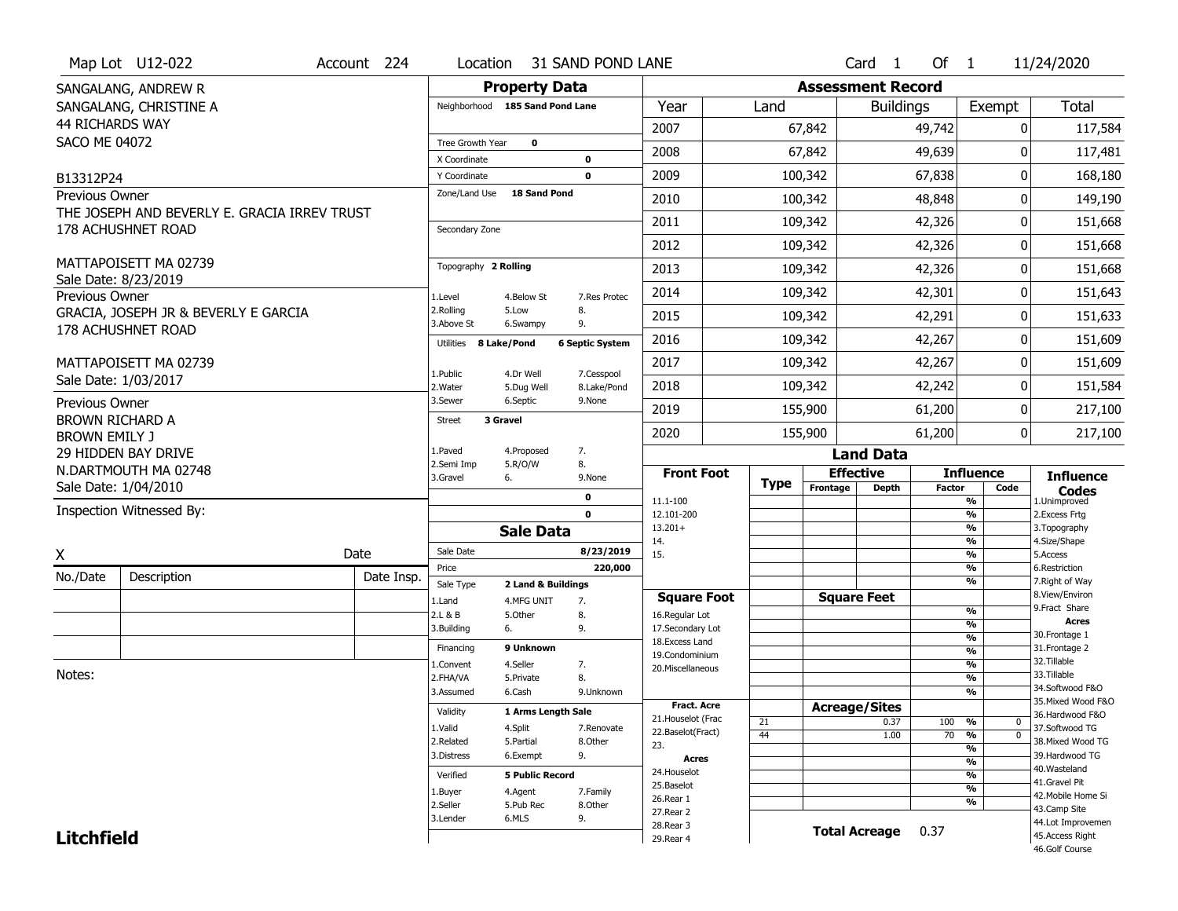|                                                | Map Lot U12-022                              | Account 224 | Location                      |                                 | 31 SAND POND LANE      |                                          |             |                          | Card <sub>1</sub>    | Of 1          |                                                      | 11/24/2020                            |
|------------------------------------------------|----------------------------------------------|-------------|-------------------------------|---------------------------------|------------------------|------------------------------------------|-------------|--------------------------|----------------------|---------------|------------------------------------------------------|---------------------------------------|
|                                                | SANGALANG, ANDREW R                          |             |                               | <b>Property Data</b>            |                        |                                          |             | <b>Assessment Record</b> |                      |               |                                                      |                                       |
|                                                | SANGALANG, CHRISTINE A                       |             |                               | Neighborhood 185 Sand Pond Lane |                        | Year                                     | Land        |                          | <b>Buildings</b>     |               | Exempt                                               | <b>Total</b>                          |
| <b>44 RICHARDS WAY</b>                         |                                              |             |                               |                                 |                        | 2007                                     |             | 67,842                   |                      | 49,742        | 0                                                    | 117,584                               |
| <b>SACO ME 04072</b>                           |                                              |             | Tree Growth Year              | $\mathbf 0$                     |                        | 2008                                     |             | 67,842                   |                      | 49,639        | U                                                    | 117,481                               |
|                                                |                                              |             | X Coordinate                  |                                 | $\mathbf 0$            |                                          |             |                          |                      |               |                                                      |                                       |
| B13312P24                                      |                                              |             | Y Coordinate<br>Zone/Land Use | <b>18 Sand Pond</b>             | $\mathbf 0$            | 2009                                     |             | 100,342                  |                      | 67,838        | 0                                                    | 168,180                               |
| <b>Previous Owner</b>                          | THE JOSEPH AND BEVERLY E. GRACIA IRREV TRUST |             |                               |                                 |                        | 2010                                     |             | 100,342                  |                      | 48,848        | 0                                                    | 149,190                               |
|                                                | 178 ACHUSHNET ROAD                           |             | Secondary Zone                |                                 |                        | 2011                                     |             | 109,342                  |                      | 42,326        | 0                                                    | 151,668                               |
|                                                |                                              |             |                               |                                 |                        | 2012                                     |             | 109,342                  |                      | 42,326        | 0                                                    | 151,668                               |
|                                                | MATTAPOISETT MA 02739                        |             | Topography 2 Rolling          |                                 |                        | 2013                                     |             | 109,342                  |                      | 42,326        | 0                                                    | 151,668                               |
|                                                | Sale Date: 8/23/2019                         |             |                               |                                 |                        | 2014                                     |             | 109,342                  |                      | 42,301        | 0                                                    | 151,643                               |
| Previous Owner                                 | GRACIA, JOSEPH JR & BEVERLY E GARCIA         |             | 1.Level<br>2.Rolling          | 4.Below St<br>5.Low             | 7.Res Protec<br>8.     |                                          |             |                          |                      |               |                                                      |                                       |
|                                                | 178 ACHUSHNET ROAD                           |             | 3.Above St                    | 6.Swampy                        | 9.                     | 2015                                     |             | 109,342                  |                      | 42,291        | 0                                                    | 151,633                               |
|                                                |                                              |             | Utilities 8 Lake/Pond         |                                 | <b>6 Septic System</b> | 2016                                     |             | 109,342                  |                      | 42,267        | 0                                                    | 151,609                               |
|                                                | MATTAPOISETT MA 02739                        |             | 1.Public                      | 4.Dr Well                       | 7.Cesspool             | 2017                                     |             | 109,342                  |                      | 42,267        | 0                                                    | 151,609                               |
|                                                | Sale Date: 1/03/2017                         |             | 2. Water                      | 5.Dug Well                      | 8.Lake/Pond            | 2018                                     |             | 109,342                  |                      | 42,242        | 0                                                    | 151,584                               |
| Previous Owner                                 |                                              |             | 3.Sewer                       | 6.Septic                        | 9.None                 | 2019                                     |             | 155,900                  |                      | 61,200        | 0                                                    | 217,100                               |
| <b>BROWN RICHARD A</b><br><b>BROWN EMILY J</b> |                                              |             | <b>Street</b>                 | 3 Gravel                        |                        | 2020                                     |             | 155,900                  |                      | 61,200        | 0                                                    | 217,100                               |
|                                                | 29 HIDDEN BAY DRIVE                          |             | 1.Paved                       | 4.Proposed                      | 7.                     |                                          |             |                          | <b>Land Data</b>     |               |                                                      |                                       |
|                                                | N.DARTMOUTH MA 02748                         |             | 2.Semi Imp                    | 5.R/O/W                         | 8.                     | <b>Front Foot</b>                        |             | <b>Effective</b>         |                      |               | <b>Influence</b>                                     | <b>Influence</b>                      |
|                                                | Sale Date: 1/04/2010                         |             | 3.Gravel                      | 6.                              | 9.None                 |                                          | <b>Type</b> | Frontage                 | <b>Depth</b>         | <b>Factor</b> | Code                                                 | <b>Codes</b>                          |
|                                                | Inspection Witnessed By:                     |             |                               |                                 | 0<br>$\mathbf 0$       | 11.1-100<br>12.101-200                   |             |                          |                      |               | $\overline{\frac{9}{6}}$<br>$\overline{\frac{9}{6}}$ | 1.Unimproved<br>2.Excess Frtg         |
|                                                |                                              |             |                               | <b>Sale Data</b>                |                        | $13.201+$                                |             |                          |                      |               | $\overline{\frac{9}{6}}$                             | 3. Topography                         |
| X                                              |                                              | Date        | Sale Date                     |                                 | 8/23/2019              | 14.<br>15.                               |             |                          |                      |               | $\overline{\frac{9}{6}}$<br>$\overline{\frac{9}{6}}$ | 4.Size/Shape<br>5.Access              |
| No./Date                                       | Description                                  | Date Insp.  | Price                         |                                 | 220,000                |                                          |             |                          |                      |               | %                                                    | 6.Restriction                         |
|                                                |                                              |             | Sale Type                     | 2 Land & Buildings              |                        |                                          |             |                          |                      |               | $\overline{\frac{9}{6}}$                             | 7. Right of Way<br>8.View/Environ     |
|                                                |                                              |             | 1.Land<br>2.L & B             | 4.MFG UNIT<br>5.0ther           | 7.<br>8.               | <b>Square Foot</b><br>16.Regular Lot     |             | <b>Square Feet</b>       |                      |               | %                                                    | 9. Fract Share                        |
|                                                |                                              |             | 3.Building                    | 6.                              | 9.                     | 17.Secondary Lot                         |             |                          |                      |               | %                                                    | <b>Acres</b>                          |
|                                                |                                              |             | Financing                     | 9 Unknown                       |                        | 18.Excess Land                           |             |                          |                      |               | %<br>%                                               | 30. Frontage 1<br>31. Frontage 2      |
|                                                |                                              |             | 1.Convent                     | 4.Seller                        | 7.                     | 19.Condominium<br>20.Miscellaneous       |             |                          |                      |               | %                                                    | 32. Tillable                          |
| Notes:                                         |                                              |             | 2.FHA/VA                      | 5.Private                       | 8.                     |                                          |             |                          |                      |               | %                                                    | 33.Tillable                           |
|                                                |                                              |             | 3.Assumed                     | 6.Cash                          | 9.Unknown              |                                          |             |                          |                      |               | %                                                    | 34.Softwood F&O<br>35. Mixed Wood F&O |
|                                                |                                              |             | Validity                      | 1 Arms Length Sale              |                        | <b>Fract. Acre</b><br>21. Houselot (Frac |             | <b>Acreage/Sites</b>     |                      |               |                                                      | 36.Hardwood F&O                       |
|                                                |                                              |             | 1.Valid                       | 4.Split                         | 7.Renovate             | 22.Baselot(Fract)                        | 21          |                          | 0.37                 | 100           | %<br>0<br>$\overline{\mathfrak{o}}$                  | 37.Softwood TG                        |
|                                                |                                              |             | 2.Related                     | 5.Partial                       | 8.Other                | 23.                                      | 44          |                          | 1.00                 | 70            | %<br>%                                               | 38. Mixed Wood TG                     |
|                                                |                                              |             | 3.Distress                    | 6.Exempt                        | 9.                     | Acres                                    |             |                          |                      |               | $\overline{\frac{9}{6}}$                             | 39.Hardwood TG                        |
|                                                |                                              |             | Verified                      | <b>5 Public Record</b>          |                        | 24. Houselot                             |             |                          |                      |               | $\overline{\frac{9}{6}}$                             | 40. Wasteland                         |
|                                                |                                              |             | 1.Buyer                       | 4.Agent                         | 7.Family               | 25.Baselot                               |             |                          |                      |               | $\overline{\frac{9}{6}}$                             | 41.Gravel Pit                         |
|                                                |                                              |             | 2.Seller                      | 5.Pub Rec                       | 8.Other                | 26.Rear 1                                |             |                          |                      |               | %                                                    | 42. Mobile Home Si<br>43.Camp Site    |
|                                                |                                              |             | 3.Lender                      | 6.MLS                           | 9.                     | 27. Rear 2<br>28. Rear 3                 |             |                          |                      |               |                                                      | 44.Lot Improvemen                     |
| <b>Litchfield</b>                              |                                              |             |                               |                                 |                        | 29. Rear 4                               |             |                          | <b>Total Acreage</b> | 0.37          |                                                      | 45.Access Right                       |
|                                                |                                              |             |                               |                                 |                        |                                          |             |                          |                      |               |                                                      | 46.Golf Course                        |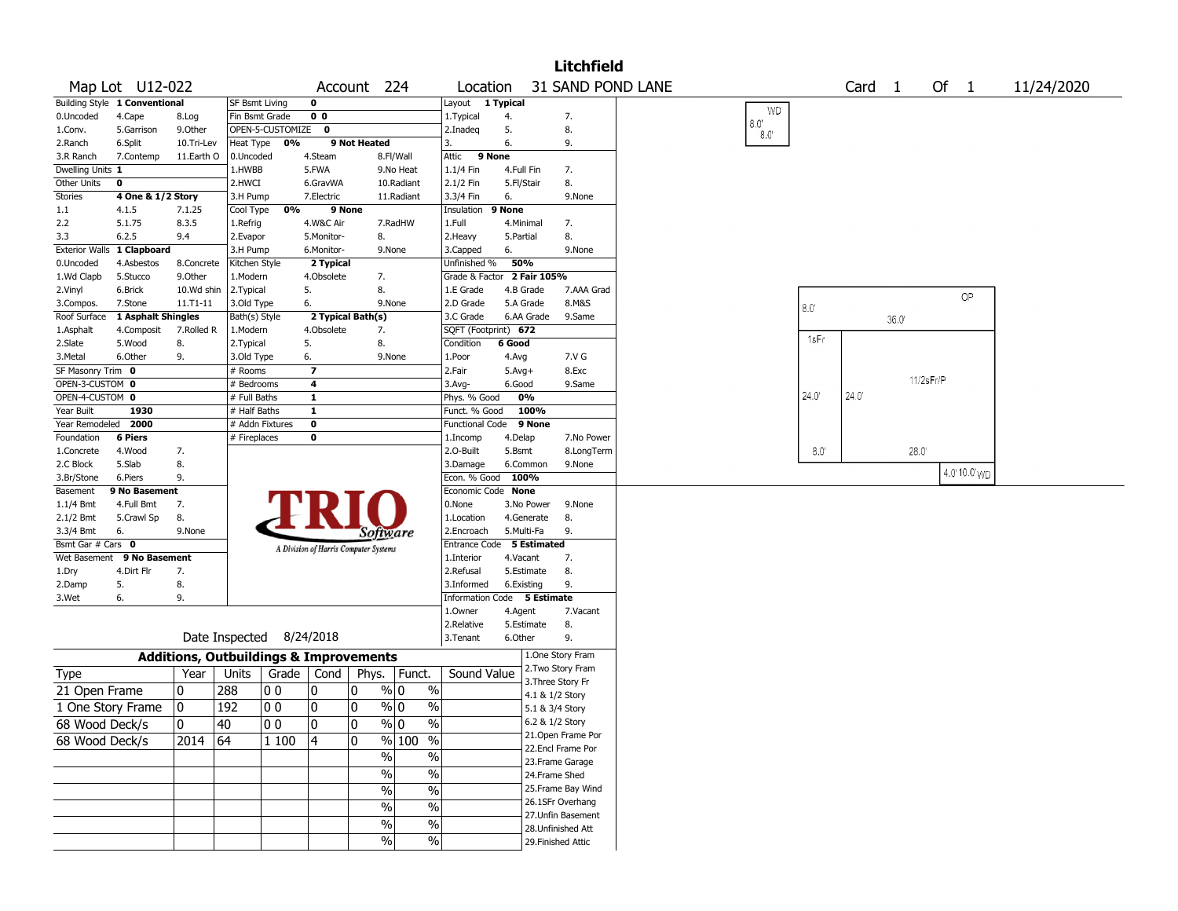|                                |                               |                                                   |                 |                          |                                       |                   |                                  |                             |                    |                 | <b>Litchfield</b>                     |                   |                              |                |                   |      |           |              |            |
|--------------------------------|-------------------------------|---------------------------------------------------|-----------------|--------------------------|---------------------------------------|-------------------|----------------------------------|-----------------------------|--------------------|-----------------|---------------------------------------|-------------------|------------------------------|----------------|-------------------|------|-----------|--------------|------------|
|                                | Map Lot U12-022               |                                                   |                 |                          |                                       | Account 224       |                                  | Location                    |                    |                 |                                       | 31 SAND POND LANE |                              |                | Card <sub>1</sub> |      | Of        | $\mathbf{1}$ | 11/24/2020 |
|                                | Building Style 1 Conventional |                                                   | SF Bsmt Living  |                          | 0                                     |                   |                                  | Layout 1 Typical            |                    |                 |                                       |                   |                              |                |                   |      |           |              |            |
| 0.Uncoded                      | 4.Cape                        | 8.Log                                             | Fin Bsmt Grade  |                          | 0 <sub>0</sub>                        |                   |                                  | 1. Typical                  | 4.                 |                 | 7.                                    |                   | <b>WD</b>                    |                |                   |      |           |              |            |
| 1.Conv.                        | 5.Garrison                    | 9.Other                                           |                 | OPEN-5-CUSTOMIZE 0       |                                       |                   |                                  | 2.Inadeq                    | 5.                 |                 | 8.                                    |                   | $8.0^\circ$<br>$8.0^{\circ}$ |                |                   |      |           |              |            |
| 2.Ranch                        | 6.Split                       | 10.Tri-Lev                                        | Heat Type       | 0%                       |                                       | 9 Not Heated      |                                  | 3.                          | 6.                 |                 | 9.                                    |                   |                              |                |                   |      |           |              |            |
| 3.R Ranch                      | 7.Contemp                     | 11.Earth O                                        | 0.Uncoded       |                          | 4.Steam                               |                   | 8.Fl/Wall                        | 9 None<br>Attic             |                    |                 |                                       |                   |                              |                |                   |      |           |              |            |
| Dwelling Units 1               |                               |                                                   | 1.HWBB          |                          | 5.FWA                                 |                   | 9.No Heat                        | 1.1/4 Fin                   | 4.Full Fin         |                 | 7.                                    |                   |                              |                |                   |      |           |              |            |
| Other Units                    | 0                             |                                                   | 2.HWCI          |                          | 6.GravWA                              |                   | 10.Radiant                       | 2.1/2 Fin                   | 5.Fl/Stair         |                 | 8.                                    |                   |                              |                |                   |      |           |              |            |
| <b>Stories</b>                 | 4 One & 1/2 Story             |                                                   | 3.H Pump        |                          | 7.Electric                            |                   | 11.Radiant                       | 3.3/4 Fin                   | 6.                 |                 | 9.None                                |                   |                              |                |                   |      |           |              |            |
| 1.1                            | 4.1.5                         | 7.1.25                                            | Cool Type       | 0%                       |                                       | 9 None            |                                  | Insulation                  | 9 None             |                 |                                       |                   |                              |                |                   |      |           |              |            |
| 2.2                            | 5.1.75                        | 8.3.5                                             | 1.Refrig        |                          | 4.W&C Air                             |                   | 7.RadHW                          | 1.Full                      | 4.Minimal          |                 | 7.                                    |                   |                              |                |                   |      |           |              |            |
| 3.3                            | 6.2.5                         | 9.4                                               | 2.Evapor        |                          | 5.Monitor-                            | 8.                |                                  | 2.Heavy                     | 5.Partial          |                 | 8.                                    |                   |                              |                |                   |      |           |              |            |
| <b>Exterior Walls</b>          | 1 Clapboard                   |                                                   | 3.H Pump        |                          | 6.Monitor-                            |                   | 9.None                           | 3.Capped                    | 6.                 |                 | 9.None                                |                   |                              |                |                   |      |           |              |            |
| 0.Uncoded                      | 4.Asbestos                    | 8.Concrete                                        | Kitchen Style   |                          | 2 Typical                             |                   |                                  | Unfinished %                | 50%                |                 |                                       |                   |                              |                |                   |      |           |              |            |
| 1.Wd Clapb                     | 5.Stucco                      | 9.Other                                           | 1.Modern        |                          | 4.Obsolete                            | 7.                |                                  | Grade & Factor              |                    | 2 Fair 105%     |                                       |                   |                              |                |                   |      |           |              |            |
| 2.Vinyl                        | 6.Brick                       | 10.Wd shin                                        | 2. Typical      |                          | 5.                                    | 8.                |                                  | 1.E Grade                   | 4.B Grade          |                 | 7.AAA Grad                            |                   |                              |                |                   |      |           |              |            |
| 3.Compos.                      | 7.Stone                       | $11. T1 - 11$                                     | 3.Old Type      |                          | 6.                                    |                   | 9.None                           | 2.D Grade                   | 5.A Grade          |                 | 8.M&S                                 |                   |                              |                |                   |      |           | OP           |            |
| Roof Surface                   | 1 Asphalt Shingles            |                                                   | Bath(s) Style   |                          |                                       | 2 Typical Bath(s) |                                  | 3.C Grade                   |                    | 6.AA Grade      | 9.Same                                |                   |                              | $8.0^\circ$    |                   |      |           |              |            |
|                                |                               |                                                   | 1.Modern        |                          | 4.Obsolete                            | 7.                |                                  | SQFT (Footprint) 672        |                    |                 |                                       |                   |                              |                |                   | 36.0 |           |              |            |
| 1.Asphalt                      | 4.Composit                    | 7.Rolled R                                        |                 |                          |                                       | 8.                |                                  |                             | 6 Good             |                 |                                       |                   |                              | 1sFr           |                   |      |           |              |            |
| 2.Slate                        | 5.Wood                        | 8.                                                | 2. Typical      |                          | 5.                                    |                   |                                  | Condition                   |                    |                 |                                       |                   |                              |                |                   |      |           |              |            |
| 3.Metal                        | 6.Other                       | 9.                                                | 3.Old Type      |                          | 6.                                    |                   | 9.None                           | 1.Poor                      | 4.Avg              |                 | 7.V G                                 |                   |                              |                |                   |      |           |              |            |
| SF Masonry Trim 0              |                               |                                                   | # Rooms         |                          | $\overline{\mathbf{z}}$               |                   |                                  | 2.Fair                      | $5.Avg+$           |                 | 8.Exc                                 |                   |                              |                |                   |      | 11/2sFr/P |              |            |
| OPEN-3-CUSTOM 0                |                               |                                                   | # Bedrooms      |                          | 4                                     |                   |                                  | 3.Avg-                      | 6.Good             |                 | 9.Same                                |                   |                              | $24.0^{\circ}$ | 24.0"             |      |           |              |            |
| OPEN-4-CUSTOM 0                |                               |                                                   | # Full Baths    |                          | $\mathbf{1}$                          |                   |                                  | Phys. % Good                | 0%                 |                 |                                       |                   |                              |                |                   |      |           |              |            |
| Year Built                     | 1930                          |                                                   | # Half Baths    |                          | $\mathbf{1}$                          |                   |                                  | Funct. % Good               |                    | 100%            |                                       |                   |                              |                |                   |      |           |              |            |
| Year Remodeled                 | 2000                          |                                                   | # Addn Fixtures |                          | 0                                     |                   |                                  | Functional Code             |                    | 9 None          |                                       |                   |                              |                |                   |      |           |              |            |
| Foundation                     | <b>6 Piers</b>                |                                                   | # Fireplaces    |                          | 0                                     |                   |                                  | 1.Incomp<br>2.O-Built       | 4.Delap            |                 | 7.No Power                            |                   |                              | $8.0^{\circ}$  |                   |      |           |              |            |
| 1.Concrete<br>2.C Block        | 4.Wood<br>5.Slab              | 7.<br>8.                                          |                 |                          |                                       |                   |                                  | 3.Damage                    | 5.Bsmt<br>6.Common |                 | 8.LongTerm<br>9.None                  |                   |                              |                |                   | 28.0 |           |              |            |
| 3.Br/Stone                     | 6.Piers                       | 9.                                                |                 |                          |                                       |                   |                                  | Econ. % Good                | 100%               |                 |                                       |                   |                              |                |                   |      |           | 4.0'10.0' WD |            |
| Basement                       | 9 No Basement                 |                                                   |                 |                          |                                       |                   |                                  | Economic Code None          |                    |                 |                                       |                   |                              |                |                   |      |           |              |            |
| $1.1/4$ Bmt                    | 4.Full Bmt                    | 7.                                                |                 |                          |                                       |                   |                                  | 0.None                      |                    | 3.No Power      | 9.None                                |                   |                              |                |                   |      |           |              |            |
| 2.1/2 Bmt                      | 5.Crawl Sp                    | 8.                                                |                 |                          |                                       |                   |                                  | 1.Location                  |                    | 4.Generate      | 8.                                    |                   |                              |                |                   |      |           |              |            |
|                                | 6.                            | 9.None                                            |                 |                          |                                       |                   |                                  | 2.Encroach                  | 5.Multi-Fa         |                 | 9.                                    |                   |                              |                |                   |      |           |              |            |
| 3.3/4 Bmt<br>Bsmt Gar # Cars 0 |                               |                                                   |                 |                          |                                       |                   | Software                         | Entrance Code 5 Estimated   |                    |                 |                                       |                   |                              |                |                   |      |           |              |            |
| Wet Basement                   | 9 No Basement                 |                                                   |                 |                          | A Division of Harris Computer Systems |                   |                                  | 1.Interior                  | 4.Vacant           |                 | 7.                                    |                   |                              |                |                   |      |           |              |            |
| 1.Dry                          | 4.Dirt Flr                    | 7.                                                |                 |                          |                                       |                   |                                  | 2.Refusal                   |                    | 5.Estimate      | 8.                                    |                   |                              |                |                   |      |           |              |            |
|                                | 5.                            | 8.                                                |                 |                          |                                       |                   |                                  | 3.Informed                  | 6.Existing         |                 | 9.                                    |                   |                              |                |                   |      |           |              |            |
| 2.Damp<br>3.Wet                | 6.                            | 9.                                                |                 |                          |                                       |                   |                                  | Information Code 5 Estimate |                    |                 |                                       |                   |                              |                |                   |      |           |              |            |
|                                |                               |                                                   |                 |                          |                                       |                   |                                  | 1.Owner                     | 4.Agent            |                 | 7.Vacant                              |                   |                              |                |                   |      |           |              |            |
|                                |                               |                                                   |                 |                          |                                       |                   |                                  | 2.Relative                  |                    | 5.Estimate      | 8.                                    |                   |                              |                |                   |      |           |              |            |
|                                |                               |                                                   |                 | Date Inspected 8/24/2018 |                                       |                   |                                  | 3.Tenant                    | 6.Other            |                 | 9.                                    |                   |                              |                |                   |      |           |              |            |
|                                |                               |                                                   |                 |                          |                                       |                   |                                  |                             |                    |                 |                                       |                   |                              |                |                   |      |           |              |            |
|                                |                               | <b>Additions, Outbuildings &amp; Improvements</b> |                 |                          |                                       |                   |                                  |                             |                    |                 | 1.One Story Fram                      |                   |                              |                |                   |      |           |              |            |
| Type                           |                               | Year                                              | Units           | Grade                    | Cond                                  |                   | Phys.   Funct.                   | Sound Value                 |                    |                 | 2.Two Story Fram<br>3. Three Story Fr |                   |                              |                |                   |      |           |              |            |
| 21 Open Frame                  |                               | 10                                                | 288             | O O                      | 0                                     | 10                | $\%$ 0<br>$\%$                   |                             |                    | 4.1 & 1/2 Story |                                       |                   |                              |                |                   |      |           |              |            |
| 1 One Story Frame              |                               | 0                                                 | 192             | O O                      | 0                                     | 10                | $\frac{9}{0}$ 0<br>$\frac{0}{0}$ |                             |                    | 5.1 & 3/4 Story |                                       |                   |                              |                |                   |      |           |              |            |
| 68 Wood Deck/s                 |                               | 0                                                 | 40              | $ 00\rangle$             | $\pmb{0}$                             | l n               | $\sqrt[6]{0}$<br>$\%$            |                             |                    | 6.2 & 1/2 Story |                                       |                   |                              |                |                   |      |           |              |            |
|                                |                               |                                                   |                 |                          |                                       |                   |                                  |                             |                    |                 | 21. Open Frame Por                    |                   |                              |                |                   |      |           |              |            |
| 68 Wood Deck/s                 |                               | 2014                                              | 64              | 1 100                    | 4                                     | 10                | % 100 %                          |                             |                    |                 | 22.Encl Frame Por                     |                   |                              |                |                   |      |           |              |            |
|                                |                               |                                                   |                 |                          |                                       |                   | %<br>$\%$                        |                             |                    |                 | 23. Frame Garage                      |                   |                              |                |                   |      |           |              |            |
|                                |                               |                                                   |                 |                          |                                       |                   | $\overline{\frac{0}{0}}$<br>%    |                             |                    | 24.Frame Shed   |                                       |                   |                              |                |                   |      |           |              |            |
|                                |                               |                                                   |                 |                          |                                       |                   | $\frac{0}{6}$<br>$\%$            |                             |                    |                 | 25. Frame Bay Wind                    |                   |                              |                |                   |      |           |              |            |
|                                |                               |                                                   |                 |                          |                                       |                   | %<br>$\overline{\frac{0}{0}}$    |                             |                    |                 | 26.1SFr Overhang                      |                   |                              |                |                   |      |           |              |            |
|                                |                               |                                                   |                 |                          |                                       |                   |                                  |                             |                    |                 | 27.Unfin Basement                     |                   |                              |                |                   |      |           |              |            |
|                                |                               |                                                   |                 |                          |                                       |                   | $\overline{\frac{0}{0}}$<br>$\%$ |                             |                    |                 | 28. Unfinished Att                    |                   |                              |                |                   |      |           |              |            |
|                                |                               |                                                   |                 |                          |                                       |                   | $\frac{0}{0}$<br>$\%$            |                             |                    |                 | 29. Finished Attic                    |                   |                              |                |                   |      |           |              |            |
|                                |                               |                                                   |                 |                          |                                       |                   |                                  |                             |                    |                 |                                       |                   |                              |                |                   |      |           |              |            |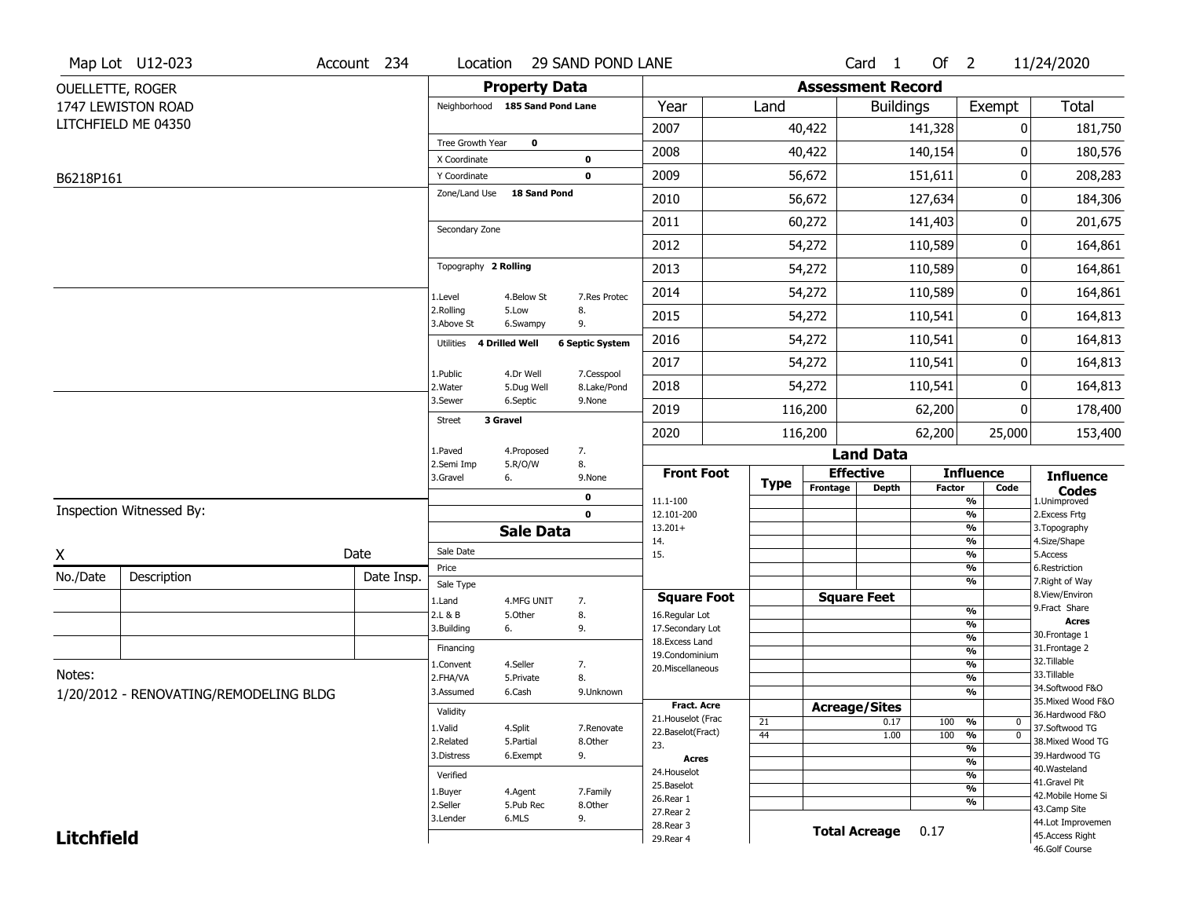|                         | Map Lot U12-023                        | Account 234 | Location                     |                                 | 29 SAND POND LANE         |                                   |             |          | Card <sub>1</sub>        | Of $2$        |                               | 11/24/2020                       |
|-------------------------|----------------------------------------|-------------|------------------------------|---------------------------------|---------------------------|-----------------------------------|-------------|----------|--------------------------|---------------|-------------------------------|----------------------------------|
| <b>OUELLETTE, ROGER</b> |                                        |             |                              | <b>Property Data</b>            |                           |                                   |             |          | <b>Assessment Record</b> |               |                               |                                  |
|                         | 1747 LEWISTON ROAD                     |             |                              | Neighborhood 185 Sand Pond Lane |                           | Year                              | Land        |          | <b>Buildings</b>         |               | Exempt                        | <b>Total</b>                     |
|                         | LITCHFIELD ME 04350                    |             |                              |                                 |                           | 2007                              |             | 40,422   |                          | 141,328       | 0                             | 181,750                          |
|                         |                                        |             | Tree Growth Year             | $\mathbf 0$                     |                           | 2008                              |             | 40,422   |                          | 140,154       | 0                             | 180,576                          |
|                         |                                        |             | X Coordinate<br>Y Coordinate |                                 | 0<br>0                    | 2009                              |             | 56,672   |                          | 151,611       | 0                             | 208,283                          |
| B6218P161               |                                        |             | Zone/Land Use                | 18 Sand Pond                    |                           |                                   |             |          |                          |               |                               |                                  |
|                         |                                        |             |                              |                                 |                           | 2010                              |             | 56,672   |                          | 127,634       | 0                             | 184,306                          |
|                         |                                        |             | Secondary Zone               |                                 |                           | 2011                              |             | 60,272   |                          | 141,403       | 0                             | 201,675                          |
|                         |                                        |             |                              |                                 |                           | 2012                              |             | 54,272   |                          | 110,589       | 0                             | 164,861                          |
|                         |                                        |             | Topography 2 Rolling         |                                 |                           | 2013                              |             | 54,272   |                          | 110,589       | 0                             | 164,861                          |
|                         |                                        |             | 1.Level                      | 4.Below St                      | 7.Res Protec              | 2014                              |             | 54,272   |                          | 110,589       | 0                             | 164,861                          |
|                         |                                        |             | 2.Rolling<br>3.Above St      | 5.Low<br>6.Swampy               | 8.<br>9.                  | 2015                              |             | 54,272   |                          | 110,541       | 0                             | 164,813                          |
|                         |                                        |             | Utilities                    | 4 Drilled Well                  | <b>6 Septic System</b>    | 2016                              |             | 54,272   |                          | 110,541       | 0                             | 164,813                          |
|                         |                                        |             |                              |                                 |                           | 2017                              |             | 54,272   |                          | 110,541       | 0                             | 164,813                          |
|                         |                                        |             | 1.Public<br>2. Water         | 4.Dr Well<br>5.Dug Well         | 7.Cesspool<br>8.Lake/Pond | 2018                              |             | 54,272   |                          | 110,541       | 0                             | 164,813                          |
|                         |                                        |             | 3.Sewer                      | 6.Septic                        | 9.None                    | 2019                              |             | 116,200  |                          | 62,200        | 0                             | 178,400                          |
|                         |                                        |             | Street                       | 3 Gravel                        |                           | 2020                              |             | 116,200  |                          | 62,200        | 25,000                        | 153,400                          |
|                         |                                        |             | 1.Paved                      | 4.Proposed                      | 7.                        |                                   |             |          | <b>Land Data</b>         |               |                               |                                  |
|                         |                                        |             | 2.Semi Imp<br>3.Gravel       | 5.R/O/W<br>6.                   | 8.<br>9.None              | <b>Front Foot</b>                 |             |          | <b>Effective</b>         |               | <b>Influence</b>              | <b>Influence</b>                 |
|                         |                                        |             |                              |                                 | 0                         | 11.1-100                          | <b>Type</b> | Frontage | Depth                    | <b>Factor</b> | Code<br>%                     | <b>Codes</b><br>1.Unimproved     |
|                         | Inspection Witnessed By:               |             |                              |                                 | $\mathbf 0$               | 12.101-200                        |             |          |                          |               | $\frac{9}{6}$                 | 2.Excess Frtg                    |
|                         |                                        |             |                              | <b>Sale Data</b>                |                           | $13.201+$<br>14.                  |             |          |                          |               | %<br>%                        | 3. Topography<br>4.Size/Shape    |
| X                       |                                        | Date        | Sale Date                    |                                 |                           | 15.                               |             |          |                          |               | %                             | 5.Access                         |
| No./Date                | Description                            | Date Insp.  | Price                        |                                 |                           |                                   |             |          |                          |               | %<br>%                        | 6.Restriction<br>7. Right of Way |
|                         |                                        |             | Sale Type<br>1.Land          | 4.MFG UNIT                      | 7.                        | <b>Square Foot</b>                |             |          | <b>Square Feet</b>       |               |                               | 8.View/Environ                   |
|                         |                                        |             | 2.L & B                      | 5.Other                         | 8.                        | 16.Regular Lot                    |             |          |                          |               | $\frac{9}{6}$                 | 9.Fract Share<br><b>Acres</b>    |
|                         |                                        |             | 3.Building                   | 6.                              | 9.                        | 17.Secondary Lot                  |             |          |                          |               | %<br>$\frac{9}{6}$            | 30. Frontage 1                   |
|                         |                                        |             | Financing                    |                                 |                           | 18. Excess Land<br>19.Condominium |             |          |                          |               | $\overline{\frac{9}{6}}$      | 31. Frontage 2                   |
|                         |                                        |             | 1.Convent                    | 4.Seller                        | 7.                        | 20.Miscellaneous                  |             |          |                          |               | $\frac{9}{6}$                 | 32. Tillable                     |
| Notes:                  |                                        |             | 2.FHA/VA                     | 5.Private                       | 8.                        |                                   |             |          |                          |               | $\overline{\frac{9}{6}}$      | 33.Tillable<br>34.Softwood F&O   |
|                         | 1/20/2012 - RENOVATING/REMODELING BLDG |             | 3.Assumed                    | 6.Cash                          | 9.Unknown                 | <b>Fract. Acre</b>                |             |          |                          |               | %                             | 35. Mixed Wood F&O               |
|                         |                                        |             | Validity                     |                                 |                           | 21. Houselot (Frac                |             |          | <b>Acreage/Sites</b>     |               |                               | 36.Hardwood F&O                  |
|                         |                                        |             | 1.Valid                      | 4.Split                         | 7.Renovate                | 22.Baselot(Fract)                 | 21<br>44    |          | 0.17<br>1.00             | 100<br>100    | %<br>0<br>$\overline{0}$<br>% | 37.Softwood TG                   |
|                         |                                        |             | 2.Related                    | 5.Partial                       | 8.Other                   | 23.                               |             |          |                          |               | %                             | 38. Mixed Wood TG                |
|                         |                                        |             | 3.Distress                   | 6.Exempt                        | 9.                        | <b>Acres</b>                      |             |          |                          |               | $\frac{9}{6}$                 | 39.Hardwood TG                   |
|                         |                                        |             | Verified                     |                                 |                           | 24. Houselot                      |             |          |                          |               | %                             | 40. Wasteland<br>41.Gravel Pit   |
|                         |                                        |             | 1.Buyer                      | 4.Agent                         | 7.Family                  | 25.Baselot                        |             |          |                          |               | $\frac{9}{6}$                 | 42. Mobile Home Si               |
|                         |                                        |             | 2.Seller                     | 5.Pub Rec                       | 8.Other                   | 26.Rear 1<br>27.Rear 2            |             |          |                          |               | %                             | 43.Camp Site                     |
|                         |                                        |             | 3.Lender                     | 6.MLS                           | 9.                        | 28.Rear 3                         |             |          |                          |               |                               | 44.Lot Improvemen                |
| <b>Litchfield</b>       |                                        |             |                              |                                 |                           | 29. Rear 4                        |             |          | <b>Total Acreage</b>     | 0.17          |                               | 45.Access Right                  |
|                         |                                        |             |                              |                                 |                           |                                   |             |          |                          |               |                               | 46.Golf Course                   |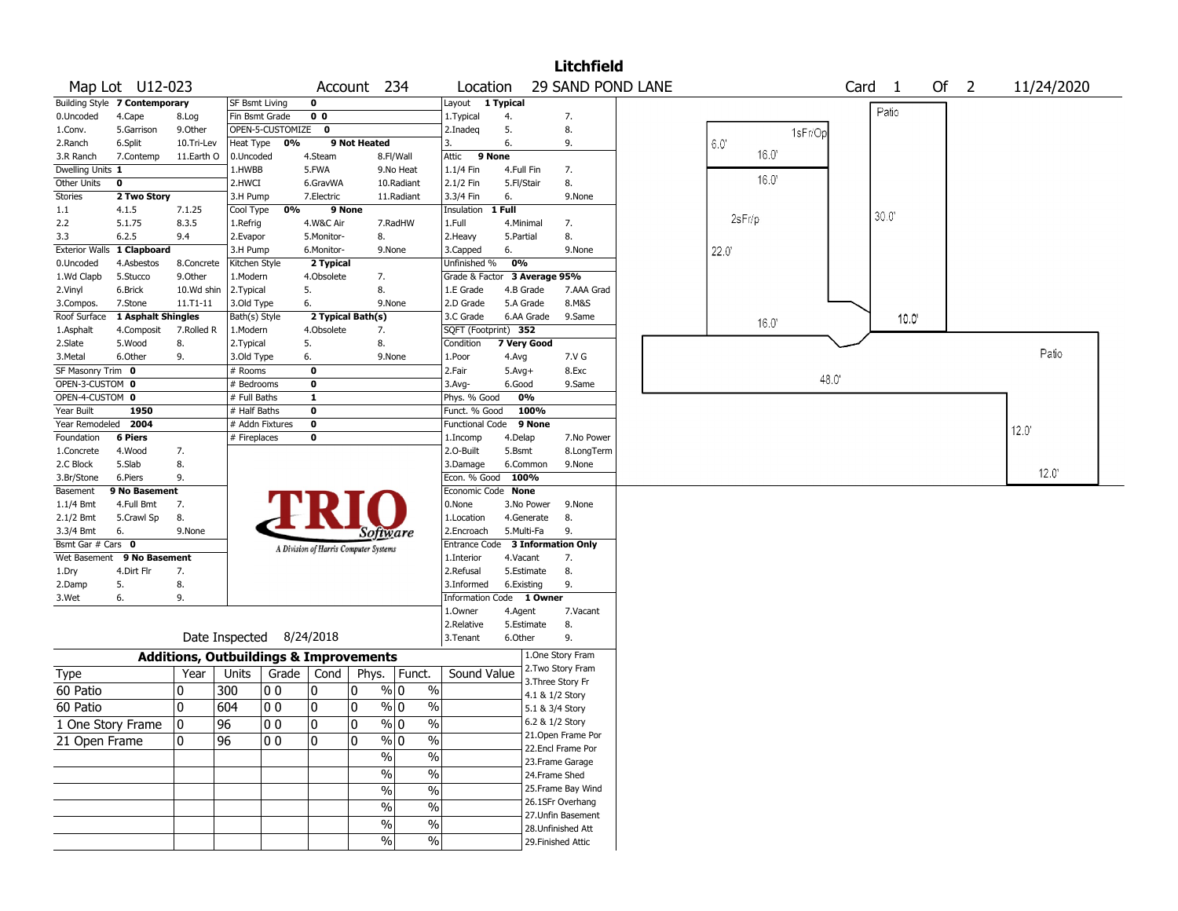|                                      |                               |                                                   |                            |                          |                   |                                       |                                           |                                  |              |               | <b>Litchfield</b>  |                |                   |        |                |  |
|--------------------------------------|-------------------------------|---------------------------------------------------|----------------------------|--------------------------|-------------------|---------------------------------------|-------------------------------------------|----------------------------------|--------------|---------------|--------------------|----------------|-------------------|--------|----------------|--|
|                                      | Map Lot U12-023               |                                                   |                            |                          |                   | Account 234                           |                                           | Location                         |              |               | 29 SAND POND LANE  |                | Card <sub>1</sub> | Of $2$ | 11/24/2020     |  |
|                                      | Building Style 7 Contemporary |                                                   | <b>SF Bsmt Living</b>      |                          | $\mathbf 0$       |                                       |                                           | Layout                           | 1 Typical    |               |                    |                |                   |        |                |  |
| 0.Uncoded                            | 4.Cape                        | 8.Log                                             | Fin Bsmt Grade             |                          | 0 <sub>0</sub>    |                                       |                                           | 1. Typical                       | 4.           |               | 7.                 |                | Patio             |        |                |  |
| 1.Conv.                              | 5.Garrison                    | 9.0ther                                           |                            | OPEN-5-CUSTOMIZE         | $\mathbf 0$       |                                       |                                           | 2.Inadeg                         | 5.           |               | 8.                 | 1sFr/Op        |                   |        |                |  |
| 2.Ranch                              | 6.Split                       | 10.Tri-Lev                                        | Heat Type                  | 0%                       |                   | 9 Not Heated                          |                                           | 3.                               | 6.           |               | 9.                 | 6.0            |                   |        |                |  |
| 3.R Ranch                            | 7.Contemp                     | 11.Earth O                                        | 0.Uncoded                  |                          | 4.Steam           |                                       | 8.Fl/Wall                                 | 9 None<br>Attic                  |              |               |                    | 16.0'          |                   |        |                |  |
| Dwelling Units 1                     |                               |                                                   | 1.HWBB                     |                          | 5.FWA             |                                       | 9.No Heat                                 | 1.1/4 Fin                        |              | 4.Full Fin    | 7.                 |                |                   |        |                |  |
| Other Units                          | $\mathbf 0$                   |                                                   | 2.HWCI                     |                          | 6.GravWA          |                                       | 10.Radiant                                | 2.1/2 Fin                        | 5.Fl/Stair   |               | 8.                 | 16.0           |                   |        |                |  |
| <b>Stories</b>                       | 2 Two Story                   |                                                   | 3.H Pump                   |                          | 7.Electric        |                                       | 11.Radiant                                | 3.3/4 Fin                        | 6.           |               | 9.None             |                |                   |        |                |  |
| 1.1                                  | 4.1.5                         | 7.1.25                                            | Cool Type                  | 0%                       | 9 None            |                                       |                                           | Insulation                       | 1 Full       |               |                    | 2sFr/p         | $30.0^\circ$      |        |                |  |
| 2.2                                  | 5.1.75                        | 8.3.5                                             | 1.Refrig                   |                          | 4.W&C Air         |                                       | 7.RadHW                                   | 1.Full                           | 4.Minimal    |               | 7.                 |                |                   |        |                |  |
| 3.3                                  | 6.2.5                         | 9.4                                               | 2.Evapor                   |                          | 5.Monitor-        | 8.                                    |                                           | 2.Heavy                          | 5.Partial    |               | 8.                 |                |                   |        |                |  |
| <b>Exterior Walls</b>                | 1 Clapboard                   |                                                   | 3.H Pump                   |                          | 6.Monitor-        | 9.None                                |                                           | 3.Capped                         | 6.           |               | 9.None             | 22.0           |                   |        |                |  |
| 0.Uncoded                            | 4.Asbestos                    | 8.Concrete                                        | Kitchen Style              |                          | 2 Typical         |                                       |                                           | Unfinished %                     | 0%           |               |                    |                |                   |        |                |  |
| 1.Wd Clapb                           | 5.Stucco                      | 9.0ther                                           | 1.Modern                   |                          | 4.Obsolete        | 7.                                    |                                           | Grade & Factor                   |              | 3 Average 95% |                    |                |                   |        |                |  |
| 2.Vinyl                              | 6.Brick                       | 10.Wd shin                                        | 2.Typical                  |                          | 5.                | 8.                                    |                                           | 1.E Grade                        |              | 4.B Grade     | 7.AAA Grad         |                |                   |        |                |  |
| 3.Compos.                            | 7.Stone                       | 11.T1-11                                          | 3.Old Type                 |                          | 6.                | 9.None                                |                                           | 2.D Grade                        |              | 5.A Grade     | 8.M&S              |                |                   |        |                |  |
| Roof Surface                         | 1 Asphalt Shingles            |                                                   | Bath(s) Style              |                          |                   | 2 Typical Bath(s)                     |                                           | 3.C Grade                        |              | 6.AA Grade    | 9.Same             | $16.0^{\circ}$ | 10.0              |        |                |  |
| 1.Asphalt                            | 4.Composit                    | 7.Rolled R                                        | 1.Modern                   |                          | 4.Obsolete        | 7.                                    |                                           | SQFT (Footprint) 352             |              |               |                    |                |                   |        |                |  |
| 2.Slate                              | 5.Wood                        | 8.                                                | 2. Typical                 |                          | 5.                | 8.                                    |                                           | Condition                        |              | 7 Very Good   |                    |                |                   |        | Patio          |  |
| 3.Metal                              | 6.Other                       | 9.                                                | 3.Old Type                 |                          | 6.<br>$\mathbf 0$ | 9.None                                |                                           | 1.Poor                           | 4.Avg        |               | 7.V G              |                |                   |        |                |  |
| SF Masonry Trim 0<br>OPEN-3-CUSTOM 0 |                               |                                                   | # Rooms                    |                          | $\mathbf 0$       |                                       |                                           | 2.Fair                           | $5.$ Avg $+$ |               | 8.Exc              | 48.0           |                   |        |                |  |
| OPEN-4-CUSTOM 0                      |                               |                                                   | # Bedrooms<br># Full Baths |                          | $\mathbf{1}$      |                                       |                                           | 3.Avg-<br>Phys. % Good           | 6.Good       | 0%            | 9.Same             |                |                   |        |                |  |
| Year Built                           | 1950                          |                                                   | # Half Baths               |                          | 0                 |                                       |                                           | Funct. % Good                    |              | 100%          |                    |                |                   |        |                |  |
| Year Remodeled                       | 2004                          |                                                   |                            | # Addn Fixtures          | $\mathbf 0$       |                                       |                                           | Functional Code                  |              | 9 None        |                    |                |                   |        |                |  |
| Foundation                           | <b>6 Piers</b>                |                                                   | # Fireplaces               |                          | 0                 |                                       |                                           | 1.Incomp                         | 4.Delap      |               | 7.No Power         |                |                   |        | $12.0^{\circ}$ |  |
| 1.Concrete                           | 4.Wood                        | 7.                                                |                            |                          |                   |                                       |                                           | 2.0-Built                        | 5.Bsmt       |               | 8.LongTerm         |                |                   |        |                |  |
| 2.C Block                            | 5.Slab                        | 8.                                                |                            |                          |                   |                                       |                                           | 3.Damage                         |              | 6.Common      | 9.None             |                |                   |        |                |  |
| 3.Br/Stone                           | 6.Piers                       | 9.                                                |                            |                          |                   |                                       |                                           | Econ. % Good                     | 100%         |               |                    |                |                   |        | $12.0^{\circ}$ |  |
| Basement                             | 9 No Basement                 |                                                   |                            |                          |                   |                                       |                                           | Economic Code None               |              |               |                    |                |                   |        |                |  |
| $1.1/4$ Bmt                          | 4.Full Bmt                    | 7.                                                |                            |                          |                   |                                       |                                           | 0.None                           |              | 3.No Power    | 9.None             |                |                   |        |                |  |
| 2.1/2 Bmt                            | 5.Crawl Sp                    | 8.                                                |                            |                          |                   |                                       |                                           | 1.Location                       |              | 4.Generate    | 8.                 |                |                   |        |                |  |
| 3.3/4 Bmt                            | 6.                            | 9.None                                            |                            |                          |                   | <i>Software</i>                       |                                           | 2.Encroach                       |              | 5.Multi-Fa    | 9.                 |                |                   |        |                |  |
| Bsmt Gar # Cars 0                    |                               |                                                   |                            |                          |                   | A Division of Harris Computer Systems |                                           | Entrance Code 3 Information Only |              |               |                    |                |                   |        |                |  |
|                                      | Wet Basement 9 No Basement    |                                                   |                            |                          |                   |                                       |                                           | 1.Interior                       | 4.Vacant     |               | 7.                 |                |                   |        |                |  |
| 1.Dry                                | 4.Dirt Flr                    | 7.                                                |                            |                          |                   |                                       |                                           | 2.Refusal                        |              | 5.Estimate    | 8.                 |                |                   |        |                |  |
| 2.Damp                               | 5.                            | 8.                                                |                            |                          |                   |                                       |                                           | 3.Informed                       |              | 6.Existing    | 9.                 |                |                   |        |                |  |
| 3.Wet                                | 6.                            | 9.                                                |                            |                          |                   |                                       |                                           | Information Code 1 Owner         |              |               |                    |                |                   |        |                |  |
|                                      |                               |                                                   |                            |                          |                   |                                       |                                           | 1.Owner                          | 4.Agent      |               | 7.Vacant           |                |                   |        |                |  |
|                                      |                               |                                                   |                            |                          |                   |                                       |                                           | 2.Relative                       |              | 5.Estimate    | 8.                 |                |                   |        |                |  |
|                                      |                               |                                                   |                            | Date Inspected 8/24/2018 |                   |                                       |                                           | 3. Tenant                        | 6.Other      |               | 9.                 |                |                   |        |                |  |
|                                      |                               | <b>Additions, Outbuildings &amp; Improvements</b> |                            |                          |                   |                                       |                                           |                                  |              |               | 1.One Story Fram   |                |                   |        |                |  |
| Type                                 |                               | Year                                              | Units                      | Grade   Cond             |                   | Phys.                                 | Funct.                                    | Sound Value                      |              |               | 2. Two Story Fram  |                |                   |        |                |  |
|                                      |                               |                                                   |                            |                          |                   |                                       |                                           |                                  |              |               | 3. Three Story Fr  |                |                   |        |                |  |
| 60 Patio                             |                               | 0                                                 | 300                        | 00                       | 10                | 0                                     | % 0<br>$\%$                               |                                  |              |               | 4.1 & 1/2 Story    |                |                   |        |                |  |
| 60 Patio                             |                               | 0                                                 | 604                        | l 0 0                    | 10                | 0                                     | % 0<br>$\frac{0}{0}$                      |                                  |              |               | 5.1 & 3/4 Story    |                |                   |        |                |  |
| 1 One Story Frame                    |                               | 10                                                | 96                         | 0 0                      | 10                | 10                                    | % 0<br>%                                  |                                  |              |               | 6.2 & 1/2 Story    |                |                   |        |                |  |
| 21 Open Frame                        |                               | 0                                                 | $\overline{96}$            | 10 0                     | 10                | 0                                     | $\sqrt{96}$ 0<br>$\overline{\frac{0}{0}}$ |                                  |              |               | 21. Open Frame Por |                |                   |        |                |  |
|                                      |                               |                                                   |                            |                          |                   | $\sqrt{2}$                            | $\overline{\frac{0}{0}}$                  |                                  |              |               | 22.Encl Frame Por  |                |                   |        |                |  |
|                                      |                               |                                                   |                            |                          |                   |                                       |                                           |                                  |              |               | 23. Frame Garage   |                |                   |        |                |  |
|                                      |                               |                                                   |                            |                          |                   | %                                     | $\overline{\frac{0}{0}}$                  |                                  |              |               | 24.Frame Shed      |                |                   |        |                |  |
|                                      |                               |                                                   |                            |                          |                   | $\sqrt{6}$                            | $\overline{\frac{0}{0}}$                  |                                  |              |               | 25. Frame Bay Wind |                |                   |        |                |  |
|                                      |                               |                                                   |                            |                          |                   | $\%$                                  | $\overline{\frac{0}{0}}$                  |                                  |              |               | 26.1SFr Overhang   |                |                   |        |                |  |
|                                      |                               |                                                   |                            |                          |                   | $\%$                                  | $\%$                                      |                                  |              |               | 27.Unfin Basement  |                |                   |        |                |  |
|                                      |                               |                                                   |                            |                          |                   | $\sqrt{6}$                            | $\frac{0}{6}$                             |                                  |              |               | 28. Unfinished Att |                |                   |        |                |  |
|                                      |                               |                                                   |                            |                          |                   |                                       |                                           |                                  |              |               | 29. Finished Attic |                |                   |        |                |  |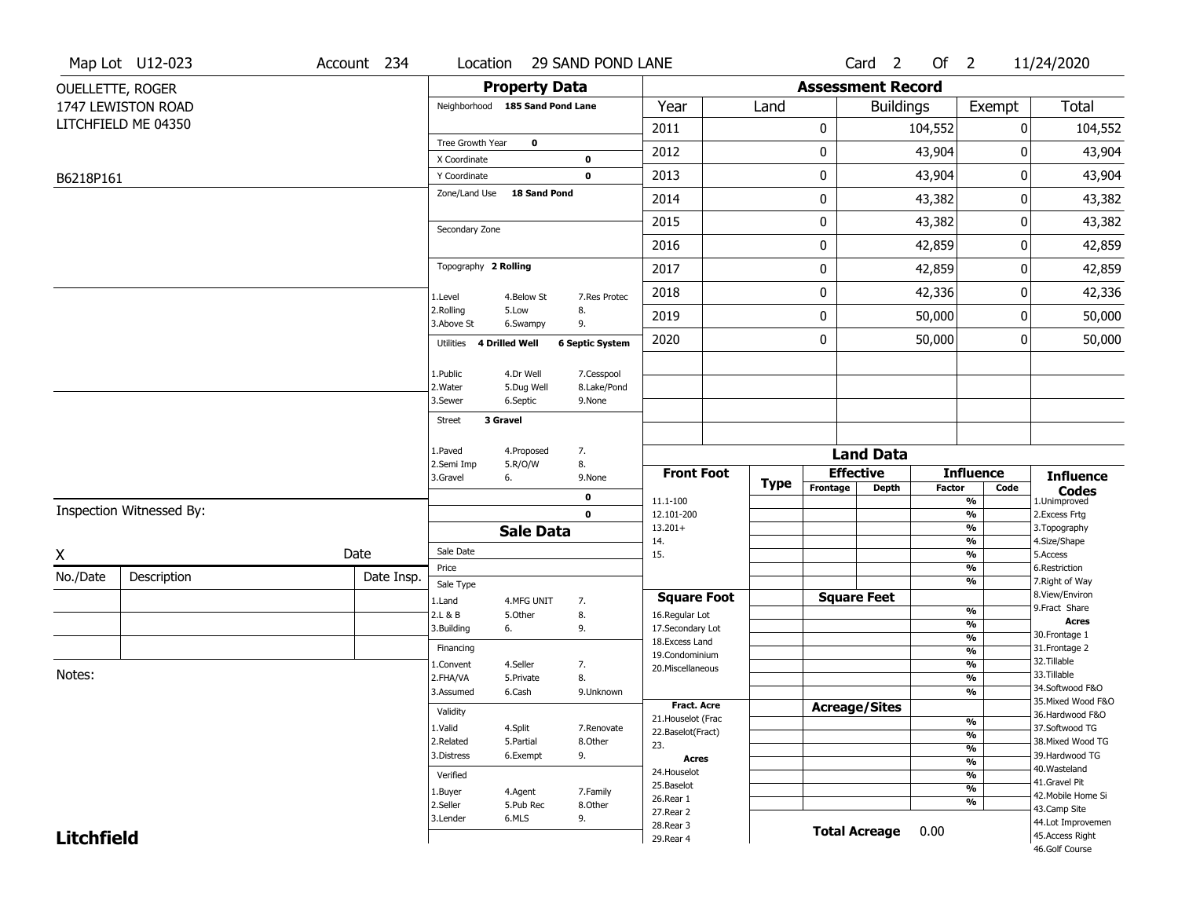| <b>Assessment Record</b><br><b>Property Data</b><br>OUELLETTE, ROGER<br><b>Total</b><br>1747 LEWISTON ROAD<br>Neighborhood 185 Sand Pond Lane<br>Year<br><b>Buildings</b><br>Exempt<br>Land<br>LITCHFIELD ME 04350<br>0<br>2011<br>104,552<br>104,552<br>0<br>Tree Growth Year<br>0<br>2012<br>0<br>43,904<br>43,904<br>0<br>X Coordinate<br>0<br>0<br>2013<br>43,904<br>0<br>43,904<br>Y Coordinate<br>0<br>B6218P161<br>Zone/Land Use<br><b>18 Sand Pond</b><br>43,382<br>43,382<br>2014<br>0<br>0<br>0<br>2015<br>43,382<br>43,382<br>0<br>Secondary Zone<br>2016<br>0<br>42,859<br>0<br>42,859<br>Topography 2 Rolling<br>0<br>42,859<br>2017<br>42,859<br>0<br>0<br>2018<br>42,336<br>0<br>42,336<br>1.Level<br>4.Below St<br>7.Res Protec<br>2.Rolling<br>5.Low<br>8.<br>2019<br>0<br>50,000<br>0<br>50,000<br>3.Above St<br>9.<br>6.Swampy<br>2020<br>0<br>50,000<br>0<br>50,000<br>4 Drilled Well<br><b>6 Septic System</b><br>Utilities<br>4.Dr Well<br>7.Cesspool<br>1.Public<br>2. Water<br>5.Dug Well<br>8.Lake/Pond<br>3.Sewer<br>6.Septic<br>9.None<br>3 Gravel<br><b>Street</b><br>1.Paved<br>7.<br>4.Proposed<br><b>Land Data</b><br>8.<br>2.Semi Imp<br>5.R/O/W<br><b>Effective</b><br><b>Front Foot</b><br><b>Influence</b><br><b>Influence</b><br>3.Gravel<br>6.<br>9.None<br><b>Type</b><br>Frontage<br>Depth<br>Factor<br>Code<br><b>Codes</b><br>0<br>11.1-100<br>%<br>1.Unimproved<br>Inspection Witnessed By:<br>$\mathbf 0$<br>$\frac{9}{6}$<br>2.Excess Frtg<br>12.101-200<br>$13.201+$<br>%<br>3. Topography<br><b>Sale Data</b><br>4.Size/Shape<br>14.<br>%<br>Sale Date<br>Date<br>Χ<br>5.Access<br>15.<br>%<br>6.Restriction<br>Price<br>%<br>No./Date<br>Description<br>Date Insp.<br>7. Right of Way<br>%<br>Sale Type<br>8.View/Environ<br><b>Square Foot</b><br><b>Square Feet</b><br>1.Land<br>4.MFG UNIT<br>7.<br>9. Fract Share<br>$\frac{9}{6}$<br>2.L & B<br>8.<br>5.Other<br>16.Regular Lot<br><b>Acres</b><br>$\overline{\frac{9}{6}}$<br>3.Building<br>9.<br>17.Secondary Lot<br>6.<br>30. Frontage 1<br>$\frac{9}{6}$<br>18.Excess Land<br>31. Frontage 2<br>Financing<br>$\overline{\frac{9}{6}}$<br>19.Condominium<br>32.Tillable<br>$\frac{9}{6}$<br>4.Seller<br>7.<br>1.Convent<br>20.Miscellaneous<br>Notes:<br>33.Tillable<br>8.<br>$\overline{\frac{9}{6}}$<br>2.FHA/VA<br>5.Private<br>34.Softwood F&O<br>3.Assumed<br>6.Cash<br>%<br>9.Unknown<br>35. Mixed Wood F&O<br>Fract. Acre<br><b>Acreage/Sites</b><br>Validity<br>36.Hardwood F&O<br>21. Houselot (Frac<br>%<br>37.Softwood TG<br>1.Valid<br>4.Split<br>7.Renovate<br>22.Baselot(Fract)<br>$\frac{9}{6}$<br>38. Mixed Wood TG<br>2.Related<br>5.Partial<br>8.Other<br>23.<br>$\frac{9}{6}$<br>39.Hardwood TG<br>3.Distress<br>6.Exempt<br>9.<br><b>Acres</b><br>%<br>40. Wasteland<br>24. Houselot<br>%<br>Verified<br>41.Gravel Pit<br>25.Baselot<br>%<br>1.Buyer<br>4.Agent<br>7.Family<br>42. Mobile Home Si<br>26.Rear 1<br>%<br>2.Seller<br>5.Pub Rec<br>8.Other<br>43.Camp Site<br>27.Rear 2<br>6.MLS<br>9.<br>3.Lender<br>44.Lot Improvemen<br>28. Rear 3<br><b>Total Acreage</b><br>0.00<br>45.Access Right<br><b>Litchfield</b><br>29. Rear 4<br>46.Golf Course | Map Lot U12-023 | Account 234 | Location | 29 SAND POND LANE |  | Card <sub>2</sub> | Of $2$ | 11/24/2020 |
|---------------------------------------------------------------------------------------------------------------------------------------------------------------------------------------------------------------------------------------------------------------------------------------------------------------------------------------------------------------------------------------------------------------------------------------------------------------------------------------------------------------------------------------------------------------------------------------------------------------------------------------------------------------------------------------------------------------------------------------------------------------------------------------------------------------------------------------------------------------------------------------------------------------------------------------------------------------------------------------------------------------------------------------------------------------------------------------------------------------------------------------------------------------------------------------------------------------------------------------------------------------------------------------------------------------------------------------------------------------------------------------------------------------------------------------------------------------------------------------------------------------------------------------------------------------------------------------------------------------------------------------------------------------------------------------------------------------------------------------------------------------------------------------------------------------------------------------------------------------------------------------------------------------------------------------------------------------------------------------------------------------------------------------------------------------------------------------------------------------------------------------------------------------------------------------------------------------------------------------------------------------------------------------------------------------------------------------------------------------------------------------------------------------------------------------------------------------------------------------------------------------------------------------------------------------------------------------------------------------------------------------------------------------------------------------------------------------------------------------------------------------------------------------------------------------------------------------------------------------------------------------------------------------------------------------------------------------------------------------------------------------------------------------------------------------------------------------------------------------------------------------------------------------------------------------|-----------------|-------------|----------|-------------------|--|-------------------|--------|------------|
|                                                                                                                                                                                                                                                                                                                                                                                                                                                                                                                                                                                                                                                                                                                                                                                                                                                                                                                                                                                                                                                                                                                                                                                                                                                                                                                                                                                                                                                                                                                                                                                                                                                                                                                                                                                                                                                                                                                                                                                                                                                                                                                                                                                                                                                                                                                                                                                                                                                                                                                                                                                                                                                                                                                                                                                                                                                                                                                                                                                                                                                                                                                                                                                       |                 |             |          |                   |  |                   |        |            |
|                                                                                                                                                                                                                                                                                                                                                                                                                                                                                                                                                                                                                                                                                                                                                                                                                                                                                                                                                                                                                                                                                                                                                                                                                                                                                                                                                                                                                                                                                                                                                                                                                                                                                                                                                                                                                                                                                                                                                                                                                                                                                                                                                                                                                                                                                                                                                                                                                                                                                                                                                                                                                                                                                                                                                                                                                                                                                                                                                                                                                                                                                                                                                                                       |                 |             |          |                   |  |                   |        |            |
|                                                                                                                                                                                                                                                                                                                                                                                                                                                                                                                                                                                                                                                                                                                                                                                                                                                                                                                                                                                                                                                                                                                                                                                                                                                                                                                                                                                                                                                                                                                                                                                                                                                                                                                                                                                                                                                                                                                                                                                                                                                                                                                                                                                                                                                                                                                                                                                                                                                                                                                                                                                                                                                                                                                                                                                                                                                                                                                                                                                                                                                                                                                                                                                       |                 |             |          |                   |  |                   |        |            |
|                                                                                                                                                                                                                                                                                                                                                                                                                                                                                                                                                                                                                                                                                                                                                                                                                                                                                                                                                                                                                                                                                                                                                                                                                                                                                                                                                                                                                                                                                                                                                                                                                                                                                                                                                                                                                                                                                                                                                                                                                                                                                                                                                                                                                                                                                                                                                                                                                                                                                                                                                                                                                                                                                                                                                                                                                                                                                                                                                                                                                                                                                                                                                                                       |                 |             |          |                   |  |                   |        |            |
|                                                                                                                                                                                                                                                                                                                                                                                                                                                                                                                                                                                                                                                                                                                                                                                                                                                                                                                                                                                                                                                                                                                                                                                                                                                                                                                                                                                                                                                                                                                                                                                                                                                                                                                                                                                                                                                                                                                                                                                                                                                                                                                                                                                                                                                                                                                                                                                                                                                                                                                                                                                                                                                                                                                                                                                                                                                                                                                                                                                                                                                                                                                                                                                       |                 |             |          |                   |  |                   |        |            |
|                                                                                                                                                                                                                                                                                                                                                                                                                                                                                                                                                                                                                                                                                                                                                                                                                                                                                                                                                                                                                                                                                                                                                                                                                                                                                                                                                                                                                                                                                                                                                                                                                                                                                                                                                                                                                                                                                                                                                                                                                                                                                                                                                                                                                                                                                                                                                                                                                                                                                                                                                                                                                                                                                                                                                                                                                                                                                                                                                                                                                                                                                                                                                                                       |                 |             |          |                   |  |                   |        |            |
|                                                                                                                                                                                                                                                                                                                                                                                                                                                                                                                                                                                                                                                                                                                                                                                                                                                                                                                                                                                                                                                                                                                                                                                                                                                                                                                                                                                                                                                                                                                                                                                                                                                                                                                                                                                                                                                                                                                                                                                                                                                                                                                                                                                                                                                                                                                                                                                                                                                                                                                                                                                                                                                                                                                                                                                                                                                                                                                                                                                                                                                                                                                                                                                       |                 |             |          |                   |  |                   |        |            |
|                                                                                                                                                                                                                                                                                                                                                                                                                                                                                                                                                                                                                                                                                                                                                                                                                                                                                                                                                                                                                                                                                                                                                                                                                                                                                                                                                                                                                                                                                                                                                                                                                                                                                                                                                                                                                                                                                                                                                                                                                                                                                                                                                                                                                                                                                                                                                                                                                                                                                                                                                                                                                                                                                                                                                                                                                                                                                                                                                                                                                                                                                                                                                                                       |                 |             |          |                   |  |                   |        |            |
|                                                                                                                                                                                                                                                                                                                                                                                                                                                                                                                                                                                                                                                                                                                                                                                                                                                                                                                                                                                                                                                                                                                                                                                                                                                                                                                                                                                                                                                                                                                                                                                                                                                                                                                                                                                                                                                                                                                                                                                                                                                                                                                                                                                                                                                                                                                                                                                                                                                                                                                                                                                                                                                                                                                                                                                                                                                                                                                                                                                                                                                                                                                                                                                       |                 |             |          |                   |  |                   |        |            |
|                                                                                                                                                                                                                                                                                                                                                                                                                                                                                                                                                                                                                                                                                                                                                                                                                                                                                                                                                                                                                                                                                                                                                                                                                                                                                                                                                                                                                                                                                                                                                                                                                                                                                                                                                                                                                                                                                                                                                                                                                                                                                                                                                                                                                                                                                                                                                                                                                                                                                                                                                                                                                                                                                                                                                                                                                                                                                                                                                                                                                                                                                                                                                                                       |                 |             |          |                   |  |                   |        |            |
|                                                                                                                                                                                                                                                                                                                                                                                                                                                                                                                                                                                                                                                                                                                                                                                                                                                                                                                                                                                                                                                                                                                                                                                                                                                                                                                                                                                                                                                                                                                                                                                                                                                                                                                                                                                                                                                                                                                                                                                                                                                                                                                                                                                                                                                                                                                                                                                                                                                                                                                                                                                                                                                                                                                                                                                                                                                                                                                                                                                                                                                                                                                                                                                       |                 |             |          |                   |  |                   |        |            |
|                                                                                                                                                                                                                                                                                                                                                                                                                                                                                                                                                                                                                                                                                                                                                                                                                                                                                                                                                                                                                                                                                                                                                                                                                                                                                                                                                                                                                                                                                                                                                                                                                                                                                                                                                                                                                                                                                                                                                                                                                                                                                                                                                                                                                                                                                                                                                                                                                                                                                                                                                                                                                                                                                                                                                                                                                                                                                                                                                                                                                                                                                                                                                                                       |                 |             |          |                   |  |                   |        |            |
|                                                                                                                                                                                                                                                                                                                                                                                                                                                                                                                                                                                                                                                                                                                                                                                                                                                                                                                                                                                                                                                                                                                                                                                                                                                                                                                                                                                                                                                                                                                                                                                                                                                                                                                                                                                                                                                                                                                                                                                                                                                                                                                                                                                                                                                                                                                                                                                                                                                                                                                                                                                                                                                                                                                                                                                                                                                                                                                                                                                                                                                                                                                                                                                       |                 |             |          |                   |  |                   |        |            |
|                                                                                                                                                                                                                                                                                                                                                                                                                                                                                                                                                                                                                                                                                                                                                                                                                                                                                                                                                                                                                                                                                                                                                                                                                                                                                                                                                                                                                                                                                                                                                                                                                                                                                                                                                                                                                                                                                                                                                                                                                                                                                                                                                                                                                                                                                                                                                                                                                                                                                                                                                                                                                                                                                                                                                                                                                                                                                                                                                                                                                                                                                                                                                                                       |                 |             |          |                   |  |                   |        |            |
|                                                                                                                                                                                                                                                                                                                                                                                                                                                                                                                                                                                                                                                                                                                                                                                                                                                                                                                                                                                                                                                                                                                                                                                                                                                                                                                                                                                                                                                                                                                                                                                                                                                                                                                                                                                                                                                                                                                                                                                                                                                                                                                                                                                                                                                                                                                                                                                                                                                                                                                                                                                                                                                                                                                                                                                                                                                                                                                                                                                                                                                                                                                                                                                       |                 |             |          |                   |  |                   |        |            |
|                                                                                                                                                                                                                                                                                                                                                                                                                                                                                                                                                                                                                                                                                                                                                                                                                                                                                                                                                                                                                                                                                                                                                                                                                                                                                                                                                                                                                                                                                                                                                                                                                                                                                                                                                                                                                                                                                                                                                                                                                                                                                                                                                                                                                                                                                                                                                                                                                                                                                                                                                                                                                                                                                                                                                                                                                                                                                                                                                                                                                                                                                                                                                                                       |                 |             |          |                   |  |                   |        |            |
|                                                                                                                                                                                                                                                                                                                                                                                                                                                                                                                                                                                                                                                                                                                                                                                                                                                                                                                                                                                                                                                                                                                                                                                                                                                                                                                                                                                                                                                                                                                                                                                                                                                                                                                                                                                                                                                                                                                                                                                                                                                                                                                                                                                                                                                                                                                                                                                                                                                                                                                                                                                                                                                                                                                                                                                                                                                                                                                                                                                                                                                                                                                                                                                       |                 |             |          |                   |  |                   |        |            |
|                                                                                                                                                                                                                                                                                                                                                                                                                                                                                                                                                                                                                                                                                                                                                                                                                                                                                                                                                                                                                                                                                                                                                                                                                                                                                                                                                                                                                                                                                                                                                                                                                                                                                                                                                                                                                                                                                                                                                                                                                                                                                                                                                                                                                                                                                                                                                                                                                                                                                                                                                                                                                                                                                                                                                                                                                                                                                                                                                                                                                                                                                                                                                                                       |                 |             |          |                   |  |                   |        |            |
|                                                                                                                                                                                                                                                                                                                                                                                                                                                                                                                                                                                                                                                                                                                                                                                                                                                                                                                                                                                                                                                                                                                                                                                                                                                                                                                                                                                                                                                                                                                                                                                                                                                                                                                                                                                                                                                                                                                                                                                                                                                                                                                                                                                                                                                                                                                                                                                                                                                                                                                                                                                                                                                                                                                                                                                                                                                                                                                                                                                                                                                                                                                                                                                       |                 |             |          |                   |  |                   |        |            |
|                                                                                                                                                                                                                                                                                                                                                                                                                                                                                                                                                                                                                                                                                                                                                                                                                                                                                                                                                                                                                                                                                                                                                                                                                                                                                                                                                                                                                                                                                                                                                                                                                                                                                                                                                                                                                                                                                                                                                                                                                                                                                                                                                                                                                                                                                                                                                                                                                                                                                                                                                                                                                                                                                                                                                                                                                                                                                                                                                                                                                                                                                                                                                                                       |                 |             |          |                   |  |                   |        |            |
|                                                                                                                                                                                                                                                                                                                                                                                                                                                                                                                                                                                                                                                                                                                                                                                                                                                                                                                                                                                                                                                                                                                                                                                                                                                                                                                                                                                                                                                                                                                                                                                                                                                                                                                                                                                                                                                                                                                                                                                                                                                                                                                                                                                                                                                                                                                                                                                                                                                                                                                                                                                                                                                                                                                                                                                                                                                                                                                                                                                                                                                                                                                                                                                       |                 |             |          |                   |  |                   |        |            |
|                                                                                                                                                                                                                                                                                                                                                                                                                                                                                                                                                                                                                                                                                                                                                                                                                                                                                                                                                                                                                                                                                                                                                                                                                                                                                                                                                                                                                                                                                                                                                                                                                                                                                                                                                                                                                                                                                                                                                                                                                                                                                                                                                                                                                                                                                                                                                                                                                                                                                                                                                                                                                                                                                                                                                                                                                                                                                                                                                                                                                                                                                                                                                                                       |                 |             |          |                   |  |                   |        |            |
|                                                                                                                                                                                                                                                                                                                                                                                                                                                                                                                                                                                                                                                                                                                                                                                                                                                                                                                                                                                                                                                                                                                                                                                                                                                                                                                                                                                                                                                                                                                                                                                                                                                                                                                                                                                                                                                                                                                                                                                                                                                                                                                                                                                                                                                                                                                                                                                                                                                                                                                                                                                                                                                                                                                                                                                                                                                                                                                                                                                                                                                                                                                                                                                       |                 |             |          |                   |  |                   |        |            |
|                                                                                                                                                                                                                                                                                                                                                                                                                                                                                                                                                                                                                                                                                                                                                                                                                                                                                                                                                                                                                                                                                                                                                                                                                                                                                                                                                                                                                                                                                                                                                                                                                                                                                                                                                                                                                                                                                                                                                                                                                                                                                                                                                                                                                                                                                                                                                                                                                                                                                                                                                                                                                                                                                                                                                                                                                                                                                                                                                                                                                                                                                                                                                                                       |                 |             |          |                   |  |                   |        |            |
|                                                                                                                                                                                                                                                                                                                                                                                                                                                                                                                                                                                                                                                                                                                                                                                                                                                                                                                                                                                                                                                                                                                                                                                                                                                                                                                                                                                                                                                                                                                                                                                                                                                                                                                                                                                                                                                                                                                                                                                                                                                                                                                                                                                                                                                                                                                                                                                                                                                                                                                                                                                                                                                                                                                                                                                                                                                                                                                                                                                                                                                                                                                                                                                       |                 |             |          |                   |  |                   |        |            |
|                                                                                                                                                                                                                                                                                                                                                                                                                                                                                                                                                                                                                                                                                                                                                                                                                                                                                                                                                                                                                                                                                                                                                                                                                                                                                                                                                                                                                                                                                                                                                                                                                                                                                                                                                                                                                                                                                                                                                                                                                                                                                                                                                                                                                                                                                                                                                                                                                                                                                                                                                                                                                                                                                                                                                                                                                                                                                                                                                                                                                                                                                                                                                                                       |                 |             |          |                   |  |                   |        |            |
|                                                                                                                                                                                                                                                                                                                                                                                                                                                                                                                                                                                                                                                                                                                                                                                                                                                                                                                                                                                                                                                                                                                                                                                                                                                                                                                                                                                                                                                                                                                                                                                                                                                                                                                                                                                                                                                                                                                                                                                                                                                                                                                                                                                                                                                                                                                                                                                                                                                                                                                                                                                                                                                                                                                                                                                                                                                                                                                                                                                                                                                                                                                                                                                       |                 |             |          |                   |  |                   |        |            |
|                                                                                                                                                                                                                                                                                                                                                                                                                                                                                                                                                                                                                                                                                                                                                                                                                                                                                                                                                                                                                                                                                                                                                                                                                                                                                                                                                                                                                                                                                                                                                                                                                                                                                                                                                                                                                                                                                                                                                                                                                                                                                                                                                                                                                                                                                                                                                                                                                                                                                                                                                                                                                                                                                                                                                                                                                                                                                                                                                                                                                                                                                                                                                                                       |                 |             |          |                   |  |                   |        |            |
|                                                                                                                                                                                                                                                                                                                                                                                                                                                                                                                                                                                                                                                                                                                                                                                                                                                                                                                                                                                                                                                                                                                                                                                                                                                                                                                                                                                                                                                                                                                                                                                                                                                                                                                                                                                                                                                                                                                                                                                                                                                                                                                                                                                                                                                                                                                                                                                                                                                                                                                                                                                                                                                                                                                                                                                                                                                                                                                                                                                                                                                                                                                                                                                       |                 |             |          |                   |  |                   |        |            |
|                                                                                                                                                                                                                                                                                                                                                                                                                                                                                                                                                                                                                                                                                                                                                                                                                                                                                                                                                                                                                                                                                                                                                                                                                                                                                                                                                                                                                                                                                                                                                                                                                                                                                                                                                                                                                                                                                                                                                                                                                                                                                                                                                                                                                                                                                                                                                                                                                                                                                                                                                                                                                                                                                                                                                                                                                                                                                                                                                                                                                                                                                                                                                                                       |                 |             |          |                   |  |                   |        |            |
|                                                                                                                                                                                                                                                                                                                                                                                                                                                                                                                                                                                                                                                                                                                                                                                                                                                                                                                                                                                                                                                                                                                                                                                                                                                                                                                                                                                                                                                                                                                                                                                                                                                                                                                                                                                                                                                                                                                                                                                                                                                                                                                                                                                                                                                                                                                                                                                                                                                                                                                                                                                                                                                                                                                                                                                                                                                                                                                                                                                                                                                                                                                                                                                       |                 |             |          |                   |  |                   |        |            |
|                                                                                                                                                                                                                                                                                                                                                                                                                                                                                                                                                                                                                                                                                                                                                                                                                                                                                                                                                                                                                                                                                                                                                                                                                                                                                                                                                                                                                                                                                                                                                                                                                                                                                                                                                                                                                                                                                                                                                                                                                                                                                                                                                                                                                                                                                                                                                                                                                                                                                                                                                                                                                                                                                                                                                                                                                                                                                                                                                                                                                                                                                                                                                                                       |                 |             |          |                   |  |                   |        |            |
|                                                                                                                                                                                                                                                                                                                                                                                                                                                                                                                                                                                                                                                                                                                                                                                                                                                                                                                                                                                                                                                                                                                                                                                                                                                                                                                                                                                                                                                                                                                                                                                                                                                                                                                                                                                                                                                                                                                                                                                                                                                                                                                                                                                                                                                                                                                                                                                                                                                                                                                                                                                                                                                                                                                                                                                                                                                                                                                                                                                                                                                                                                                                                                                       |                 |             |          |                   |  |                   |        |            |
|                                                                                                                                                                                                                                                                                                                                                                                                                                                                                                                                                                                                                                                                                                                                                                                                                                                                                                                                                                                                                                                                                                                                                                                                                                                                                                                                                                                                                                                                                                                                                                                                                                                                                                                                                                                                                                                                                                                                                                                                                                                                                                                                                                                                                                                                                                                                                                                                                                                                                                                                                                                                                                                                                                                                                                                                                                                                                                                                                                                                                                                                                                                                                                                       |                 |             |          |                   |  |                   |        |            |
|                                                                                                                                                                                                                                                                                                                                                                                                                                                                                                                                                                                                                                                                                                                                                                                                                                                                                                                                                                                                                                                                                                                                                                                                                                                                                                                                                                                                                                                                                                                                                                                                                                                                                                                                                                                                                                                                                                                                                                                                                                                                                                                                                                                                                                                                                                                                                                                                                                                                                                                                                                                                                                                                                                                                                                                                                                                                                                                                                                                                                                                                                                                                                                                       |                 |             |          |                   |  |                   |        |            |
|                                                                                                                                                                                                                                                                                                                                                                                                                                                                                                                                                                                                                                                                                                                                                                                                                                                                                                                                                                                                                                                                                                                                                                                                                                                                                                                                                                                                                                                                                                                                                                                                                                                                                                                                                                                                                                                                                                                                                                                                                                                                                                                                                                                                                                                                                                                                                                                                                                                                                                                                                                                                                                                                                                                                                                                                                                                                                                                                                                                                                                                                                                                                                                                       |                 |             |          |                   |  |                   |        |            |
|                                                                                                                                                                                                                                                                                                                                                                                                                                                                                                                                                                                                                                                                                                                                                                                                                                                                                                                                                                                                                                                                                                                                                                                                                                                                                                                                                                                                                                                                                                                                                                                                                                                                                                                                                                                                                                                                                                                                                                                                                                                                                                                                                                                                                                                                                                                                                                                                                                                                                                                                                                                                                                                                                                                                                                                                                                                                                                                                                                                                                                                                                                                                                                                       |                 |             |          |                   |  |                   |        |            |
|                                                                                                                                                                                                                                                                                                                                                                                                                                                                                                                                                                                                                                                                                                                                                                                                                                                                                                                                                                                                                                                                                                                                                                                                                                                                                                                                                                                                                                                                                                                                                                                                                                                                                                                                                                                                                                                                                                                                                                                                                                                                                                                                                                                                                                                                                                                                                                                                                                                                                                                                                                                                                                                                                                                                                                                                                                                                                                                                                                                                                                                                                                                                                                                       |                 |             |          |                   |  |                   |        |            |
|                                                                                                                                                                                                                                                                                                                                                                                                                                                                                                                                                                                                                                                                                                                                                                                                                                                                                                                                                                                                                                                                                                                                                                                                                                                                                                                                                                                                                                                                                                                                                                                                                                                                                                                                                                                                                                                                                                                                                                                                                                                                                                                                                                                                                                                                                                                                                                                                                                                                                                                                                                                                                                                                                                                                                                                                                                                                                                                                                                                                                                                                                                                                                                                       |                 |             |          |                   |  |                   |        |            |
|                                                                                                                                                                                                                                                                                                                                                                                                                                                                                                                                                                                                                                                                                                                                                                                                                                                                                                                                                                                                                                                                                                                                                                                                                                                                                                                                                                                                                                                                                                                                                                                                                                                                                                                                                                                                                                                                                                                                                                                                                                                                                                                                                                                                                                                                                                                                                                                                                                                                                                                                                                                                                                                                                                                                                                                                                                                                                                                                                                                                                                                                                                                                                                                       |                 |             |          |                   |  |                   |        |            |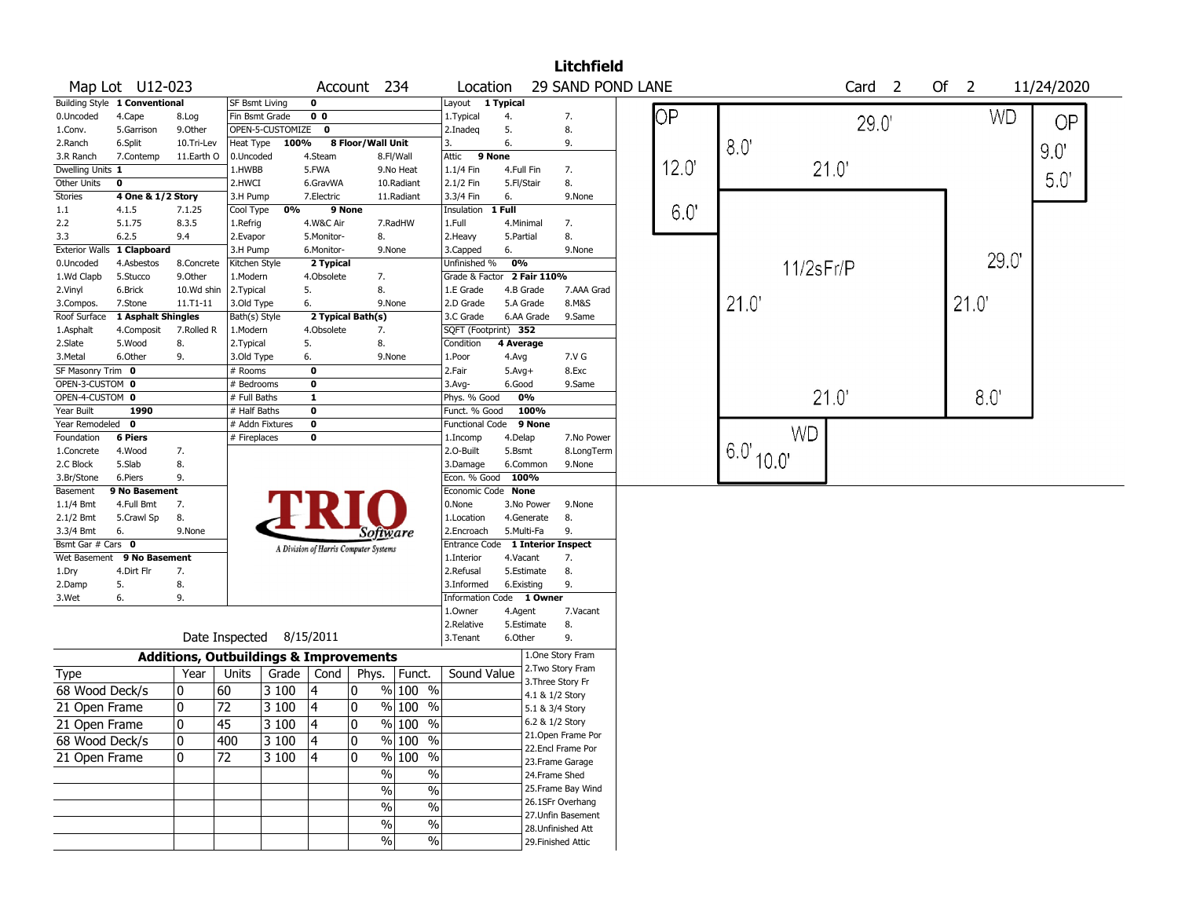|                   | <b>Litchfield</b><br>Account 234<br>29 SAND POND LANE<br>Of 2<br>Location<br>Card <sub>2</sub><br>11/24/2020<br>0<br>Layout 1 Typical<br><b>SF Bsmt Living</b> |                                                   |                          |       |              |                                       |                          |                                  |                        |                 |                                       |  |                |               |       |       |      |
|-------------------|----------------------------------------------------------------------------------------------------------------------------------------------------------------|---------------------------------------------------|--------------------------|-------|--------------|---------------------------------------|--------------------------|----------------------------------|------------------------|-----------------|---------------------------------------|--|----------------|---------------|-------|-------|------|
|                   | Map Lot U12-023<br>0 <sub>0</sub><br>4.Cape<br>8.Log<br>Fin Bsmt Grade<br>1. Typical<br>4.<br>7.                                                               |                                                   |                          |       |              |                                       |                          |                                  |                        |                 |                                       |  |                |               |       |       |      |
|                   | Building Style 1 Conventional<br>ОP<br>WD<br><b>OP</b><br>29.0'<br>9.Other<br>OPEN-5-CUSTOMIZE 0<br>5.<br>8.<br>5.Garrison<br>2.Inadeq                         |                                                   |                          |       |              |                                       |                          |                                  |                        |                 |                                       |  |                |               |       |       |      |
| 0.Uncoded         |                                                                                                                                                                |                                                   |                          |       |              |                                       |                          |                                  |                        |                 |                                       |  |                |               |       |       |      |
| 1.Conv.           | 8 Floor/Wall Unit<br>100%<br>Heat Type                                                                                                                         |                                                   |                          |       |              |                                       |                          |                                  |                        |                 |                                       |  |                |               |       |       |      |
| 2.Ranch           | 6.Split                                                                                                                                                        | 10.Tri-Lev                                        |                          |       |              |                                       |                          | 3.                               | 6.                     |                 | 9.                                    |  |                | 8.0'          |       |       | 9.0" |
| 3.R Ranch         | 7.Contemp                                                                                                                                                      | 11.Earth O                                        | 0.Uncoded                |       | 4.Steam      |                                       | 8.Fl/Wall                | Attic                            | 9 None                 |                 |                                       |  |                |               |       |       |      |
| Dwelling Units 1  |                                                                                                                                                                |                                                   | 1.HWBB                   |       | 5.FWA        |                                       | 9.No Heat                | 1.1/4 Fin                        | 4.Full Fin             |                 | 7.                                    |  | $12.0^{\circ}$ |               | 21.0' |       |      |
| Other Units       | $\pmb{0}$                                                                                                                                                      |                                                   | 2.HWCI                   |       | 6.GravWA     |                                       | 10.Radiant               | 2.1/2 Fin                        | 5.Fl/Stair             |                 | 8.                                    |  |                |               |       |       | 50'  |
| <b>Stories</b>    | 4 One & 1/2 Story                                                                                                                                              |                                                   | 3.H Pump                 |       | 7.Electric   |                                       | 11.Radiant               | 3.3/4 Fin                        | 6.                     |                 | 9.None                                |  |                |               |       |       |      |
| $1.1\,$           | 4.1.5                                                                                                                                                          | 7.1.25                                            | Cool Type                | 0%    |              | 9 None                                |                          | Insulation                       | 1 Full                 |                 |                                       |  | 6.0'           |               |       |       |      |
| 2.2               | 5.1.75                                                                                                                                                         | 8.3.5                                             | 1.Refrig                 |       | 4.W&C Air    |                                       | 7.RadHW                  | 1.Full                           | 4.Minimal              |                 | 7.                                    |  |                |               |       |       |      |
| 3.3               | 6.2.5                                                                                                                                                          | 9.4                                               | 2.Evapor                 |       | 5.Monitor-   | 8.                                    |                          | 2.Heavy                          | 5.Partial              |                 | 8.                                    |  |                |               |       |       |      |
|                   | Exterior Walls 1 Clapboard                                                                                                                                     |                                                   | 3.H Pump                 |       | 6.Monitor-   | 9.None                                |                          | 3.Capped                         | 6.                     |                 | 9.None                                |  |                |               |       | 29.0' |      |
| 0.Uncoded         | 4.Asbestos                                                                                                                                                     | 8.Concrete                                        | Kitchen Style            |       | 2 Typical    |                                       |                          | Unfinished %                     | 0%                     |                 |                                       |  |                | 11/2sFr/P     |       |       |      |
| 1.Wd Clapb        | 5.Stucco                                                                                                                                                       | 9.0ther                                           | 1.Modern                 |       | 4.Obsolete   | 7.                                    |                          | Grade & Factor 2 Fair 110%       |                        |                 |                                       |  |                |               |       |       |      |
| 2.Vinyl           | 6.Brick                                                                                                                                                        | 10.Wd shin                                        | 2.Typical                |       | 5.           | 8.                                    |                          | 1.E Grade                        | 4.B Grade              |                 | 7.AAA Grad                            |  |                |               |       |       |      |
| 3.Compos.         | 7.Stone                                                                                                                                                        | $11. T1 - 11$                                     | 3.Old Type               |       | 6.           | 9.None                                |                          | 2.D Grade                        | 5.A Grade              |                 | 8.M&S                                 |  |                | 21.0          |       | 21.0  |      |
| Roof Surface      | 1 Asphalt Shingles                                                                                                                                             |                                                   | Bath(s) Style            |       |              | 2 Typical Bath(s)                     |                          | 3.C Grade                        | 6.AA Grade             |                 | 9.Same                                |  |                |               |       |       |      |
| 1.Asphalt         | 4.Composit                                                                                                                                                     | 7.Rolled R                                        | 1.Modern                 |       | 4.Obsolete   | 7.                                    |                          | SQFT (Footprint) 352             |                        |                 |                                       |  |                |               |       |       |      |
| 2.Slate           | 5.Wood                                                                                                                                                         | 8.                                                | 2.Typical                |       | 5.           | 8.                                    |                          | Condition                        | 4 Average              |                 |                                       |  |                |               |       |       |      |
| 3.Metal           | 6.Other                                                                                                                                                        | 9.                                                | 3.Old Type               |       | 6.           | 9.None                                |                          | 1.Poor                           | 4.Avg                  |                 | 7.V G                                 |  |                |               |       |       |      |
| SF Masonry Trim 0 |                                                                                                                                                                |                                                   | # Rooms                  |       | 0            |                                       |                          | 2.Fair                           | $5.Avg+$               |                 | 8.Exc                                 |  |                |               |       |       |      |
| OPEN-3-CUSTOM 0   |                                                                                                                                                                |                                                   | # Bedrooms               |       | 0            |                                       |                          | 3.Avg-                           | 6.Good                 |                 | 9.Same                                |  |                |               |       |       |      |
| OPEN-4-CUSTOM 0   |                                                                                                                                                                |                                                   | # Full Baths             |       | $\mathbf{1}$ |                                       |                          | Phys. % Good                     | 0%                     |                 |                                       |  |                |               | 21.0' | 8.0   |      |
| Year Built        | 1990                                                                                                                                                           |                                                   | # Half Baths             |       | 0            |                                       |                          | Funct. % Good                    |                        | 100%            |                                       |  |                |               |       |       |      |
| Year Remodeled 0  |                                                                                                                                                                |                                                   | # Addn Fixtures          |       | $\mathbf 0$  |                                       |                          | <b>Functional Code</b>           |                        | 9 None          |                                       |  |                | <b>WD</b>     |       |       |      |
| Foundation        | <b>6 Piers</b>                                                                                                                                                 |                                                   | # Fireplaces             |       | 0            |                                       |                          | 1.Incomp                         | 4.Delap                |                 | 7.No Power                            |  |                | $16.0'$ 10.0' |       |       |      |
| 1.Concrete        | 4.Wood                                                                                                                                                         | 7.                                                |                          |       |              |                                       |                          | 2.0-Built                        | 5.Bsmt                 |                 | 8.LongTerm                            |  |                |               |       |       |      |
| 2.C Block         | 5.Slab                                                                                                                                                         | 8.                                                |                          |       |              |                                       |                          | 3.Damage                         | 6.Common               |                 | 9.None                                |  |                |               |       |       |      |
| 3.Br/Stone        | 6.Piers                                                                                                                                                        | 9.                                                |                          |       |              |                                       |                          | Econ. % Good 100%                |                        |                 |                                       |  |                |               |       |       |      |
| Basement          | 9 No Basement                                                                                                                                                  |                                                   |                          |       |              |                                       |                          | Economic Code None               |                        |                 |                                       |  |                |               |       |       |      |
| 1.1/4 Bmt         | 4.Full Bmt                                                                                                                                                     | 7.                                                |                          |       |              |                                       |                          | 0.None                           | 3.No Power             |                 | 9.None                                |  |                |               |       |       |      |
| 2.1/2 Bmt         | 5.Crawl Sp                                                                                                                                                     | 8.                                                |                          |       |              |                                       |                          | 1.Location                       | 4.Generate             |                 | 8.                                    |  |                |               |       |       |      |
| 3.3/4 Bmt         | 6.                                                                                                                                                             | 9.None                                            |                          |       |              | Software                              |                          | 2.Encroach                       | 5.Multi-Fa             |                 | 9.                                    |  |                |               |       |       |      |
| Bsmt Gar # Cars 0 |                                                                                                                                                                |                                                   |                          |       |              | A Division of Harris Computer Systems |                          | Entrance Code 1 Interior Inspect |                        |                 |                                       |  |                |               |       |       |      |
| Wet Basement      | 9 No Basement<br>4.Dirt Flr                                                                                                                                    | 7.                                                |                          |       |              |                                       |                          | 1.Interior<br>2.Refusal          | 4.Vacant<br>5.Estimate |                 | 7.<br>8.                              |  |                |               |       |       |      |
| 1.Dry             | 5.                                                                                                                                                             | 8.                                                |                          |       |              |                                       |                          | 3.Informed                       | 6.Existing             |                 | 9.                                    |  |                |               |       |       |      |
| 2.Damp<br>3.Wet   | 6.                                                                                                                                                             | 9.                                                |                          |       |              |                                       |                          | Information Code 1 Owner         |                        |                 |                                       |  |                |               |       |       |      |
|                   |                                                                                                                                                                |                                                   |                          |       |              |                                       |                          | 1.Owner                          | 4.Agent                |                 | 7.Vacant                              |  |                |               |       |       |      |
|                   |                                                                                                                                                                |                                                   |                          |       |              |                                       |                          | 2.Relative                       | 5.Estimate             |                 | 8.                                    |  |                |               |       |       |      |
|                   |                                                                                                                                                                |                                                   | Date Inspected 8/15/2011 |       |              |                                       |                          | 3.Tenant                         | 6.Other                |                 | 9.                                    |  |                |               |       |       |      |
|                   |                                                                                                                                                                |                                                   |                          |       |              |                                       |                          |                                  |                        |                 |                                       |  |                |               |       |       |      |
|                   |                                                                                                                                                                | <b>Additions, Outbuildings &amp; Improvements</b> |                          |       |              |                                       |                          |                                  |                        |                 | 1.One Story Fram<br>2. Two Story Fram |  |                |               |       |       |      |
| Type              |                                                                                                                                                                | Year                                              | Units                    | Grade | Cond         | Phys.   Funct.                        |                          | Sound Value                      |                        |                 | 3. Three Story Fr                     |  |                |               |       |       |      |
| 68 Wood Deck/s    |                                                                                                                                                                | 10                                                | 60                       | 3 100 | 4            | 10                                    | % 100 %                  |                                  |                        | 4.1 & 1/2 Story |                                       |  |                |               |       |       |      |
| 21 Open Frame     |                                                                                                                                                                | 10                                                | 72                       | 3 100 | 4            | 10                                    | $\%$ 100 $\overline{\%}$ |                                  |                        | 5.1 & 3/4 Story |                                       |  |                |               |       |       |      |
|                   |                                                                                                                                                                | $ 0\rangle$                                       | $\overline{45}$          |       | $\sqrt{4}$   | 0                                     | $\frac{9}{6}$ 100 %      |                                  |                        | 6.2 & 1/2 Story |                                       |  |                |               |       |       |      |
| 21 Open Frame     |                                                                                                                                                                |                                                   |                          | 3 100 |              |                                       |                          |                                  |                        |                 | 21.Open Frame Por                     |  |                |               |       |       |      |
| 68 Wood Deck/s    |                                                                                                                                                                | 10                                                | 400                      | 3100  | 4            | 0                                     | % 100 %                  |                                  |                        |                 | 22.Encl Frame Por                     |  |                |               |       |       |      |
| 21 Open Frame     |                                                                                                                                                                | 10                                                | 72                       | 3 100 | 4            | 10                                    | % 100 %                  |                                  |                        |                 | 23.Frame Garage                       |  |                |               |       |       |      |
|                   |                                                                                                                                                                |                                                   |                          |       |              | $\%$                                  | $\%$                     |                                  |                        |                 | 24.Frame Shed                         |  |                |               |       |       |      |
|                   |                                                                                                                                                                |                                                   |                          |       |              | $\%$                                  | $\%$                     |                                  |                        |                 | 25. Frame Bay Wind                    |  |                |               |       |       |      |
|                   |                                                                                                                                                                |                                                   |                          |       |              |                                       |                          |                                  |                        |                 | 26.1SFr Overhang                      |  |                |               |       |       |      |
|                   |                                                                                                                                                                |                                                   |                          |       |              | $\%$                                  | $\frac{1}{2}$            |                                  |                        |                 | 27.Unfin Basement                     |  |                |               |       |       |      |
|                   |                                                                                                                                                                |                                                   |                          |       |              | $\%$                                  | $\%$                     |                                  |                        |                 | 28. Unfinished Att                    |  |                |               |       |       |      |
|                   |                                                                                                                                                                |                                                   |                          |       |              | %                                     | $\%$                     |                                  |                        |                 | 29. Finished Attic                    |  |                |               |       |       |      |
|                   |                                                                                                                                                                |                                                   |                          |       |              |                                       |                          |                                  |                        |                 |                                       |  |                |               |       |       |      |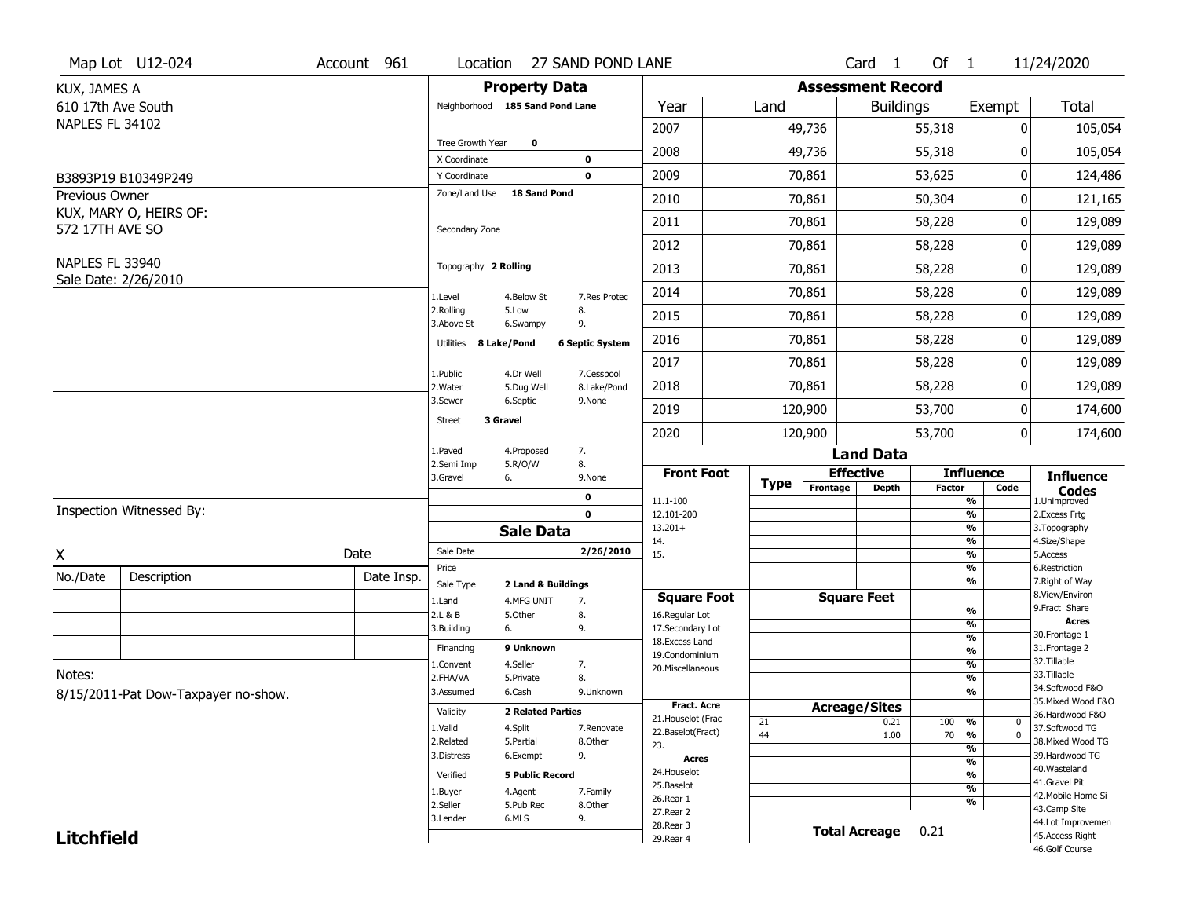|                       | Map Lot U12-024                     | Account 961   | Location                      |                                 | 27 SAND POND LANE        |                                         |             |                          | Card 1               | Of $1$             |                                           | 11/24/2020                            |
|-----------------------|-------------------------------------|---------------|-------------------------------|---------------------------------|--------------------------|-----------------------------------------|-------------|--------------------------|----------------------|--------------------|-------------------------------------------|---------------------------------------|
| KUX, JAMES A          |                                     |               |                               | <b>Property Data</b>            |                          |                                         |             | <b>Assessment Record</b> |                      |                    |                                           |                                       |
| 610 17th Ave South    |                                     |               |                               | Neighborhood 185 Sand Pond Lane |                          | Year                                    | Land        |                          | <b>Buildings</b>     |                    | Exempt                                    | <b>Total</b>                          |
| NAPLES FL 34102       |                                     |               |                               |                                 |                          | 2007                                    |             | 49,736                   |                      | 55,318             | 0                                         | 105,054                               |
|                       |                                     |               | Tree Growth Year              | $\mathbf 0$                     |                          | 2008                                    |             | 49,736                   |                      | 55,318             | 0                                         | 105,054                               |
|                       |                                     |               | X Coordinate                  |                                 | 0                        |                                         |             |                          |                      |                    |                                           |                                       |
|                       | B3893P19 B10349P249                 |               | Y Coordinate<br>Zone/Land Use | 18 Sand Pond                    | 0                        | 2009                                    |             | 70,861                   |                      | 53,625             | 0                                         | 124,486                               |
| <b>Previous Owner</b> | KUX, MARY O, HEIRS OF:              |               |                               |                                 |                          | 2010                                    |             | 70,861                   |                      | 50,304             | 0                                         | 121,165                               |
| 572 17TH AVE SO       |                                     |               | Secondary Zone                |                                 |                          | 2011                                    |             | 70,861                   |                      | 58,228             | 0                                         | 129,089                               |
|                       |                                     |               |                               |                                 |                          | 2012                                    |             | 70,861                   |                      | 58,228             | 0                                         | 129,089                               |
| NAPLES FL 33940       |                                     |               | Topography 2 Rolling          |                                 |                          | 2013                                    |             | 70,861                   |                      | 58,228             | 0                                         | 129,089                               |
|                       | Sale Date: 2/26/2010                |               |                               |                                 |                          | 2014                                    |             | 70,861                   |                      | 58,228             | 0                                         | 129,089                               |
|                       |                                     |               | 1.Level<br>2.Rolling          | 4.Below St<br>5.Low             | 7.Res Protec<br>8.<br>9. |                                         |             |                          | 58,228               |                    |                                           |                                       |
|                       |                                     |               | 3.Above St                    | 6.Swampy                        |                          | 2015                                    |             | 70,861                   |                      |                    | 0                                         | 129,089                               |
|                       |                                     |               | Utilities 8 Lake/Pond         | 4.Dr Well                       | <b>6 Septic System</b>   | 2016                                    |             | 70,861                   |                      | 58,228             | 0                                         | 129,089                               |
|                       |                                     |               | 1.Public                      |                                 | 7.Cesspool               | 2017                                    |             | 70,861                   |                      | 58,228             | 0                                         | 129,089                               |
|                       |                                     |               | 2. Water                      | 5.Dug Well                      | 8.Lake/Pond              | 2018                                    |             | 70,861                   | 58,228               |                    | 0                                         | 129,089                               |
|                       |                                     | 3.Sewer       | 6.Septic                      | 9.None                          | 2019                     |                                         | 120,900     |                          | 53,700               | 0                  | 174,600                                   |                                       |
|                       |                                     | <b>Street</b> | 3 Gravel                      |                                 | 2020                     |                                         | 120,900     |                          | 53,700               | 0                  | 174,600                                   |                                       |
|                       |                                     |               | 1.Paved                       | 4.Proposed                      | 7.                       |                                         |             |                          | <b>Land Data</b>     |                    |                                           |                                       |
|                       |                                     |               | 2.Semi Imp<br>3.Gravel        | 5.R/O/W<br>6.                   | 8.                       | <b>Front Foot</b>                       |             |                          | <b>Effective</b>     |                    | <b>Influence</b>                          | <b>Influence</b>                      |
|                       |                                     |               |                               |                                 | 9.None                   |                                         | <b>Type</b> | Frontage<br><b>Depth</b> |                      | <b>Factor</b>      | Code                                      | <b>Codes</b>                          |
|                       | Inspection Witnessed By:            |               |                               |                                 | 0<br>$\mathbf 0$         | 11.1-100<br>12.101-200                  |             |                          |                      |                    | %<br>$\frac{9}{6}$                        | 1.Unimproved<br>2. Excess Frtg        |
|                       |                                     |               |                               | <b>Sale Data</b>                |                          | $13.201+$                               |             |                          |                      |                    | %                                         | 3. Topography                         |
| X                     |                                     | Date          | Sale Date                     |                                 | 2/26/2010                | 14.<br>15.                              |             |                          |                      |                    | %<br>%                                    | 4.Size/Shape<br>5.Access              |
| No./Date              | Description                         | Date Insp.    | Price                         |                                 |                          |                                         |             |                          |                      |                    | $\frac{9}{6}$                             | 6.Restriction                         |
|                       |                                     |               | Sale Type                     | 2 Land & Buildings              |                          | <b>Square Foot</b>                      |             |                          | <b>Square Feet</b>   |                    | %                                         | 7. Right of Way<br>8.View/Environ     |
|                       |                                     |               | 1.Land<br>2.L & B             | 4.MFG UNIT<br>5.Other           | 7.<br>8.                 | 16.Regular Lot                          |             |                          |                      |                    | $\frac{9}{6}$                             | 9. Fract Share                        |
|                       |                                     |               | 3.Building                    | 6.                              | 9.                       | 17.Secondary Lot                        |             |                          |                      |                    | %                                         | <b>Acres</b><br>30. Frontage 1        |
|                       |                                     |               | Financing                     | 9 Unknown                       |                          | 18. Excess Land                         |             |                          |                      |                    | $\frac{9}{6}$<br>$\overline{\frac{9}{6}}$ | 31. Frontage 2                        |
|                       |                                     |               | 1.Convent                     | 4.Seller                        | 7.                       | 19.Condominium<br>20.Miscellaneous      |             |                          |                      |                    | $\frac{9}{6}$                             | 32. Tillable                          |
| Notes:                |                                     |               | 2.FHA/VA                      | 5.Private                       | 8.                       |                                         |             |                          |                      |                    | $\overline{\frac{9}{6}}$                  | 33.Tillable                           |
|                       | 8/15/2011-Pat Dow-Taxpayer no-show. |               | 3.Assumed                     | 6.Cash                          | 9.Unknown                |                                         |             |                          |                      |                    | %                                         | 34.Softwood F&O                       |
|                       |                                     |               | Validity                      | <b>2 Related Parties</b>        |                          | <b>Fract. Acre</b>                      |             | <b>Acreage/Sites</b>     |                      |                    |                                           | 35. Mixed Wood F&O<br>36.Hardwood F&O |
|                       |                                     |               | 1.Valid                       | 4.Split                         | 7.Renovate               | 21. Houselot (Frac<br>22.Baselot(Fract) | 21          |                          | 0.21                 | 100                | %<br>0                                    | 37.Softwood TG                        |
|                       |                                     |               | 2.Related                     | 5.Partial                       | 8.Other                  | 23.                                     | 44          |                          | 1.00                 | 70                 | $\overline{0}$<br>%                       | 38. Mixed Wood TG                     |
|                       |                                     | 3.Distress    | 6.Exempt                      | 9.                              | <b>Acres</b>             |                                         |             |                          |                      | %<br>$\frac{9}{6}$ | 39.Hardwood TG                            |                                       |
|                       |                                     | Verified      | <b>5 Public Record</b>        |                                 | 24. Houselot             |                                         |             |                          |                      | %                  | 40. Wasteland                             |                                       |
|                       |                                     |               | 1.Buyer                       | 4.Agent                         | 7.Family                 | 25.Baselot                              |             |                          |                      |                    | $\frac{9}{6}$                             | 41.Gravel Pit                         |
|                       |                                     |               | 2.Seller                      | 5.Pub Rec                       | 8.Other                  | 26.Rear 1                               |             |                          |                      |                    | %                                         | 42. Mobile Home Si<br>43.Camp Site    |
|                       |                                     |               |                               |                                 |                          | 27.Rear 2                               |             |                          |                      |                    |                                           |                                       |
|                       |                                     |               | 3.Lender                      | 6.MLS                           | 9.                       |                                         |             |                          |                      |                    |                                           |                                       |
| <b>Litchfield</b>     |                                     |               |                               |                                 |                          | 28.Rear 3<br>29. Rear 4                 |             |                          | <b>Total Acreage</b> | 0.21               |                                           | 44.Lot Improvemen<br>45.Access Right  |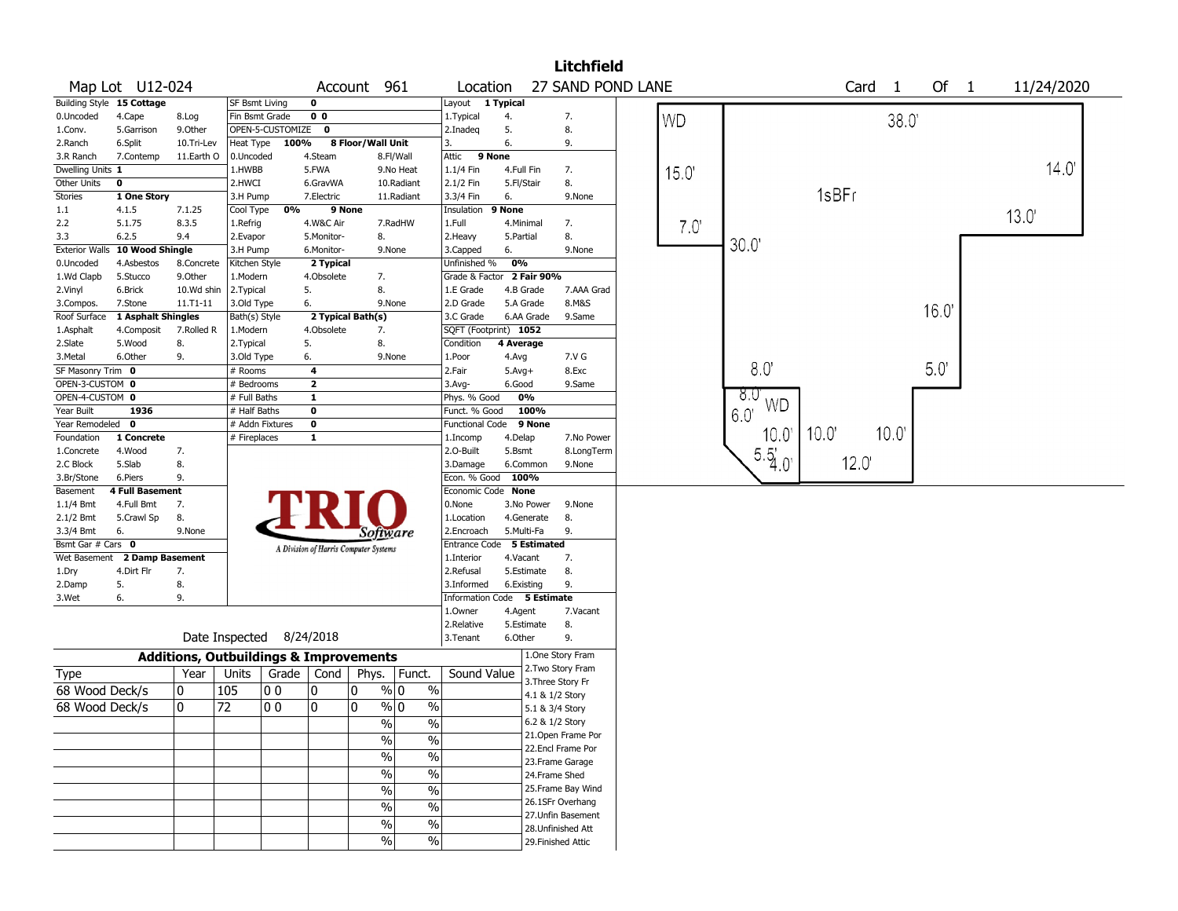|                           |                        |            |                                                   |                  |                                       |                   |                                  |                             |            |                    | <b>Litchfield</b>                  |           |                 |       |                      |      |            |
|---------------------------|------------------------|------------|---------------------------------------------------|------------------|---------------------------------------|-------------------|----------------------------------|-----------------------------|------------|--------------------|------------------------------------|-----------|-----------------|-------|----------------------|------|------------|
|                           | Map Lot U12-024        |            |                                                   |                  |                                       | Account 961       |                                  | Location                    |            |                    | 27 SAND POND LANE                  |           |                 |       | Card<br>$\mathbf{1}$ | Of 1 | 11/24/2020 |
| Building Style 15 Cottage |                        |            | SF Bsmt Living                                    |                  | 0                                     |                   |                                  | Layout 1 Typical            |            |                    |                                    |           |                 |       |                      |      |            |
| 0.Uncoded                 | 4.Cape                 | 8.Log      | Fin Bsmt Grade                                    |                  | 0 <sub>0</sub>                        |                   |                                  | 1. Typical                  | 4.         |                    | 7.                                 | <b>WD</b> |                 |       | 38.0                 |      |            |
| 1.Conv.                   | 5.Garrison             | 9.Other    |                                                   | OPEN-5-CUSTOMIZE | 0                                     |                   |                                  | 2.Inadeq                    | 5.         |                    | 8.                                 |           |                 |       |                      |      |            |
| 2.Ranch                   | 6.Split                | 10.Tri-Lev | Heat Type                                         | 100%             |                                       | 8 Floor/Wall Unit |                                  | 3.                          | 6.         |                    | 9.                                 |           |                 |       |                      |      |            |
| 3.R Ranch                 | 7.Contemp              | 11.Earth O | 0.Uncoded                                         |                  | 4.Steam                               |                   | 8.Fl/Wall                        | Attic                       | 9 None     |                    |                                    |           |                 |       |                      |      |            |
| Dwelling Units 1          |                        |            | 1.HWBB                                            |                  | 5.FWA                                 |                   | 9.No Heat                        | 1.1/4 Fin                   |            | 4.Full Fin         | 7.                                 | 15.0      |                 |       |                      |      | 14.0       |
| Other Units               | $\mathbf 0$            |            | 2.HWCI                                            |                  | 6.GravWA                              |                   | 10.Radiant                       | 2.1/2 Fin                   | 5.Fl/Stair |                    | 8.                                 |           |                 |       |                      |      |            |
| Stories                   | 1 One Story            |            | 3.H Pump                                          |                  | 7.Electric                            |                   | 11.Radiant                       | 3.3/4 Fin                   | 6.         |                    | 9.None                             |           |                 | 1sBFr |                      |      |            |
| 1.1                       | 4.1.5                  | 7.1.25     | Cool Type                                         | 0%               |                                       | 9 None            |                                  | Insulation                  | 9 None     |                    |                                    |           |                 |       |                      |      |            |
| 2.2                       | 5.1.75                 | 8.3.5      | 1.Refrig                                          |                  | 4.W&C Air                             |                   | 7.RadHW                          | 1.Full                      |            | 4.Minimal          | 7.                                 | 7.0'      |                 |       |                      |      | 13.0       |
| 3.3                       | 6.2.5                  | 9.4        | 2.Evapor                                          |                  | 5.Monitor-                            |                   | 8.                               | 2. Heavy                    | 5.Partial  |                    | 8.                                 |           |                 |       |                      |      |            |
| <b>Exterior Walls</b>     | 10 Wood Shingle        |            | 3.H Pump                                          |                  | 6.Monitor-                            |                   | 9.None                           | 3.Capped                    | 6.         |                    | 9.None                             |           | 30.0            |       |                      |      |            |
| 0.Uncoded                 | 4.Asbestos             | 8.Concrete | Kitchen Style                                     |                  | 2 Typical                             |                   |                                  | Unfinished %                | 0%         |                    |                                    |           |                 |       |                      |      |            |
| 1.Wd Clapb                | 5.Stucco               | 9.Other    | 1.Modern                                          |                  | 4.Obsolete                            |                   | 7.                               | Grade & Factor 2 Fair 90%   |            |                    |                                    |           |                 |       |                      |      |            |
| 2.Vinyl                   | 6.Brick                | 10.Wd shin | 2. Typical                                        |                  | 5.                                    |                   | 8.                               | 1.E Grade                   |            | 4.B Grade          | 7.AAA Grad                         |           |                 |       |                      |      |            |
| 3.Compos.                 | 7.Stone                | 11.T1-11   | 3.Old Type                                        |                  | 6.                                    |                   | 9.None                           | 2.D Grade                   |            | 5.A Grade          | 8.M&S                              |           |                 |       |                      |      |            |
| Roof Surface              | 1 Asphalt Shingles     |            | Bath(s) Style                                     |                  | 2 Typical Bath(s)                     |                   |                                  | 3.C Grade                   |            | 6.AA Grade         | 9.Same                             |           |                 |       |                      | 16.0 |            |
| 1.Asphalt                 | 4.Composit             | 7.Rolled R | 1.Modern                                          |                  | 4.Obsolete                            |                   | 7.                               | SQFT (Footprint) 1052       |            |                    |                                    |           |                 |       |                      |      |            |
| 2.Slate                   | 5.Wood                 | 8.         | 2.Typical                                         |                  | 5.                                    |                   | 8.                               | Condition                   | 4 Average  |                    |                                    |           |                 |       |                      |      |            |
| 3.Metal                   | 6.Other                | 9.         | 3.Old Type                                        |                  | 6.                                    |                   | 9.None                           | 1.Poor                      | 4.Avg      |                    | 7.V G                              |           |                 |       |                      |      |            |
| SF Masonry Trim 0         |                        |            | # Rooms                                           |                  | 4                                     |                   |                                  | 2.Fair                      | $5.Avg+$   |                    | 8.Exc                              |           | 8.0             |       |                      | 5.0' |            |
| OPEN-3-CUSTOM 0           |                        |            | # Bedrooms                                        |                  | $\mathbf{2}$                          |                   |                                  | 3.Avg-                      | 6.Good     |                    | 9.Same                             |           |                 |       |                      |      |            |
| OPEN-4-CUSTOM 0           |                        |            | # Full Baths                                      |                  | $\mathbf{1}$                          |                   |                                  | Phys. % Good                |            | 0%                 |                                    |           | 8.U             |       |                      |      |            |
| Year Built                | 1936                   |            | # Half Baths                                      |                  | 0                                     |                   |                                  | Funct. % Good               |            | 100%               |                                    |           | WD<br>6.0       |       |                      |      |            |
| Year Remodeled 0          |                        |            |                                                   | # Addn Fixtures  | 0                                     |                   |                                  | Functional Code             |            | 9 None             |                                    |           |                 |       |                      |      |            |
| Foundation                | 1 Concrete             |            | # Fireplaces                                      |                  | $\mathbf{1}$                          |                   |                                  | 1.Incomp                    | 4.Delap    |                    | 7.No Power                         |           | $10.0^{\circ}$  | 100'  | 10.0'                |      |            |
| 1.Concrete                | 4.Wood                 | 7.         |                                                   |                  |                                       |                   |                                  | 2.O-Built                   | 5.Bsmt     |                    | 8.LongTerm                         |           |                 |       |                      |      |            |
| 2.C Block                 | 5.Slab                 | 8.         |                                                   |                  |                                       |                   |                                  | 3.Damage                    |            | 6.Common           | 9.None                             |           | $5.5^{1}_{4.0}$ | 12.0  |                      |      |            |
| 3.Br/Stone                | 6.Piers                | 9.         |                                                   |                  |                                       |                   |                                  | Econ. % Good 100%           |            |                    |                                    |           |                 |       |                      |      |            |
| Basement                  | <b>4 Full Basement</b> |            |                                                   |                  |                                       |                   |                                  | Economic Code None          |            |                    |                                    |           |                 |       |                      |      |            |
| $1.1/4$ Bmt               | 4.Full Bmt             | 7.         |                                                   |                  |                                       |                   |                                  | 0.None                      |            | 3.No Power         | 9.None                             |           |                 |       |                      |      |            |
| 2.1/2 Bmt                 | 5.Crawl Sp             | 8.         |                                                   |                  |                                       |                   |                                  | 1.Location                  |            | 4.Generate         | 8.                                 |           |                 |       |                      |      |            |
| 3.3/4 Bmt                 | 6.                     | 9.None     |                                                   |                  |                                       |                   | Software                         | 2.Encroach                  |            | 5.Multi-Fa         | 9.                                 |           |                 |       |                      |      |            |
| Bsmt Gar # Cars 0         |                        |            |                                                   |                  |                                       |                   |                                  | Entrance Code               |            | <b>5 Estimated</b> |                                    |           |                 |       |                      |      |            |
| Wet Basement              | 2 Damp Basement        |            |                                                   |                  | A Division of Harris Computer Systems |                   |                                  | 1.Interior                  |            | 4.Vacant           | 7.                                 |           |                 |       |                      |      |            |
| 1.Dry                     | 4.Dirt Flr             | 7.         |                                                   |                  |                                       |                   |                                  | 2.Refusal                   |            | 5.Estimate         | 8.                                 |           |                 |       |                      |      |            |
| 2.Damp                    | 5.                     | 8.         |                                                   |                  |                                       |                   |                                  | 3.Informed                  |            | 6.Existing         | 9.                                 |           |                 |       |                      |      |            |
| 3.Wet                     | 6.                     | 9.         |                                                   |                  |                                       |                   |                                  | Information Code 5 Estimate |            |                    |                                    |           |                 |       |                      |      |            |
|                           |                        |            |                                                   |                  |                                       |                   |                                  | 1.0wner                     | 4.Agent    |                    | 7.Vacant                           |           |                 |       |                      |      |            |
|                           |                        |            |                                                   |                  |                                       |                   |                                  | 2.Relative                  |            | 5.Estimate         | 8.                                 |           |                 |       |                      |      |            |
|                           |                        |            | Date Inspected 8/24/2018                          |                  |                                       |                   |                                  | 3.Tenant                    | 6.Other    |                    | 9.                                 |           |                 |       |                      |      |            |
|                           |                        |            | <b>Additions, Outbuildings &amp; Improvements</b> |                  |                                       |                   |                                  |                             |            |                    | 1.One Story Fram                   |           |                 |       |                      |      |            |
| Type                      |                        | Year       | Units                                             |                  | Grade   Cond                          |                   | Phys.   Funct.                   | Sound Value                 |            |                    | 2. Two Story Fram                  |           |                 |       |                      |      |            |
| 68 Wood Deck/s            |                        | 0          | 105                                               | 00               | 0                                     | 10                | $\%$<br>$\%$ 0                   |                             |            |                    | 3. Three Story Fr                  |           |                 |       |                      |      |            |
| 68 Wood Deck/s            |                        | 0          | 72                                                | 00               | 0                                     | ٥١                | $\%$ $\overline{0}$<br>$\%$      |                             |            |                    | 4.1 & 1/2 Story                    |           |                 |       |                      |      |            |
|                           |                        |            |                                                   |                  |                                       |                   |                                  |                             |            |                    | 5.1 & 3/4 Story<br>6.2 & 1/2 Story |           |                 |       |                      |      |            |
|                           |                        |            |                                                   |                  |                                       |                   | $\overline{\frac{0}{6}}$<br>$\%$ |                             |            |                    | 21.Open Frame Por                  |           |                 |       |                      |      |            |
|                           |                        |            |                                                   |                  |                                       |                   | $\%$<br>$\%$                     |                             |            |                    | 22.Encl Frame Por                  |           |                 |       |                      |      |            |
|                           |                        |            |                                                   |                  |                                       |                   | $\%$<br>%                        |                             |            |                    | 23. Frame Garage                   |           |                 |       |                      |      |            |
|                           |                        |            |                                                   |                  |                                       |                   | $\frac{1}{2}$<br>$\%$            |                             |            |                    | 24.Frame Shed                      |           |                 |       |                      |      |            |
|                           |                        |            |                                                   |                  |                                       |                   |                                  |                             |            |                    | 25. Frame Bay Wind                 |           |                 |       |                      |      |            |
|                           |                        |            |                                                   |                  |                                       |                   | $\frac{0}{6}$<br>$\%$            |                             |            |                    | 26.1SFr Overhang                   |           |                 |       |                      |      |            |
|                           |                        |            |                                                   |                  |                                       |                   | $\frac{0}{6}$<br>$\%$            |                             |            |                    | 27.Unfin Basement                  |           |                 |       |                      |      |            |
|                           |                        |            |                                                   |                  |                                       |                   | $\frac{0}{6}$<br>$\%$            |                             |            |                    | 28. Unfinished Att                 |           |                 |       |                      |      |            |
|                           |                        |            |                                                   |                  |                                       |                   | $\sqrt{6}$<br>$\%$               |                             |            |                    | 29. Finished Attic                 |           |                 |       |                      |      |            |
|                           |                        |            |                                                   |                  |                                       |                   |                                  |                             |            |                    |                                    |           |                 |       |                      |      |            |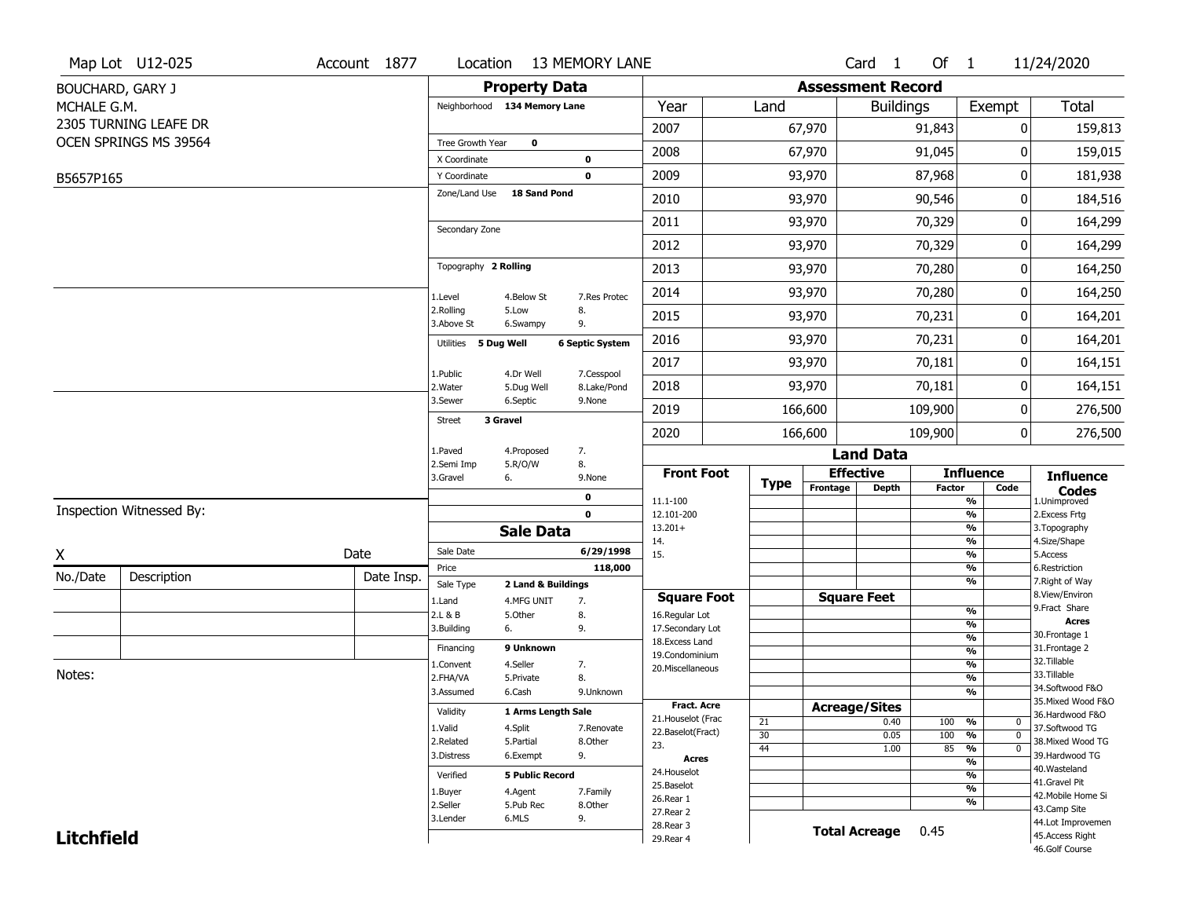|                   | Map Lot U12-025          | Account 1877 | Location                     |                        | <b>13 MEMORY LANE</b>  |                                    |             |                          | Card <sub>1</sub>            | Of 1          |                                | 11/24/2020                                            |
|-------------------|--------------------------|--------------|------------------------------|------------------------|------------------------|------------------------------------|-------------|--------------------------|------------------------------|---------------|--------------------------------|-------------------------------------------------------|
|                   | <b>BOUCHARD, GARY J</b>  |              |                              | <b>Property Data</b>   |                        |                                    |             |                          | <b>Assessment Record</b>     |               |                                |                                                       |
| MCHALE G.M.       |                          |              | Neighborhood 134 Memory Lane |                        |                        | Year                               | Land        |                          | <b>Buildings</b>             |               | Exempt                         | <b>Total</b>                                          |
|                   | 2305 TURNING LEAFE DR    |              |                              |                        |                        | 2007                               |             | 67,970                   |                              | 91,843        | 0                              | 159,813                                               |
|                   | OCEN SPRINGS MS 39564    |              | Tree Growth Year             | $\mathbf 0$            |                        | 2008                               |             | 67,970                   |                              | 91,045        | 0                              |                                                       |
|                   |                          |              | X Coordinate                 |                        | $\mathbf 0$            |                                    |             |                          |                              |               |                                | 159,015                                               |
| B5657P165         |                          |              | Y Coordinate                 |                        | $\mathbf 0$            | 2009                               |             | 93,970                   |                              | 87,968        | 0                              | 181,938                                               |
|                   |                          |              | Zone/Land Use                | 18 Sand Pond           |                        | 2010                               |             | 93,970                   |                              | 90,546        | 0                              | 184,516                                               |
|                   |                          |              | Secondary Zone               |                        |                        | 2011                               |             | 93,970                   |                              | 70,329        | 0                              | 164,299                                               |
|                   |                          |              |                              |                        |                        | 2012                               |             | 93,970                   |                              | 70,329        | 0                              | 164,299                                               |
|                   |                          |              | Topography 2 Rolling         |                        |                        | 2013                               |             | 93,970                   | 70,280<br>70,280<br>70,231   |               | 0                              | 164,250                                               |
|                   |                          |              | 1.Level                      | 4.Below St             | 7.Res Protec           | 2014                               |             | 93,970                   |                              |               | 0                              | 164,250                                               |
|                   |                          |              | 2.Rolling<br>3.Above St      | 5.Low<br>6.Swampy      | 8.<br>9.               | 2015                               |             | 93,970                   |                              |               | 0                              | 164,201                                               |
|                   |                          |              | Utilities 5 Dug Well         |                        | <b>6 Septic System</b> | 2016                               |             | 93,970                   | 70,231                       |               | 0                              | 164,201                                               |
|                   |                          |              | 1.Public                     | 4.Dr Well              | 7.Cesspool             | 2017                               |             | 93,970                   |                              | 70,181        | 0                              | 164,151                                               |
|                   |                          |              | 2. Water                     | 5.Dug Well             | 8.Lake/Pond            | 2018                               |             | 93,970                   | 70,181<br>109,900            |               | 0                              | 164,151                                               |
|                   |                          |              | 3.Sewer                      | 6.Septic               | 9.None                 | 2019                               |             | 166,600                  |                              |               | 0                              | 276,500                                               |
|                   |                          |              | 3 Gravel<br><b>Street</b>    |                        |                        | 2020                               | 166,600     |                          |                              |               | 0                              | 276,500                                               |
|                   |                          |              | 1.Paved                      | 4.Proposed             | 7.                     |                                    |             |                          | <b>Land Data</b>             |               |                                |                                                       |
|                   |                          |              | 2.Semi Imp<br>3.Gravel       | 5.R/O/W<br>6.          | 8.<br>9.None           | <b>Front Foot</b>                  |             |                          | <b>Effective</b>             |               | <b>Influence</b>               | <b>Influence</b>                                      |
|                   |                          |              |                              |                        | 0                      | 11.1-100                           | <b>Type</b> | Frontage<br><b>Depth</b> |                              | <b>Factor</b> | Code<br>%                      | <b>Codes</b><br>1.Unimproved                          |
|                   | Inspection Witnessed By: |              |                              |                        | $\mathbf 0$            | 12.101-200                         |             |                          |                              |               | $\frac{9}{6}$                  | 2.Excess Frtg                                         |
|                   |                          |              |                              | <b>Sale Data</b>       |                        | $13.201+$                          |             |                          |                              |               | %                              | 3. Topography                                         |
| X                 |                          | Date         | Sale Date                    |                        | 6/29/1998              | 14.<br>15.                         |             |                          |                              |               | %<br>$\frac{9}{6}$             | 4.Size/Shape<br>5.Access                              |
| No./Date          |                          |              | Price                        |                        | 118,000                |                                    |             |                          |                              |               | %                              | 6.Restriction                                         |
|                   | Description              | Date Insp.   | Sale Type                    | 2 Land & Buildings     |                        |                                    |             |                          |                              |               | %                              | 7. Right of Way<br>8.View/Environ                     |
|                   |                          |              | 1.Land                       | 4.MFG UNIT             | 7.                     | <b>Square Foot</b>                 |             |                          | <b>Square Feet</b>           |               | $\frac{9}{6}$                  | 9.Fract Share                                         |
|                   |                          |              | 2.L & B<br>3.Building        | 5.0ther<br>6.          | 8.<br>9.               | 16.Regular Lot<br>17.Secondary Lot |             |                          |                              |               | $\frac{9}{6}$                  | <b>Acres</b>                                          |
|                   |                          |              |                              |                        |                        | 18.Excess Land                     |             |                          |                              |               | $\frac{9}{6}$                  | 30. Frontage 1                                        |
|                   |                          |              | Financing                    | 9 Unknown              |                        | 19.Condominium                     |             |                          |                              |               | $\frac{9}{6}$                  | 31. Frontage 2<br>32. Tillable                        |
| Notes:            |                          |              | 1.Convent                    | 4.Seller               | 7.                     | 20.Miscellaneous                   |             |                          |                              |               | $\frac{9}{6}$                  | 33.Tillable                                           |
|                   |                          |              | 2.FHA/VA<br>3.Assumed        | 5.Private<br>6.Cash    | 8.<br>9.Unknown        |                                    |             |                          |                              |               | $\frac{9}{6}$<br>$\frac{9}{6}$ | 34.Softwood F&O                                       |
|                   |                          |              |                              |                        |                        | <b>Fract. Acre</b>                 |             |                          |                              |               |                                | 35. Mixed Wood F&O                                    |
|                   |                          |              | Validity                     | 1 Arms Length Sale     |                        | 21. Houselot (Frac                 |             |                          | <b>Acreage/Sites</b><br>0.40 |               | %<br>0                         | 36.Hardwood F&O                                       |
|                   |                          |              | 1.Valid                      | 4.Split                | 7.Renovate             | 22.Baselot(Fract)                  | 21<br>30    |                          | 0.05                         | 100<br>100    | %<br>$\mathbf 0$               | 37.Softwood TG<br>38. Mixed Wood TG<br>39.Hardwood TG |
|                   |                          |              | 2.Related                    | 5.Partial              | 8.Other                | 23.                                | 44          |                          | 1.00                         | 85            | $\frac{9}{6}$<br>$\mathbf 0$   |                                                       |
|                   |                          |              | 3.Distress                   | 6.Exempt               | 9.                     | <b>Acres</b>                       |             |                          |                              |               | $\frac{9}{6}$                  |                                                       |
|                   |                          |              | Verified                     | <b>5 Public Record</b> |                        | 24. Houselot                       |             |                          |                              |               | $\frac{9}{6}$                  | 40. Wasteland                                         |
|                   |                          | 1.Buyer      | 4.Agent                      | 7.Family               | 25.Baselot             |                                    |             |                          |                              | $\frac{9}{6}$ | 41.Gravel Pit                  |                                                       |
|                   |                          |              | 2.Seller                     | 5.Pub Rec              | 8.Other                | 26.Rear 1                          |             |                          |                              |               | $\frac{9}{6}$                  | 42. Mobile Home Si<br>43.Camp Site                    |
|                   |                          |              | 3.Lender                     | 6.MLS                  | 9.                     | 27.Rear 2                          |             |                          |                              |               |                                | 44.Lot Improvemen                                     |
| <b>Litchfield</b> |                          |              |                              |                        |                        | 28. Rear 3<br>29. Rear 4           |             |                          | <b>Total Acreage</b>         | 0.45          |                                | 45.Access Right                                       |
|                   |                          |              |                              |                        |                        |                                    |             |                          |                              |               |                                |                                                       |